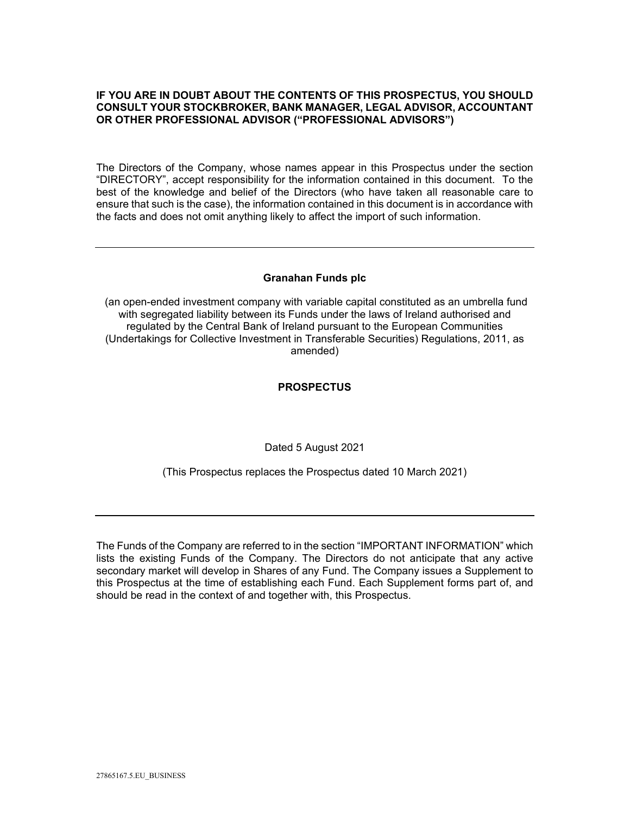#### **IF YOU ARE IN DOUBT ABOUT THE CONTENTS OF THIS PROSPECTUS, YOU SHOULD CONSULT YOUR STOCKBROKER, BANK MANAGER, LEGAL ADVISOR, ACCOUNTANT OR OTHER PROFESSIONAL ADVISOR ("PROFESSIONAL ADVISORS")**

The Directors of the Company, whose names appear in this Prospectus under the section "DIRECTORY", accept responsibility for the information contained in this document. To the best of the knowledge and belief of the Directors (who have taken all reasonable care to ensure that such is the case), the information contained in this document is in accordance with the facts and does not omit anything likely to affect the import of such information.

#### **Granahan Funds plc**

 (an open-ended investment company with variable capital constituted as an umbrella fund with segregated liability between its Funds under the laws of Ireland authorised and regulated by the Central Bank of Ireland pursuant to the European Communities (Undertakings for Collective Investment in Transferable Securities) Regulations, 2011, as amended)

#### **PROSPECTUS**

Dated 5 August 2021

(This Prospectus replaces the Prospectus dated 10 March 2021)

The Funds of the Company are referred to in the section "IMPORTANT INFORMATION" which lists the existing Funds of the Company. The Directors do not anticipate that any active secondary market will develop in Shares of any Fund. The Company issues a Supplement to this Prospectus at the time of establishing each Fund. Each Supplement forms part of, and should be read in the context of and together with, this Prospectus.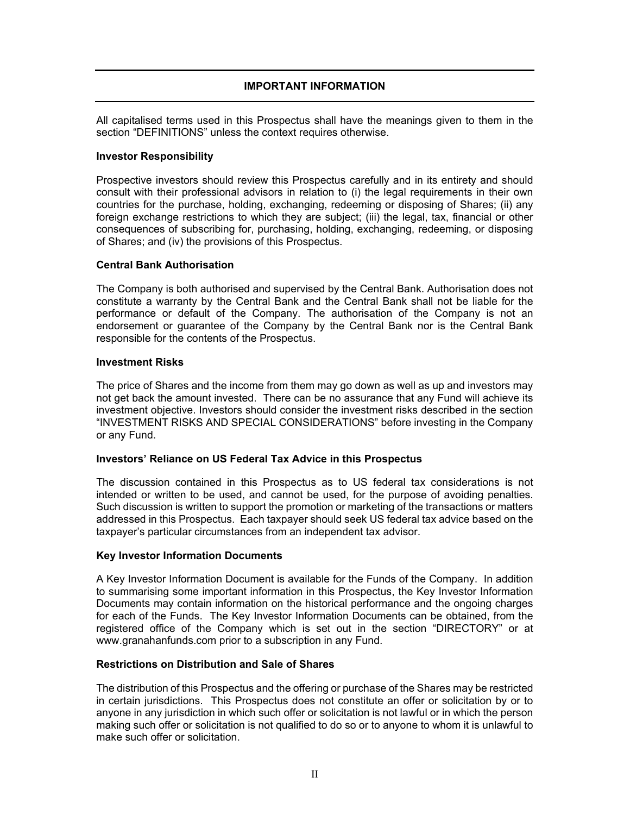## **IMPORTANT INFORMATION**

All capitalised terms used in this Prospectus shall have the meanings given to them in the section "DEFINITIONS" unless the context requires otherwise.

#### **Investor Responsibility**

Prospective investors should review this Prospectus carefully and in its entirety and should consult with their professional advisors in relation to (i) the legal requirements in their own countries for the purchase, holding, exchanging, redeeming or disposing of Shares; (ii) any foreign exchange restrictions to which they are subject; (iii) the legal, tax, financial or other consequences of subscribing for, purchasing, holding, exchanging, redeeming, or disposing of Shares; and (iv) the provisions of this Prospectus.

#### **Central Bank Authorisation**

The Company is both authorised and supervised by the Central Bank. Authorisation does not constitute a warranty by the Central Bank and the Central Bank shall not be liable for the performance or default of the Company. The authorisation of the Company is not an endorsement or guarantee of the Company by the Central Bank nor is the Central Bank responsible for the contents of the Prospectus.

#### **Investment Risks**

The price of Shares and the income from them may go down as well as up and investors may not get back the amount invested. There can be no assurance that any Fund will achieve its investment objective. Investors should consider the investment risks described in the section "INVESTMENT RISKS AND SPECIAL CONSIDERATIONS" before investing in the Company or any Fund.

#### **Investors' Reliance on US Federal Tax Advice in this Prospectus**

The discussion contained in this Prospectus as to US federal tax considerations is not intended or written to be used, and cannot be used, for the purpose of avoiding penalties. Such discussion is written to support the promotion or marketing of the transactions or matters addressed in this Prospectus. Each taxpayer should seek US federal tax advice based on the taxpayer's particular circumstances from an independent tax advisor.

#### **Key Investor Information Documents**

A Key Investor Information Document is available for the Funds of the Company. In addition to summarising some important information in this Prospectus, the Key Investor Information Documents may contain information on the historical performance and the ongoing charges for each of the Funds. The Key Investor Information Documents can be obtained, from the registered office of the Company which is set out in the section "DIRECTORY" or at www.granahanfunds.com prior to a subscription in any Fund.

#### **Restrictions on Distribution and Sale of Shares**

The distribution of this Prospectus and the offering or purchase of the Shares may be restricted in certain jurisdictions. This Prospectus does not constitute an offer or solicitation by or to anyone in any jurisdiction in which such offer or solicitation is not lawful or in which the person making such offer or solicitation is not qualified to do so or to anyone to whom it is unlawful to make such offer or solicitation.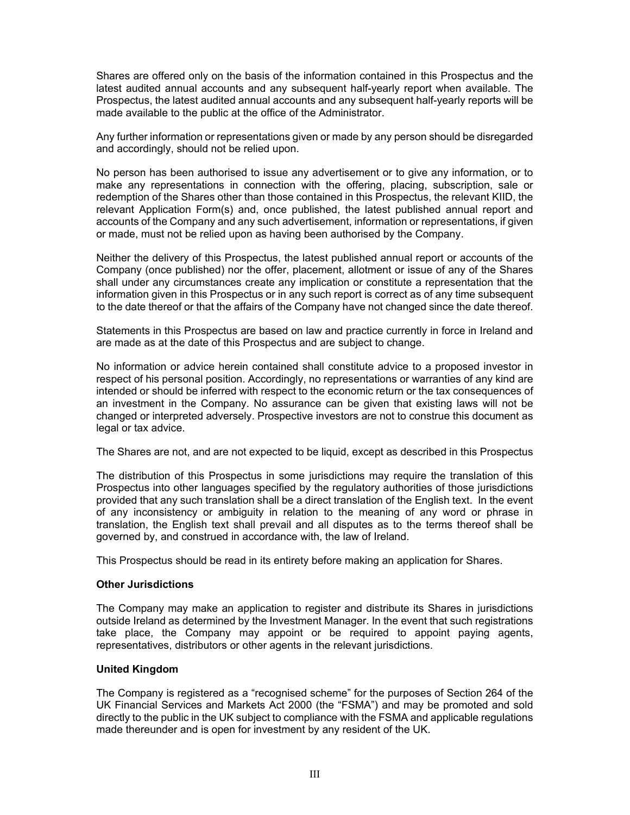Shares are offered only on the basis of the information contained in this Prospectus and the latest audited annual accounts and any subsequent half-yearly report when available. The Prospectus, the latest audited annual accounts and any subsequent half-yearly reports will be made available to the public at the office of the Administrator.

Any further information or representations given or made by any person should be disregarded and accordingly, should not be relied upon.

No person has been authorised to issue any advertisement or to give any information, or to make any representations in connection with the offering, placing, subscription, sale or redemption of the Shares other than those contained in this Prospectus, the relevant KIID, the relevant Application Form(s) and, once published, the latest published annual report and accounts of the Company and any such advertisement, information or representations, if given or made, must not be relied upon as having been authorised by the Company.

Neither the delivery of this Prospectus, the latest published annual report or accounts of the Company (once published) nor the offer, placement, allotment or issue of any of the Shares shall under any circumstances create any implication or constitute a representation that the information given in this Prospectus or in any such report is correct as of any time subsequent to the date thereof or that the affairs of the Company have not changed since the date thereof.

Statements in this Prospectus are based on law and practice currently in force in Ireland and are made as at the date of this Prospectus and are subject to change.

No information or advice herein contained shall constitute advice to a proposed investor in respect of his personal position. Accordingly, no representations or warranties of any kind are intended or should be inferred with respect to the economic return or the tax consequences of an investment in the Company. No assurance can be given that existing laws will not be changed or interpreted adversely. Prospective investors are not to construe this document as legal or tax advice.

The Shares are not, and are not expected to be liquid, except as described in this Prospectus

The distribution of this Prospectus in some jurisdictions may require the translation of this Prospectus into other languages specified by the regulatory authorities of those jurisdictions provided that any such translation shall be a direct translation of the English text. In the event of any inconsistency or ambiguity in relation to the meaning of any word or phrase in translation, the English text shall prevail and all disputes as to the terms thereof shall be governed by, and construed in accordance with, the law of Ireland.

This Prospectus should be read in its entirety before making an application for Shares.

#### **Other Jurisdictions**

The Company may make an application to register and distribute its Shares in jurisdictions outside Ireland as determined by the Investment Manager. In the event that such registrations take place, the Company may appoint or be required to appoint paying agents, representatives, distributors or other agents in the relevant jurisdictions.

#### **United Kingdom**

The Company is registered as a "recognised scheme" for the purposes of Section 264 of the UK Financial Services and Markets Act 2000 (the "FSMA") and may be promoted and sold directly to the public in the UK subject to compliance with the FSMA and applicable regulations made thereunder and is open for investment by any resident of the UK.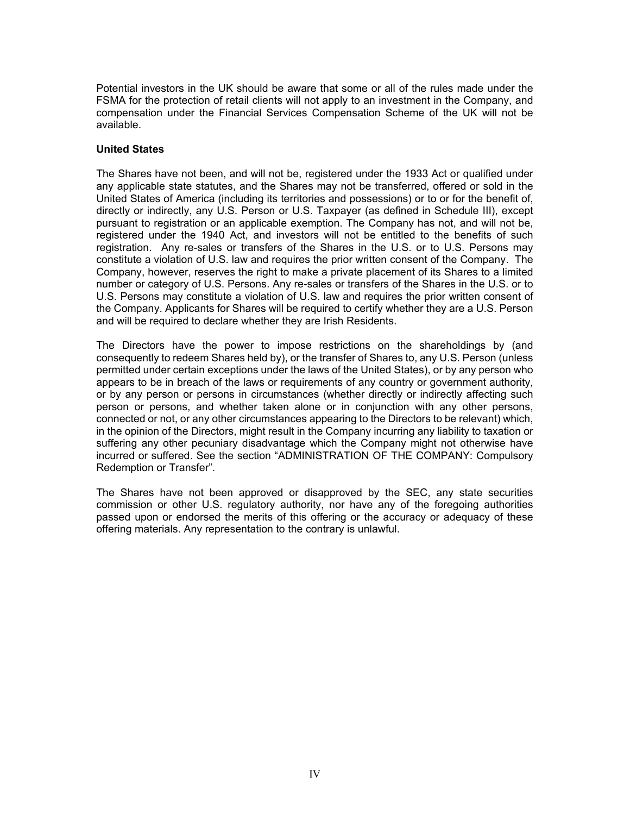Potential investors in the UK should be aware that some or all of the rules made under the FSMA for the protection of retail clients will not apply to an investment in the Company, and compensation under the Financial Services Compensation Scheme of the UK will not be available.

#### **United States**

The Shares have not been, and will not be, registered under the 1933 Act or qualified under any applicable state statutes, and the Shares may not be transferred, offered or sold in the United States of America (including its territories and possessions) or to or for the benefit of, directly or indirectly, any U.S. Person or U.S. Taxpayer (as defined in Schedule III), except pursuant to registration or an applicable exemption. The Company has not, and will not be, registered under the 1940 Act, and investors will not be entitled to the benefits of such registration. Any re-sales or transfers of the Shares in the U.S. or to U.S. Persons may constitute a violation of U.S. law and requires the prior written consent of the Company. The Company, however, reserves the right to make a private placement of its Shares to a limited number or category of U.S. Persons. Any re-sales or transfers of the Shares in the U.S. or to U.S. Persons may constitute a violation of U.S. law and requires the prior written consent of the Company. Applicants for Shares will be required to certify whether they are a U.S. Person and will be required to declare whether they are Irish Residents.

The Directors have the power to impose restrictions on the shareholdings by (and consequently to redeem Shares held by), or the transfer of Shares to, any U.S. Person (unless permitted under certain exceptions under the laws of the United States), or by any person who appears to be in breach of the laws or requirements of any country or government authority, or by any person or persons in circumstances (whether directly or indirectly affecting such person or persons, and whether taken alone or in conjunction with any other persons, connected or not, or any other circumstances appearing to the Directors to be relevant) which, in the opinion of the Directors, might result in the Company incurring any liability to taxation or suffering any other pecuniary disadvantage which the Company might not otherwise have incurred or suffered. See the section "ADMINISTRATION OF THE COMPANY: Compulsory Redemption or Transfer".

The Shares have not been approved or disapproved by the SEC, any state securities commission or other U.S. regulatory authority, nor have any of the foregoing authorities passed upon or endorsed the merits of this offering or the accuracy or adequacy of these offering materials. Any representation to the contrary is unlawful.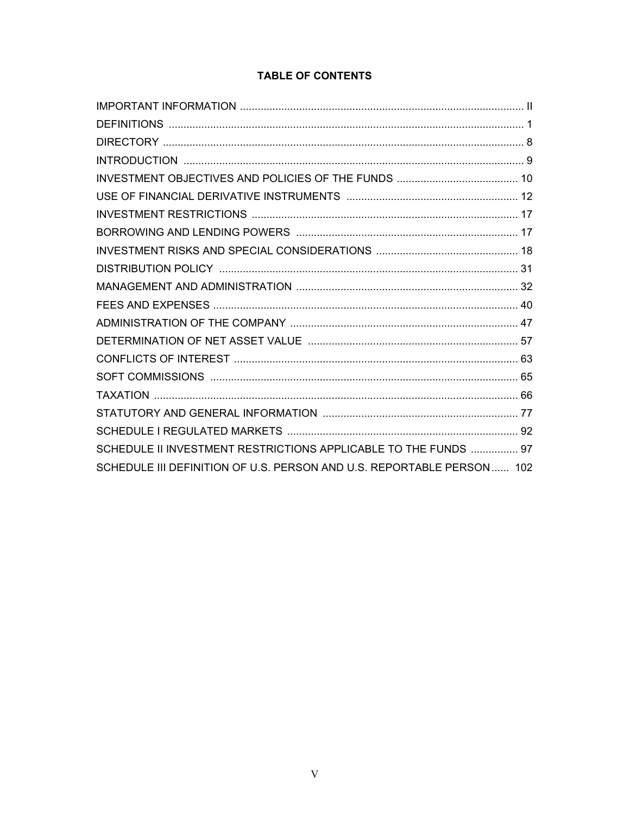# **TABLE OF CONTENTS**

| SCHEDULE II INVESTMENT RESTRICTIONS APPLICABLE TO THE FUNDS  97        |
|------------------------------------------------------------------------|
| SCHEDULE III DEFINITION OF U.S. PERSON AND U.S. REPORTABLE PERSON  102 |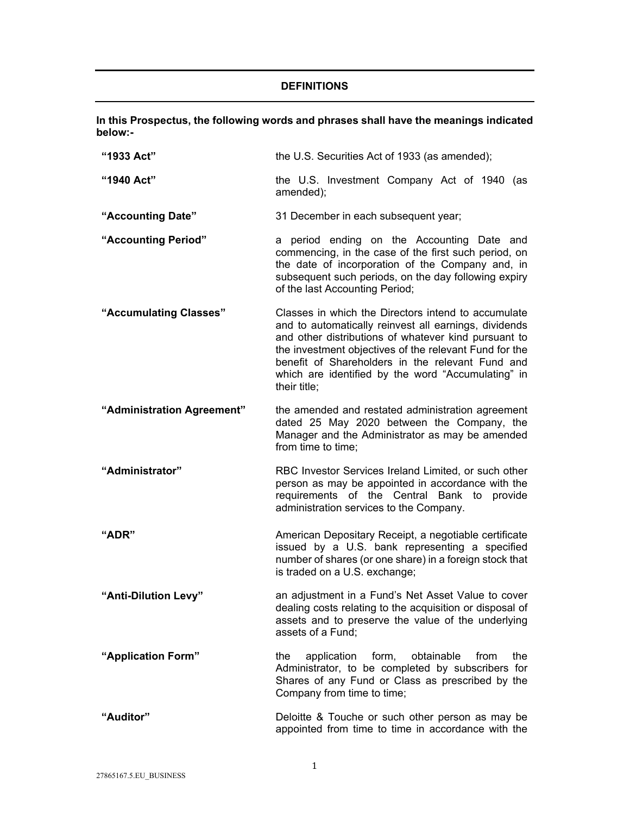### **DEFINITIONS**

**In this Prospectus, the following words and phrases shall have the meanings indicated below:-** 

| "1933 Act"                 | the U.S. Securities Act of 1933 (as amended);                                                                                                                                                                                                                                                                                                            |
|----------------------------|----------------------------------------------------------------------------------------------------------------------------------------------------------------------------------------------------------------------------------------------------------------------------------------------------------------------------------------------------------|
| "1940 Act"                 | the U.S. Investment Company Act of 1940 (as<br>amended);                                                                                                                                                                                                                                                                                                 |
| "Accounting Date"          | 31 December in each subsequent year;                                                                                                                                                                                                                                                                                                                     |
| "Accounting Period"        | a period ending on the Accounting Date and<br>commencing, in the case of the first such period, on<br>the date of incorporation of the Company and, in<br>subsequent such periods, on the day following expiry<br>of the last Accounting Period;                                                                                                         |
| "Accumulating Classes"     | Classes in which the Directors intend to accumulate<br>and to automatically reinvest all earnings, dividends<br>and other distributions of whatever kind pursuant to<br>the investment objectives of the relevant Fund for the<br>benefit of Shareholders in the relevant Fund and<br>which are identified by the word "Accumulating" in<br>their title; |
| "Administration Agreement" | the amended and restated administration agreement<br>dated 25 May 2020 between the Company, the<br>Manager and the Administrator as may be amended<br>from time to time;                                                                                                                                                                                 |
| "Administrator"            | RBC Investor Services Ireland Limited, or such other<br>person as may be appointed in accordance with the<br>requirements of the Central Bank to provide<br>administration services to the Company.                                                                                                                                                      |
| "ADR"                      | American Depositary Receipt, a negotiable certificate<br>issued by a U.S. bank representing a specified<br>number of shares (or one share) in a foreign stock that<br>is traded on a U.S. exchange;                                                                                                                                                      |
| "Anti-Dilution Levy"       | an adjustment in a Fund's Net Asset Value to cover<br>dealing costs relating to the acquisition or disposal of<br>assets and to preserve the value of the underlying<br>assets of a Fund:                                                                                                                                                                |
| "Application Form"         | form,<br>the<br>application<br>obtainable<br>from<br>the<br>Administrator, to be completed by subscribers for<br>Shares of any Fund or Class as prescribed by the<br>Company from time to time;                                                                                                                                                          |
| "Auditor"                  | Deloitte & Touche or such other person as may be<br>appointed from time to time in accordance with the                                                                                                                                                                                                                                                   |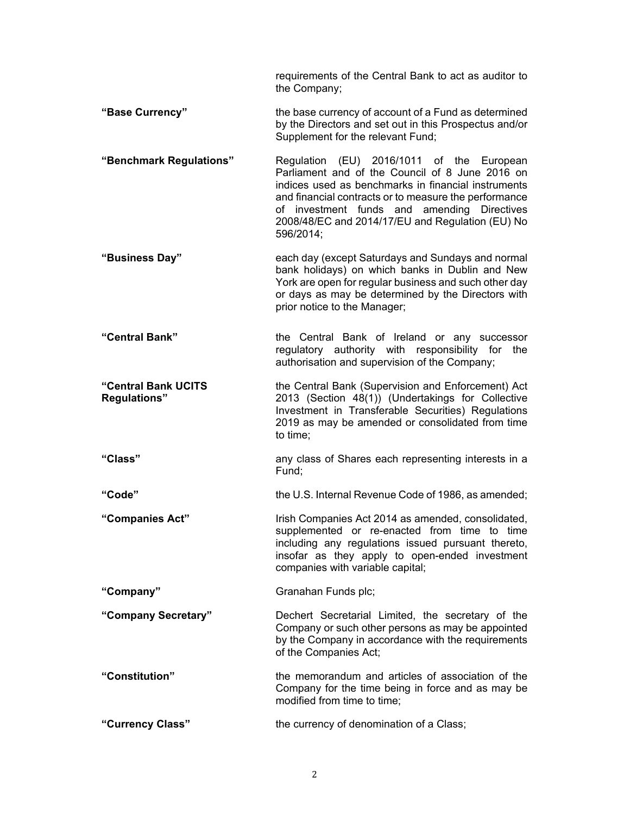requirements of the Central Bank to act as auditor to the Company;

- **"Base Currency"** the base currency of account of a Fund as determined by the Directors and set out in this Prospectus and/or Supplement for the relevant Fund;
- **"Benchmark Regulations"** Regulation (EU) 2016/1011 of the European Parliament and of the Council of 8 June 2016 on indices used as benchmarks in financial instruments and financial contracts or to measure the performance of investment funds and amending Directives 2008/48/EC and 2014/17/EU and Regulation (EU) No 596/2014;
- **"Business Day"** each day (except Saturdays and Sundays and normal bank holidays) on which banks in Dublin and New York are open for regular business and such other day or days as may be determined by the Directors with prior notice to the Manager;

**"Central Bank"** the Central Bank of Ireland or any successor regulatory authority with responsibility for the authorisation and supervision of the Company;

**"Central Bank UCITS Regulations"**  the Central Bank (Supervision and Enforcement) Act 2013 (Section 48(1)) (Undertakings for Collective Investment in Transferable Securities) Regulations 2019 as may be amended or consolidated from time to time;

**"Class"** any class of Shares each representing interests in a Fund;

**"Code"** the U.S. Internal Revenue Code of 1986, as amended;

**"Companies Act"** Irish Companies Act 2014 as amended, consolidated, supplemented or re-enacted from time to time including any regulations issued pursuant thereto, insofar as they apply to open-ended investment companies with variable capital;

**"Company"** Granahan Funds plc;

**"Company Secretary"** Dechert Secretarial Limited, the secretary of the Company or such other persons as may be appointed by the Company in accordance with the requirements of the Companies Act;

**"Constitution"** the memorandum and articles of association of the Company for the time being in force and as may be modified from time to time;

**"Currency Class"** the currency of denomination of a Class;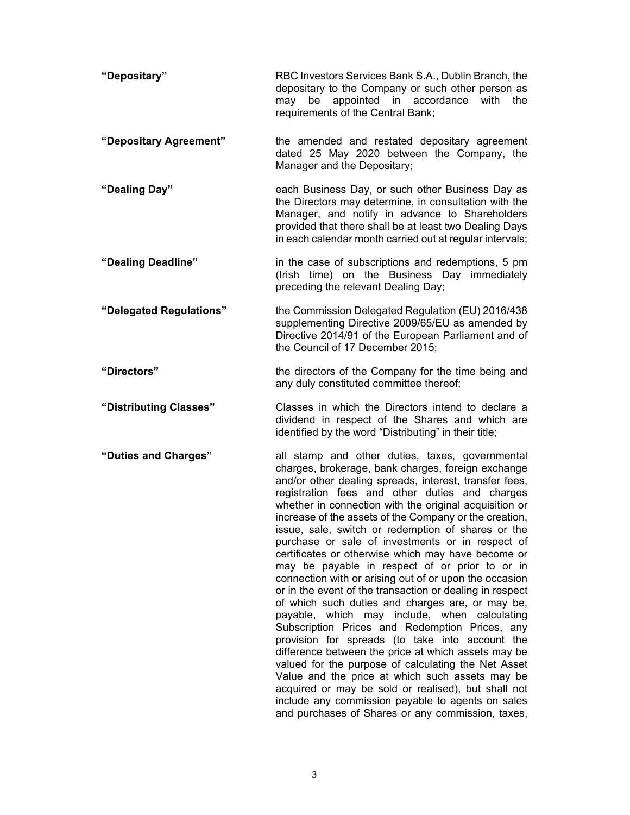| "Depositary"            | RBC Investors Services Bank S.A., Dublin Branch, the<br>depositary to the Company or such other person as<br>be<br>appointed in accordance<br>with<br>may<br>the<br>requirements of the Central Bank;                                                                                                                                                                                                                                                                                                                                                                                                                                                                                                                                                                                                                                                                                                                                                                                               |
|-------------------------|-----------------------------------------------------------------------------------------------------------------------------------------------------------------------------------------------------------------------------------------------------------------------------------------------------------------------------------------------------------------------------------------------------------------------------------------------------------------------------------------------------------------------------------------------------------------------------------------------------------------------------------------------------------------------------------------------------------------------------------------------------------------------------------------------------------------------------------------------------------------------------------------------------------------------------------------------------------------------------------------------------|
| "Depositary Agreement"  | the amended and restated depositary agreement<br>dated 25 May 2020 between the Company, the<br>Manager and the Depositary;                                                                                                                                                                                                                                                                                                                                                                                                                                                                                                                                                                                                                                                                                                                                                                                                                                                                          |
| "Dealing Day"           | each Business Day, or such other Business Day as<br>the Directors may determine, in consultation with the<br>Manager, and notify in advance to Shareholders<br>provided that there shall be at least two Dealing Days<br>in each calendar month carried out at regular intervals;                                                                                                                                                                                                                                                                                                                                                                                                                                                                                                                                                                                                                                                                                                                   |
| "Dealing Deadline"      | in the case of subscriptions and redemptions, 5 pm<br>(Irish time) on the Business Day immediately<br>preceding the relevant Dealing Day;                                                                                                                                                                                                                                                                                                                                                                                                                                                                                                                                                                                                                                                                                                                                                                                                                                                           |
| "Delegated Regulations" | the Commission Delegated Regulation (EU) 2016/438<br>supplementing Directive 2009/65/EU as amended by<br>Directive 2014/91 of the European Parliament and of<br>the Council of 17 December 2015;                                                                                                                                                                                                                                                                                                                                                                                                                                                                                                                                                                                                                                                                                                                                                                                                    |
| "Directors"             | the directors of the Company for the time being and<br>any duly constituted committee thereof;                                                                                                                                                                                                                                                                                                                                                                                                                                                                                                                                                                                                                                                                                                                                                                                                                                                                                                      |
| "Distributing Classes"  | Classes in which the Directors intend to declare a<br>dividend in respect of the Shares and which are<br>identified by the word "Distributing" in their title;                                                                                                                                                                                                                                                                                                                                                                                                                                                                                                                                                                                                                                                                                                                                                                                                                                      |
| "Duties and Charges"    | all stamp and other duties, taxes, governmental<br>charges, brokerage, bank charges, foreign exchange<br>and/or other dealing spreads, interest, transfer fees,<br>registration fees and other duties and charges<br>whether in connection with the original acquisition or<br>increase of the assets of the Company or the creation,<br>issue, sale, switch or redemption of shares or the<br>purchase or sale of investments or in respect of<br>certificates or otherwise which may have become or<br>may be payable in respect of or prior to or in<br>connection with or arising out of or upon the occasion<br>or in the event of the transaction or dealing in respect<br>of which such duties and charges are, or may be,<br>payable, which may include, when calculating<br>Subscription Prices and Redemption Prices, any<br>provision for spreads (to take into account the<br>difference between the price at which assets may be<br>slued for the purpose of coloulating the Net Accet |

valued for the purpose of calculating the Net Asset Value and the price at which such assets may be acquired or may be sold or realised), but shall not include any commission payable to agents on sales and purchases of Shares or any commission, taxes,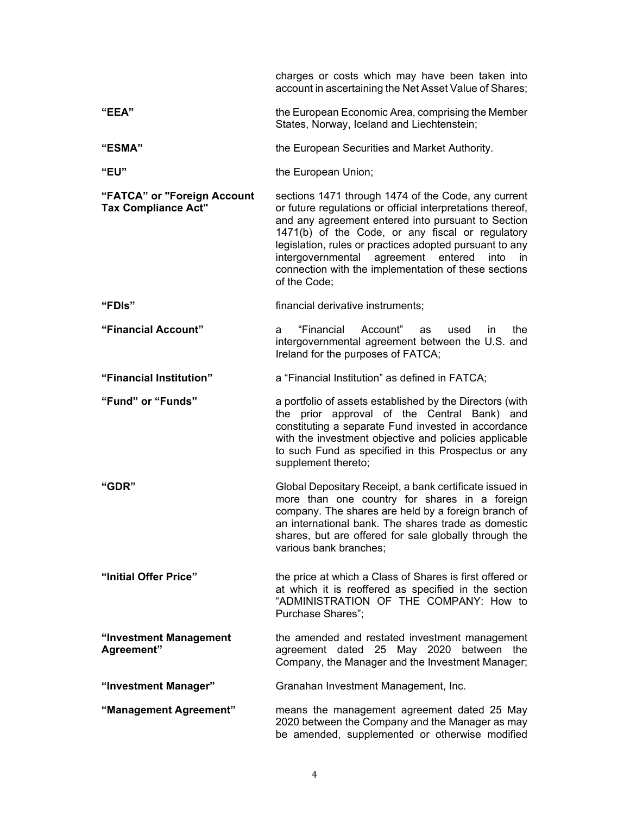|                                                           | charges or costs which may have been taken into<br>account in ascertaining the Net Asset Value of Shares;                                                                                                                                                                                                                                                                                                            |
|-----------------------------------------------------------|----------------------------------------------------------------------------------------------------------------------------------------------------------------------------------------------------------------------------------------------------------------------------------------------------------------------------------------------------------------------------------------------------------------------|
| "EEA"                                                     | the European Economic Area, comprising the Member<br>States, Norway, Iceland and Liechtenstein;                                                                                                                                                                                                                                                                                                                      |
| "ESMA"                                                    | the European Securities and Market Authority.                                                                                                                                                                                                                                                                                                                                                                        |
| <b>"EU"</b>                                               | the European Union;                                                                                                                                                                                                                                                                                                                                                                                                  |
| "FATCA" or "Foreign Account<br><b>Tax Compliance Act"</b> | sections 1471 through 1474 of the Code, any current<br>or future regulations or official interpretations thereof,<br>and any agreement entered into pursuant to Section<br>1471(b) of the Code, or any fiscal or regulatory<br>legislation, rules or practices adopted pursuant to any<br>intergovernmental agreement entered<br>into<br>in.<br>connection with the implementation of these sections<br>of the Code; |
| "FDIs"                                                    | financial derivative instruments;                                                                                                                                                                                                                                                                                                                                                                                    |
| "Financial Account"                                       | "Financial<br>Account"<br>the<br>a<br>as<br>used<br><i>in</i><br>intergovernmental agreement between the U.S. and<br>Ireland for the purposes of FATCA;                                                                                                                                                                                                                                                              |
| "Financial Institution"                                   | a "Financial Institution" as defined in FATCA;                                                                                                                                                                                                                                                                                                                                                                       |
| "Fund" or "Funds"                                         | a portfolio of assets established by the Directors (with<br>the prior approval of the Central Bank) and<br>constituting a separate Fund invested in accordance<br>with the investment objective and policies applicable<br>to such Fund as specified in this Prospectus or any<br>supplement thereto;                                                                                                                |
| "GDR"                                                     | Global Depositary Receipt, a bank certificate issued in<br>more than one country for shares in a foreign<br>company. The shares are held by a foreign branch of<br>an international bank. The shares trade as domestic<br>shares, but are offered for sale globally through the<br>various bank branches;                                                                                                            |
| "Initial Offer Price"                                     | the price at which a Class of Shares is first offered or<br>at which it is reoffered as specified in the section<br>"ADMINISTRATION OF THE COMPANY: How to<br>Purchase Shares";                                                                                                                                                                                                                                      |
| "Investment Management<br>Agreement"                      | the amended and restated investment management<br>agreement dated 25 May 2020 between the<br>Company, the Manager and the Investment Manager;                                                                                                                                                                                                                                                                        |
| "Investment Manager"                                      | Granahan Investment Management, Inc.                                                                                                                                                                                                                                                                                                                                                                                 |
| "Management Agreement"                                    | means the management agreement dated 25 May<br>2020 between the Company and the Manager as may<br>be amended, supplemented or otherwise modified                                                                                                                                                                                                                                                                     |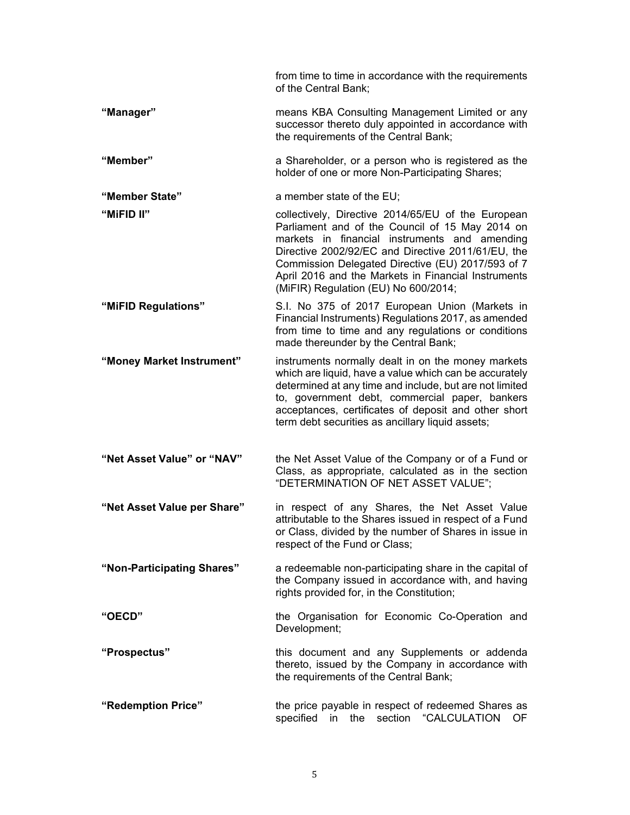|                             | from time to time in accordance with the requirements<br>of the Central Bank;                                                                                                                                                                                                                                                                                    |
|-----------------------------|------------------------------------------------------------------------------------------------------------------------------------------------------------------------------------------------------------------------------------------------------------------------------------------------------------------------------------------------------------------|
| "Manager"                   | means KBA Consulting Management Limited or any<br>successor thereto duly appointed in accordance with<br>the requirements of the Central Bank;                                                                                                                                                                                                                   |
| "Member"                    | a Shareholder, or a person who is registered as the<br>holder of one or more Non-Participating Shares;                                                                                                                                                                                                                                                           |
| "Member State"              | a member state of the EU;                                                                                                                                                                                                                                                                                                                                        |
| "MiFID II"                  | collectively, Directive 2014/65/EU of the European<br>Parliament and of the Council of 15 May 2014 on<br>markets in financial instruments and amending<br>Directive 2002/92/EC and Directive 2011/61/EU, the<br>Commission Delegated Directive (EU) 2017/593 of 7<br>April 2016 and the Markets in Financial Instruments<br>(MiFIR) Regulation (EU) No 600/2014; |
| "MiFID Regulations"         | S.I. No 375 of 2017 European Union (Markets in<br>Financial Instruments) Regulations 2017, as amended<br>from time to time and any regulations or conditions<br>made thereunder by the Central Bank;                                                                                                                                                             |
| "Money Market Instrument"   | instruments normally dealt in on the money markets<br>which are liquid, have a value which can be accurately<br>determined at any time and include, but are not limited<br>to, government debt, commercial paper, bankers<br>acceptances, certificates of deposit and other short<br>term debt securities as ancillary liquid assets;                            |
| "Net Asset Value" or "NAV"  | the Net Asset Value of the Company or of a Fund or<br>Class, as appropriate, calculated as in the section<br>"DETERMINATION OF NET ASSET VALUE";                                                                                                                                                                                                                 |
| "Net Asset Value per Share" | in respect of any Shares, the Net Asset Value<br>attributable to the Shares issued in respect of a Fund<br>or Class, divided by the number of Shares in issue in<br>respect of the Fund or Class;                                                                                                                                                                |
| "Non-Participating Shares"  | a redeemable non-participating share in the capital of<br>the Company issued in accordance with, and having<br>rights provided for, in the Constitution;                                                                                                                                                                                                         |
| "OECD"                      | the Organisation for Economic Co-Operation and<br>Development;                                                                                                                                                                                                                                                                                                   |
| "Prospectus"                | this document and any Supplements or addenda<br>thereto, issued by the Company in accordance with<br>the requirements of the Central Bank;                                                                                                                                                                                                                       |
| "Redemption Price"          | the price payable in respect of redeemed Shares as<br>specified<br>section<br>"CALCULATION<br>in.<br>the<br>OF.                                                                                                                                                                                                                                                  |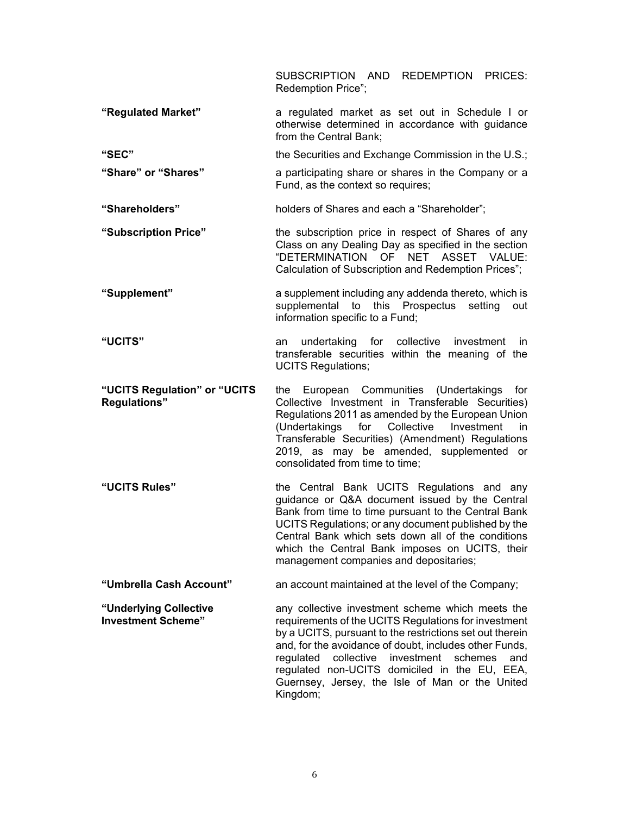SUBSCRIPTION AND REDEMPTION PRICES: Redemption Price";

- **"Regulated Market"** a regulated market as set out in Schedule I or otherwise determined in accordance with guidance from the Central Bank;
- **"SEC"** the Securities and Exchange Commission in the U.S.;
- **"Share" or "Shares"** a participating share or shares in the Company or a Fund, as the context so requires;
- **"Shareholders"** holders of Shares and each a "Shareholder";
- **"Subscription Price"** the subscription price in respect of Shares of any Class on any Dealing Day as specified in the section "DETERMINATION OF NET ASSET VALUE: Calculation of Subscription and Redemption Prices";
- **"Supplement"** a supplement including any addenda thereto, which is supplemental to this Prospectus setting out information specific to a Fund;

**"UCITS"** an undertaking for collective investment in transferable securities within the meaning of the UCITS Regulations;

**"UCITS Regulation" or "UCITS Regulations"**  the European Communities (Undertakings for Collective Investment in Transferable Securities) Regulations 2011 as amended by the European Union (Undertakings for Collective Investment in Transferable Securities) (Amendment) Regulations 2019, as may be amended, supplemented or consolidated from time to time;

- **"UCITS Rules"** the Central Bank UCITS Regulations and any guidance or Q&A document issued by the Central Bank from time to time pursuant to the Central Bank UCITS Regulations; or any document published by the Central Bank which sets down all of the conditions which the Central Bank imposes on UCITS, their management companies and depositaries;
- **"Umbrella Cash Account"** an account maintained at the level of the Company;
- **"Underlying Collective Investment Scheme"**  any collective investment scheme which meets the requirements of the UCITS Regulations for investment by a UCITS, pursuant to the restrictions set out therein and, for the avoidance of doubt, includes other Funds, regulated collective investment schemes and regulated non-UCITS domiciled in the EU, EEA, Guernsey, Jersey, the Isle of Man or the United Kingdom;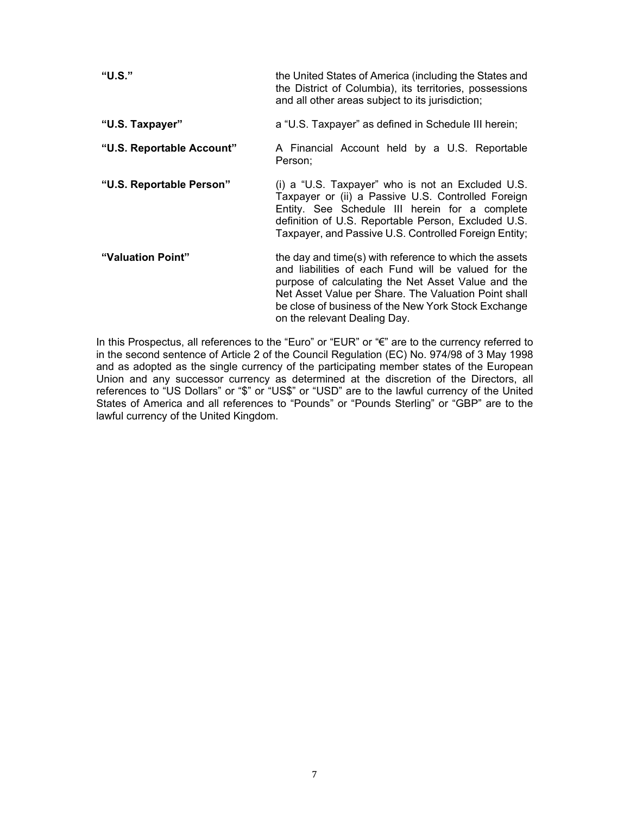| "U.S."                    | the United States of America (including the States and<br>the District of Columbia), its territories, possessions<br>and all other areas subject to its jurisdiction;                                                                                                                                              |
|---------------------------|--------------------------------------------------------------------------------------------------------------------------------------------------------------------------------------------------------------------------------------------------------------------------------------------------------------------|
| "U.S. Taxpayer"           | a "U.S. Taxpayer" as defined in Schedule III herein;                                                                                                                                                                                                                                                               |
| "U.S. Reportable Account" | A Financial Account held by a U.S. Reportable<br>Person;                                                                                                                                                                                                                                                           |
| "U.S. Reportable Person"  | (i) a "U.S. Taxpayer" who is not an Excluded U.S.<br>Taxpayer or (ii) a Passive U.S. Controlled Foreign<br>Entity. See Schedule III herein for a complete<br>definition of U.S. Reportable Person, Excluded U.S.<br>Taxpayer, and Passive U.S. Controlled Foreign Entity;                                          |
| "Valuation Point"         | the day and time(s) with reference to which the assets<br>and liabilities of each Fund will be valued for the<br>purpose of calculating the Net Asset Value and the<br>Net Asset Value per Share. The Valuation Point shall<br>be close of business of the New York Stock Exchange<br>on the relevant Dealing Day. |

In this Prospectus, all references to the "Euro" or "EUR" or "€" are to the currency referred to in the second sentence of Article 2 of the Council Regulation (EC) No. 974/98 of 3 May 1998 and as adopted as the single currency of the participating member states of the European Union and any successor currency as determined at the discretion of the Directors, all references to "US Dollars" or "\$" or "US\$" or "USD" are to the lawful currency of the United States of America and all references to "Pounds" or "Pounds Sterling" or "GBP" are to the lawful currency of the United Kingdom.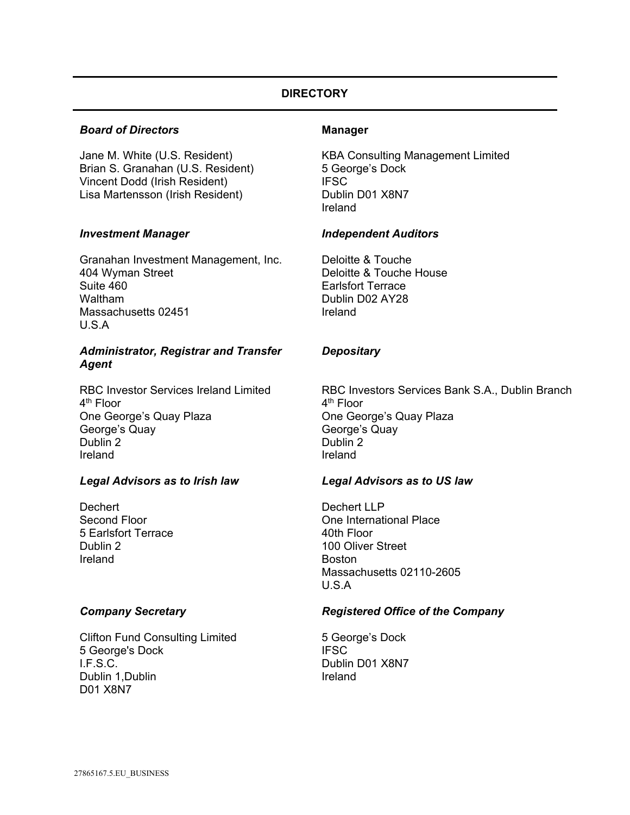## **DIRECTORY**

## **Board of Directors Contracts Manager**

Jane M. White (U.S. Resident) Brian S. Granahan (U.S. Resident) Vincent Dodd (Irish Resident) Lisa Martensson (Irish Resident)

Granahan Investment Management, Inc. 404 Wyman Street Suite 460 Waltham Massachusetts 02451 U.S.A

#### *Administrator, Registrar and Transfer Agent*

RBC Investor Services Ireland Limited 4<sup>th</sup> Floor One George's Quay Plaza George's Quay Dublin 2 Ireland

#### *Legal Advisors as to Irish law Legal Advisors as to US law*

**Dechert** Second Floor 5 Earlsfort Terrace Dublin 2 Ireland

Clifton Fund Consulting Limited 5 George's Dock I.F.S.C. Dublin 1,Dublin D01 X8N7

KBA Consulting Management Limited 5 George's Dock **IFSC** Dublin D01 X8N7 Ireland

#### **Investment Manager**  Independent Auditors

Deloitte & Touche Deloitte & Touche House Earlsfort Terrace Dublin D02 AY28 Ireland

# *Depositary*

RBC Investors Services Bank S.A., Dublin Branch 4<sup>th</sup> Floor One George's Quay Plaza George's Quay Dublin 2 Ireland

Dechert LLP One International Place 40th Floor 100 Oliver Street Boston Massachusetts 02110-2605 U.S.A

#### *Company Secretary Registered Office of the Company*

5 George's Dock IFSC Dublin D01 X8N7 Ireland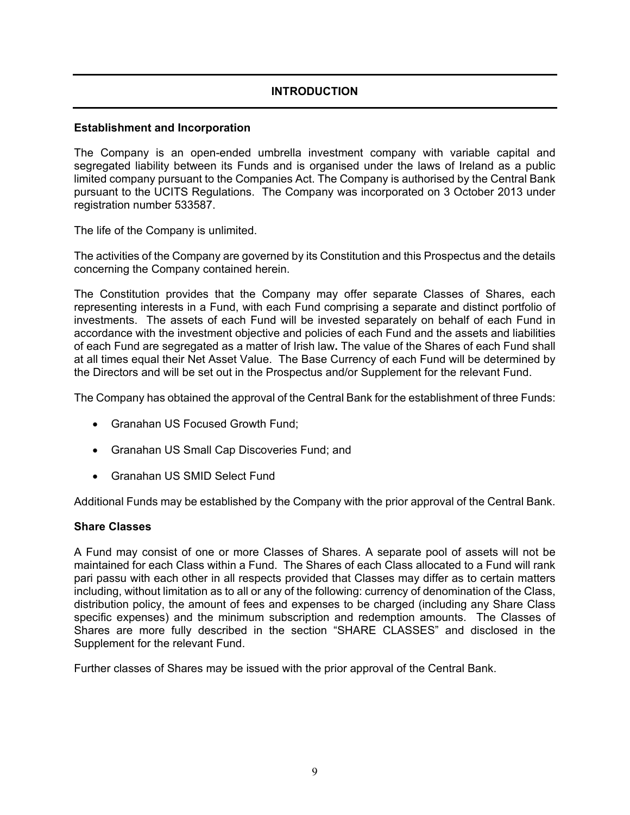# **INTRODUCTION**

## **Establishment and Incorporation**

The Company is an open-ended umbrella investment company with variable capital and segregated liability between its Funds and is organised under the laws of Ireland as a public limited company pursuant to the Companies Act. The Company is authorised by the Central Bank pursuant to the UCITS Regulations. The Company was incorporated on 3 October 2013 under registration number 533587.

The life of the Company is unlimited.

The activities of the Company are governed by its Constitution and this Prospectus and the details concerning the Company contained herein.

The Constitution provides that the Company may offer separate Classes of Shares, each representing interests in a Fund, with each Fund comprising a separate and distinct portfolio of investments. The assets of each Fund will be invested separately on behalf of each Fund in accordance with the investment objective and policies of each Fund and the assets and liabilities of each Fund are segregated as a matter of Irish law**.** The value of the Shares of each Fund shall at all times equal their Net Asset Value. The Base Currency of each Fund will be determined by the Directors and will be set out in the Prospectus and/or Supplement for the relevant Fund.

The Company has obtained the approval of the Central Bank for the establishment of three Funds:

- Granahan US Focused Growth Fund;
- Granahan US Small Cap Discoveries Fund; and
- Granahan US SMID Select Fund

Additional Funds may be established by the Company with the prior approval of the Central Bank.

### **Share Classes**

A Fund may consist of one or more Classes of Shares. A separate pool of assets will not be maintained for each Class within a Fund. The Shares of each Class allocated to a Fund will rank pari passu with each other in all respects provided that Classes may differ as to certain matters including, without limitation as to all or any of the following: currency of denomination of the Class, distribution policy, the amount of fees and expenses to be charged (including any Share Class specific expenses) and the minimum subscription and redemption amounts. The Classes of Shares are more fully described in the section "SHARE CLASSES" and disclosed in the Supplement for the relevant Fund.

Further classes of Shares may be issued with the prior approval of the Central Bank.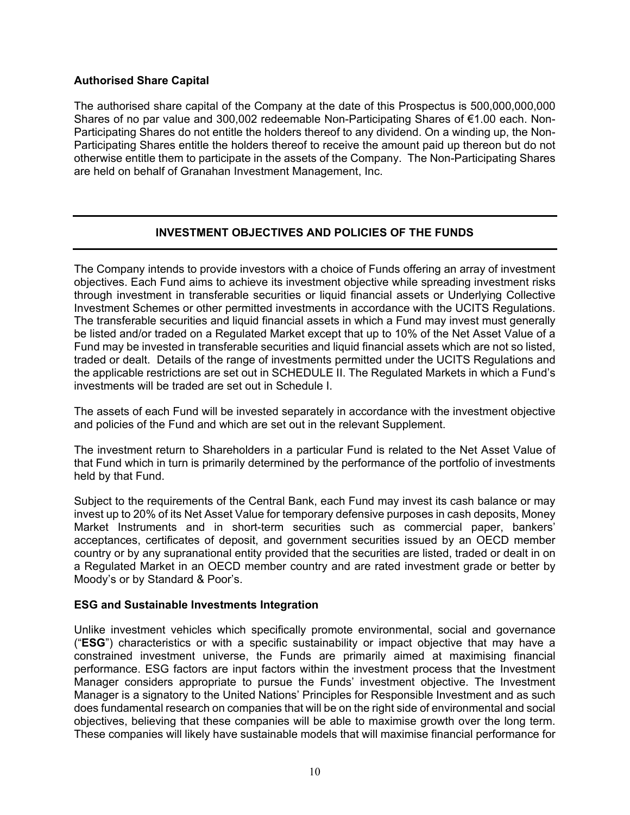# **Authorised Share Capital**

The authorised share capital of the Company at the date of this Prospectus is 500,000,000,000 Shares of no par value and 300,002 redeemable Non-Participating Shares of €1.00 each. Non-Participating Shares do not entitle the holders thereof to any dividend. On a winding up, the Non-Participating Shares entitle the holders thereof to receive the amount paid up thereon but do not otherwise entitle them to participate in the assets of the Company. The Non-Participating Shares are held on behalf of Granahan Investment Management, Inc.

# **INVESTMENT OBJECTIVES AND POLICIES OF THE FUNDS**

The Company intends to provide investors with a choice of Funds offering an array of investment objectives. Each Fund aims to achieve its investment objective while spreading investment risks through investment in transferable securities or liquid financial assets or Underlying Collective Investment Schemes or other permitted investments in accordance with the UCITS Regulations. The transferable securities and liquid financial assets in which a Fund may invest must generally be listed and/or traded on a Regulated Market except that up to 10% of the Net Asset Value of a Fund may be invested in transferable securities and liquid financial assets which are not so listed, traded or dealt. Details of the range of investments permitted under the UCITS Regulations and the applicable restrictions are set out in SCHEDULE II. The Regulated Markets in which a Fund's investments will be traded are set out in Schedule I.

The assets of each Fund will be invested separately in accordance with the investment objective and policies of the Fund and which are set out in the relevant Supplement.

The investment return to Shareholders in a particular Fund is related to the Net Asset Value of that Fund which in turn is primarily determined by the performance of the portfolio of investments held by that Fund.

Subject to the requirements of the Central Bank, each Fund may invest its cash balance or may invest up to 20% of its Net Asset Value for temporary defensive purposes in cash deposits, Money Market Instruments and in short-term securities such as commercial paper, bankers' acceptances, certificates of deposit, and government securities issued by an OECD member country or by any supranational entity provided that the securities are listed, traded or dealt in on a Regulated Market in an OECD member country and are rated investment grade or better by Moody's or by Standard & Poor's.

# **ESG and Sustainable Investments Integration**

Unlike investment vehicles which specifically promote environmental, social and governance ("**ESG**") characteristics or with a specific sustainability or impact objective that may have a constrained investment universe, the Funds are primarily aimed at maximising financial performance. ESG factors are input factors within the investment process that the Investment Manager considers appropriate to pursue the Funds' investment objective. The Investment Manager is a signatory to the United Nations' Principles for Responsible Investment and as such does fundamental research on companies that will be on the right side of environmental and social objectives, believing that these companies will be able to maximise growth over the long term. These companies will likely have sustainable models that will maximise financial performance for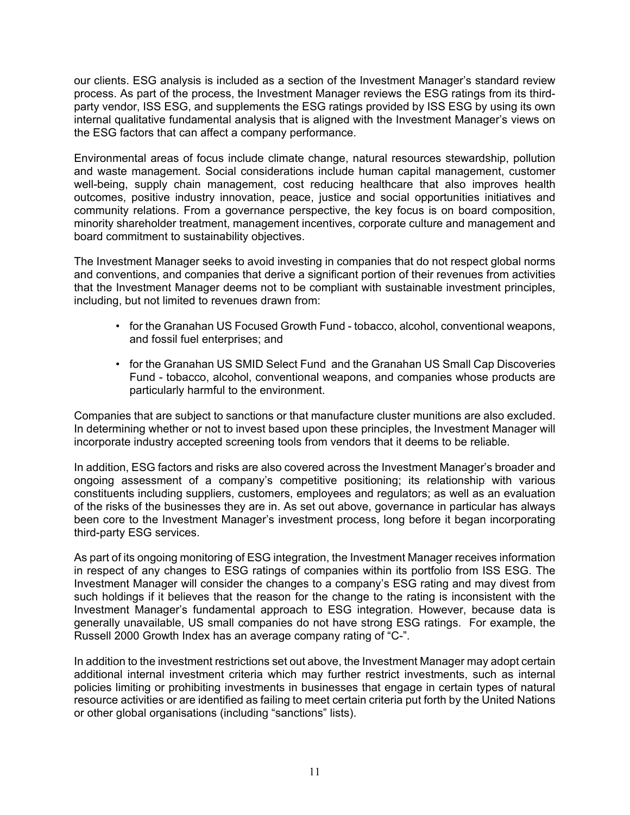our clients. ESG analysis is included as a section of the Investment Manager's standard review process. As part of the process, the Investment Manager reviews the ESG ratings from its thirdparty vendor, ISS ESG, and supplements the ESG ratings provided by ISS ESG by using its own internal qualitative fundamental analysis that is aligned with the Investment Manager's views on the ESG factors that can affect a company performance.

Environmental areas of focus include climate change, natural resources stewardship, pollution and waste management. Social considerations include human capital management, customer well-being, supply chain management, cost reducing healthcare that also improves health outcomes, positive industry innovation, peace, justice and social opportunities initiatives and community relations. From a governance perspective, the key focus is on board composition, minority shareholder treatment, management incentives, corporate culture and management and board commitment to sustainability objectives.

The Investment Manager seeks to avoid investing in companies that do not respect global norms and conventions, and companies that derive a significant portion of their revenues from activities that the Investment Manager deems not to be compliant with sustainable investment principles, including, but not limited to revenues drawn from:

- for the Granahan US Focused Growth Fund tobacco, alcohol, conventional weapons, and fossil fuel enterprises; and
- for the Granahan US SMID Select Fund and the Granahan US Small Cap Discoveries Fund - tobacco, alcohol, conventional weapons, and companies whose products are particularly harmful to the environment.

Companies that are subject to sanctions or that manufacture cluster munitions are also excluded. In determining whether or not to invest based upon these principles, the Investment Manager will incorporate industry accepted screening tools from vendors that it deems to be reliable.

In addition, ESG factors and risks are also covered across the Investment Manager's broader and ongoing assessment of a company's competitive positioning; its relationship with various constituents including suppliers, customers, employees and regulators; as well as an evaluation of the risks of the businesses they are in. As set out above, governance in particular has always been core to the Investment Manager's investment process, long before it began incorporating third-party ESG services.

As part of its ongoing monitoring of ESG integration, the Investment Manager receives information in respect of any changes to ESG ratings of companies within its portfolio from ISS ESG. The Investment Manager will consider the changes to a company's ESG rating and may divest from such holdings if it believes that the reason for the change to the rating is inconsistent with the Investment Manager's fundamental approach to ESG integration. However, because data is generally unavailable, US small companies do not have strong ESG ratings. For example, the Russell 2000 Growth Index has an average company rating of "C-".

In addition to the investment restrictions set out above, the Investment Manager may adopt certain additional internal investment criteria which may further restrict investments, such as internal policies limiting or prohibiting investments in businesses that engage in certain types of natural resource activities or are identified as failing to meet certain criteria put forth by the United Nations or other global organisations (including "sanctions" lists).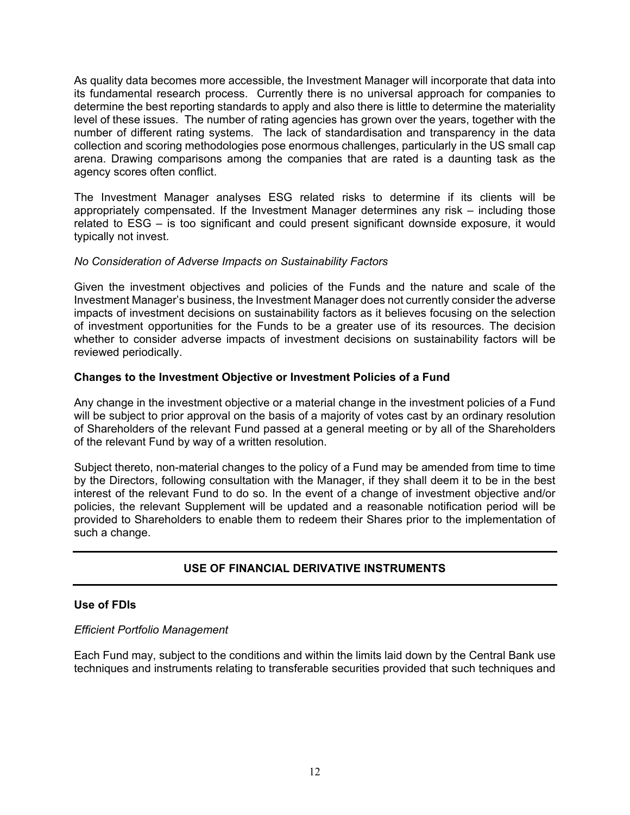As quality data becomes more accessible, the Investment Manager will incorporate that data into its fundamental research process. Currently there is no universal approach for companies to determine the best reporting standards to apply and also there is little to determine the materiality level of these issues. The number of rating agencies has grown over the years, together with the number of different rating systems. The lack of standardisation and transparency in the data collection and scoring methodologies pose enormous challenges, particularly in the US small cap arena. Drawing comparisons among the companies that are rated is a daunting task as the agency scores often conflict.

The Investment Manager analyses ESG related risks to determine if its clients will be appropriately compensated. If the Investment Manager determines any risk – including those related to ESG – is too significant and could present significant downside exposure, it would typically not invest.

# *No Consideration of Adverse Impacts on Sustainability Factors*

Given the investment objectives and policies of the Funds and the nature and scale of the Investment Manager's business, the Investment Manager does not currently consider the adverse impacts of investment decisions on sustainability factors as it believes focusing on the selection of investment opportunities for the Funds to be a greater use of its resources. The decision whether to consider adverse impacts of investment decisions on sustainability factors will be reviewed periodically.

## **Changes to the Investment Objective or Investment Policies of a Fund**

Any change in the investment objective or a material change in the investment policies of a Fund will be subject to prior approval on the basis of a majority of votes cast by an ordinary resolution of Shareholders of the relevant Fund passed at a general meeting or by all of the Shareholders of the relevant Fund by way of a written resolution.

Subject thereto, non-material changes to the policy of a Fund may be amended from time to time by the Directors, following consultation with the Manager, if they shall deem it to be in the best interest of the relevant Fund to do so. In the event of a change of investment objective and/or policies, the relevant Supplement will be updated and a reasonable notification period will be provided to Shareholders to enable them to redeem their Shares prior to the implementation of such a change.

# **USE OF FINANCIAL DERIVATIVE INSTRUMENTS**

# **Use of FDIs**

#### *Efficient Portfolio Management*

Each Fund may, subject to the conditions and within the limits laid down by the Central Bank use techniques and instruments relating to transferable securities provided that such techniques and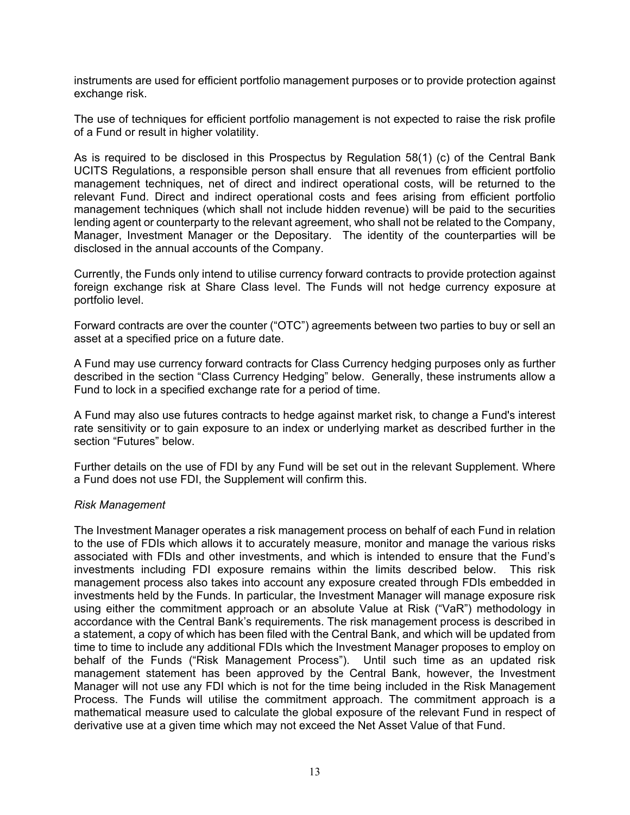instruments are used for efficient portfolio management purposes or to provide protection against exchange risk.

The use of techniques for efficient portfolio management is not expected to raise the risk profile of a Fund or result in higher volatility.

As is required to be disclosed in this Prospectus by Regulation 58(1) (c) of the Central Bank UCITS Regulations, a responsible person shall ensure that all revenues from efficient portfolio management techniques, net of direct and indirect operational costs, will be returned to the relevant Fund. Direct and indirect operational costs and fees arising from efficient portfolio management techniques (which shall not include hidden revenue) will be paid to the securities lending agent or counterparty to the relevant agreement, who shall not be related to the Company, Manager, Investment Manager or the Depositary. The identity of the counterparties will be disclosed in the annual accounts of the Company.

Currently, the Funds only intend to utilise currency forward contracts to provide protection against foreign exchange risk at Share Class level. The Funds will not hedge currency exposure at portfolio level.

Forward contracts are over the counter ("OTC") agreements between two parties to buy or sell an asset at a specified price on a future date.

A Fund may use currency forward contracts for Class Currency hedging purposes only as further described in the section "Class Currency Hedging" below. Generally, these instruments allow a Fund to lock in a specified exchange rate for a period of time.

A Fund may also use futures contracts to hedge against market risk, to change a Fund's interest rate sensitivity or to gain exposure to an index or underlying market as described further in the section "Futures" below.

Further details on the use of FDI by any Fund will be set out in the relevant Supplement. Where a Fund does not use FDI, the Supplement will confirm this.

#### *Risk Management*

The Investment Manager operates a risk management process on behalf of each Fund in relation to the use of FDIs which allows it to accurately measure, monitor and manage the various risks associated with FDIs and other investments, and which is intended to ensure that the Fund's investments including FDI exposure remains within the limits described below. This risk management process also takes into account any exposure created through FDIs embedded in investments held by the Funds. In particular, the Investment Manager will manage exposure risk using either the commitment approach or an absolute Value at Risk ("VaR") methodology in accordance with the Central Bank's requirements. The risk management process is described in a statement, a copy of which has been filed with the Central Bank, and which will be updated from time to time to include any additional FDIs which the Investment Manager proposes to employ on behalf of the Funds ("Risk Management Process"). Until such time as an updated risk management statement has been approved by the Central Bank, however, the Investment Manager will not use any FDI which is not for the time being included in the Risk Management Process. The Funds will utilise the commitment approach. The commitment approach is a mathematical measure used to calculate the global exposure of the relevant Fund in respect of derivative use at a given time which may not exceed the Net Asset Value of that Fund.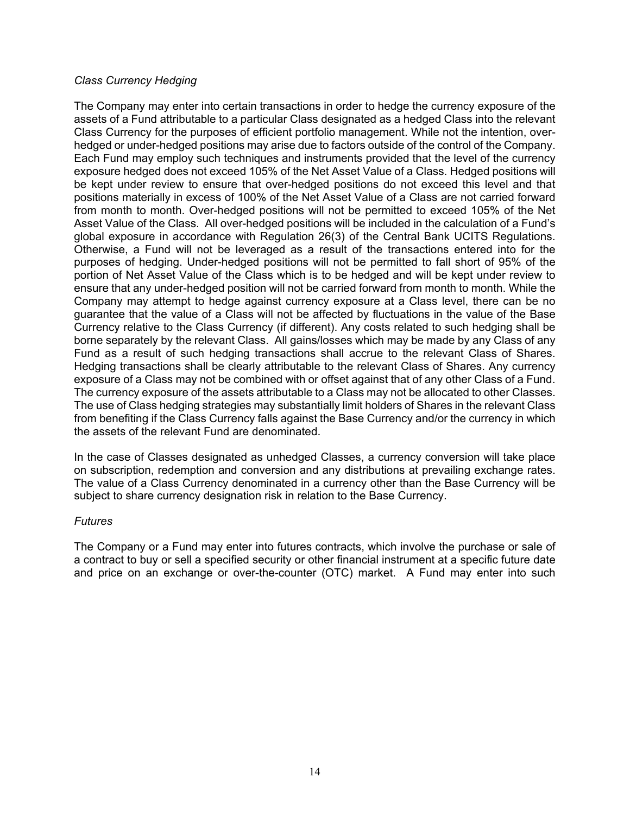## *Class Currency Hedging*

The Company may enter into certain transactions in order to hedge the currency exposure of the assets of a Fund attributable to a particular Class designated as a hedged Class into the relevant Class Currency for the purposes of efficient portfolio management. While not the intention, overhedged or under-hedged positions may arise due to factors outside of the control of the Company. Each Fund may employ such techniques and instruments provided that the level of the currency exposure hedged does not exceed 105% of the Net Asset Value of a Class. Hedged positions will be kept under review to ensure that over-hedged positions do not exceed this level and that positions materially in excess of 100% of the Net Asset Value of a Class are not carried forward from month to month. Over-hedged positions will not be permitted to exceed 105% of the Net Asset Value of the Class. All over-hedged positions will be included in the calculation of a Fund's global exposure in accordance with Regulation 26(3) of the Central Bank UCITS Regulations. Otherwise, a Fund will not be leveraged as a result of the transactions entered into for the purposes of hedging. Under-hedged positions will not be permitted to fall short of 95% of the portion of Net Asset Value of the Class which is to be hedged and will be kept under review to ensure that any under-hedged position will not be carried forward from month to month. While the Company may attempt to hedge against currency exposure at a Class level, there can be no guarantee that the value of a Class will not be affected by fluctuations in the value of the Base Currency relative to the Class Currency (if different). Any costs related to such hedging shall be borne separately by the relevant Class. All gains/losses which may be made by any Class of any Fund as a result of such hedging transactions shall accrue to the relevant Class of Shares. Hedging transactions shall be clearly attributable to the relevant Class of Shares. Any currency exposure of a Class may not be combined with or offset against that of any other Class of a Fund. The currency exposure of the assets attributable to a Class may not be allocated to other Classes. The use of Class hedging strategies may substantially limit holders of Shares in the relevant Class from benefiting if the Class Currency falls against the Base Currency and/or the currency in which the assets of the relevant Fund are denominated.

In the case of Classes designated as unhedged Classes, a currency conversion will take place on subscription, redemption and conversion and any distributions at prevailing exchange rates. The value of a Class Currency denominated in a currency other than the Base Currency will be subject to share currency designation risk in relation to the Base Currency.

#### *Futures*

The Company or a Fund may enter into futures contracts, which involve the purchase or sale of a contract to buy or sell a specified security or other financial instrument at a specific future date and price on an exchange or over-the-counter (OTC) market. A Fund may enter into such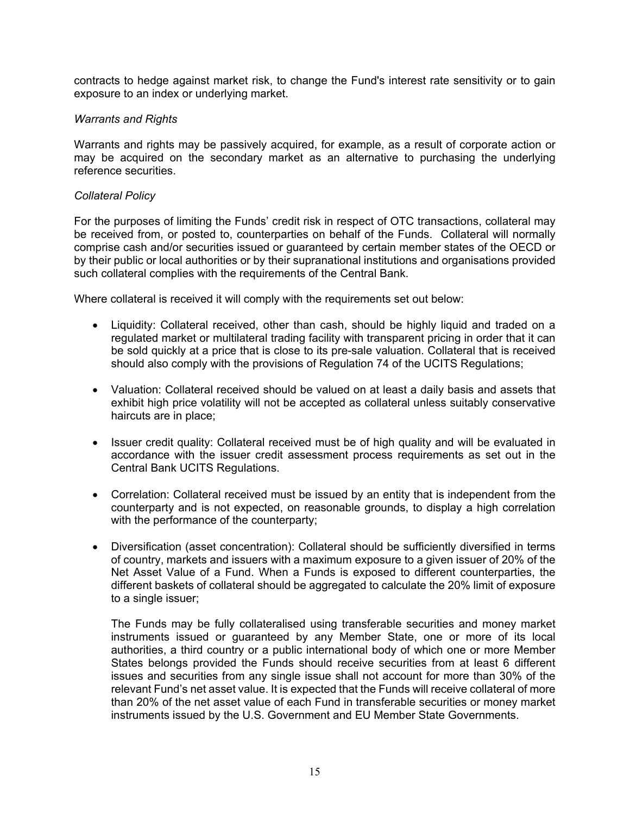contracts to hedge against market risk, to change the Fund's interest rate sensitivity or to gain exposure to an index or underlying market.

#### *Warrants and Rights*

Warrants and rights may be passively acquired, for example, as a result of corporate action or may be acquired on the secondary market as an alternative to purchasing the underlying reference securities.

## *Collateral Policy*

For the purposes of limiting the Funds' credit risk in respect of OTC transactions, collateral may be received from, or posted to, counterparties on behalf of the Funds. Collateral will normally comprise cash and/or securities issued or guaranteed by certain member states of the OECD or by their public or local authorities or by their supranational institutions and organisations provided such collateral complies with the requirements of the Central Bank.

Where collateral is received it will comply with the requirements set out below:

- Liquidity: Collateral received, other than cash, should be highly liquid and traded on a regulated market or multilateral trading facility with transparent pricing in order that it can be sold quickly at a price that is close to its pre-sale valuation. Collateral that is received should also comply with the provisions of Regulation 74 of the UCITS Regulations;
- Valuation: Collateral received should be valued on at least a daily basis and assets that exhibit high price volatility will not be accepted as collateral unless suitably conservative haircuts are in place;
- Issuer credit quality: Collateral received must be of high quality and will be evaluated in accordance with the issuer credit assessment process requirements as set out in the Central Bank UCITS Regulations.
- Correlation: Collateral received must be issued by an entity that is independent from the counterparty and is not expected, on reasonable grounds, to display a high correlation with the performance of the counterparty;
- Diversification (asset concentration): Collateral should be sufficiently diversified in terms of country, markets and issuers with a maximum exposure to a given issuer of 20% of the Net Asset Value of a Fund. When a Funds is exposed to different counterparties, the different baskets of collateral should be aggregated to calculate the 20% limit of exposure to a single issuer;

The Funds may be fully collateralised using transferable securities and money market instruments issued or guaranteed by any Member State, one or more of its local authorities, a third country or a public international body of which one or more Member States belongs provided the Funds should receive securities from at least 6 different issues and securities from any single issue shall not account for more than 30% of the relevant Fund's net asset value. It is expected that the Funds will receive collateral of more than 20% of the net asset value of each Fund in transferable securities or money market instruments issued by the U.S. Government and EU Member State Governments.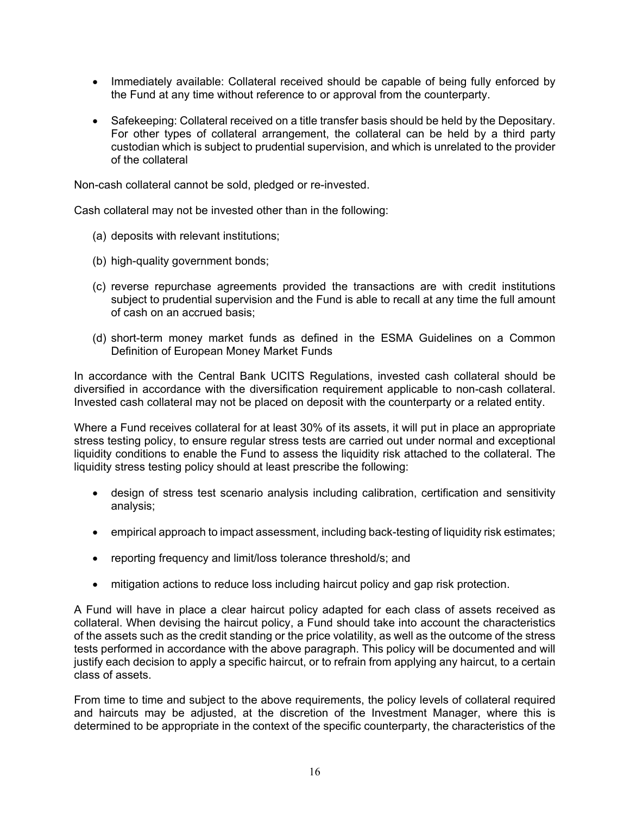- Immediately available: Collateral received should be capable of being fully enforced by the Fund at any time without reference to or approval from the counterparty.
- Safekeeping: Collateral received on a title transfer basis should be held by the Depositary. For other types of collateral arrangement, the collateral can be held by a third party custodian which is subject to prudential supervision, and which is unrelated to the provider of the collateral

Non-cash collateral cannot be sold, pledged or re-invested.

Cash collateral may not be invested other than in the following:

- (a) deposits with relevant institutions;
- (b) high-quality government bonds;
- (c) reverse repurchase agreements provided the transactions are with credit institutions subject to prudential supervision and the Fund is able to recall at any time the full amount of cash on an accrued basis;
- (d) short-term money market funds as defined in the ESMA Guidelines on a Common Definition of European Money Market Funds

In accordance with the Central Bank UCITS Regulations, invested cash collateral should be diversified in accordance with the diversification requirement applicable to non-cash collateral. Invested cash collateral may not be placed on deposit with the counterparty or a related entity.

Where a Fund receives collateral for at least 30% of its assets, it will put in place an appropriate stress testing policy, to ensure regular stress tests are carried out under normal and exceptional liquidity conditions to enable the Fund to assess the liquidity risk attached to the collateral. The liquidity stress testing policy should at least prescribe the following:

- design of stress test scenario analysis including calibration, certification and sensitivity analysis;
- empirical approach to impact assessment, including back-testing of liquidity risk estimates;
- reporting frequency and limit/loss tolerance threshold/s; and
- mitigation actions to reduce loss including haircut policy and gap risk protection.

A Fund will have in place a clear haircut policy adapted for each class of assets received as collateral. When devising the haircut policy, a Fund should take into account the characteristics of the assets such as the credit standing or the price volatility, as well as the outcome of the stress tests performed in accordance with the above paragraph. This policy will be documented and will justify each decision to apply a specific haircut, or to refrain from applying any haircut, to a certain class of assets.

From time to time and subject to the above requirements, the policy levels of collateral required and haircuts may be adjusted, at the discretion of the Investment Manager, where this is determined to be appropriate in the context of the specific counterparty, the characteristics of the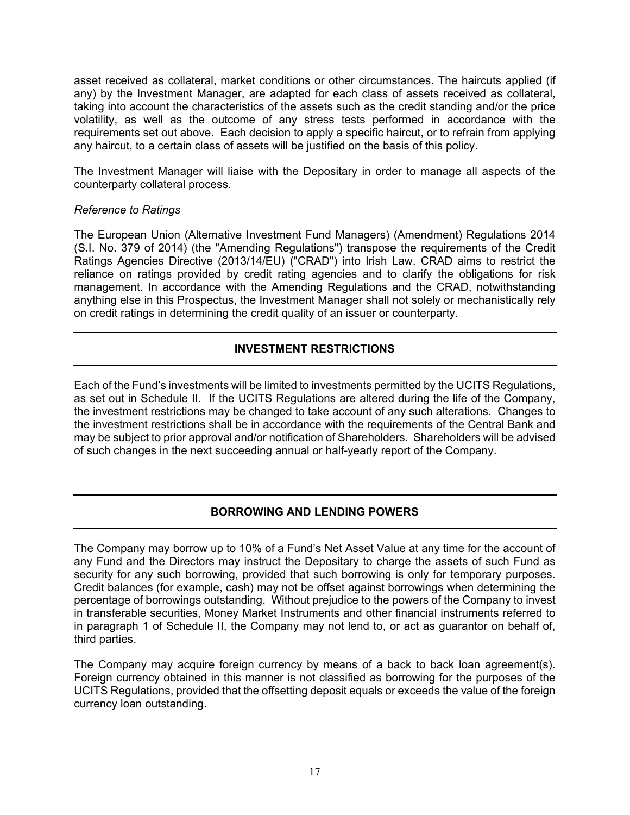asset received as collateral, market conditions or other circumstances. The haircuts applied (if any) by the Investment Manager, are adapted for each class of assets received as collateral, taking into account the characteristics of the assets such as the credit standing and/or the price volatility, as well as the outcome of any stress tests performed in accordance with the requirements set out above. Each decision to apply a specific haircut, or to refrain from applying any haircut, to a certain class of assets will be justified on the basis of this policy.

The Investment Manager will liaise with the Depositary in order to manage all aspects of the counterparty collateral process.

# *Reference to Ratings*

The European Union (Alternative Investment Fund Managers) (Amendment) Regulations 2014 (S.I. No. 379 of 2014) (the "Amending Regulations") transpose the requirements of the Credit Ratings Agencies Directive (2013/14/EU) ("CRAD") into Irish Law. CRAD aims to restrict the reliance on ratings provided by credit rating agencies and to clarify the obligations for risk management. In accordance with the Amending Regulations and the CRAD, notwithstanding anything else in this Prospectus, the Investment Manager shall not solely or mechanistically rely on credit ratings in determining the credit quality of an issuer or counterparty.

# **INVESTMENT RESTRICTIONS**

Each of the Fund's investments will be limited to investments permitted by the UCITS Regulations, as set out in Schedule II. If the UCITS Regulations are altered during the life of the Company, the investment restrictions may be changed to take account of any such alterations. Changes to the investment restrictions shall be in accordance with the requirements of the Central Bank and may be subject to prior approval and/or notification of Shareholders. Shareholders will be advised of such changes in the next succeeding annual or half-yearly report of the Company.

# **BORROWING AND LENDING POWERS**

The Company may borrow up to 10% of a Fund's Net Asset Value at any time for the account of any Fund and the Directors may instruct the Depositary to charge the assets of such Fund as security for any such borrowing, provided that such borrowing is only for temporary purposes. Credit balances (for example, cash) may not be offset against borrowings when determining the percentage of borrowings outstanding. Without prejudice to the powers of the Company to invest in transferable securities, Money Market Instruments and other financial instruments referred to in paragraph 1 of Schedule II, the Company may not lend to, or act as guarantor on behalf of, third parties.

The Company may acquire foreign currency by means of a back to back loan agreement(s). Foreign currency obtained in this manner is not classified as borrowing for the purposes of the UCITS Regulations, provided that the offsetting deposit equals or exceeds the value of the foreign currency loan outstanding.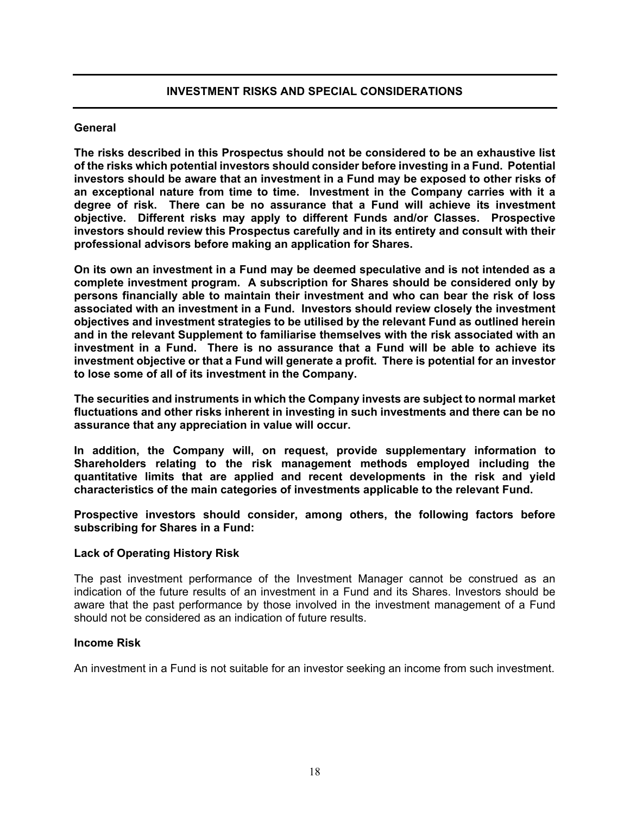# **INVESTMENT RISKS AND SPECIAL CONSIDERATIONS**

## **General**

**The risks described in this Prospectus should not be considered to be an exhaustive list of the risks which potential investors should consider before investing in a Fund. Potential investors should be aware that an investment in a Fund may be exposed to other risks of an exceptional nature from time to time. Investment in the Company carries with it a degree of risk. There can be no assurance that a Fund will achieve its investment objective. Different risks may apply to different Funds and/or Classes. Prospective investors should review this Prospectus carefully and in its entirety and consult with their professional advisors before making an application for Shares.**

**On its own an investment in a Fund may be deemed speculative and is not intended as a complete investment program. A subscription for Shares should be considered only by persons financially able to maintain their investment and who can bear the risk of loss associated with an investment in a Fund. Investors should review closely the investment objectives and investment strategies to be utilised by the relevant Fund as outlined herein and in the relevant Supplement to familiarise themselves with the risk associated with an investment in a Fund. There is no assurance that a Fund will be able to achieve its investment objective or that a Fund will generate a profit. There is potential for an investor to lose some of all of its investment in the Company.** 

**The securities and instruments in which the Company invests are subject to normal market fluctuations and other risks inherent in investing in such investments and there can be no assurance that any appreciation in value will occur.** 

**In addition, the Company will, on request, provide supplementary information to Shareholders relating to the risk management methods employed including the quantitative limits that are applied and recent developments in the risk and yield characteristics of the main categories of investments applicable to the relevant Fund.** 

**Prospective investors should consider, among others, the following factors before subscribing for Shares in a Fund:** 

#### **Lack of Operating History Risk**

The past investment performance of the Investment Manager cannot be construed as an indication of the future results of an investment in a Fund and its Shares. Investors should be aware that the past performance by those involved in the investment management of a Fund should not be considered as an indication of future results.

#### **Income Risk**

An investment in a Fund is not suitable for an investor seeking an income from such investment.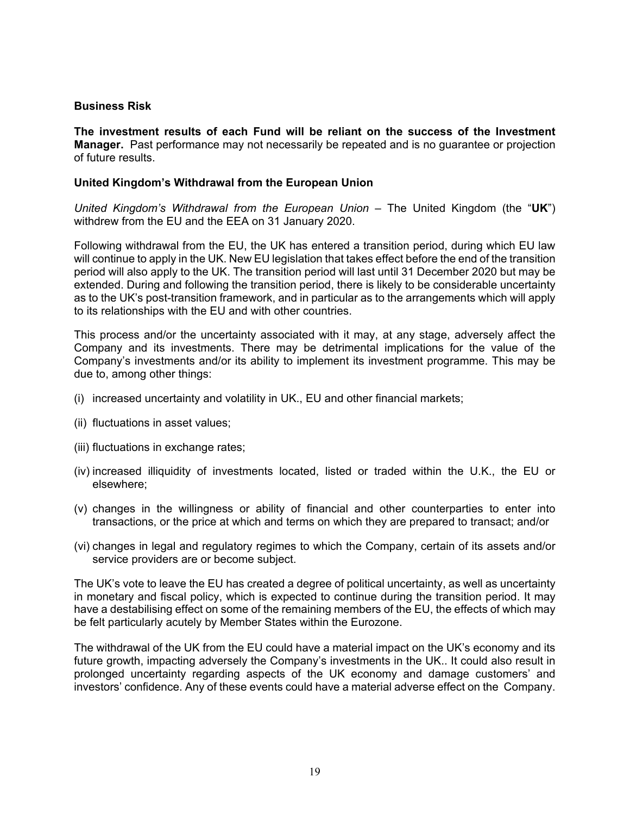### **Business Risk**

**The investment results of each Fund will be reliant on the success of the Investment Manager.** Past performance may not necessarily be repeated and is no guarantee or projection of future results.

## **United Kingdom's Withdrawal from the European Union**

*United Kingdom's Withdrawal from the European Union* – The United Kingdom (the "**UK**") withdrew from the EU and the EEA on 31 January 2020.

Following withdrawal from the EU, the UK has entered a transition period, during which EU law will continue to apply in the UK. New EU legislation that takes effect before the end of the transition period will also apply to the UK. The transition period will last until 31 December 2020 but may be extended. During and following the transition period, there is likely to be considerable uncertainty as to the UK's post-transition framework, and in particular as to the arrangements which will apply to its relationships with the EU and with other countries.

This process and/or the uncertainty associated with it may, at any stage, adversely affect the Company and its investments. There may be detrimental implications for the value of the Company's investments and/or its ability to implement its investment programme. This may be due to, among other things:

- (i) increased uncertainty and volatility in UK., EU and other financial markets;
- (ii) fluctuations in asset values;
- (iii) fluctuations in exchange rates;
- (iv) increased illiquidity of investments located, listed or traded within the U.K., the EU or elsewhere;
- (v) changes in the willingness or ability of financial and other counterparties to enter into transactions, or the price at which and terms on which they are prepared to transact; and/or
- (vi) changes in legal and regulatory regimes to which the Company, certain of its assets and/or service providers are or become subject.

The UK's vote to leave the EU has created a degree of political uncertainty, as well as uncertainty in monetary and fiscal policy, which is expected to continue during the transition period. It may have a destabilising effect on some of the remaining members of the EU, the effects of which may be felt particularly acutely by Member States within the Eurozone.

The withdrawal of the UK from the EU could have a material impact on the UK's economy and its future growth, impacting adversely the Company's investments in the UK.. It could also result in prolonged uncertainty regarding aspects of the UK economy and damage customers' and investors' confidence. Any of these events could have a material adverse effect on the Company.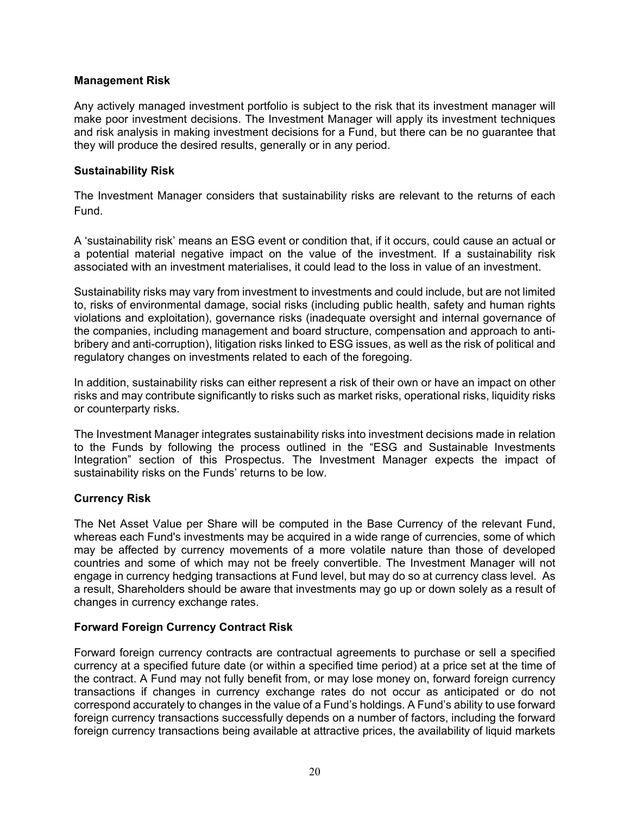# **Management Risk**

Any actively managed investment portfolio is subject to the risk that its investment manager will make poor investment decisions. The Investment Manager will apply its investment techniques and risk analysis in making investment decisions for a Fund, but there can be no guarantee that they will produce the desired results, generally or in any period.

# **Sustainability Risk**

The Investment Manager considers that sustainability risks are relevant to the returns of each Fund.

A 'sustainability risk' means an ESG event or condition that, if it occurs, could cause an actual or a potential material negative impact on the value of the investment. If a sustainability risk associated with an investment materialises, it could lead to the loss in value of an investment.

Sustainability risks may vary from investment to investments and could include, but are not limited to, risks of environmental damage, social risks (including public health, safety and human rights violations and exploitation), governance risks (inadequate oversight and internal governance of the companies, including management and board structure, compensation and approach to antibribery and anti-corruption), litigation risks linked to ESG issues, as well as the risk of political and regulatory changes on investments related to each of the foregoing.

In addition, sustainability risks can either represent a risk of their own or have an impact on other risks and may contribute significantly to risks such as market risks, operational risks, liquidity risks or counterparty risks.

The Investment Manager integrates sustainability risks into investment decisions made in relation to the Funds by following the process outlined in the "ESG and Sustainable Investments Integration" section of this Prospectus. The Investment Manager expects the impact of sustainability risks on the Funds' returns to be low.

# **Currency Risk**

The Net Asset Value per Share will be computed in the Base Currency of the relevant Fund, whereas each Fund's investments may be acquired in a wide range of currencies, some of which may be affected by currency movements of a more volatile nature than those of developed countries and some of which may not be freely convertible. The Investment Manager will not engage in currency hedging transactions at Fund level, but may do so at currency class level. As a result, Shareholders should be aware that investments may go up or down solely as a result of changes in currency exchange rates.

# **Forward Foreign Currency Contract Risk**

Forward foreign currency contracts are contractual agreements to purchase or sell a specified currency at a specified future date (or within a specified time period) at a price set at the time of the contract. A Fund may not fully benefit from, or may lose money on, forward foreign currency transactions if changes in currency exchange rates do not occur as anticipated or do not correspond accurately to changes in the value of a Fund's holdings. A Fund's ability to use forward foreign currency transactions successfully depends on a number of factors, including the forward foreign currency transactions being available at attractive prices, the availability of liquid markets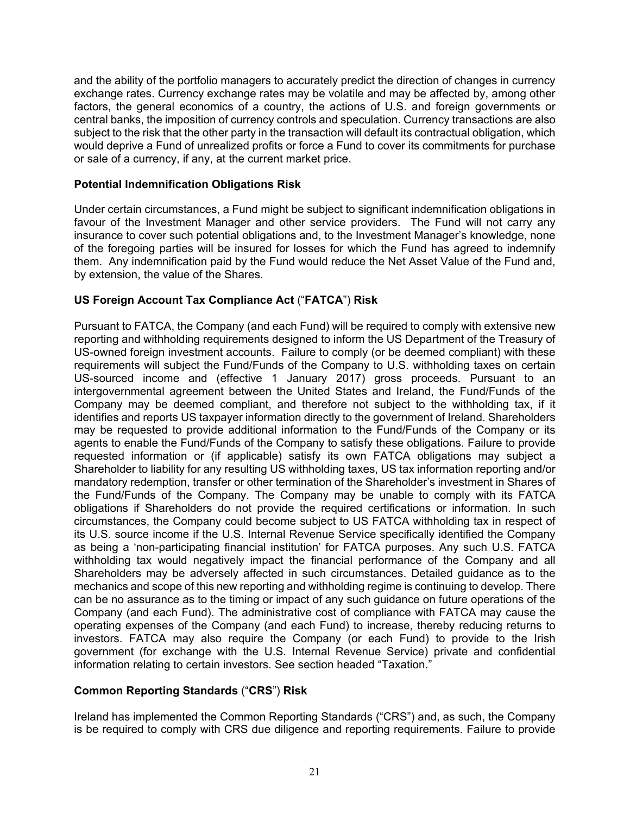and the ability of the portfolio managers to accurately predict the direction of changes in currency exchange rates. Currency exchange rates may be volatile and may be affected by, among other factors, the general economics of a country, the actions of U.S. and foreign governments or central banks, the imposition of currency controls and speculation. Currency transactions are also subject to the risk that the other party in the transaction will default its contractual obligation, which would deprive a Fund of unrealized profits or force a Fund to cover its commitments for purchase or sale of a currency, if any, at the current market price.

# **Potential Indemnification Obligations Risk**

Under certain circumstances, a Fund might be subject to significant indemnification obligations in favour of the Investment Manager and other service providers. The Fund will not carry any insurance to cover such potential obligations and, to the Investment Manager's knowledge, none of the foregoing parties will be insured for losses for which the Fund has agreed to indemnify them. Any indemnification paid by the Fund would reduce the Net Asset Value of the Fund and, by extension, the value of the Shares.

# **US Foreign Account Tax Compliance Act** ("**FATCA**") **Risk**

Pursuant to FATCA, the Company (and each Fund) will be required to comply with extensive new reporting and withholding requirements designed to inform the US Department of the Treasury of US-owned foreign investment accounts. Failure to comply (or be deemed compliant) with these requirements will subject the Fund/Funds of the Company to U.S. withholding taxes on certain US-sourced income and (effective 1 January 2017) gross proceeds. Pursuant to an intergovernmental agreement between the United States and Ireland, the Fund/Funds of the Company may be deemed compliant, and therefore not subject to the withholding tax, if it identifies and reports US taxpayer information directly to the government of Ireland. Shareholders may be requested to provide additional information to the Fund/Funds of the Company or its agents to enable the Fund/Funds of the Company to satisfy these obligations. Failure to provide requested information or (if applicable) satisfy its own FATCA obligations may subject a Shareholder to liability for any resulting US withholding taxes, US tax information reporting and/or mandatory redemption, transfer or other termination of the Shareholder's investment in Shares of the Fund/Funds of the Company. The Company may be unable to comply with its FATCA obligations if Shareholders do not provide the required certifications or information. In such circumstances, the Company could become subject to US FATCA withholding tax in respect of its U.S. source income if the U.S. Internal Revenue Service specifically identified the Company as being a 'non-participating financial institution' for FATCA purposes. Any such U.S. FATCA withholding tax would negatively impact the financial performance of the Company and all Shareholders may be adversely affected in such circumstances. Detailed guidance as to the mechanics and scope of this new reporting and withholding regime is continuing to develop. There can be no assurance as to the timing or impact of any such guidance on future operations of the Company (and each Fund). The administrative cost of compliance with FATCA may cause the operating expenses of the Company (and each Fund) to increase, thereby reducing returns to investors. FATCA may also require the Company (or each Fund) to provide to the Irish government (for exchange with the U.S. Internal Revenue Service) private and confidential information relating to certain investors. See section headed "Taxation."

# **Common Reporting Standards** ("**CRS**") **Risk**

Ireland has implemented the Common Reporting Standards ("CRS") and, as such, the Company is be required to comply with CRS due diligence and reporting requirements. Failure to provide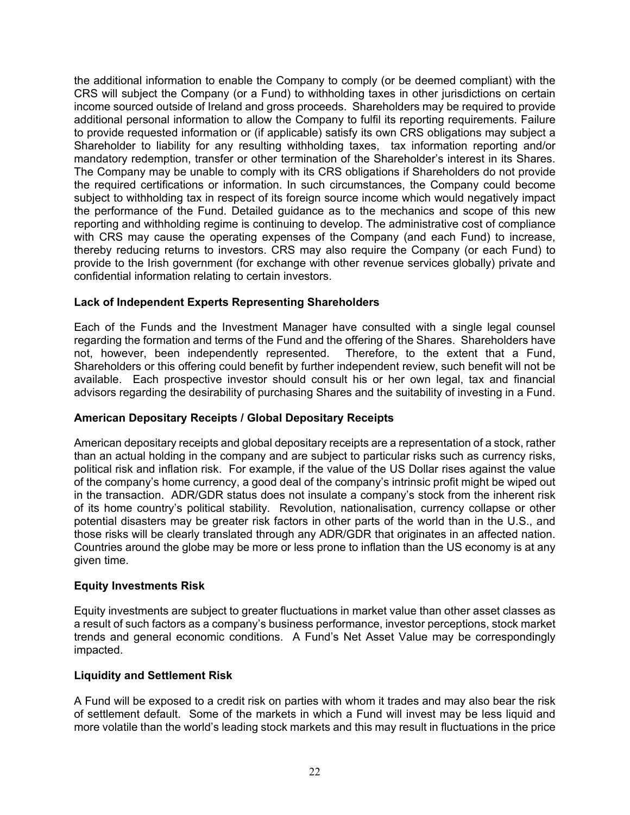the additional information to enable the Company to comply (or be deemed compliant) with the CRS will subject the Company (or a Fund) to withholding taxes in other jurisdictions on certain income sourced outside of Ireland and gross proceeds. Shareholders may be required to provide additional personal information to allow the Company to fulfil its reporting requirements. Failure to provide requested information or (if applicable) satisfy its own CRS obligations may subject a Shareholder to liability for any resulting withholding taxes, tax information reporting and/or mandatory redemption, transfer or other termination of the Shareholder's interest in its Shares. The Company may be unable to comply with its CRS obligations if Shareholders do not provide the required certifications or information. In such circumstances, the Company could become subject to withholding tax in respect of its foreign source income which would negatively impact the performance of the Fund. Detailed guidance as to the mechanics and scope of this new reporting and withholding regime is continuing to develop. The administrative cost of compliance with CRS may cause the operating expenses of the Company (and each Fund) to increase, thereby reducing returns to investors. CRS may also require the Company (or each Fund) to provide to the Irish government (for exchange with other revenue services globally) private and confidential information relating to certain investors.

# **Lack of Independent Experts Representing Shareholders**

Each of the Funds and the Investment Manager have consulted with a single legal counsel regarding the formation and terms of the Fund and the offering of the Shares. Shareholders have not, however, been independently represented. Therefore, to the extent that a Fund, Shareholders or this offering could benefit by further independent review, such benefit will not be available. Each prospective investor should consult his or her own legal, tax and financial advisors regarding the desirability of purchasing Shares and the suitability of investing in a Fund.

# **American Depositary Receipts / Global Depositary Receipts**

American depositary receipts and global depositary receipts are a representation of a stock, rather than an actual holding in the company and are subject to particular risks such as currency risks, political risk and inflation risk. For example, if the value of the US Dollar rises against the value of the company's home currency, a good deal of the company's intrinsic profit might be wiped out in the transaction. ADR/GDR status does not insulate a company's stock from the inherent risk of its home country's political stability. Revolution, nationalisation, currency collapse or other potential disasters may be greater risk factors in other parts of the world than in the U.S., and those risks will be clearly translated through any ADR/GDR that originates in an affected nation. Countries around the globe may be more or less prone to inflation than the US economy is at any given time.

# **Equity Investments Risk**

Equity investments are subject to greater fluctuations in market value than other asset classes as a result of such factors as a company's business performance, investor perceptions, stock market trends and general economic conditions. A Fund's Net Asset Value may be correspondingly impacted.

# **Liquidity and Settlement Risk**

A Fund will be exposed to a credit risk on parties with whom it trades and may also bear the risk of settlement default. Some of the markets in which a Fund will invest may be less liquid and more volatile than the world's leading stock markets and this may result in fluctuations in the price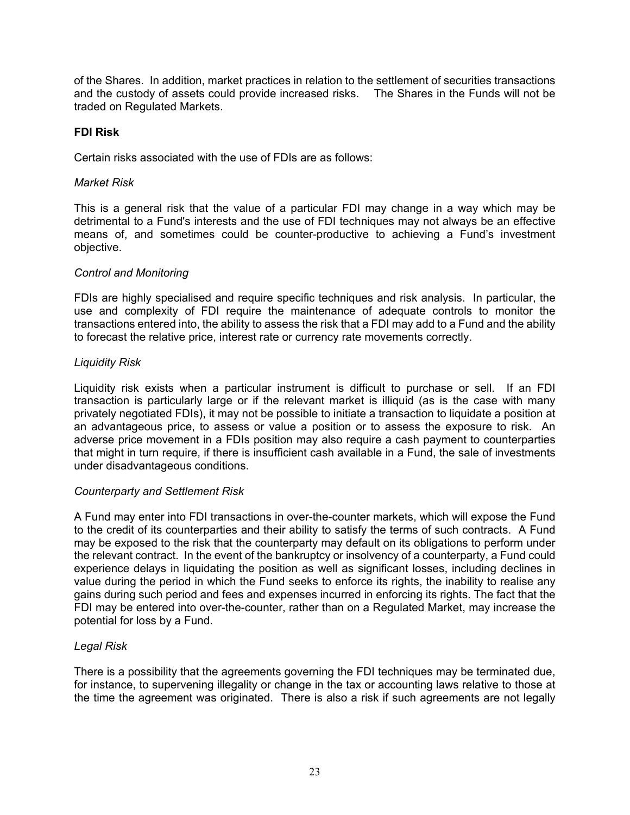of the Shares. In addition, market practices in relation to the settlement of securities transactions and the custody of assets could provide increased risks. The Shares in the Funds will not be traded on Regulated Markets.

## **FDI Risk**

Certain risks associated with the use of FDIs are as follows:

## *Market Risk*

This is a general risk that the value of a particular FDI may change in a way which may be detrimental to a Fund's interests and the use of FDI techniques may not always be an effective means of, and sometimes could be counter-productive to achieving a Fund's investment objective.

## *Control and Monitoring*

FDIs are highly specialised and require specific techniques and risk analysis. In particular, the use and complexity of FDI require the maintenance of adequate controls to monitor the transactions entered into, the ability to assess the risk that a FDI may add to a Fund and the ability to forecast the relative price, interest rate or currency rate movements correctly.

# *Liquidity Risk*

Liquidity risk exists when a particular instrument is difficult to purchase or sell. If an FDI transaction is particularly large or if the relevant market is illiquid (as is the case with many privately negotiated FDIs), it may not be possible to initiate a transaction to liquidate a position at an advantageous price, to assess or value a position or to assess the exposure to risk. An adverse price movement in a FDIs position may also require a cash payment to counterparties that might in turn require, if there is insufficient cash available in a Fund, the sale of investments under disadvantageous conditions.

#### *Counterparty and Settlement Risk*

A Fund may enter into FDI transactions in over-the-counter markets, which will expose the Fund to the credit of its counterparties and their ability to satisfy the terms of such contracts. A Fund may be exposed to the risk that the counterparty may default on its obligations to perform under the relevant contract. In the event of the bankruptcy or insolvency of a counterparty, a Fund could experience delays in liquidating the position as well as significant losses, including declines in value during the period in which the Fund seeks to enforce its rights, the inability to realise any gains during such period and fees and expenses incurred in enforcing its rights. The fact that the FDI may be entered into over-the-counter, rather than on a Regulated Market, may increase the potential for loss by a Fund.

# *Legal Risk*

There is a possibility that the agreements governing the FDI techniques may be terminated due, for instance, to supervening illegality or change in the tax or accounting laws relative to those at the time the agreement was originated. There is also a risk if such agreements are not legally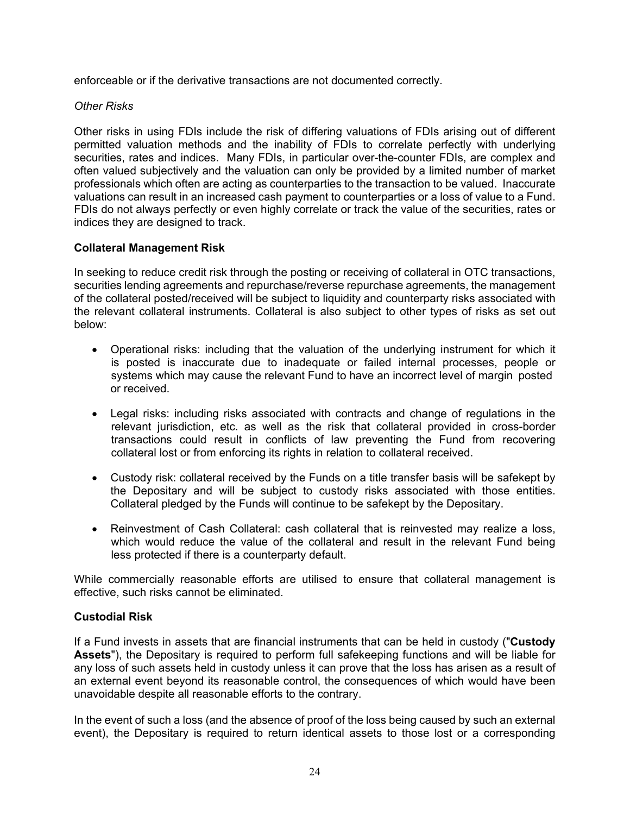enforceable or if the derivative transactions are not documented correctly.

# *Other Risks*

Other risks in using FDIs include the risk of differing valuations of FDIs arising out of different permitted valuation methods and the inability of FDIs to correlate perfectly with underlying securities, rates and indices. Many FDIs, in particular over-the-counter FDIs, are complex and often valued subjectively and the valuation can only be provided by a limited number of market professionals which often are acting as counterparties to the transaction to be valued. Inaccurate valuations can result in an increased cash payment to counterparties or a loss of value to a Fund. FDIs do not always perfectly or even highly correlate or track the value of the securities, rates or indices they are designed to track.

# **Collateral Management Risk**

In seeking to reduce credit risk through the posting or receiving of collateral in OTC transactions, securities lending agreements and repurchase/reverse repurchase agreements, the management of the collateral posted/received will be subject to liquidity and counterparty risks associated with the relevant collateral instruments. Collateral is also subject to other types of risks as set out below:

- Operational risks: including that the valuation of the underlying instrument for which it is posted is inaccurate due to inadequate or failed internal processes, people or systems which may cause the relevant Fund to have an incorrect level of margin posted or received.
- Legal risks: including risks associated with contracts and change of regulations in the relevant jurisdiction, etc. as well as the risk that collateral provided in cross-border transactions could result in conflicts of law preventing the Fund from recovering collateral lost or from enforcing its rights in relation to collateral received.
- Custody risk: collateral received by the Funds on a title transfer basis will be safekept by the Depositary and will be subject to custody risks associated with those entities. Collateral pledged by the Funds will continue to be safekept by the Depositary.
- Reinvestment of Cash Collateral: cash collateral that is reinvested may realize a loss, which would reduce the value of the collateral and result in the relevant Fund being less protected if there is a counterparty default.

While commercially reasonable efforts are utilised to ensure that collateral management is effective, such risks cannot be eliminated.

# **Custodial Risk**

If a Fund invests in assets that are financial instruments that can be held in custody ("**Custody Assets**"), the Depositary is required to perform full safekeeping functions and will be liable for any loss of such assets held in custody unless it can prove that the loss has arisen as a result of an external event beyond its reasonable control, the consequences of which would have been unavoidable despite all reasonable efforts to the contrary.

In the event of such a loss (and the absence of proof of the loss being caused by such an external event), the Depositary is required to return identical assets to those lost or a corresponding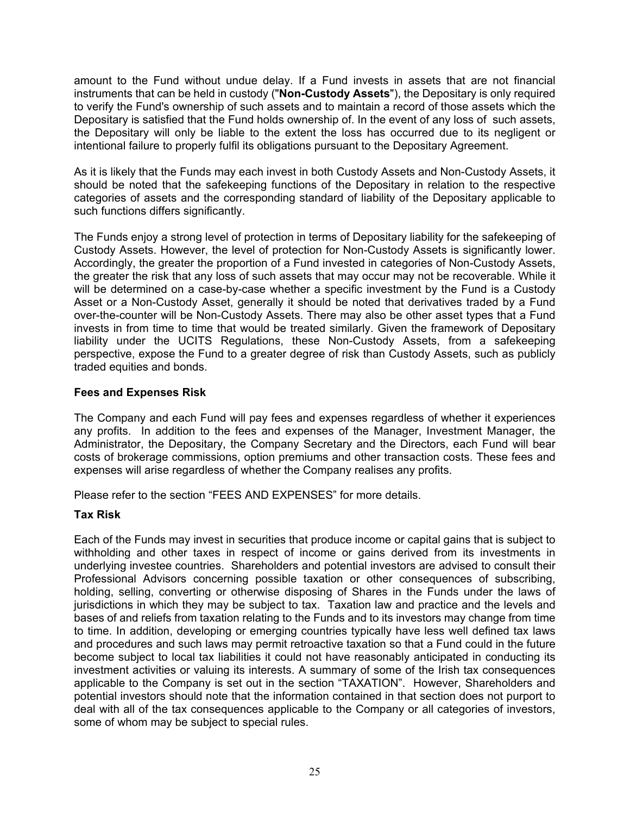amount to the Fund without undue delay. If a Fund invests in assets that are not financial instruments that can be held in custody ("**Non-Custody Assets**"), the Depositary is only required to verify the Fund's ownership of such assets and to maintain a record of those assets which the Depositary is satisfied that the Fund holds ownership of. In the event of any loss of such assets, the Depositary will only be liable to the extent the loss has occurred due to its negligent or intentional failure to properly fulfil its obligations pursuant to the Depositary Agreement.

As it is likely that the Funds may each invest in both Custody Assets and Non-Custody Assets, it should be noted that the safekeeping functions of the Depositary in relation to the respective categories of assets and the corresponding standard of liability of the Depositary applicable to such functions differs significantly.

The Funds enjoy a strong level of protection in terms of Depositary liability for the safekeeping of Custody Assets. However, the level of protection for Non-Custody Assets is significantly lower. Accordingly, the greater the proportion of a Fund invested in categories of Non-Custody Assets, the greater the risk that any loss of such assets that may occur may not be recoverable. While it will be determined on a case-by-case whether a specific investment by the Fund is a Custody Asset or a Non-Custody Asset, generally it should be noted that derivatives traded by a Fund over-the-counter will be Non-Custody Assets. There may also be other asset types that a Fund invests in from time to time that would be treated similarly. Given the framework of Depositary liability under the UCITS Regulations, these Non-Custody Assets, from a safekeeping perspective, expose the Fund to a greater degree of risk than Custody Assets, such as publicly traded equities and bonds.

# **Fees and Expenses Risk**

The Company and each Fund will pay fees and expenses regardless of whether it experiences any profits. In addition to the fees and expenses of the Manager, Investment Manager, the Administrator, the Depositary, the Company Secretary and the Directors, each Fund will bear costs of brokerage commissions, option premiums and other transaction costs. These fees and expenses will arise regardless of whether the Company realises any profits.

Please refer to the section "FEES AND EXPENSES" for more details.

# **Tax Risk**

Each of the Funds may invest in securities that produce income or capital gains that is subject to withholding and other taxes in respect of income or gains derived from its investments in underlying investee countries. Shareholders and potential investors are advised to consult their Professional Advisors concerning possible taxation or other consequences of subscribing, holding, selling, converting or otherwise disposing of Shares in the Funds under the laws of jurisdictions in which they may be subject to tax. Taxation law and practice and the levels and bases of and reliefs from taxation relating to the Funds and to its investors may change from time to time. In addition, developing or emerging countries typically have less well defined tax laws and procedures and such laws may permit retroactive taxation so that a Fund could in the future become subject to local tax liabilities it could not have reasonably anticipated in conducting its investment activities or valuing its interests. A summary of some of the Irish tax consequences applicable to the Company is set out in the section "TAXATION". However, Shareholders and potential investors should note that the information contained in that section does not purport to deal with all of the tax consequences applicable to the Company or all categories of investors, some of whom may be subject to special rules.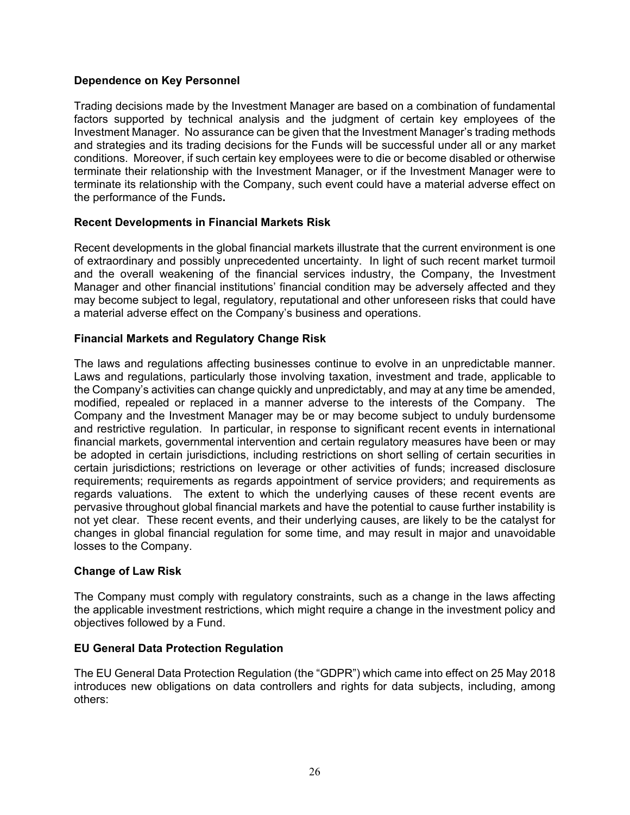# **Dependence on Key Personnel**

Trading decisions made by the Investment Manager are based on a combination of fundamental factors supported by technical analysis and the judgment of certain key employees of the Investment Manager. No assurance can be given that the Investment Manager's trading methods and strategies and its trading decisions for the Funds will be successful under all or any market conditions. Moreover, if such certain key employees were to die or become disabled or otherwise terminate their relationship with the Investment Manager, or if the Investment Manager were to terminate its relationship with the Company, such event could have a material adverse effect on the performance of the Funds**.** 

# **Recent Developments in Financial Markets Risk**

Recent developments in the global financial markets illustrate that the current environment is one of extraordinary and possibly unprecedented uncertainty. In light of such recent market turmoil and the overall weakening of the financial services industry, the Company, the Investment Manager and other financial institutions' financial condition may be adversely affected and they may become subject to legal, regulatory, reputational and other unforeseen risks that could have a material adverse effect on the Company's business and operations.

# **Financial Markets and Regulatory Change Risk**

The laws and regulations affecting businesses continue to evolve in an unpredictable manner. Laws and regulations, particularly those involving taxation, investment and trade, applicable to the Company's activities can change quickly and unpredictably, and may at any time be amended, modified, repealed or replaced in a manner adverse to the interests of the Company. The Company and the Investment Manager may be or may become subject to unduly burdensome and restrictive regulation. In particular, in response to significant recent events in international financial markets, governmental intervention and certain regulatory measures have been or may be adopted in certain jurisdictions, including restrictions on short selling of certain securities in certain jurisdictions; restrictions on leverage or other activities of funds; increased disclosure requirements; requirements as regards appointment of service providers; and requirements as regards valuations. The extent to which the underlying causes of these recent events are pervasive throughout global financial markets and have the potential to cause further instability is not yet clear. These recent events, and their underlying causes, are likely to be the catalyst for changes in global financial regulation for some time, and may result in major and unavoidable losses to the Company.

# **Change of Law Risk**

The Company must comply with regulatory constraints, such as a change in the laws affecting the applicable investment restrictions, which might require a change in the investment policy and objectives followed by a Fund.

# **EU General Data Protection Regulation**

The EU General Data Protection Regulation (the "GDPR") which came into effect on 25 May 2018 introduces new obligations on data controllers and rights for data subjects, including, among others: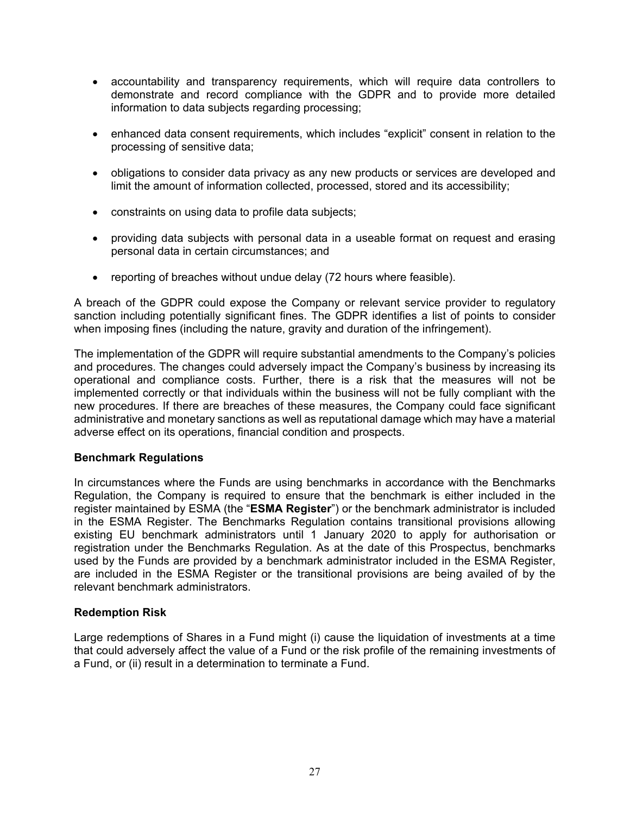- accountability and transparency requirements, which will require data controllers to demonstrate and record compliance with the GDPR and to provide more detailed information to data subjects regarding processing;
- enhanced data consent requirements, which includes "explicit" consent in relation to the processing of sensitive data;
- obligations to consider data privacy as any new products or services are developed and limit the amount of information collected, processed, stored and its accessibility;
- constraints on using data to profile data subjects;
- providing data subjects with personal data in a useable format on request and erasing personal data in certain circumstances; and
- reporting of breaches without undue delay (72 hours where feasible).

A breach of the GDPR could expose the Company or relevant service provider to regulatory sanction including potentially significant fines. The GDPR identifies a list of points to consider when imposing fines (including the nature, gravity and duration of the infringement).

The implementation of the GDPR will require substantial amendments to the Company's policies and procedures. The changes could adversely impact the Company's business by increasing its operational and compliance costs. Further, there is a risk that the measures will not be implemented correctly or that individuals within the business will not be fully compliant with the new procedures. If there are breaches of these measures, the Company could face significant administrative and monetary sanctions as well as reputational damage which may have a material adverse effect on its operations, financial condition and prospects.

# **Benchmark Regulations**

In circumstances where the Funds are using benchmarks in accordance with the Benchmarks Regulation, the Company is required to ensure that the benchmark is either included in the register maintained by ESMA (the "**ESMA Register**") or the benchmark administrator is included in the ESMA Register. The Benchmarks Regulation contains transitional provisions allowing existing EU benchmark administrators until 1 January 2020 to apply for authorisation or registration under the Benchmarks Regulation. As at the date of this Prospectus, benchmarks used by the Funds are provided by a benchmark administrator included in the ESMA Register, are included in the ESMA Register or the transitional provisions are being availed of by the relevant benchmark administrators.

# **Redemption Risk**

Large redemptions of Shares in a Fund might (i) cause the liquidation of investments at a time that could adversely affect the value of a Fund or the risk profile of the remaining investments of a Fund, or (ii) result in a determination to terminate a Fund.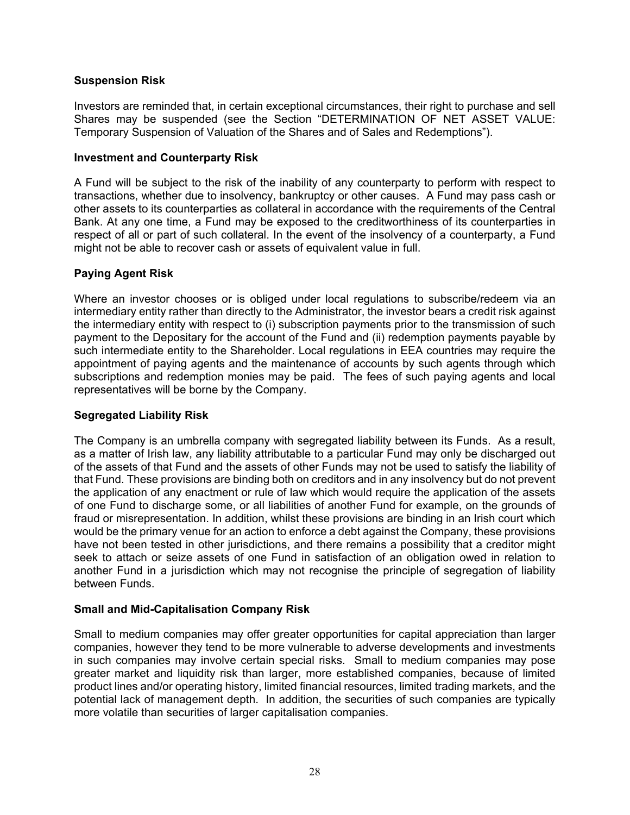# **Suspension Risk**

Investors are reminded that, in certain exceptional circumstances, their right to purchase and sell Shares may be suspended (see the Section "DETERMINATION OF NET ASSET VALUE: Temporary Suspension of Valuation of the Shares and of Sales and Redemptions").

#### **Investment and Counterparty Risk**

A Fund will be subject to the risk of the inability of any counterparty to perform with respect to transactions, whether due to insolvency, bankruptcy or other causes. A Fund may pass cash or other assets to its counterparties as collateral in accordance with the requirements of the Central Bank. At any one time, a Fund may be exposed to the creditworthiness of its counterparties in respect of all or part of such collateral. In the event of the insolvency of a counterparty, a Fund might not be able to recover cash or assets of equivalent value in full.

## **Paying Agent Risk**

Where an investor chooses or is obliged under local regulations to subscribe/redeem via an intermediary entity rather than directly to the Administrator, the investor bears a credit risk against the intermediary entity with respect to (i) subscription payments prior to the transmission of such payment to the Depositary for the account of the Fund and (ii) redemption payments payable by such intermediate entity to the Shareholder. Local regulations in EEA countries may require the appointment of paying agents and the maintenance of accounts by such agents through which subscriptions and redemption monies may be paid. The fees of such paying agents and local representatives will be borne by the Company.

# **Segregated Liability Risk**

The Company is an umbrella company with segregated liability between its Funds. As a result, as a matter of Irish law, any liability attributable to a particular Fund may only be discharged out of the assets of that Fund and the assets of other Funds may not be used to satisfy the liability of that Fund. These provisions are binding both on creditors and in any insolvency but do not prevent the application of any enactment or rule of law which would require the application of the assets of one Fund to discharge some, or all liabilities of another Fund for example, on the grounds of fraud or misrepresentation. In addition, whilst these provisions are binding in an Irish court which would be the primary venue for an action to enforce a debt against the Company, these provisions have not been tested in other jurisdictions, and there remains a possibility that a creditor might seek to attach or seize assets of one Fund in satisfaction of an obligation owed in relation to another Fund in a jurisdiction which may not recognise the principle of segregation of liability between Funds.

# **Small and Mid-Capitalisation Company Risk**

Small to medium companies may offer greater opportunities for capital appreciation than larger companies, however they tend to be more vulnerable to adverse developments and investments in such companies may involve certain special risks. Small to medium companies may pose greater market and liquidity risk than larger, more established companies, because of limited product lines and/or operating history, limited financial resources, limited trading markets, and the potential lack of management depth. In addition, the securities of such companies are typically more volatile than securities of larger capitalisation companies.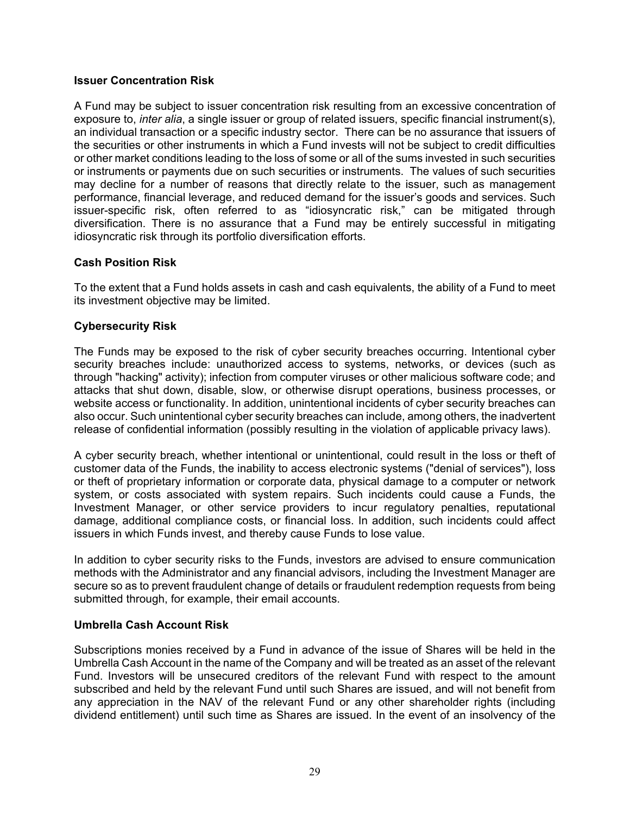## **Issuer Concentration Risk**

A Fund may be subject to issuer concentration risk resulting from an excessive concentration of exposure to, *inter alia*, a single issuer or group of related issuers, specific financial instrument(s), an individual transaction or a specific industry sector. There can be no assurance that issuers of the securities or other instruments in which a Fund invests will not be subject to credit difficulties or other market conditions leading to the loss of some or all of the sums invested in such securities or instruments or payments due on such securities or instruments. The values of such securities may decline for a number of reasons that directly relate to the issuer, such as management performance, financial leverage, and reduced demand for the issuer's goods and services. Such issuer-specific risk, often referred to as "idiosyncratic risk," can be mitigated through diversification. There is no assurance that a Fund may be entirely successful in mitigating idiosyncratic risk through its portfolio diversification efforts.

# **Cash Position Risk**

To the extent that a Fund holds assets in cash and cash equivalents, the ability of a Fund to meet its investment objective may be limited.

## **Cybersecurity Risk**

The Funds may be exposed to the risk of cyber security breaches occurring. Intentional cyber security breaches include: unauthorized access to systems, networks, or devices (such as through "hacking" activity); infection from computer viruses or other malicious software code; and attacks that shut down, disable, slow, or otherwise disrupt operations, business processes, or website access or functionality. In addition, unintentional incidents of cyber security breaches can also occur. Such unintentional cyber security breaches can include, among others, the inadvertent release of confidential information (possibly resulting in the violation of applicable privacy laws).

A cyber security breach, whether intentional or unintentional, could result in the loss or theft of customer data of the Funds, the inability to access electronic systems ("denial of services"), loss or theft of proprietary information or corporate data, physical damage to a computer or network system, or costs associated with system repairs. Such incidents could cause a Funds, the Investment Manager, or other service providers to incur regulatory penalties, reputational damage, additional compliance costs, or financial loss. In addition, such incidents could affect issuers in which Funds invest, and thereby cause Funds to lose value.

In addition to cyber security risks to the Funds, investors are advised to ensure communication methods with the Administrator and any financial advisors, including the Investment Manager are secure so as to prevent fraudulent change of details or fraudulent redemption requests from being submitted through, for example, their email accounts.

#### **Umbrella Cash Account Risk**

Subscriptions monies received by a Fund in advance of the issue of Shares will be held in the Umbrella Cash Account in the name of the Company and will be treated as an asset of the relevant Fund. Investors will be unsecured creditors of the relevant Fund with respect to the amount subscribed and held by the relevant Fund until such Shares are issued, and will not benefit from any appreciation in the NAV of the relevant Fund or any other shareholder rights (including dividend entitlement) until such time as Shares are issued. In the event of an insolvency of the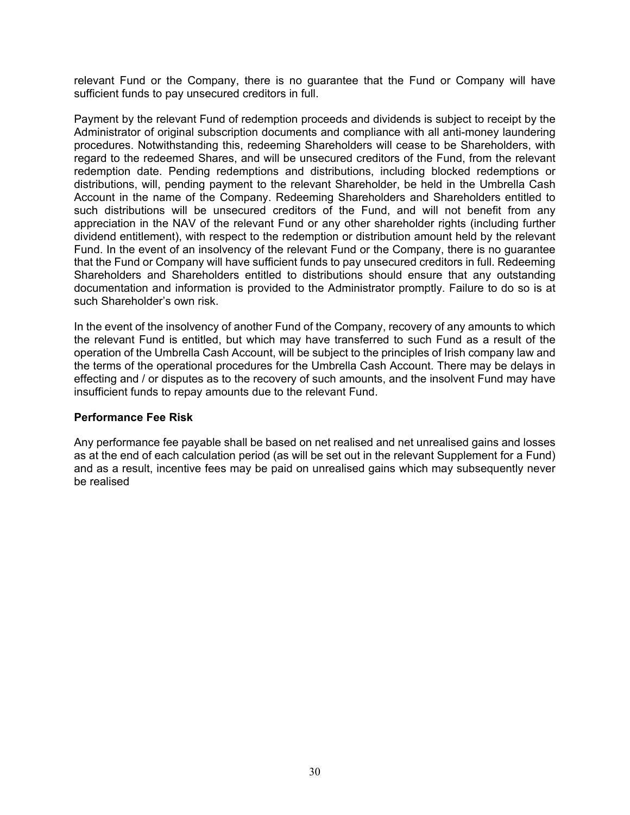relevant Fund or the Company, there is no guarantee that the Fund or Company will have sufficient funds to pay unsecured creditors in full.

Payment by the relevant Fund of redemption proceeds and dividends is subject to receipt by the Administrator of original subscription documents and compliance with all anti-money laundering procedures. Notwithstanding this, redeeming Shareholders will cease to be Shareholders, with regard to the redeemed Shares, and will be unsecured creditors of the Fund, from the relevant redemption date. Pending redemptions and distributions, including blocked redemptions or distributions, will, pending payment to the relevant Shareholder, be held in the Umbrella Cash Account in the name of the Company. Redeeming Shareholders and Shareholders entitled to such distributions will be unsecured creditors of the Fund, and will not benefit from any appreciation in the NAV of the relevant Fund or any other shareholder rights (including further dividend entitlement), with respect to the redemption or distribution amount held by the relevant Fund. In the event of an insolvency of the relevant Fund or the Company, there is no guarantee that the Fund or Company will have sufficient funds to pay unsecured creditors in full. Redeeming Shareholders and Shareholders entitled to distributions should ensure that any outstanding documentation and information is provided to the Administrator promptly. Failure to do so is at such Shareholder's own risk.

In the event of the insolvency of another Fund of the Company, recovery of any amounts to which the relevant Fund is entitled, but which may have transferred to such Fund as a result of the operation of the Umbrella Cash Account, will be subject to the principles of Irish company law and the terms of the operational procedures for the Umbrella Cash Account. There may be delays in effecting and / or disputes as to the recovery of such amounts, and the insolvent Fund may have insufficient funds to repay amounts due to the relevant Fund.

#### **Performance Fee Risk**

Any performance fee payable shall be based on net realised and net unrealised gains and losses as at the end of each calculation period (as will be set out in the relevant Supplement for a Fund) and as a result, incentive fees may be paid on unrealised gains which may subsequently never be realised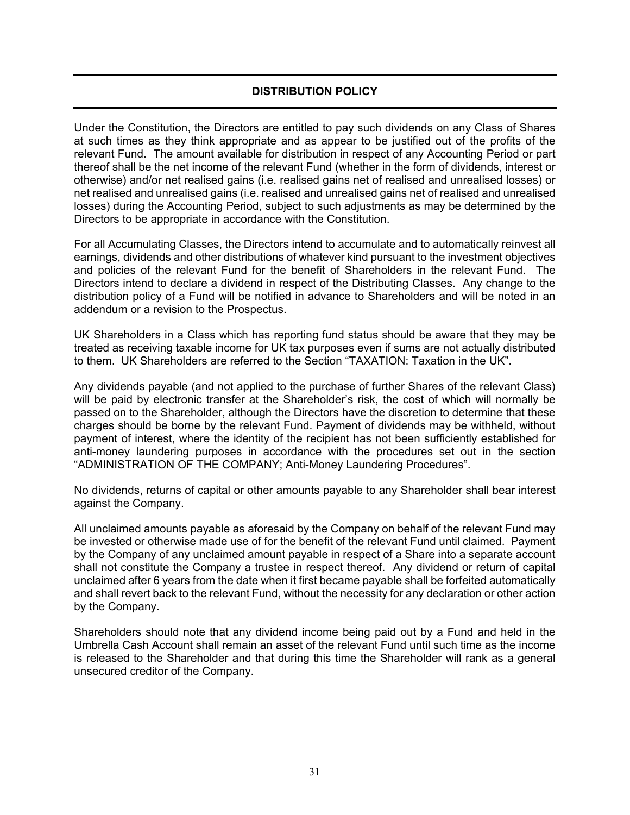# **DISTRIBUTION POLICY**

Under the Constitution, the Directors are entitled to pay such dividends on any Class of Shares at such times as they think appropriate and as appear to be justified out of the profits of the relevant Fund. The amount available for distribution in respect of any Accounting Period or part thereof shall be the net income of the relevant Fund (whether in the form of dividends, interest or otherwise) and/or net realised gains (i.e. realised gains net of realised and unrealised losses) or net realised and unrealised gains (i.e. realised and unrealised gains net of realised and unrealised losses) during the Accounting Period, subject to such adjustments as may be determined by the Directors to be appropriate in accordance with the Constitution.

For all Accumulating Classes, the Directors intend to accumulate and to automatically reinvest all earnings, dividends and other distributions of whatever kind pursuant to the investment objectives and policies of the relevant Fund for the benefit of Shareholders in the relevant Fund. The Directors intend to declare a dividend in respect of the Distributing Classes. Any change to the distribution policy of a Fund will be notified in advance to Shareholders and will be noted in an addendum or a revision to the Prospectus.

UK Shareholders in a Class which has reporting fund status should be aware that they may be treated as receiving taxable income for UK tax purposes even if sums are not actually distributed to them. UK Shareholders are referred to the Section "TAXATION: Taxation in the UK".

Any dividends payable (and not applied to the purchase of further Shares of the relevant Class) will be paid by electronic transfer at the Shareholder's risk, the cost of which will normally be passed on to the Shareholder, although the Directors have the discretion to determine that these charges should be borne by the relevant Fund. Payment of dividends may be withheld, without payment of interest, where the identity of the recipient has not been sufficiently established for anti-money laundering purposes in accordance with the procedures set out in the section "ADMINISTRATION OF THE COMPANY; Anti-Money Laundering Procedures".

No dividends, returns of capital or other amounts payable to any Shareholder shall bear interest against the Company.

All unclaimed amounts payable as aforesaid by the Company on behalf of the relevant Fund may be invested or otherwise made use of for the benefit of the relevant Fund until claimed. Payment by the Company of any unclaimed amount payable in respect of a Share into a separate account shall not constitute the Company a trustee in respect thereof. Any dividend or return of capital unclaimed after 6 years from the date when it first became payable shall be forfeited automatically and shall revert back to the relevant Fund, without the necessity for any declaration or other action by the Company.

Shareholders should note that any dividend income being paid out by a Fund and held in the Umbrella Cash Account shall remain an asset of the relevant Fund until such time as the income is released to the Shareholder and that during this time the Shareholder will rank as a general unsecured creditor of the Company.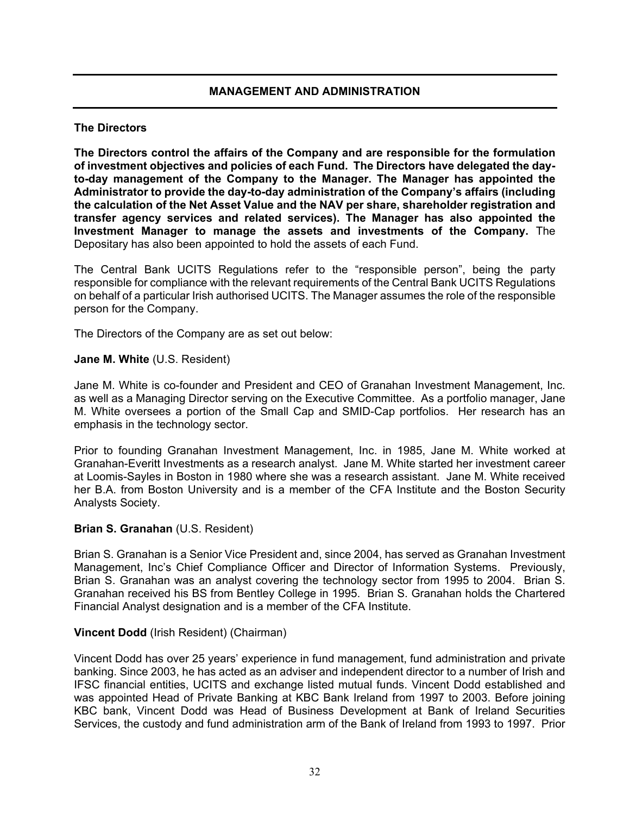# **The Directors**

**The Directors control the affairs of the Company and are responsible for the formulation of investment objectives and policies of each Fund. The Directors have delegated the dayto-day management of the Company to the Manager. The Manager has appointed the Administrator to provide the day-to-day administration of the Company's affairs (including the calculation of the Net Asset Value and the NAV per share, shareholder registration and transfer agency services and related services). The Manager has also appointed the Investment Manager to manage the assets and investments of the Company.** The Depositary has also been appointed to hold the assets of each Fund.

The Central Bank UCITS Regulations refer to the "responsible person", being the party responsible for compliance with the relevant requirements of the Central Bank UCITS Regulations on behalf of a particular Irish authorised UCITS. The Manager assumes the role of the responsible person for the Company.

The Directors of the Company are as set out below:

# **Jane M. White** (U.S. Resident)

Jane M. White is co-founder and President and CEO of Granahan Investment Management, Inc. as well as a Managing Director serving on the Executive Committee. As a portfolio manager, Jane M. White oversees a portion of the Small Cap and SMID-Cap portfolios. Her research has an emphasis in the technology sector.

Prior to founding Granahan Investment Management, Inc. in 1985, Jane M. White worked at Granahan-Everitt Investments as a research analyst. Jane M. White started her investment career at Loomis-Sayles in Boston in 1980 where she was a research assistant. Jane M. White received her B.A. from Boston University and is a member of the CFA Institute and the Boston Security Analysts Society.

# **Brian S. Granahan** (U.S. Resident)

Brian S. Granahan is a Senior Vice President and, since 2004, has served as Granahan Investment Management, Inc's Chief Compliance Officer and Director of Information Systems. Previously, Brian S. Granahan was an analyst covering the technology sector from 1995 to 2004. Brian S. Granahan received his BS from Bentley College in 1995. Brian S. Granahan holds the Chartered Financial Analyst designation and is a member of the CFA Institute.

# **Vincent Dodd** (Irish Resident) (Chairman)

Vincent Dodd has over 25 years' experience in fund management, fund administration and private banking. Since 2003, he has acted as an adviser and independent director to a number of Irish and IFSC financial entities, UCITS and exchange listed mutual funds. Vincent Dodd established and was appointed Head of Private Banking at KBC Bank Ireland from 1997 to 2003. Before joining KBC bank, Vincent Dodd was Head of Business Development at Bank of Ireland Securities Services, the custody and fund administration arm of the Bank of Ireland from 1993 to 1997. Prior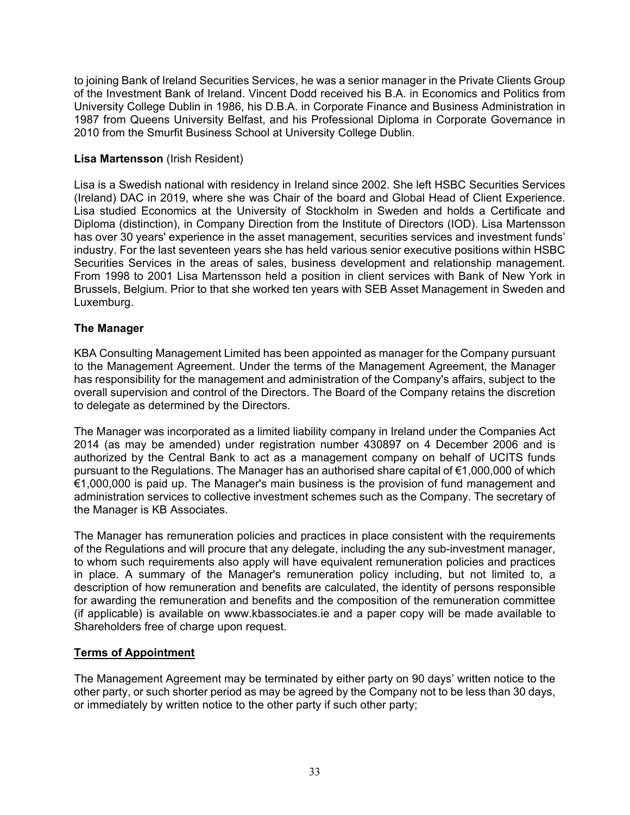to joining Bank of Ireland Securities Services, he was a senior manager in the Private Clients Group of the Investment Bank of Ireland. Vincent Dodd received his B.A. in Economics and Politics from University College Dublin in 1986, his D.B.A. in Corporate Finance and Business Administration in 1987 from Queens University Belfast, and his Professional Diploma in Corporate Governance in 2010 from the Smurfit Business School at University College Dublin.

# **Lisa Martensson** (Irish Resident)

Lisa is a Swedish national with residency in Ireland since 2002. She left HSBC Securities Services (Ireland) DAC in 2019, where she was Chair of the board and Global Head of Client Experience. Lisa studied Economics at the University of Stockholm in Sweden and holds a Certificate and Diploma (distinction), in Company Direction from the Institute of Directors (IOD). Lisa Martensson has over 30 years' experience in the asset management, securities services and investment funds' industry. For the last seventeen years she has held various senior executive positions within HSBC Securities Services in the areas of sales, business development and relationship management. From 1998 to 2001 Lisa Martensson held a position in client services with Bank of New York in Brussels, Belgium. Prior to that she worked ten years with SEB Asset Management in Sweden and Luxemburg.

# **The Manager**

KBA Consulting Management Limited has been appointed as manager for the Company pursuant to the Management Agreement. Under the terms of the Management Agreement, the Manager has responsibility for the management and administration of the Company's affairs, subject to the overall supervision and control of the Directors. The Board of the Company retains the discretion to delegate as determined by the Directors.

The Manager was incorporated as a limited liability company in Ireland under the Companies Act 2014 (as may be amended) under registration number 430897 on 4 December 2006 and is authorized by the Central Bank to act as a management company on behalf of UCITS funds pursuant to the Regulations. The Manager has an authorised share capital of €1,000,000 of which €1,000,000 is paid up. The Manager's main business is the provision of fund management and administration services to collective investment schemes such as the Company. The secretary of the Manager is KB Associates.

The Manager has remuneration policies and practices in place consistent with the requirements of the Regulations and will procure that any delegate, including the any sub-investment manager, to whom such requirements also apply will have equivalent remuneration policies and practices in place. A summary of the Manager's remuneration policy including, but not limited to, a description of how remuneration and benefits are calculated, the identity of persons responsible for awarding the remuneration and benefits and the composition of the remuneration committee (if applicable) is available on www.kbassociates.ie and a paper copy will be made available to Shareholders free of charge upon request.

# **Terms of Appointment**

The Management Agreement may be terminated by either party on 90 days' written notice to the other party, or such shorter period as may be agreed by the Company not to be less than 30 days, or immediately by written notice to the other party if such other party;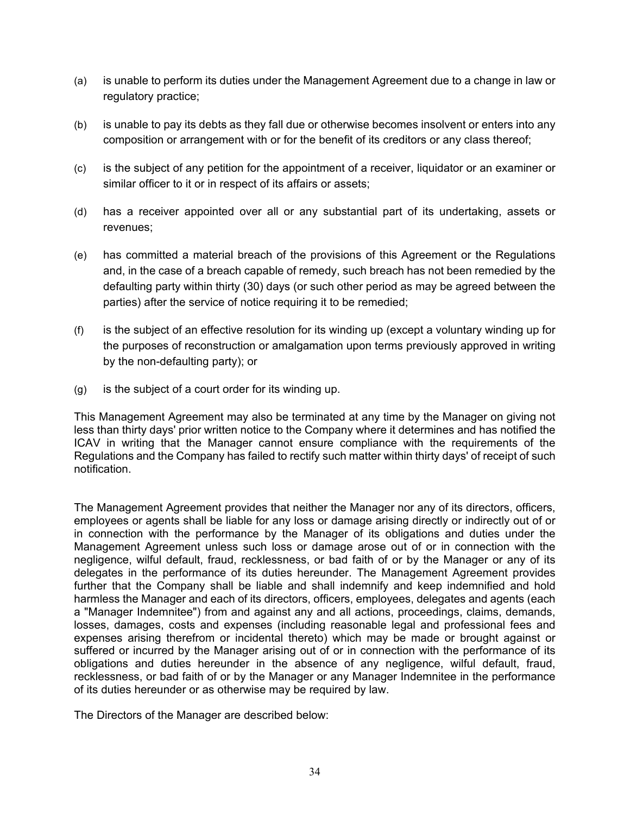- (a) is unable to perform its duties under the Management Agreement due to a change in law or regulatory practice;
- (b) is unable to pay its debts as they fall due or otherwise becomes insolvent or enters into any composition or arrangement with or for the benefit of its creditors or any class thereof;
- (c) is the subject of any petition for the appointment of a receiver, liquidator or an examiner or similar officer to it or in respect of its affairs or assets;
- (d) has a receiver appointed over all or any substantial part of its undertaking, assets or revenues;
- (e) has committed a material breach of the provisions of this Agreement or the Regulations and, in the case of a breach capable of remedy, such breach has not been remedied by the defaulting party within thirty (30) days (or such other period as may be agreed between the parties) after the service of notice requiring it to be remedied;
- (f) is the subject of an effective resolution for its winding up (except a voluntary winding up for the purposes of reconstruction or amalgamation upon terms previously approved in writing by the non-defaulting party); or
- (g) is the subject of a court order for its winding up.

This Management Agreement may also be terminated at any time by the Manager on giving not less than thirty days' prior written notice to the Company where it determines and has notified the ICAV in writing that the Manager cannot ensure compliance with the requirements of the Regulations and the Company has failed to rectify such matter within thirty days' of receipt of such notification.

The Management Agreement provides that neither the Manager nor any of its directors, officers, employees or agents shall be liable for any loss or damage arising directly or indirectly out of or in connection with the performance by the Manager of its obligations and duties under the Management Agreement unless such loss or damage arose out of or in connection with the negligence, wilful default, fraud, recklessness, or bad faith of or by the Manager or any of its delegates in the performance of its duties hereunder. The Management Agreement provides further that the Company shall be liable and shall indemnify and keep indemnified and hold harmless the Manager and each of its directors, officers, employees, delegates and agents (each a "Manager Indemnitee") from and against any and all actions, proceedings, claims, demands, losses, damages, costs and expenses (including reasonable legal and professional fees and expenses arising therefrom or incidental thereto) which may be made or brought against or suffered or incurred by the Manager arising out of or in connection with the performance of its obligations and duties hereunder in the absence of any negligence, wilful default, fraud, recklessness, or bad faith of or by the Manager or any Manager Indemnitee in the performance of its duties hereunder or as otherwise may be required by law.

The Directors of the Manager are described below: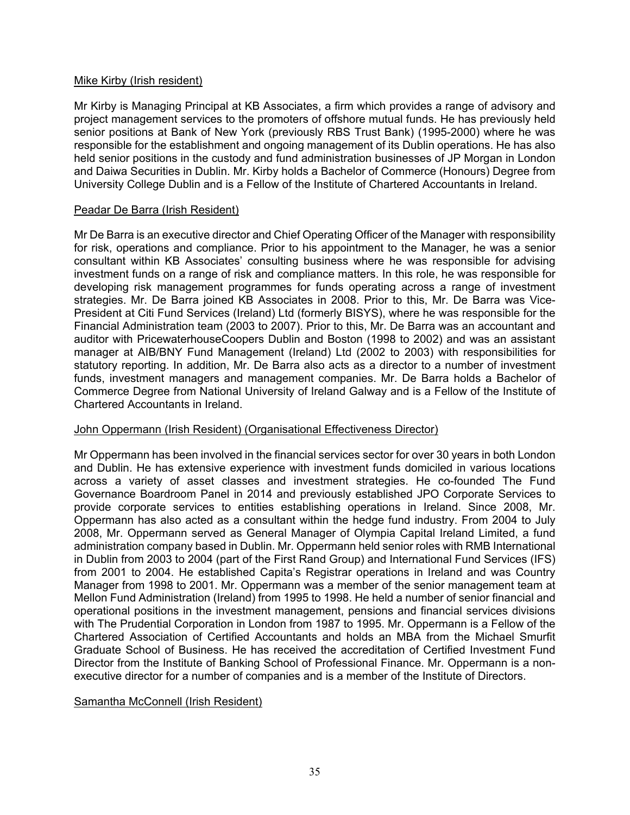### Mike Kirby (Irish resident)

Mr Kirby is Managing Principal at KB Associates, a firm which provides a range of advisory and project management services to the promoters of offshore mutual funds. He has previously held senior positions at Bank of New York (previously RBS Trust Bank) (1995-2000) where he was responsible for the establishment and ongoing management of its Dublin operations. He has also held senior positions in the custody and fund administration businesses of JP Morgan in London and Daiwa Securities in Dublin. Mr. Kirby holds a Bachelor of Commerce (Honours) Degree from University College Dublin and is a Fellow of the Institute of Chartered Accountants in Ireland.

#### Peadar De Barra (Irish Resident)

Mr De Barra is an executive director and Chief Operating Officer of the Manager with responsibility for risk, operations and compliance. Prior to his appointment to the Manager, he was a senior consultant within KB Associates' consulting business where he was responsible for advising investment funds on a range of risk and compliance matters. In this role, he was responsible for developing risk management programmes for funds operating across a range of investment strategies. Mr. De Barra joined KB Associates in 2008. Prior to this, Mr. De Barra was Vice-President at Citi Fund Services (Ireland) Ltd (formerly BISYS), where he was responsible for the Financial Administration team (2003 to 2007). Prior to this, Mr. De Barra was an accountant and auditor with PricewaterhouseCoopers Dublin and Boston (1998 to 2002) and was an assistant manager at AIB/BNY Fund Management (Ireland) Ltd (2002 to 2003) with responsibilities for statutory reporting. In addition, Mr. De Barra also acts as a director to a number of investment funds, investment managers and management companies. Mr. De Barra holds a Bachelor of Commerce Degree from National University of Ireland Galway and is a Fellow of the Institute of Chartered Accountants in Ireland.

# John Oppermann (Irish Resident) (Organisational Effectiveness Director)

Mr Oppermann has been involved in the financial services sector for over 30 years in both London and Dublin. He has extensive experience with investment funds domiciled in various locations across a variety of asset classes and investment strategies. He co-founded The Fund Governance Boardroom Panel in 2014 and previously established JPO Corporate Services to provide corporate services to entities establishing operations in Ireland. Since 2008, Mr. Oppermann has also acted as a consultant within the hedge fund industry. From 2004 to July 2008, Mr. Oppermann served as General Manager of Olympia Capital Ireland Limited, a fund administration company based in Dublin. Mr. Oppermann held senior roles with RMB International in Dublin from 2003 to 2004 (part of the First Rand Group) and International Fund Services (IFS) from 2001 to 2004. He established Capita's Registrar operations in Ireland and was Country Manager from 1998 to 2001. Mr. Oppermann was a member of the senior management team at Mellon Fund Administration (Ireland) from 1995 to 1998. He held a number of senior financial and operational positions in the investment management, pensions and financial services divisions with The Prudential Corporation in London from 1987 to 1995. Mr. Oppermann is a Fellow of the Chartered Association of Certified Accountants and holds an MBA from the Michael Smurfit Graduate School of Business. He has received the accreditation of Certified Investment Fund Director from the Institute of Banking School of Professional Finance. Mr. Oppermann is a nonexecutive director for a number of companies and is a member of the Institute of Directors.

# Samantha McConnell (Irish Resident)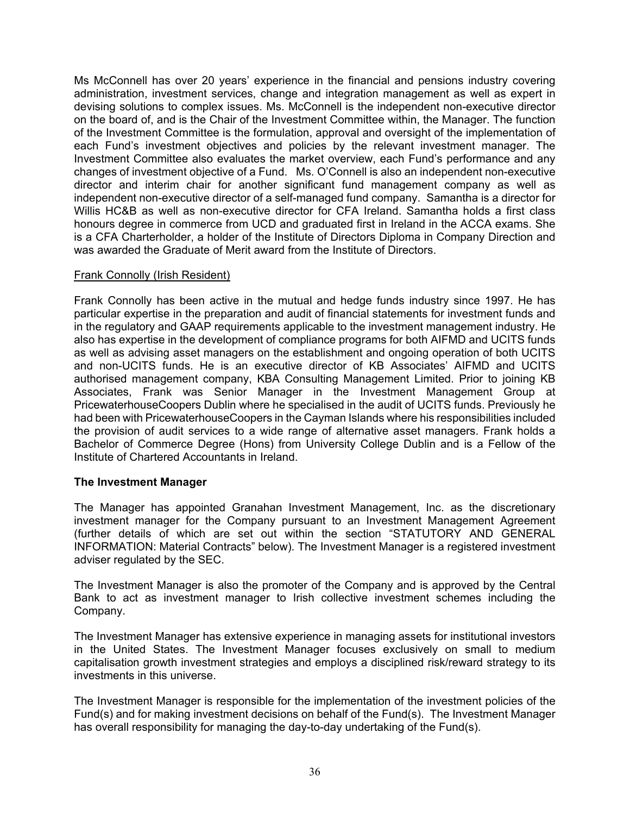Ms McConnell has over 20 years' experience in the financial and pensions industry covering administration, investment services, change and integration management as well as expert in devising solutions to complex issues. Ms. McConnell is the independent non-executive director on the board of, and is the Chair of the Investment Committee within, the Manager. The function of the Investment Committee is the formulation, approval and oversight of the implementation of each Fund's investment objectives and policies by the relevant investment manager. The Investment Committee also evaluates the market overview, each Fund's performance and any changes of investment objective of a Fund. Ms. O'Connell is also an independent non-executive director and interim chair for another significant fund management company as well as independent non-executive director of a self-managed fund company. Samantha is a director for Willis HC&B as well as non-executive director for CFA Ireland. Samantha holds a first class honours degree in commerce from UCD and graduated first in Ireland in the ACCA exams. She is a CFA Charterholder, a holder of the Institute of Directors Diploma in Company Direction and was awarded the Graduate of Merit award from the Institute of Directors.

### Frank Connolly (Irish Resident)

Frank Connolly has been active in the mutual and hedge funds industry since 1997. He has particular expertise in the preparation and audit of financial statements for investment funds and in the regulatory and GAAP requirements applicable to the investment management industry. He also has expertise in the development of compliance programs for both AIFMD and UCITS funds as well as advising asset managers on the establishment and ongoing operation of both UCITS and non-UCITS funds. He is an executive director of KB Associates' AIFMD and UCITS authorised management company, KBA Consulting Management Limited. Prior to joining KB Associates, Frank was Senior Manager in the Investment Management Group at PricewaterhouseCoopers Dublin where he specialised in the audit of UCITS funds. Previously he had been with PricewaterhouseCoopers in the Cayman Islands where his responsibilities included the provision of audit services to a wide range of alternative asset managers. Frank holds a Bachelor of Commerce Degree (Hons) from University College Dublin and is a Fellow of the Institute of Chartered Accountants in Ireland.

#### **The Investment Manager**

The Manager has appointed Granahan Investment Management, Inc. as the discretionary investment manager for the Company pursuant to an Investment Management Agreement (further details of which are set out within the section "STATUTORY AND GENERAL INFORMATION: Material Contracts" below). The Investment Manager is a registered investment adviser regulated by the SEC.

The Investment Manager is also the promoter of the Company and is approved by the Central Bank to act as investment manager to Irish collective investment schemes including the Company.

The Investment Manager has extensive experience in managing assets for institutional investors in the United States. The Investment Manager focuses exclusively on small to medium capitalisation growth investment strategies and employs a disciplined risk/reward strategy to its investments in this universe.

The Investment Manager is responsible for the implementation of the investment policies of the Fund(s) and for making investment decisions on behalf of the Fund(s). The Investment Manager has overall responsibility for managing the day-to-day undertaking of the Fund(s).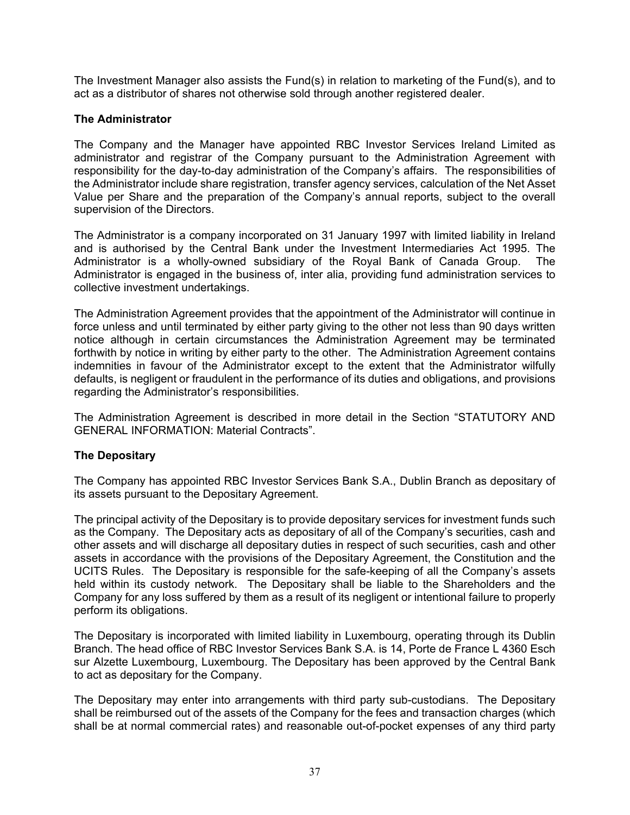The Investment Manager also assists the Fund(s) in relation to marketing of the Fund(s), and to act as a distributor of shares not otherwise sold through another registered dealer.

# **The Administrator**

The Company and the Manager have appointed RBC Investor Services Ireland Limited as administrator and registrar of the Company pursuant to the Administration Agreement with responsibility for the day-to-day administration of the Company's affairs. The responsibilities of the Administrator include share registration, transfer agency services, calculation of the Net Asset Value per Share and the preparation of the Company's annual reports, subject to the overall supervision of the Directors.

The Administrator is a company incorporated on 31 January 1997 with limited liability in Ireland and is authorised by the Central Bank under the Investment Intermediaries Act 1995. The Administrator is a wholly-owned subsidiary of the Royal Bank of Canada Group. The Administrator is engaged in the business of, inter alia, providing fund administration services to collective investment undertakings.

The Administration Agreement provides that the appointment of the Administrator will continue in force unless and until terminated by either party giving to the other not less than 90 days written notice although in certain circumstances the Administration Agreement may be terminated forthwith by notice in writing by either party to the other. The Administration Agreement contains indemnities in favour of the Administrator except to the extent that the Administrator wilfully defaults, is negligent or fraudulent in the performance of its duties and obligations, and provisions regarding the Administrator's responsibilities.

The Administration Agreement is described in more detail in the Section "STATUTORY AND GENERAL INFORMATION: Material Contracts".

# **The Depositary**

The Company has appointed RBC Investor Services Bank S.A., Dublin Branch as depositary of its assets pursuant to the Depositary Agreement.

The principal activity of the Depositary is to provide depositary services for investment funds such as the Company. The Depositary acts as depositary of all of the Company's securities, cash and other assets and will discharge all depositary duties in respect of such securities, cash and other assets in accordance with the provisions of the Depositary Agreement, the Constitution and the UCITS Rules. The Depositary is responsible for the safe-keeping of all the Company's assets held within its custody network. The Depositary shall be liable to the Shareholders and the Company for any loss suffered by them as a result of its negligent or intentional failure to properly perform its obligations.

The Depositary is incorporated with limited liability in Luxembourg, operating through its Dublin Branch. The head office of RBC Investor Services Bank S.A. is 14, Porte de France L 4360 Esch sur Alzette Luxembourg, Luxembourg. The Depositary has been approved by the Central Bank to act as depositary for the Company.

The Depositary may enter into arrangements with third party sub-custodians. The Depositary shall be reimbursed out of the assets of the Company for the fees and transaction charges (which shall be at normal commercial rates) and reasonable out-of-pocket expenses of any third party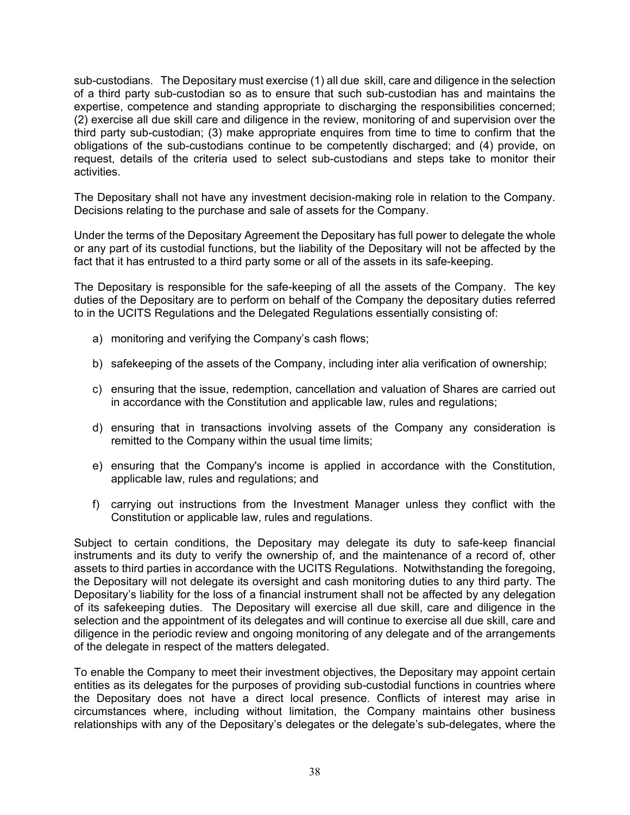sub-custodians. The Depositary must exercise (1) all due skill, care and diligence in the selection of a third party sub-custodian so as to ensure that such sub-custodian has and maintains the expertise, competence and standing appropriate to discharging the responsibilities concerned; (2) exercise all due skill care and diligence in the review, monitoring of and supervision over the third party sub-custodian; (3) make appropriate enquires from time to time to confirm that the obligations of the sub-custodians continue to be competently discharged; and (4) provide, on request, details of the criteria used to select sub-custodians and steps take to monitor their activities.

The Depositary shall not have any investment decision-making role in relation to the Company. Decisions relating to the purchase and sale of assets for the Company.

Under the terms of the Depositary Agreement the Depositary has full power to delegate the whole or any part of its custodial functions, but the liability of the Depositary will not be affected by the fact that it has entrusted to a third party some or all of the assets in its safe-keeping.

The Depositary is responsible for the safe-keeping of all the assets of the Company. The key duties of the Depositary are to perform on behalf of the Company the depositary duties referred to in the UCITS Regulations and the Delegated Regulations essentially consisting of:

- a) monitoring and verifying the Company's cash flows;
- b) safekeeping of the assets of the Company, including inter alia verification of ownership;
- c) ensuring that the issue, redemption, cancellation and valuation of Shares are carried out in accordance with the Constitution and applicable law, rules and regulations;
- d) ensuring that in transactions involving assets of the Company any consideration is remitted to the Company within the usual time limits;
- e) ensuring that the Company's income is applied in accordance with the Constitution, applicable law, rules and regulations; and
- f) carrying out instructions from the Investment Manager unless they conflict with the Constitution or applicable law, rules and regulations.

Subject to certain conditions, the Depositary may delegate its duty to safe-keep financial instruments and its duty to verify the ownership of, and the maintenance of a record of, other assets to third parties in accordance with the UCITS Regulations. Notwithstanding the foregoing, the Depositary will not delegate its oversight and cash monitoring duties to any third party. The Depositary's liability for the loss of a financial instrument shall not be affected by any delegation of its safekeeping duties. The Depositary will exercise all due skill, care and diligence in the selection and the appointment of its delegates and will continue to exercise all due skill, care and diligence in the periodic review and ongoing monitoring of any delegate and of the arrangements of the delegate in respect of the matters delegated.

To enable the Company to meet their investment objectives, the Depositary may appoint certain entities as its delegates for the purposes of providing sub-custodial functions in countries where the Depositary does not have a direct local presence. Conflicts of interest may arise in circumstances where, including without limitation, the Company maintains other business relationships with any of the Depositary's delegates or the delegate's sub-delegates, where the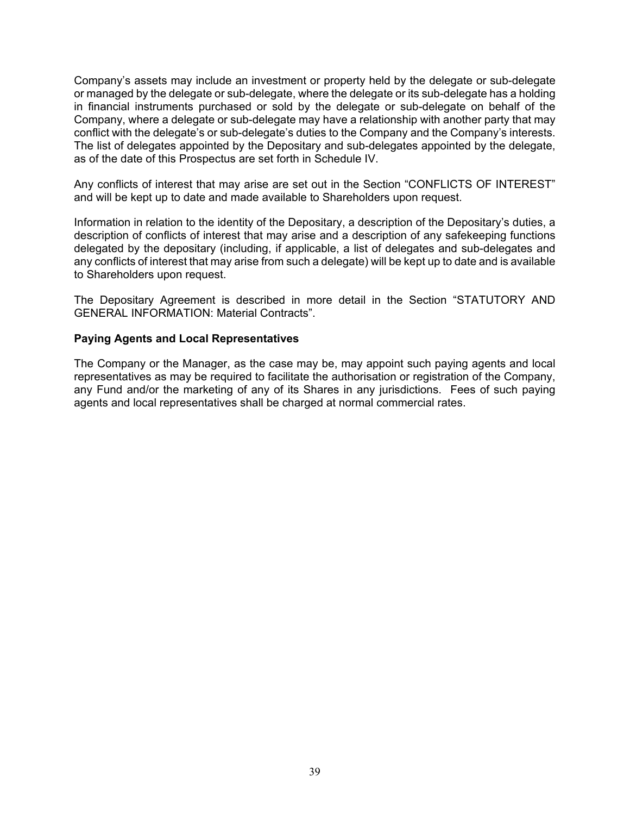Company's assets may include an investment or property held by the delegate or sub-delegate or managed by the delegate or sub-delegate, where the delegate or its sub-delegate has a holding in financial instruments purchased or sold by the delegate or sub-delegate on behalf of the Company, where a delegate or sub-delegate may have a relationship with another party that may conflict with the delegate's or sub-delegate's duties to the Company and the Company's interests. The list of delegates appointed by the Depositary and sub-delegates appointed by the delegate, as of the date of this Prospectus are set forth in Schedule IV.

Any conflicts of interest that may arise are set out in the Section "CONFLICTS OF INTEREST" and will be kept up to date and made available to Shareholders upon request.

Information in relation to the identity of the Depositary, a description of the Depositary's duties, a description of conflicts of interest that may arise and a description of any safekeeping functions delegated by the depositary (including, if applicable, a list of delegates and sub-delegates and any conflicts of interest that may arise from such a delegate) will be kept up to date and is available to Shareholders upon request.

The Depositary Agreement is described in more detail in the Section "STATUTORY AND GENERAL INFORMATION: Material Contracts".

### **Paying Agents and Local Representatives**

The Company or the Manager, as the case may be, may appoint such paying agents and local representatives as may be required to facilitate the authorisation or registration of the Company, any Fund and/or the marketing of any of its Shares in any jurisdictions. Fees of such paying agents and local representatives shall be charged at normal commercial rates.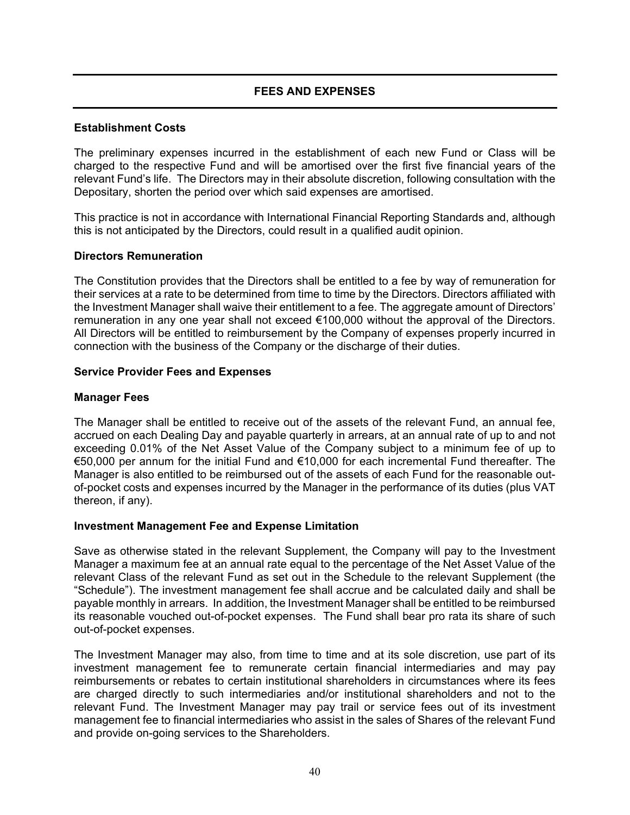# **FEES AND EXPENSES**

### **Establishment Costs**

The preliminary expenses incurred in the establishment of each new Fund or Class will be charged to the respective Fund and will be amortised over the first five financial years of the relevant Fund's life. The Directors may in their absolute discretion, following consultation with the Depositary, shorten the period over which said expenses are amortised.

This practice is not in accordance with International Financial Reporting Standards and, although this is not anticipated by the Directors, could result in a qualified audit opinion.

#### **Directors Remuneration**

The Constitution provides that the Directors shall be entitled to a fee by way of remuneration for their services at a rate to be determined from time to time by the Directors. Directors affiliated with the Investment Manager shall waive their entitlement to a fee. The aggregate amount of Directors' remuneration in any one year shall not exceed €100,000 without the approval of the Directors. All Directors will be entitled to reimbursement by the Company of expenses properly incurred in connection with the business of the Company or the discharge of their duties.

#### **Service Provider Fees and Expenses**

### **Manager Fees**

The Manager shall be entitled to receive out of the assets of the relevant Fund, an annual fee, accrued on each Dealing Day and payable quarterly in arrears, at an annual rate of up to and not exceeding 0.01% of the Net Asset Value of the Company subject to a minimum fee of up to €50,000 per annum for the initial Fund and €10,000 for each incremental Fund thereafter. The Manager is also entitled to be reimbursed out of the assets of each Fund for the reasonable outof-pocket costs and expenses incurred by the Manager in the performance of its duties (plus VAT thereon, if any).

#### **Investment Management Fee and Expense Limitation**

Save as otherwise stated in the relevant Supplement, the Company will pay to the Investment Manager a maximum fee at an annual rate equal to the percentage of the Net Asset Value of the relevant Class of the relevant Fund as set out in the Schedule to the relevant Supplement (the "Schedule"). The investment management fee shall accrue and be calculated daily and shall be payable monthly in arrears. In addition, the Investment Manager shall be entitled to be reimbursed its reasonable vouched out-of-pocket expenses. The Fund shall bear pro rata its share of such out-of-pocket expenses.

The Investment Manager may also, from time to time and at its sole discretion, use part of its investment management fee to remunerate certain financial intermediaries and may pay reimbursements or rebates to certain institutional shareholders in circumstances where its fees are charged directly to such intermediaries and/or institutional shareholders and not to the relevant Fund. The Investment Manager may pay trail or service fees out of its investment management fee to financial intermediaries who assist in the sales of Shares of the relevant Fund and provide on-going services to the Shareholders.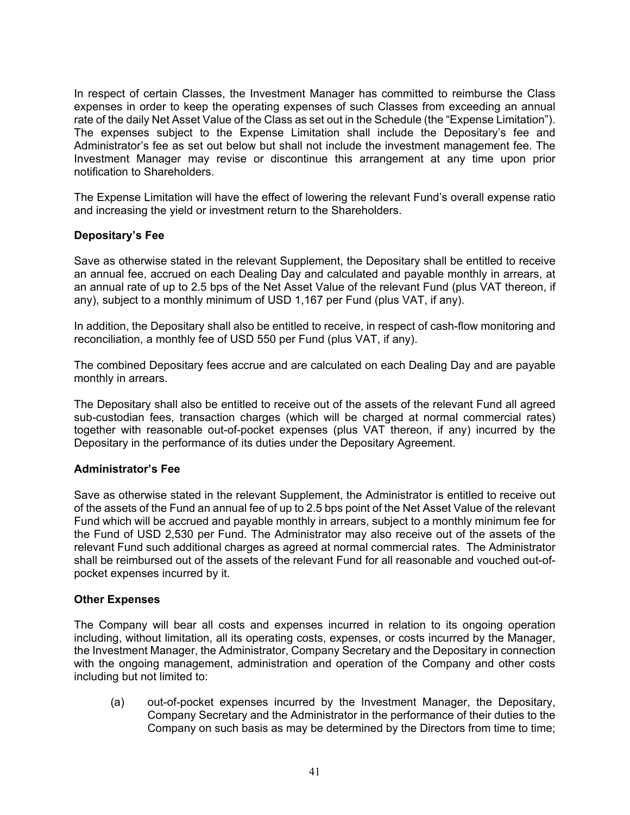In respect of certain Classes, the Investment Manager has committed to reimburse the Class expenses in order to keep the operating expenses of such Classes from exceeding an annual rate of the daily Net Asset Value of the Class as set out in the Schedule (the "Expense Limitation"). The expenses subject to the Expense Limitation shall include the Depositary's fee and Administrator's fee as set out below but shall not include the investment management fee. The Investment Manager may revise or discontinue this arrangement at any time upon prior notification to Shareholders.

The Expense Limitation will have the effect of lowering the relevant Fund's overall expense ratio and increasing the yield or investment return to the Shareholders.

# **Depositary's Fee**

Save as otherwise stated in the relevant Supplement, the Depositary shall be entitled to receive an annual fee, accrued on each Dealing Day and calculated and payable monthly in arrears, at an annual rate of up to 2.5 bps of the Net Asset Value of the relevant Fund (plus VAT thereon, if any), subject to a monthly minimum of USD 1,167 per Fund (plus VAT, if any).

In addition, the Depositary shall also be entitled to receive, in respect of cash-flow monitoring and reconciliation, a monthly fee of USD 550 per Fund (plus VAT, if any).

The combined Depositary fees accrue and are calculated on each Dealing Day and are payable monthly in arrears.

The Depositary shall also be entitled to receive out of the assets of the relevant Fund all agreed sub-custodian fees, transaction charges (which will be charged at normal commercial rates) together with reasonable out-of-pocket expenses (plus VAT thereon, if any) incurred by the Depositary in the performance of its duties under the Depositary Agreement.

### **Administrator's Fee**

Save as otherwise stated in the relevant Supplement, the Administrator is entitled to receive out of the assets of the Fund an annual fee of up to 2.5 bps point of the Net Asset Value of the relevant Fund which will be accrued and payable monthly in arrears, subject to a monthly minimum fee for the Fund of USD 2,530 per Fund. The Administrator may also receive out of the assets of the relevant Fund such additional charges as agreed at normal commercial rates. The Administrator shall be reimbursed out of the assets of the relevant Fund for all reasonable and vouched out-ofpocket expenses incurred by it.

#### **Other Expenses**

The Company will bear all costs and expenses incurred in relation to its ongoing operation including, without limitation, all its operating costs, expenses, or costs incurred by the Manager, the Investment Manager, the Administrator, Company Secretary and the Depositary in connection with the ongoing management, administration and operation of the Company and other costs including but not limited to:

(a) out-of-pocket expenses incurred by the Investment Manager, the Depositary, Company Secretary and the Administrator in the performance of their duties to the Company on such basis as may be determined by the Directors from time to time;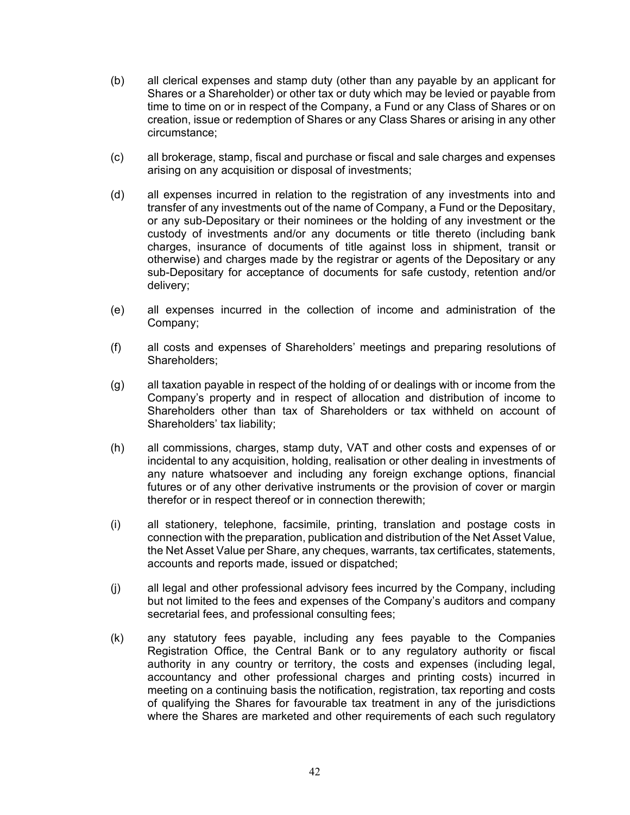- (b) all clerical expenses and stamp duty (other than any payable by an applicant for Shares or a Shareholder) or other tax or duty which may be levied or payable from time to time on or in respect of the Company, a Fund or any Class of Shares or on creation, issue or redemption of Shares or any Class Shares or arising in any other circumstance;
- (c) all brokerage, stamp, fiscal and purchase or fiscal and sale charges and expenses arising on any acquisition or disposal of investments;
- (d) all expenses incurred in relation to the registration of any investments into and transfer of any investments out of the name of Company, a Fund or the Depositary, or any sub-Depositary or their nominees or the holding of any investment or the custody of investments and/or any documents or title thereto (including bank charges, insurance of documents of title against loss in shipment, transit or otherwise) and charges made by the registrar or agents of the Depositary or any sub-Depositary for acceptance of documents for safe custody, retention and/or delivery;
- (e) all expenses incurred in the collection of income and administration of the Company;
- (f) all costs and expenses of Shareholders' meetings and preparing resolutions of Shareholders;
- (g) all taxation payable in respect of the holding of or dealings with or income from the Company's property and in respect of allocation and distribution of income to Shareholders other than tax of Shareholders or tax withheld on account of Shareholders' tax liability;
- (h) all commissions, charges, stamp duty, VAT and other costs and expenses of or incidental to any acquisition, holding, realisation or other dealing in investments of any nature whatsoever and including any foreign exchange options, financial futures or of any other derivative instruments or the provision of cover or margin therefor or in respect thereof or in connection therewith;
- (i) all stationery, telephone, facsimile, printing, translation and postage costs in connection with the preparation, publication and distribution of the Net Asset Value, the Net Asset Value per Share, any cheques, warrants, tax certificates, statements, accounts and reports made, issued or dispatched;
- (j) all legal and other professional advisory fees incurred by the Company, including but not limited to the fees and expenses of the Company's auditors and company secretarial fees, and professional consulting fees;
- (k) any statutory fees payable, including any fees payable to the Companies Registration Office, the Central Bank or to any regulatory authority or fiscal authority in any country or territory, the costs and expenses (including legal, accountancy and other professional charges and printing costs) incurred in meeting on a continuing basis the notification, registration, tax reporting and costs of qualifying the Shares for favourable tax treatment in any of the jurisdictions where the Shares are marketed and other requirements of each such regulatory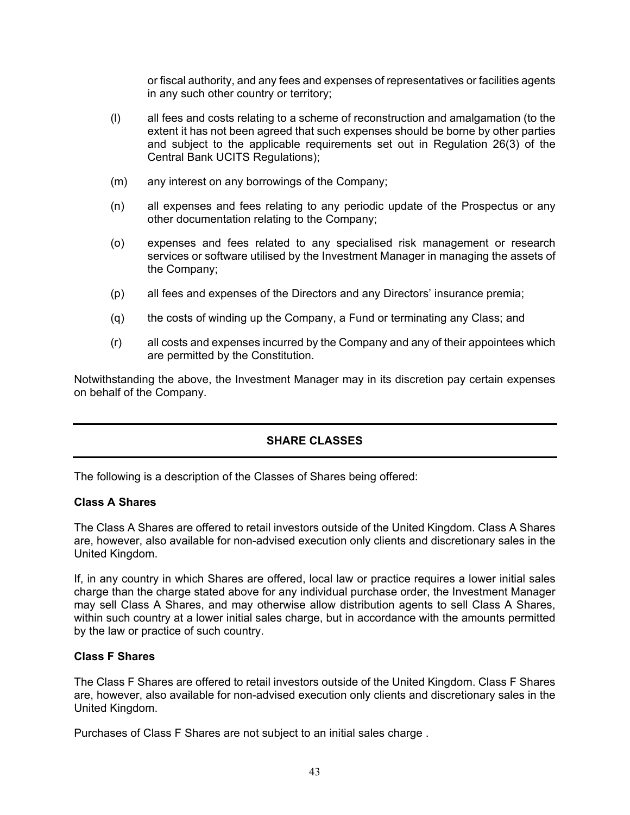or fiscal authority, and any fees and expenses of representatives or facilities agents in any such other country or territory;

- (l) all fees and costs relating to a scheme of reconstruction and amalgamation (to the extent it has not been agreed that such expenses should be borne by other parties and subject to the applicable requirements set out in Regulation 26(3) of the Central Bank UCITS Regulations);
- (m) any interest on any borrowings of the Company;
- (n) all expenses and fees relating to any periodic update of the Prospectus or any other documentation relating to the Company;
- (o) expenses and fees related to any specialised risk management or research services or software utilised by the Investment Manager in managing the assets of the Company;
- (p) all fees and expenses of the Directors and any Directors' insurance premia;
- (q) the costs of winding up the Company, a Fund or terminating any Class; and
- (r) all costs and expenses incurred by the Company and any of their appointees which are permitted by the Constitution.

Notwithstanding the above, the Investment Manager may in its discretion pay certain expenses on behalf of the Company.

# **SHARE CLASSES**

The following is a description of the Classes of Shares being offered:

#### **Class A Shares**

The Class A Shares are offered to retail investors outside of the United Kingdom. Class A Shares are, however, also available for non-advised execution only clients and discretionary sales in the United Kingdom.

If, in any country in which Shares are offered, local law or practice requires a lower initial sales charge than the charge stated above for any individual purchase order, the Investment Manager may sell Class A Shares, and may otherwise allow distribution agents to sell Class A Shares, within such country at a lower initial sales charge, but in accordance with the amounts permitted by the law or practice of such country.

### **Class F Shares**

The Class F Shares are offered to retail investors outside of the United Kingdom. Class F Shares are, however, also available for non-advised execution only clients and discretionary sales in the United Kingdom.

Purchases of Class F Shares are not subject to an initial sales charge .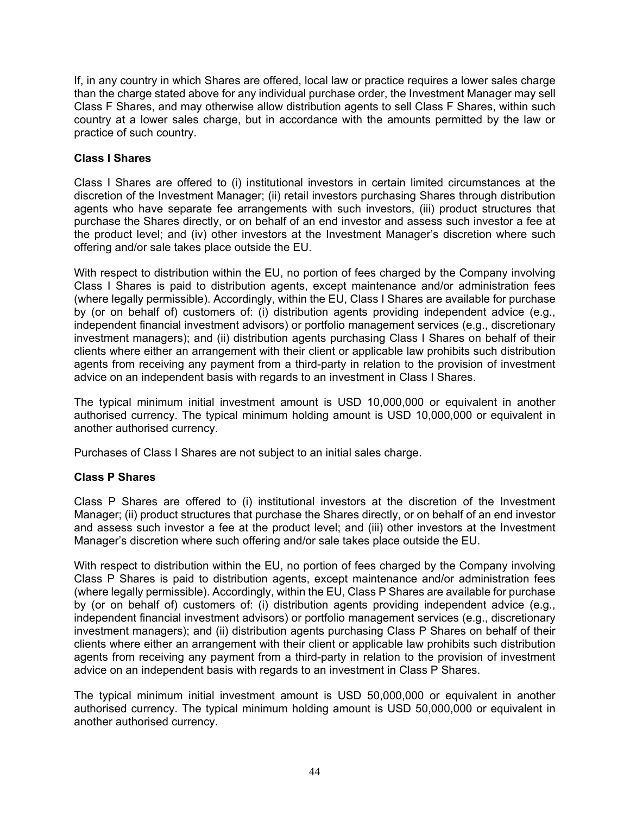If, in any country in which Shares are offered, local law or practice requires a lower sales charge than the charge stated above for any individual purchase order, the Investment Manager may sell Class F Shares, and may otherwise allow distribution agents to sell Class F Shares, within such country at a lower sales charge, but in accordance with the amounts permitted by the law or practice of such country.

# **Class I Shares**

Class I Shares are offered to (i) institutional investors in certain limited circumstances at the discretion of the Investment Manager; (ii) retail investors purchasing Shares through distribution agents who have separate fee arrangements with such investors, (iii) product structures that purchase the Shares directly, or on behalf of an end investor and assess such investor a fee at the product level; and (iv) other investors at the Investment Manager's discretion where such offering and/or sale takes place outside the EU.

With respect to distribution within the EU, no portion of fees charged by the Company involving Class I Shares is paid to distribution agents, except maintenance and/or administration fees (where legally permissible). Accordingly, within the EU, Class I Shares are available for purchase by (or on behalf of) customers of: (i) distribution agents providing independent advice (e.g., independent financial investment advisors) or portfolio management services (e.g., discretionary investment managers); and (ii) distribution agents purchasing Class I Shares on behalf of their clients where either an arrangement with their client or applicable law prohibits such distribution agents from receiving any payment from a third-party in relation to the provision of investment advice on an independent basis with regards to an investment in Class I Shares.

The typical minimum initial investment amount is USD 10,000,000 or equivalent in another authorised currency. The typical minimum holding amount is USD 10,000,000 or equivalent in another authorised currency.

Purchases of Class I Shares are not subject to an initial sales charge.

# **Class P Shares**

Class P Shares are offered to (i) institutional investors at the discretion of the Investment Manager; (ii) product structures that purchase the Shares directly, or on behalf of an end investor and assess such investor a fee at the product level; and (iii) other investors at the Investment Manager's discretion where such offering and/or sale takes place outside the EU.

With respect to distribution within the EU, no portion of fees charged by the Company involving Class P Shares is paid to distribution agents, except maintenance and/or administration fees (where legally permissible). Accordingly, within the EU, Class P Shares are available for purchase by (or on behalf of) customers of: (i) distribution agents providing independent advice (e.g., independent financial investment advisors) or portfolio management services (e.g., discretionary investment managers); and (ii) distribution agents purchasing Class P Shares on behalf of their clients where either an arrangement with their client or applicable law prohibits such distribution agents from receiving any payment from a third-party in relation to the provision of investment advice on an independent basis with regards to an investment in Class P Shares.

The typical minimum initial investment amount is USD 50,000,000 or equivalent in another authorised currency. The typical minimum holding amount is USD 50,000,000 or equivalent in another authorised currency.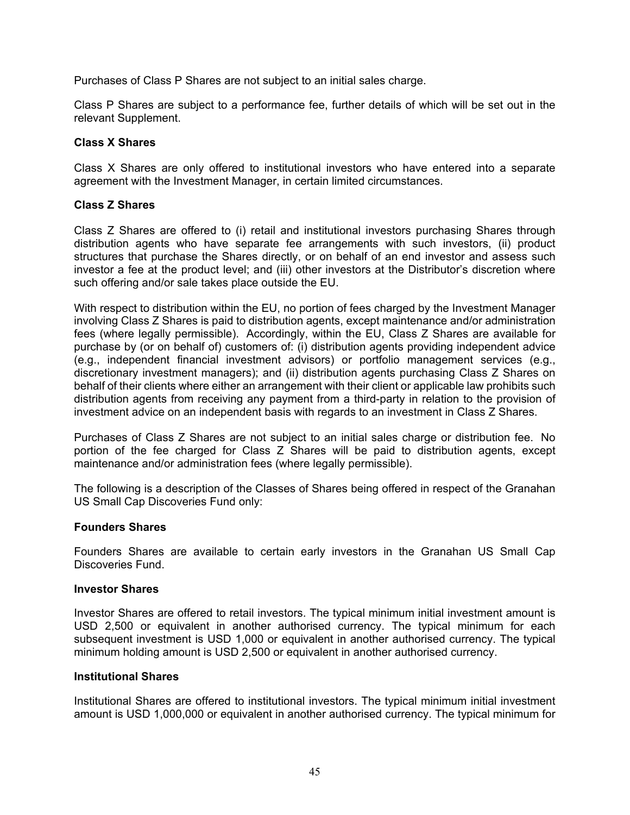Purchases of Class P Shares are not subject to an initial sales charge.

Class P Shares are subject to a performance fee, further details of which will be set out in the relevant Supplement.

### **Class X Shares**

Class X Shares are only offered to institutional investors who have entered into a separate agreement with the Investment Manager, in certain limited circumstances.

### **Class Z Shares**

Class Z Shares are offered to (i) retail and institutional investors purchasing Shares through distribution agents who have separate fee arrangements with such investors, (ii) product structures that purchase the Shares directly, or on behalf of an end investor and assess such investor a fee at the product level; and (iii) other investors at the Distributor's discretion where such offering and/or sale takes place outside the EU.

With respect to distribution within the EU, no portion of fees charged by the Investment Manager involving Class Z Shares is paid to distribution agents, except maintenance and/or administration fees (where legally permissible). Accordingly, within the EU, Class Z Shares are available for purchase by (or on behalf of) customers of: (i) distribution agents providing independent advice (e.g., independent financial investment advisors) or portfolio management services (e.g., discretionary investment managers); and (ii) distribution agents purchasing Class Z Shares on behalf of their clients where either an arrangement with their client or applicable law prohibits such distribution agents from receiving any payment from a third-party in relation to the provision of investment advice on an independent basis with regards to an investment in Class Z Shares.

Purchases of Class Z Shares are not subject to an initial sales charge or distribution fee. No portion of the fee charged for Class Z Shares will be paid to distribution agents, except maintenance and/or administration fees (where legally permissible).

The following is a description of the Classes of Shares being offered in respect of the Granahan US Small Cap Discoveries Fund only:

#### **Founders Shares**

Founders Shares are available to certain early investors in the Granahan US Small Cap Discoveries Fund.

#### **Investor Shares**

Investor Shares are offered to retail investors. The typical minimum initial investment amount is USD 2,500 or equivalent in another authorised currency. The typical minimum for each subsequent investment is USD 1,000 or equivalent in another authorised currency. The typical minimum holding amount is USD 2,500 or equivalent in another authorised currency.

#### **Institutional Shares**

Institutional Shares are offered to institutional investors. The typical minimum initial investment amount is USD 1,000,000 or equivalent in another authorised currency. The typical minimum for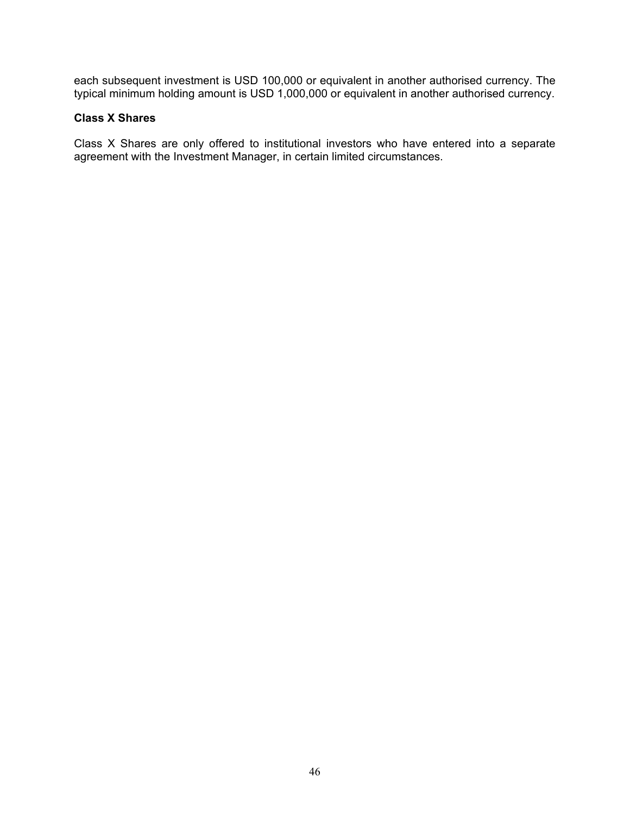each subsequent investment is USD 100,000 or equivalent in another authorised currency. The typical minimum holding amount is USD 1,000,000 or equivalent in another authorised currency.

### **Class X Shares**

Class X Shares are only offered to institutional investors who have entered into a separate agreement with the Investment Manager, in certain limited circumstances.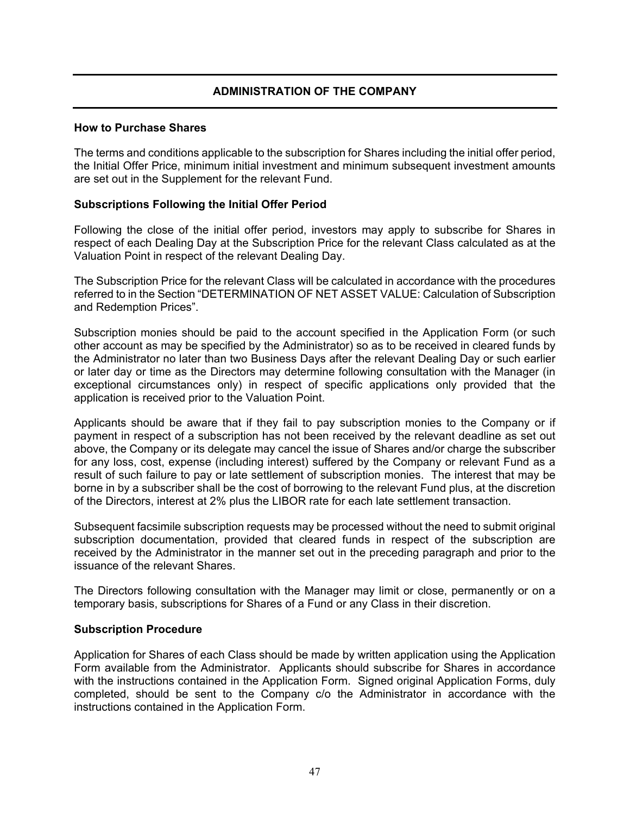# **ADMINISTRATION OF THE COMPANY**

#### **How to Purchase Shares**

The terms and conditions applicable to the subscription for Shares including the initial offer period, the Initial Offer Price, minimum initial investment and minimum subsequent investment amounts are set out in the Supplement for the relevant Fund.

### **Subscriptions Following the Initial Offer Period**

Following the close of the initial offer period, investors may apply to subscribe for Shares in respect of each Dealing Day at the Subscription Price for the relevant Class calculated as at the Valuation Point in respect of the relevant Dealing Day.

The Subscription Price for the relevant Class will be calculated in accordance with the procedures referred to in the Section "DETERMINATION OF NET ASSET VALUE: Calculation of Subscription and Redemption Prices".

Subscription monies should be paid to the account specified in the Application Form (or such other account as may be specified by the Administrator) so as to be received in cleared funds by the Administrator no later than two Business Days after the relevant Dealing Day or such earlier or later day or time as the Directors may determine following consultation with the Manager (in exceptional circumstances only) in respect of specific applications only provided that the application is received prior to the Valuation Point.

Applicants should be aware that if they fail to pay subscription monies to the Company or if payment in respect of a subscription has not been received by the relevant deadline as set out above, the Company or its delegate may cancel the issue of Shares and/or charge the subscriber for any loss, cost, expense (including interest) suffered by the Company or relevant Fund as a result of such failure to pay or late settlement of subscription monies. The interest that may be borne in by a subscriber shall be the cost of borrowing to the relevant Fund plus, at the discretion of the Directors, interest at 2% plus the LIBOR rate for each late settlement transaction.

Subsequent facsimile subscription requests may be processed without the need to submit original subscription documentation, provided that cleared funds in respect of the subscription are received by the Administrator in the manner set out in the preceding paragraph and prior to the issuance of the relevant Shares.

The Directors following consultation with the Manager may limit or close, permanently or on a temporary basis, subscriptions for Shares of a Fund or any Class in their discretion.

#### **Subscription Procedure**

Application for Shares of each Class should be made by written application using the Application Form available from the Administrator. Applicants should subscribe for Shares in accordance with the instructions contained in the Application Form. Signed original Application Forms, duly completed, should be sent to the Company c/o the Administrator in accordance with the instructions contained in the Application Form.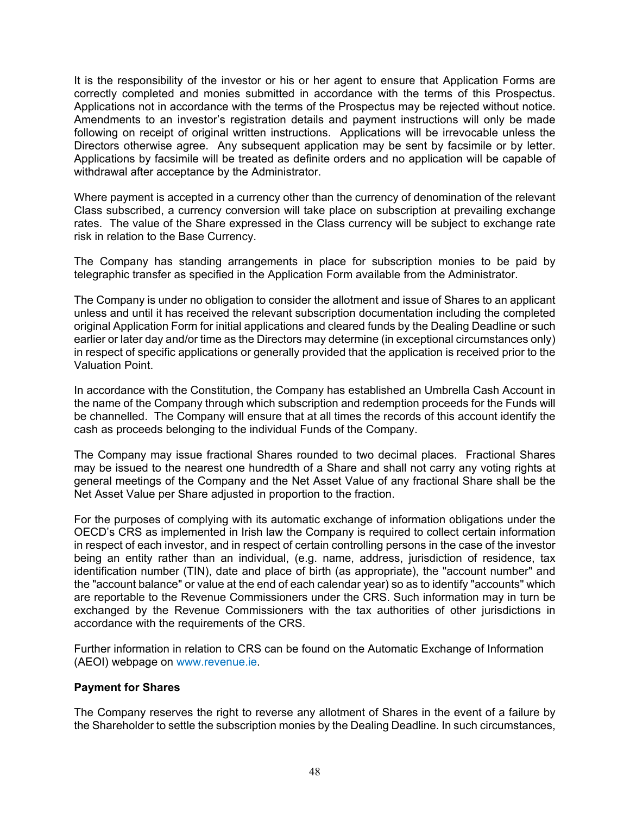It is the responsibility of the investor or his or her agent to ensure that Application Forms are correctly completed and monies submitted in accordance with the terms of this Prospectus. Applications not in accordance with the terms of the Prospectus may be rejected without notice. Amendments to an investor's registration details and payment instructions will only be made following on receipt of original written instructions. Applications will be irrevocable unless the Directors otherwise agree. Any subsequent application may be sent by facsimile or by letter. Applications by facsimile will be treated as definite orders and no application will be capable of withdrawal after acceptance by the Administrator.

Where payment is accepted in a currency other than the currency of denomination of the relevant Class subscribed, a currency conversion will take place on subscription at prevailing exchange rates. The value of the Share expressed in the Class currency will be subject to exchange rate risk in relation to the Base Currency.

The Company has standing arrangements in place for subscription monies to be paid by telegraphic transfer as specified in the Application Form available from the Administrator.

The Company is under no obligation to consider the allotment and issue of Shares to an applicant unless and until it has received the relevant subscription documentation including the completed original Application Form for initial applications and cleared funds by the Dealing Deadline or such earlier or later day and/or time as the Directors may determine (in exceptional circumstances only) in respect of specific applications or generally provided that the application is received prior to the Valuation Point.

In accordance with the Constitution, the Company has established an Umbrella Cash Account in the name of the Company through which subscription and redemption proceeds for the Funds will be channelled. The Company will ensure that at all times the records of this account identify the cash as proceeds belonging to the individual Funds of the Company.

The Company may issue fractional Shares rounded to two decimal places. Fractional Shares may be issued to the nearest one hundredth of a Share and shall not carry any voting rights at general meetings of the Company and the Net Asset Value of any fractional Share shall be the Net Asset Value per Share adjusted in proportion to the fraction.

For the purposes of complying with its automatic exchange of information obligations under the OECD's CRS as implemented in Irish law the Company is required to collect certain information in respect of each investor, and in respect of certain controlling persons in the case of the investor being an entity rather than an individual, (e.g. name, address, jurisdiction of residence, tax identification number (TIN), date and place of birth (as appropriate), the "account number" and the "account balance" or value at the end of each calendar year) so as to identify "accounts" which are reportable to the Revenue Commissioners under the CRS. Such information may in turn be exchanged by the Revenue Commissioners with the tax authorities of other jurisdictions in accordance with the requirements of the CRS.

Further information in relation to CRS can be found on the Automatic Exchange of Information (AEOI) webpage on www.revenue.ie.

# **Payment for Shares**

The Company reserves the right to reverse any allotment of Shares in the event of a failure by the Shareholder to settle the subscription monies by the Dealing Deadline. In such circumstances,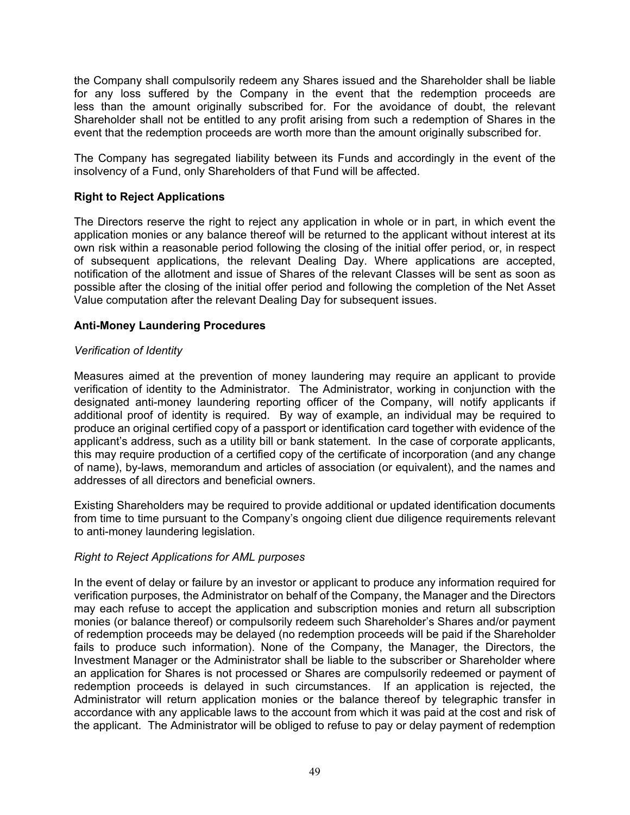the Company shall compulsorily redeem any Shares issued and the Shareholder shall be liable for any loss suffered by the Company in the event that the redemption proceeds are less than the amount originally subscribed for. For the avoidance of doubt, the relevant Shareholder shall not be entitled to any profit arising from such a redemption of Shares in the event that the redemption proceeds are worth more than the amount originally subscribed for.

The Company has segregated liability between its Funds and accordingly in the event of the insolvency of a Fund, only Shareholders of that Fund will be affected.

# **Right to Reject Applications**

The Directors reserve the right to reject any application in whole or in part, in which event the application monies or any balance thereof will be returned to the applicant without interest at its own risk within a reasonable period following the closing of the initial offer period, or, in respect of subsequent applications, the relevant Dealing Day. Where applications are accepted, notification of the allotment and issue of Shares of the relevant Classes will be sent as soon as possible after the closing of the initial offer period and following the completion of the Net Asset Value computation after the relevant Dealing Day for subsequent issues.

# **Anti-Money Laundering Procedures**

# *Verification of Identity*

Measures aimed at the prevention of money laundering may require an applicant to provide verification of identity to the Administrator. The Administrator, working in conjunction with the designated anti-money laundering reporting officer of the Company, will notify applicants if additional proof of identity is required. By way of example, an individual may be required to produce an original certified copy of a passport or identification card together with evidence of the applicant's address, such as a utility bill or bank statement. In the case of corporate applicants, this may require production of a certified copy of the certificate of incorporation (and any change of name), by-laws, memorandum and articles of association (or equivalent), and the names and addresses of all directors and beneficial owners.

Existing Shareholders may be required to provide additional or updated identification documents from time to time pursuant to the Company's ongoing client due diligence requirements relevant to anti-money laundering legislation.

# *Right to Reject Applications for AML purposes*

In the event of delay or failure by an investor or applicant to produce any information required for verification purposes, the Administrator on behalf of the Company, the Manager and the Directors may each refuse to accept the application and subscription monies and return all subscription monies (or balance thereof) or compulsorily redeem such Shareholder's Shares and/or payment of redemption proceeds may be delayed (no redemption proceeds will be paid if the Shareholder fails to produce such information). None of the Company, the Manager, the Directors, the Investment Manager or the Administrator shall be liable to the subscriber or Shareholder where an application for Shares is not processed or Shares are compulsorily redeemed or payment of redemption proceeds is delayed in such circumstances. If an application is rejected, the Administrator will return application monies or the balance thereof by telegraphic transfer in accordance with any applicable laws to the account from which it was paid at the cost and risk of the applicant. The Administrator will be obliged to refuse to pay or delay payment of redemption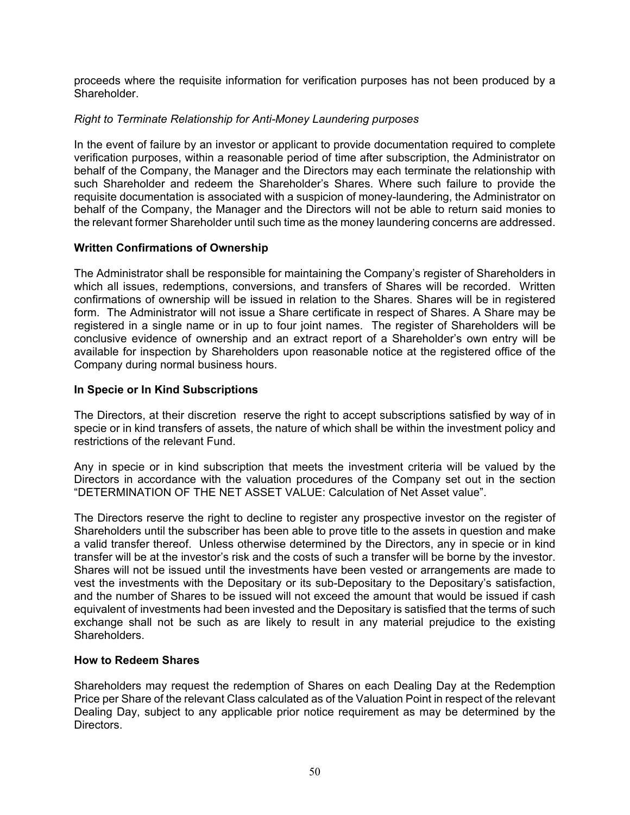proceeds where the requisite information for verification purposes has not been produced by a Shareholder.

# *Right to Terminate Relationship for Anti-Money Laundering purposes*

In the event of failure by an investor or applicant to provide documentation required to complete verification purposes, within a reasonable period of time after subscription, the Administrator on behalf of the Company, the Manager and the Directors may each terminate the relationship with such Shareholder and redeem the Shareholder's Shares. Where such failure to provide the requisite documentation is associated with a suspicion of money-laundering, the Administrator on behalf of the Company, the Manager and the Directors will not be able to return said monies to the relevant former Shareholder until such time as the money laundering concerns are addressed.

# **Written Confirmations of Ownership**

The Administrator shall be responsible for maintaining the Company's register of Shareholders in which all issues, redemptions, conversions, and transfers of Shares will be recorded. Written confirmations of ownership will be issued in relation to the Shares. Shares will be in registered form. The Administrator will not issue a Share certificate in respect of Shares. A Share may be registered in a single name or in up to four joint names. The register of Shareholders will be conclusive evidence of ownership and an extract report of a Shareholder's own entry will be available for inspection by Shareholders upon reasonable notice at the registered office of the Company during normal business hours.

# **In Specie or In Kind Subscriptions**

The Directors, at their discretion reserve the right to accept subscriptions satisfied by way of in specie or in kind transfers of assets, the nature of which shall be within the investment policy and restrictions of the relevant Fund.

Any in specie or in kind subscription that meets the investment criteria will be valued by the Directors in accordance with the valuation procedures of the Company set out in the section "DETERMINATION OF THE NET ASSET VALUE: Calculation of Net Asset value".

The Directors reserve the right to decline to register any prospective investor on the register of Shareholders until the subscriber has been able to prove title to the assets in question and make a valid transfer thereof. Unless otherwise determined by the Directors, any in specie or in kind transfer will be at the investor's risk and the costs of such a transfer will be borne by the investor. Shares will not be issued until the investments have been vested or arrangements are made to vest the investments with the Depositary or its sub-Depositary to the Depositary's satisfaction, and the number of Shares to be issued will not exceed the amount that would be issued if cash equivalent of investments had been invested and the Depositary is satisfied that the terms of such exchange shall not be such as are likely to result in any material prejudice to the existing Shareholders.

# **How to Redeem Shares**

Shareholders may request the redemption of Shares on each Dealing Day at the Redemption Price per Share of the relevant Class calculated as of the Valuation Point in respect of the relevant Dealing Day, subject to any applicable prior notice requirement as may be determined by the Directors.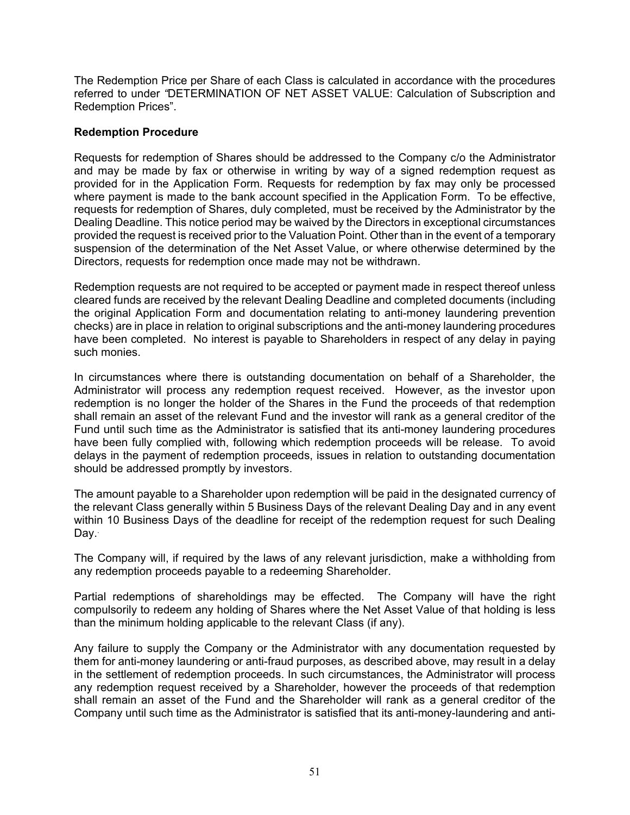The Redemption Price per Share of each Class is calculated in accordance with the procedures referred to under *"*DETERMINATION OF NET ASSET VALUE: Calculation of Subscription and Redemption Prices".

### **Redemption Procedure**

Requests for redemption of Shares should be addressed to the Company c/o the Administrator and may be made by fax or otherwise in writing by way of a signed redemption request as provided for in the Application Form. Requests for redemption by fax may only be processed where payment is made to the bank account specified in the Application Form. To be effective, requests for redemption of Shares, duly completed, must be received by the Administrator by the Dealing Deadline. This notice period may be waived by the Directors in exceptional circumstances provided the request is received prior to the Valuation Point. Other than in the event of a temporary suspension of the determination of the Net Asset Value, or where otherwise determined by the Directors, requests for redemption once made may not be withdrawn.

Redemption requests are not required to be accepted or payment made in respect thereof unless cleared funds are received by the relevant Dealing Deadline and completed documents (including the original Application Form and documentation relating to anti-money laundering prevention checks) are in place in relation to original subscriptions and the anti-money laundering procedures have been completed. No interest is payable to Shareholders in respect of any delay in paying such monies.

In circumstances where there is outstanding documentation on behalf of a Shareholder, the Administrator will process any redemption request received. However, as the investor upon redemption is no longer the holder of the Shares in the Fund the proceeds of that redemption shall remain an asset of the relevant Fund and the investor will rank as a general creditor of the Fund until such time as the Administrator is satisfied that its anti-money laundering procedures have been fully complied with, following which redemption proceeds will be release. To avoid delays in the payment of redemption proceeds, issues in relation to outstanding documentation should be addressed promptly by investors.

The amount payable to a Shareholder upon redemption will be paid in the designated currency of the relevant Class generally within 5 Business Days of the relevant Dealing Day and in any event within 10 Business Days of the deadline for receipt of the redemption request for such Dealing Day.

The Company will, if required by the laws of any relevant jurisdiction, make a withholding from any redemption proceeds payable to a redeeming Shareholder.

Partial redemptions of shareholdings may be effected. The Company will have the right compulsorily to redeem any holding of Shares where the Net Asset Value of that holding is less than the minimum holding applicable to the relevant Class (if any).

Any failure to supply the Company or the Administrator with any documentation requested by them for anti-money laundering or anti-fraud purposes, as described above, may result in a delay in the settlement of redemption proceeds. In such circumstances, the Administrator will process any redemption request received by a Shareholder, however the proceeds of that redemption shall remain an asset of the Fund and the Shareholder will rank as a general creditor of the Company until such time as the Administrator is satisfied that its anti-money-laundering and anti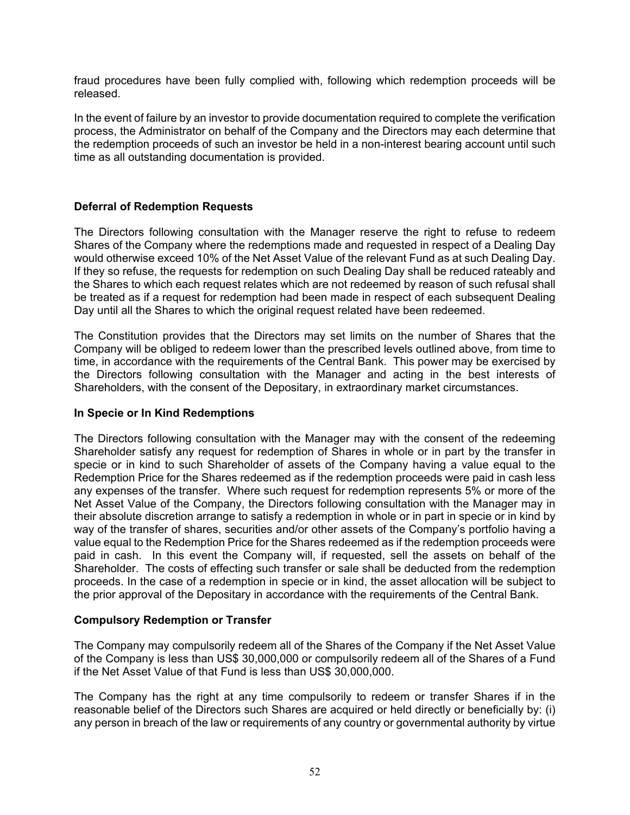fraud procedures have been fully complied with, following which redemption proceeds will be released.

In the event of failure by an investor to provide documentation required to complete the verification process, the Administrator on behalf of the Company and the Directors may each determine that the redemption proceeds of such an investor be held in a non-interest bearing account until such time as all outstanding documentation is provided.

# **Deferral of Redemption Requests**

The Directors following consultation with the Manager reserve the right to refuse to redeem Shares of the Company where the redemptions made and requested in respect of a Dealing Day would otherwise exceed 10% of the Net Asset Value of the relevant Fund as at such Dealing Day. If they so refuse, the requests for redemption on such Dealing Day shall be reduced rateably and the Shares to which each request relates which are not redeemed by reason of such refusal shall be treated as if a request for redemption had been made in respect of each subsequent Dealing Day until all the Shares to which the original request related have been redeemed.

The Constitution provides that the Directors may set limits on the number of Shares that the Company will be obliged to redeem lower than the prescribed levels outlined above, from time to time, in accordance with the requirements of the Central Bank. This power may be exercised by the Directors following consultation with the Manager and acting in the best interests of Shareholders, with the consent of the Depositary, in extraordinary market circumstances.

### **In Specie or In Kind Redemptions**

The Directors following consultation with the Manager may with the consent of the redeeming Shareholder satisfy any request for redemption of Shares in whole or in part by the transfer in specie or in kind to such Shareholder of assets of the Company having a value equal to the Redemption Price for the Shares redeemed as if the redemption proceeds were paid in cash less any expenses of the transfer. Where such request for redemption represents 5% or more of the Net Asset Value of the Company, the Directors following consultation with the Manager may in their absolute discretion arrange to satisfy a redemption in whole or in part in specie or in kind by way of the transfer of shares, securities and/or other assets of the Company's portfolio having a value equal to the Redemption Price for the Shares redeemed as if the redemption proceeds were paid in cash. In this event the Company will, if requested, sell the assets on behalf of the Shareholder. The costs of effecting such transfer or sale shall be deducted from the redemption proceeds. In the case of a redemption in specie or in kind, the asset allocation will be subject to the prior approval of the Depositary in accordance with the requirements of the Central Bank.

# **Compulsory Redemption or Transfer**

The Company may compulsorily redeem all of the Shares of the Company if the Net Asset Value of the Company is less than US\$ 30,000,000 or compulsorily redeem all of the Shares of a Fund if the Net Asset Value of that Fund is less than US\$ 30,000,000.

The Company has the right at any time compulsorily to redeem or transfer Shares if in the reasonable belief of the Directors such Shares are acquired or held directly or beneficially by: (i) any person in breach of the law or requirements of any country or governmental authority by virtue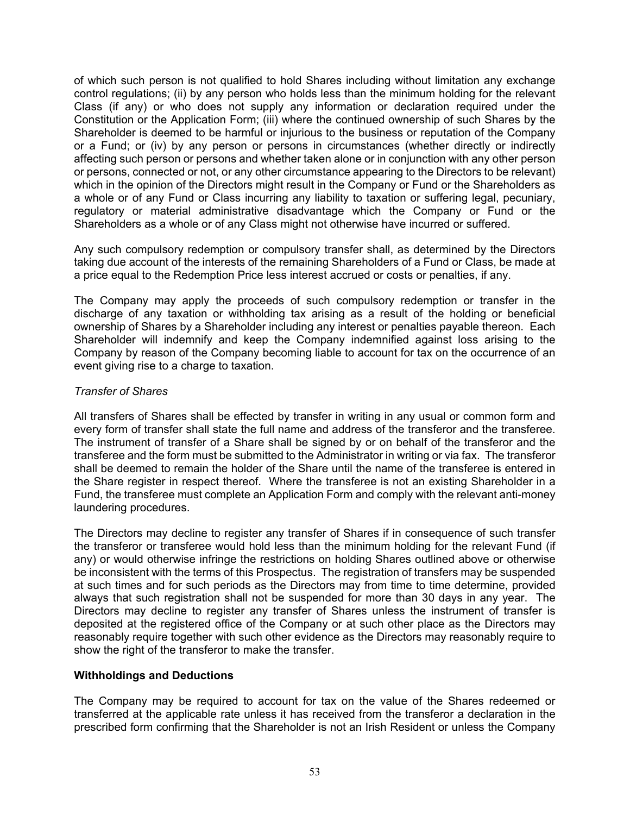of which such person is not qualified to hold Shares including without limitation any exchange control regulations; (ii) by any person who holds less than the minimum holding for the relevant Class (if any) or who does not supply any information or declaration required under the Constitution or the Application Form; (iii) where the continued ownership of such Shares by the Shareholder is deemed to be harmful or injurious to the business or reputation of the Company or a Fund; or (iv) by any person or persons in circumstances (whether directly or indirectly affecting such person or persons and whether taken alone or in conjunction with any other person or persons, connected or not, or any other circumstance appearing to the Directors to be relevant) which in the opinion of the Directors might result in the Company or Fund or the Shareholders as a whole or of any Fund or Class incurring any liability to taxation or suffering legal, pecuniary, regulatory or material administrative disadvantage which the Company or Fund or the Shareholders as a whole or of any Class might not otherwise have incurred or suffered.

Any such compulsory redemption or compulsory transfer shall, as determined by the Directors taking due account of the interests of the remaining Shareholders of a Fund or Class, be made at a price equal to the Redemption Price less interest accrued or costs or penalties, if any.

The Company may apply the proceeds of such compulsory redemption or transfer in the discharge of any taxation or withholding tax arising as a result of the holding or beneficial ownership of Shares by a Shareholder including any interest or penalties payable thereon. Each Shareholder will indemnify and keep the Company indemnified against loss arising to the Company by reason of the Company becoming liable to account for tax on the occurrence of an event giving rise to a charge to taxation.

# *Transfer of Shares*

All transfers of Shares shall be effected by transfer in writing in any usual or common form and every form of transfer shall state the full name and address of the transferor and the transferee. The instrument of transfer of a Share shall be signed by or on behalf of the transferor and the transferee and the form must be submitted to the Administrator in writing or via fax. The transferor shall be deemed to remain the holder of the Share until the name of the transferee is entered in the Share register in respect thereof. Where the transferee is not an existing Shareholder in a Fund, the transferee must complete an Application Form and comply with the relevant anti-money laundering procedures.

The Directors may decline to register any transfer of Shares if in consequence of such transfer the transferor or transferee would hold less than the minimum holding for the relevant Fund (if any) or would otherwise infringe the restrictions on holding Shares outlined above or otherwise be inconsistent with the terms of this Prospectus. The registration of transfers may be suspended at such times and for such periods as the Directors may from time to time determine, provided always that such registration shall not be suspended for more than 30 days in any year. The Directors may decline to register any transfer of Shares unless the instrument of transfer is deposited at the registered office of the Company or at such other place as the Directors may reasonably require together with such other evidence as the Directors may reasonably require to show the right of the transferor to make the transfer.

# **Withholdings and Deductions**

The Company may be required to account for tax on the value of the Shares redeemed or transferred at the applicable rate unless it has received from the transferor a declaration in the prescribed form confirming that the Shareholder is not an Irish Resident or unless the Company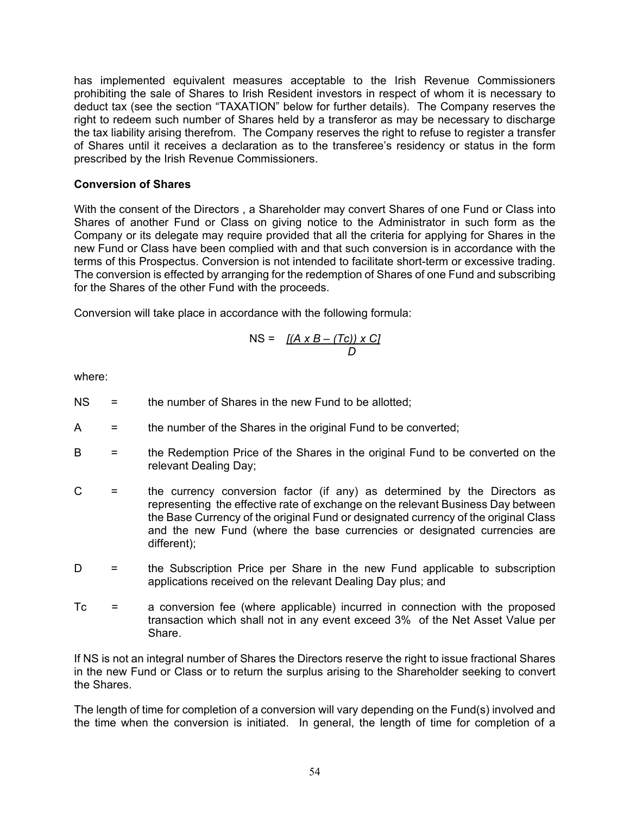has implemented equivalent measures acceptable to the Irish Revenue Commissioners prohibiting the sale of Shares to Irish Resident investors in respect of whom it is necessary to deduct tax (see the section "TAXATION" below for further details). The Company reserves the right to redeem such number of Shares held by a transferor as may be necessary to discharge the tax liability arising therefrom. The Company reserves the right to refuse to register a transfer of Shares until it receives a declaration as to the transferee's residency or status in the form prescribed by the Irish Revenue Commissioners.

# **Conversion of Shares**

With the consent of the Directors , a Shareholder may convert Shares of one Fund or Class into Shares of another Fund or Class on giving notice to the Administrator in such form as the Company or its delegate may require provided that all the criteria for applying for Shares in the new Fund or Class have been complied with and that such conversion is in accordance with the terms of this Prospectus. Conversion is not intended to facilitate short-term or excessive trading. The conversion is effected by arranging for the redemption of Shares of one Fund and subscribing for the Shares of the other Fund with the proceeds.

Conversion will take place in accordance with the following formula:

$$
NS = \frac{[(A \times B - (Tc)) \times C]}{D}
$$

where:

- $NS =$  the number of Shares in the new Fund to be allotted;
- A = the number of the Shares in the original Fund to be converted;
- B  $=$  the Redemption Price of the Shares in the original Fund to be converted on the relevant Dealing Day;
- $C =$  the currency conversion factor (if any) as determined by the Directors as representing the effective rate of exchange on the relevant Business Day between the Base Currency of the original Fund or designated currency of the original Class and the new Fund (where the base currencies or designated currencies are different);
- D = the Subscription Price per Share in the new Fund applicable to subscription applications received on the relevant Dealing Day plus; and
- Tc *=* a conversion fee (where applicable) incurred in connection with the proposed transaction which shall not in any event exceed 3% of the Net Asset Value per Share.

If NS is not an integral number of Shares the Directors reserve the right to issue fractional Shares in the new Fund or Class or to return the surplus arising to the Shareholder seeking to convert the Shares.

The length of time for completion of a conversion will vary depending on the Fund(s) involved and the time when the conversion is initiated. In general, the length of time for completion of a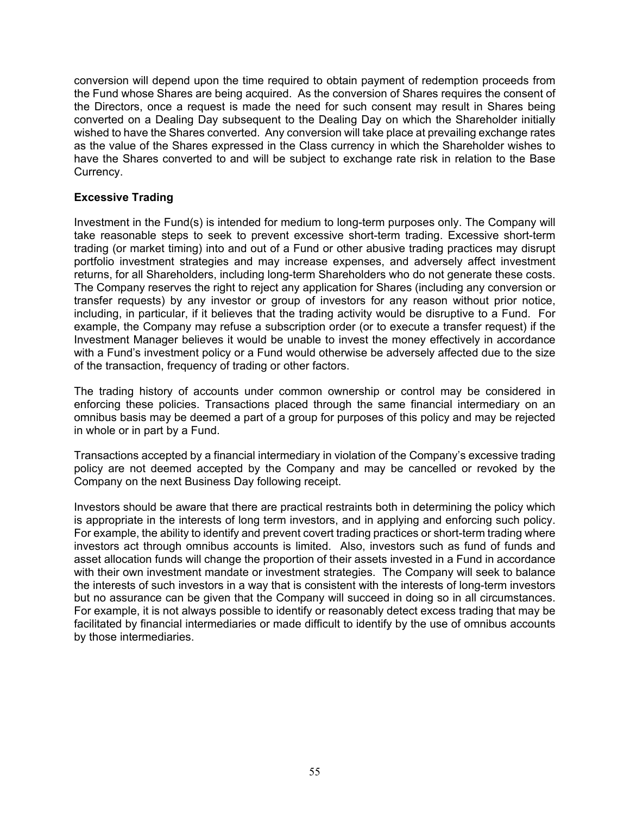conversion will depend upon the time required to obtain payment of redemption proceeds from the Fund whose Shares are being acquired. As the conversion of Shares requires the consent of the Directors, once a request is made the need for such consent may result in Shares being converted on a Dealing Day subsequent to the Dealing Day on which the Shareholder initially wished to have the Shares converted. Any conversion will take place at prevailing exchange rates as the value of the Shares expressed in the Class currency in which the Shareholder wishes to have the Shares converted to and will be subject to exchange rate risk in relation to the Base Currency.

# **Excessive Trading**

Investment in the Fund(s) is intended for medium to long-term purposes only. The Company will take reasonable steps to seek to prevent excessive short-term trading. Excessive short-term trading (or market timing) into and out of a Fund or other abusive trading practices may disrupt portfolio investment strategies and may increase expenses, and adversely affect investment returns, for all Shareholders, including long-term Shareholders who do not generate these costs. The Company reserves the right to reject any application for Shares (including any conversion or transfer requests) by any investor or group of investors for any reason without prior notice, including, in particular, if it believes that the trading activity would be disruptive to a Fund. For example, the Company may refuse a subscription order (or to execute a transfer request) if the Investment Manager believes it would be unable to invest the money effectively in accordance with a Fund's investment policy or a Fund would otherwise be adversely affected due to the size of the transaction, frequency of trading or other factors.

The trading history of accounts under common ownership or control may be considered in enforcing these policies. Transactions placed through the same financial intermediary on an omnibus basis may be deemed a part of a group for purposes of this policy and may be rejected in whole or in part by a Fund.

Transactions accepted by a financial intermediary in violation of the Company's excessive trading policy are not deemed accepted by the Company and may be cancelled or revoked by the Company on the next Business Day following receipt.

Investors should be aware that there are practical restraints both in determining the policy which is appropriate in the interests of long term investors, and in applying and enforcing such policy. For example, the ability to identify and prevent covert trading practices or short-term trading where investors act through omnibus accounts is limited. Also, investors such as fund of funds and asset allocation funds will change the proportion of their assets invested in a Fund in accordance with their own investment mandate or investment strategies. The Company will seek to balance the interests of such investors in a way that is consistent with the interests of long-term investors but no assurance can be given that the Company will succeed in doing so in all circumstances. For example, it is not always possible to identify or reasonably detect excess trading that may be facilitated by financial intermediaries or made difficult to identify by the use of omnibus accounts by those intermediaries.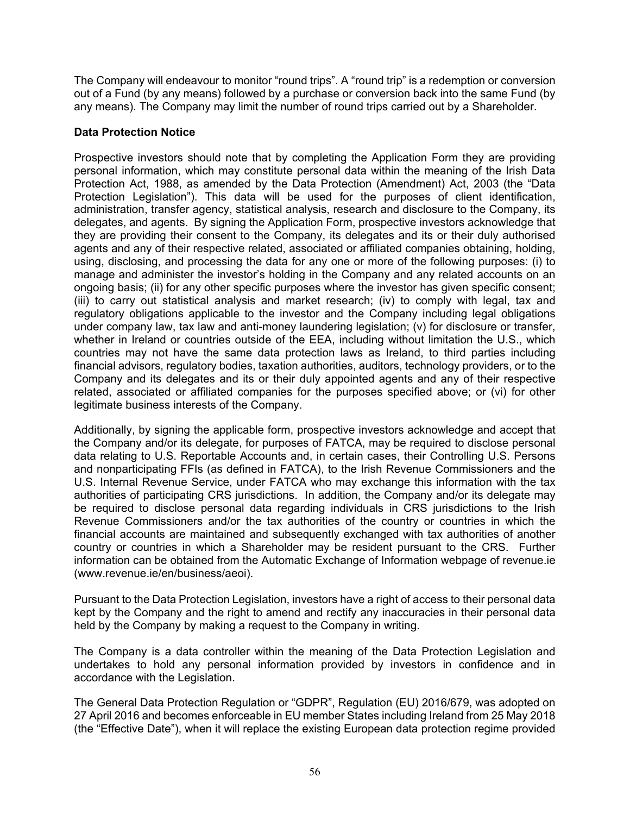The Company will endeavour to monitor "round trips". A "round trip" is a redemption or conversion out of a Fund (by any means) followed by a purchase or conversion back into the same Fund (by any means). The Company may limit the number of round trips carried out by a Shareholder.

# **Data Protection Notice**

Prospective investors should note that by completing the Application Form they are providing personal information, which may constitute personal data within the meaning of the Irish Data Protection Act, 1988, as amended by the Data Protection (Amendment) Act, 2003 (the "Data Protection Legislation"). This data will be used for the purposes of client identification, administration, transfer agency, statistical analysis, research and disclosure to the Company, its delegates, and agents. By signing the Application Form, prospective investors acknowledge that they are providing their consent to the Company, its delegates and its or their duly authorised agents and any of their respective related, associated or affiliated companies obtaining, holding, using, disclosing, and processing the data for any one or more of the following purposes: (i) to manage and administer the investor's holding in the Company and any related accounts on an ongoing basis; (ii) for any other specific purposes where the investor has given specific consent; (iii) to carry out statistical analysis and market research; (iv) to comply with legal, tax and regulatory obligations applicable to the investor and the Company including legal obligations under company law, tax law and anti-money laundering legislation; (v) for disclosure or transfer, whether in Ireland or countries outside of the EEA, including without limitation the U.S., which countries may not have the same data protection laws as Ireland, to third parties including financial advisors, regulatory bodies, taxation authorities, auditors, technology providers, or to the Company and its delegates and its or their duly appointed agents and any of their respective related, associated or affiliated companies for the purposes specified above; or (vi) for other legitimate business interests of the Company.

Additionally, by signing the applicable form, prospective investors acknowledge and accept that the Company and/or its delegate, for purposes of FATCA, may be required to disclose personal data relating to U.S. Reportable Accounts and, in certain cases, their Controlling U.S. Persons and nonparticipating FFIs (as defined in FATCA), to the Irish Revenue Commissioners and the U.S. Internal Revenue Service, under FATCA who may exchange this information with the tax authorities of participating CRS jurisdictions. In addition, the Company and/or its delegate may be required to disclose personal data regarding individuals in CRS jurisdictions to the Irish Revenue Commissioners and/or the tax authorities of the country or countries in which the financial accounts are maintained and subsequently exchanged with tax authorities of another country or countries in which a Shareholder may be resident pursuant to the CRS. Further information can be obtained from the Automatic Exchange of Information webpage of revenue.ie (www.revenue.ie/en/business/aeoi).

Pursuant to the Data Protection Legislation, investors have a right of access to their personal data kept by the Company and the right to amend and rectify any inaccuracies in their personal data held by the Company by making a request to the Company in writing.

The Company is a data controller within the meaning of the Data Protection Legislation and undertakes to hold any personal information provided by investors in confidence and in accordance with the Legislation.

The General Data Protection Regulation or "GDPR", Regulation (EU) 2016/679, was adopted on 27 April 2016 and becomes enforceable in EU member States including Ireland from 25 May 2018 (the "Effective Date"), when it will replace the existing European data protection regime provided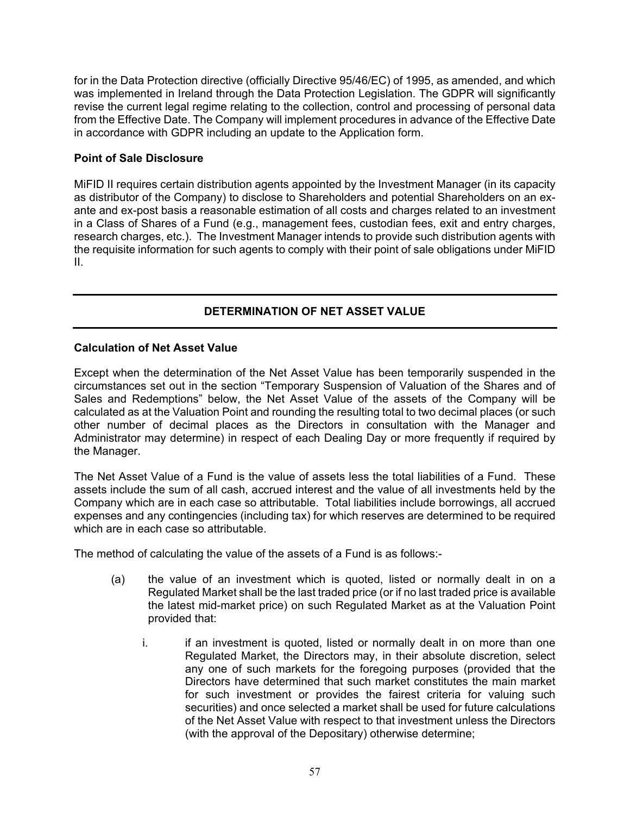for in the Data Protection directive (officially Directive 95/46/EC) of 1995, as amended, and which was implemented in Ireland through the Data Protection Legislation. The GDPR will significantly revise the current legal regime relating to the collection, control and processing of personal data from the Effective Date. The Company will implement procedures in advance of the Effective Date in accordance with GDPR including an update to the Application form.

# **Point of Sale Disclosure**

MiFID II requires certain distribution agents appointed by the Investment Manager (in its capacity as distributor of the Company) to disclose to Shareholders and potential Shareholders on an exante and ex-post basis a reasonable estimation of all costs and charges related to an investment in a Class of Shares of a Fund (e.g., management fees, custodian fees, exit and entry charges, research charges, etc.). The Investment Manager intends to provide such distribution agents with the requisite information for such agents to comply with their point of sale obligations under MiFID II.

# **DETERMINATION OF NET ASSET VALUE**

# **Calculation of Net Asset Value**

Except when the determination of the Net Asset Value has been temporarily suspended in the circumstances set out in the section "Temporary Suspension of Valuation of the Shares and of Sales and Redemptions" below, the Net Asset Value of the assets of the Company will be calculated as at the Valuation Point and rounding the resulting total to two decimal places (or such other number of decimal places as the Directors in consultation with the Manager and Administrator may determine) in respect of each Dealing Day or more frequently if required by the Manager.

The Net Asset Value of a Fund is the value of assets less the total liabilities of a Fund. These assets include the sum of all cash, accrued interest and the value of all investments held by the Company which are in each case so attributable. Total liabilities include borrowings, all accrued expenses and any contingencies (including tax) for which reserves are determined to be required which are in each case so attributable.

The method of calculating the value of the assets of a Fund is as follows:-

- (a) the value of an investment which is quoted, listed or normally dealt in on a Regulated Market shall be the last traded price (or if no last traded price is available the latest mid-market price) on such Regulated Market as at the Valuation Point provided that:
	- i. if an investment is quoted, listed or normally dealt in on more than one Regulated Market, the Directors may, in their absolute discretion, select any one of such markets for the foregoing purposes (provided that the Directors have determined that such market constitutes the main market for such investment or provides the fairest criteria for valuing such securities) and once selected a market shall be used for future calculations of the Net Asset Value with respect to that investment unless the Directors (with the approval of the Depositary) otherwise determine;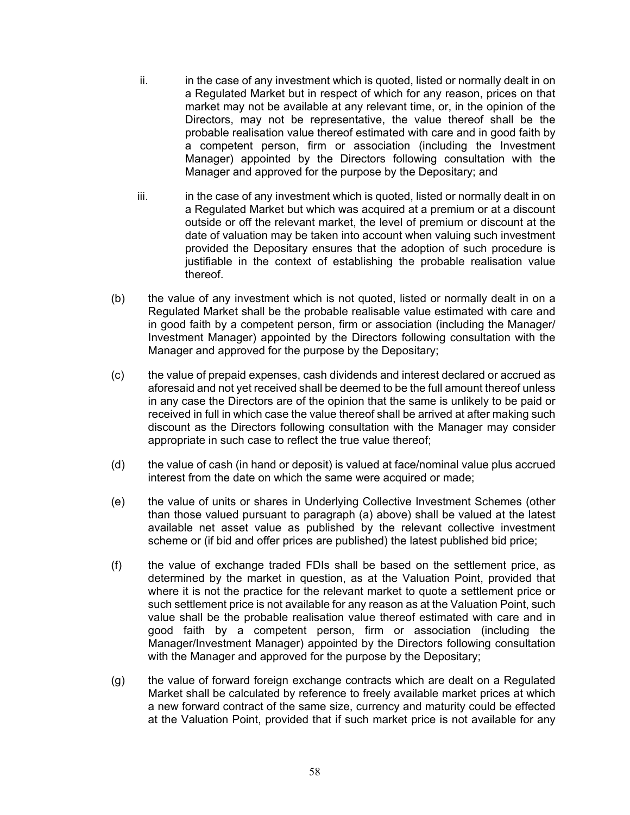- ii. in the case of any investment which is quoted, listed or normally dealt in on a Regulated Market but in respect of which for any reason, prices on that market may not be available at any relevant time, or, in the opinion of the Directors, may not be representative, the value thereof shall be the probable realisation value thereof estimated with care and in good faith by a competent person, firm or association (including the Investment Manager) appointed by the Directors following consultation with the Manager and approved for the purpose by the Depositary; and
- iii. iii. in the case of any investment which is quoted, listed or normally dealt in on a Regulated Market but which was acquired at a premium or at a discount outside or off the relevant market, the level of premium or discount at the date of valuation may be taken into account when valuing such investment provided the Depositary ensures that the adoption of such procedure is justifiable in the context of establishing the probable realisation value thereof.
- (b) the value of any investment which is not quoted, listed or normally dealt in on a Regulated Market shall be the probable realisable value estimated with care and in good faith by a competent person, firm or association (including the Manager/ Investment Manager) appointed by the Directors following consultation with the Manager and approved for the purpose by the Depositary;
- (c) the value of prepaid expenses, cash dividends and interest declared or accrued as aforesaid and not yet received shall be deemed to be the full amount thereof unless in any case the Directors are of the opinion that the same is unlikely to be paid or received in full in which case the value thereof shall be arrived at after making such discount as the Directors following consultation with the Manager may consider appropriate in such case to reflect the true value thereof;
- (d) the value of cash (in hand or deposit) is valued at face/nominal value plus accrued interest from the date on which the same were acquired or made;
- (e) the value of units or shares in Underlying Collective Investment Schemes (other than those valued pursuant to paragraph (a) above) shall be valued at the latest available net asset value as published by the relevant collective investment scheme or (if bid and offer prices are published) the latest published bid price;
- (f) the value of exchange traded FDIs shall be based on the settlement price, as determined by the market in question, as at the Valuation Point, provided that where it is not the practice for the relevant market to quote a settlement price or such settlement price is not available for any reason as at the Valuation Point, such value shall be the probable realisation value thereof estimated with care and in good faith by a competent person, firm or association (including the Manager/Investment Manager) appointed by the Directors following consultation with the Manager and approved for the purpose by the Depositary;
- (g) the value of forward foreign exchange contracts which are dealt on a Regulated Market shall be calculated by reference to freely available market prices at which a new forward contract of the same size, currency and maturity could be effected at the Valuation Point, provided that if such market price is not available for any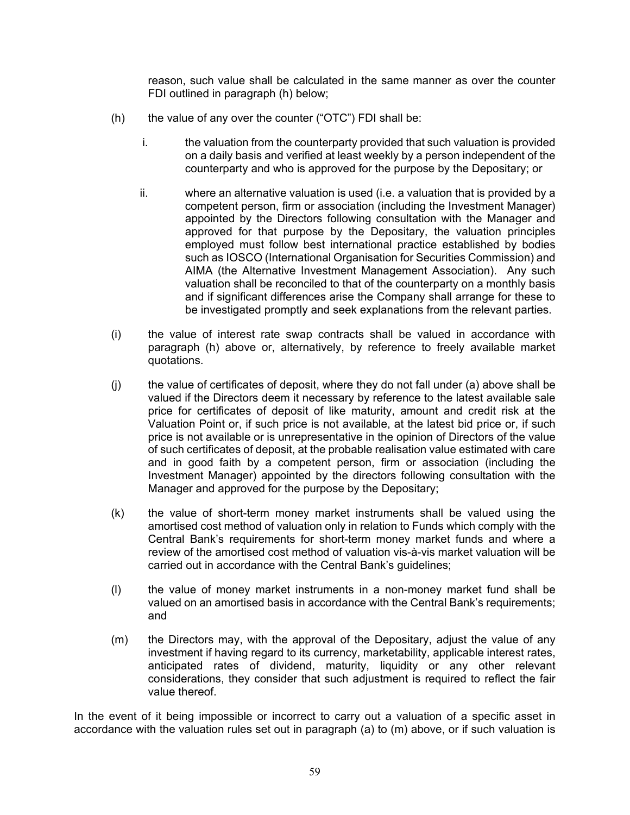reason, such value shall be calculated in the same manner as over the counter FDI outlined in paragraph (h) below;

- (h) the value of any over the counter ("OTC") FDI shall be:
	- i. the valuation from the counterparty provided that such valuation is provided on a daily basis and verified at least weekly by a person independent of the counterparty and who is approved for the purpose by the Depositary; or
	- ii. where an alternative valuation is used (i.e. a valuation that is provided by a competent person, firm or association (including the Investment Manager) appointed by the Directors following consultation with the Manager and approved for that purpose by the Depositary, the valuation principles employed must follow best international practice established by bodies such as IOSCO (International Organisation for Securities Commission) and AIMA (the Alternative Investment Management Association). Any such valuation shall be reconciled to that of the counterparty on a monthly basis and if significant differences arise the Company shall arrange for these to be investigated promptly and seek explanations from the relevant parties.
- (i) the value of interest rate swap contracts shall be valued in accordance with paragraph (h) above or, alternatively, by reference to freely available market quotations.
- (j) the value of certificates of deposit, where they do not fall under (a) above shall be valued if the Directors deem it necessary by reference to the latest available sale price for certificates of deposit of like maturity, amount and credit risk at the Valuation Point or, if such price is not available, at the latest bid price or, if such price is not available or is unrepresentative in the opinion of Directors of the value of such certificates of deposit, at the probable realisation value estimated with care and in good faith by a competent person, firm or association (including the Investment Manager) appointed by the directors following consultation with the Manager and approved for the purpose by the Depositary;
- (k) the value of short-term money market instruments shall be valued using the amortised cost method of valuation only in relation to Funds which comply with the Central Bank's requirements for short-term money market funds and where a review of the amortised cost method of valuation vis-à-vis market valuation will be carried out in accordance with the Central Bank's guidelines;
- (l) the value of money market instruments in a non-money market fund shall be valued on an amortised basis in accordance with the Central Bank's requirements; and
- (m) the Directors may, with the approval of the Depositary, adjust the value of any investment if having regard to its currency, marketability, applicable interest rates, anticipated rates of dividend, maturity, liquidity or any other relevant considerations, they consider that such adjustment is required to reflect the fair value thereof.

In the event of it being impossible or incorrect to carry out a valuation of a specific asset in accordance with the valuation rules set out in paragraph (a) to (m) above, or if such valuation is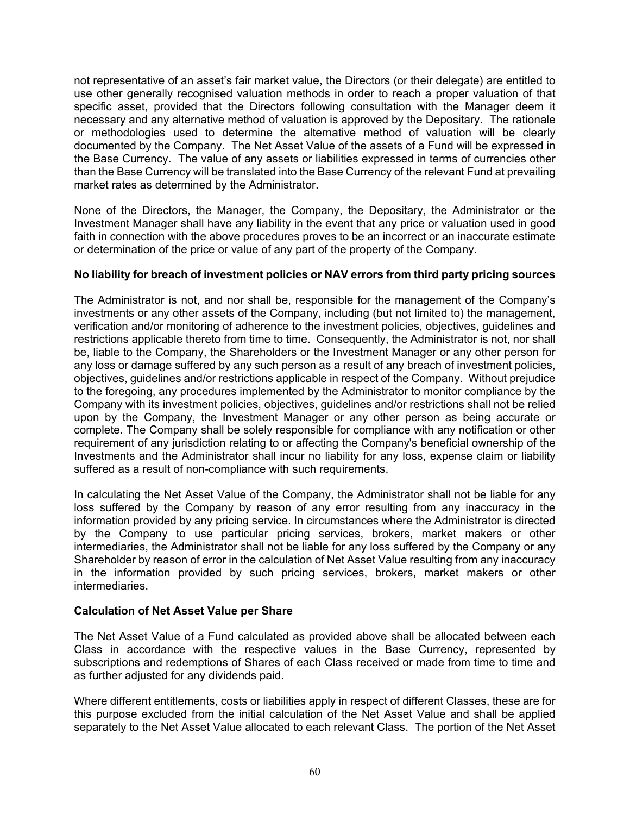not representative of an asset's fair market value, the Directors (or their delegate) are entitled to use other generally recognised valuation methods in order to reach a proper valuation of that specific asset, provided that the Directors following consultation with the Manager deem it necessary and any alternative method of valuation is approved by the Depositary. The rationale or methodologies used to determine the alternative method of valuation will be clearly documented by the Company. The Net Asset Value of the assets of a Fund will be expressed in the Base Currency. The value of any assets or liabilities expressed in terms of currencies other than the Base Currency will be translated into the Base Currency of the relevant Fund at prevailing market rates as determined by the Administrator.

None of the Directors, the Manager, the Company, the Depositary, the Administrator or the Investment Manager shall have any liability in the event that any price or valuation used in good faith in connection with the above procedures proves to be an incorrect or an inaccurate estimate or determination of the price or value of any part of the property of the Company.

# **No liability for breach of investment policies or NAV errors from third party pricing sources**

The Administrator is not, and nor shall be, responsible for the management of the Company's investments or any other assets of the Company, including (but not limited to) the management, verification and/or monitoring of adherence to the investment policies, objectives, guidelines and restrictions applicable thereto from time to time. Consequently, the Administrator is not, nor shall be, liable to the Company, the Shareholders or the Investment Manager or any other person for any loss or damage suffered by any such person as a result of any breach of investment policies, objectives, guidelines and/or restrictions applicable in respect of the Company. Without prejudice to the foregoing, any procedures implemented by the Administrator to monitor compliance by the Company with its investment policies, objectives, guidelines and/or restrictions shall not be relied upon by the Company, the Investment Manager or any other person as being accurate or complete. The Company shall be solely responsible for compliance with any notification or other requirement of any jurisdiction relating to or affecting the Company's beneficial ownership of the Investments and the Administrator shall incur no liability for any loss, expense claim or liability suffered as a result of non-compliance with such requirements.

In calculating the Net Asset Value of the Company, the Administrator shall not be liable for any loss suffered by the Company by reason of any error resulting from any inaccuracy in the information provided by any pricing service. In circumstances where the Administrator is directed by the Company to use particular pricing services, brokers, market makers or other intermediaries, the Administrator shall not be liable for any loss suffered by the Company or any Shareholder by reason of error in the calculation of Net Asset Value resulting from any inaccuracy in the information provided by such pricing services, brokers, market makers or other intermediaries.

# **Calculation of Net Asset Value per Share**

The Net Asset Value of a Fund calculated as provided above shall be allocated between each Class in accordance with the respective values in the Base Currency, represented by subscriptions and redemptions of Shares of each Class received or made from time to time and as further adjusted for any dividends paid.

Where different entitlements, costs or liabilities apply in respect of different Classes, these are for this purpose excluded from the initial calculation of the Net Asset Value and shall be applied separately to the Net Asset Value allocated to each relevant Class. The portion of the Net Asset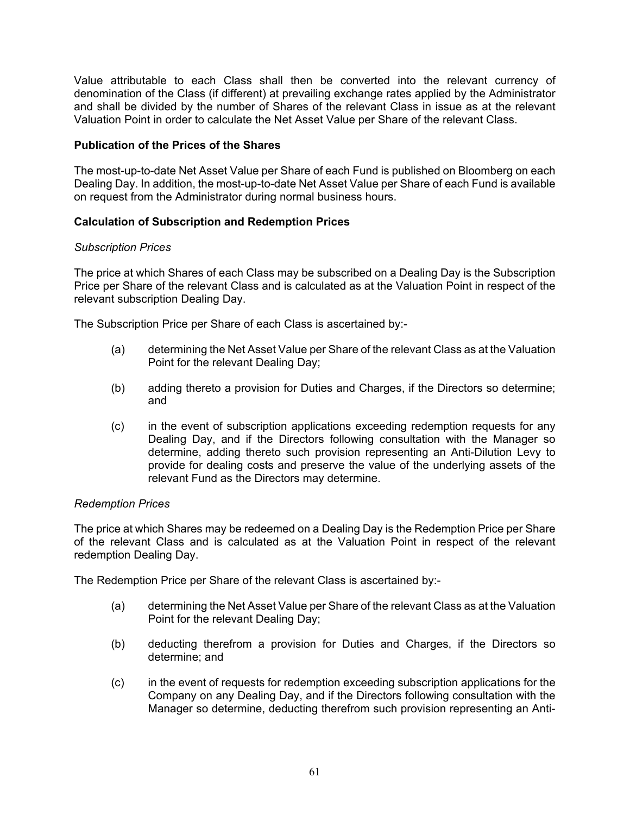Value attributable to each Class shall then be converted into the relevant currency of denomination of the Class (if different) at prevailing exchange rates applied by the Administrator and shall be divided by the number of Shares of the relevant Class in issue as at the relevant Valuation Point in order to calculate the Net Asset Value per Share of the relevant Class.

# **Publication of the Prices of the Shares**

The most-up-to-date Net Asset Value per Share of each Fund is published on Bloomberg on each Dealing Day. In addition, the most-up-to-date Net Asset Value per Share of each Fund is available on request from the Administrator during normal business hours.

### **Calculation of Subscription and Redemption Prices**

#### *Subscription Prices*

The price at which Shares of each Class may be subscribed on a Dealing Day is the Subscription Price per Share of the relevant Class and is calculated as at the Valuation Point in respect of the relevant subscription Dealing Day.

The Subscription Price per Share of each Class is ascertained by:-

- (a) determining the Net Asset Value per Share of the relevant Class as at the Valuation Point for the relevant Dealing Day;
- (b) adding thereto a provision for Duties and Charges, if the Directors so determine; and
- (c) in the event of subscription applications exceeding redemption requests for any Dealing Day, and if the Directors following consultation with the Manager so determine, adding thereto such provision representing an Anti-Dilution Levy to provide for dealing costs and preserve the value of the underlying assets of the relevant Fund as the Directors may determine.

#### *Redemption Prices*

The price at which Shares may be redeemed on a Dealing Day is the Redemption Price per Share of the relevant Class and is calculated as at the Valuation Point in respect of the relevant redemption Dealing Day.

The Redemption Price per Share of the relevant Class is ascertained by:-

- (a) determining the Net Asset Value per Share of the relevant Class as at the Valuation Point for the relevant Dealing Day;
- (b) deducting therefrom a provision for Duties and Charges, if the Directors so determine; and
- (c) in the event of requests for redemption exceeding subscription applications for the Company on any Dealing Day, and if the Directors following consultation with the Manager so determine, deducting therefrom such provision representing an Anti-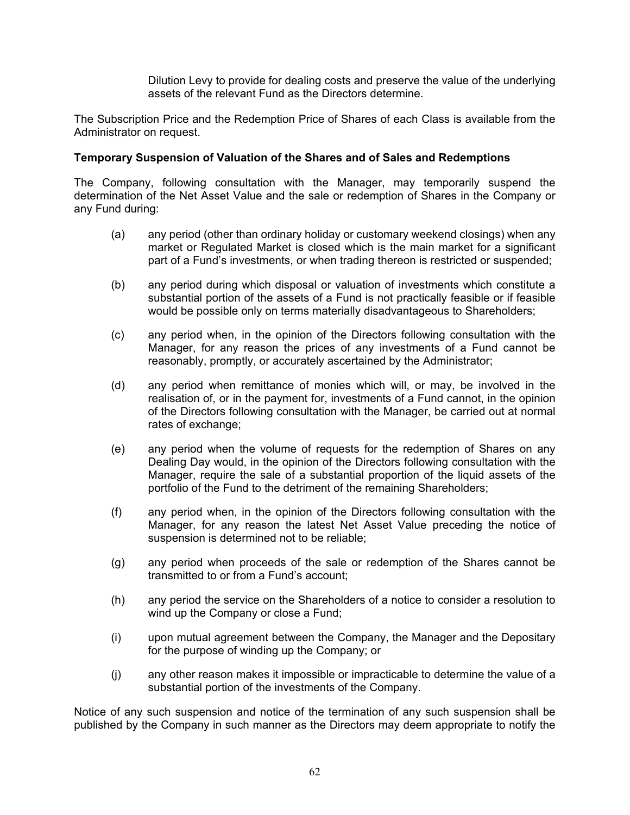Dilution Levy to provide for dealing costs and preserve the value of the underlying assets of the relevant Fund as the Directors determine.

The Subscription Price and the Redemption Price of Shares of each Class is available from the Administrator on request.

#### **Temporary Suspension of Valuation of the Shares and of Sales and Redemptions**

The Company, following consultation with the Manager, may temporarily suspend the determination of the Net Asset Value and the sale or redemption of Shares in the Company or any Fund during:

- (a) any period (other than ordinary holiday or customary weekend closings) when any market or Regulated Market is closed which is the main market for a significant part of a Fund's investments, or when trading thereon is restricted or suspended;
- (b) any period during which disposal or valuation of investments which constitute a substantial portion of the assets of a Fund is not practically feasible or if feasible would be possible only on terms materially disadvantageous to Shareholders;
- (c) any period when, in the opinion of the Directors following consultation with the Manager, for any reason the prices of any investments of a Fund cannot be reasonably, promptly, or accurately ascertained by the Administrator;
- (d) any period when remittance of monies which will, or may, be involved in the realisation of, or in the payment for, investments of a Fund cannot, in the opinion of the Directors following consultation with the Manager, be carried out at normal rates of exchange;
- (e) any period when the volume of requests for the redemption of Shares on any Dealing Day would, in the opinion of the Directors following consultation with the Manager, require the sale of a substantial proportion of the liquid assets of the portfolio of the Fund to the detriment of the remaining Shareholders;
- (f) any period when, in the opinion of the Directors following consultation with the Manager, for any reason the latest Net Asset Value preceding the notice of suspension is determined not to be reliable;
- (g) any period when proceeds of the sale or redemption of the Shares cannot be transmitted to or from a Fund's account;
- (h) any period the service on the Shareholders of a notice to consider a resolution to wind up the Company or close a Fund;
- (i) upon mutual agreement between the Company, the Manager and the Depositary for the purpose of winding up the Company; or
- (j) any other reason makes it impossible or impracticable to determine the value of a substantial portion of the investments of the Company.

Notice of any such suspension and notice of the termination of any such suspension shall be published by the Company in such manner as the Directors may deem appropriate to notify the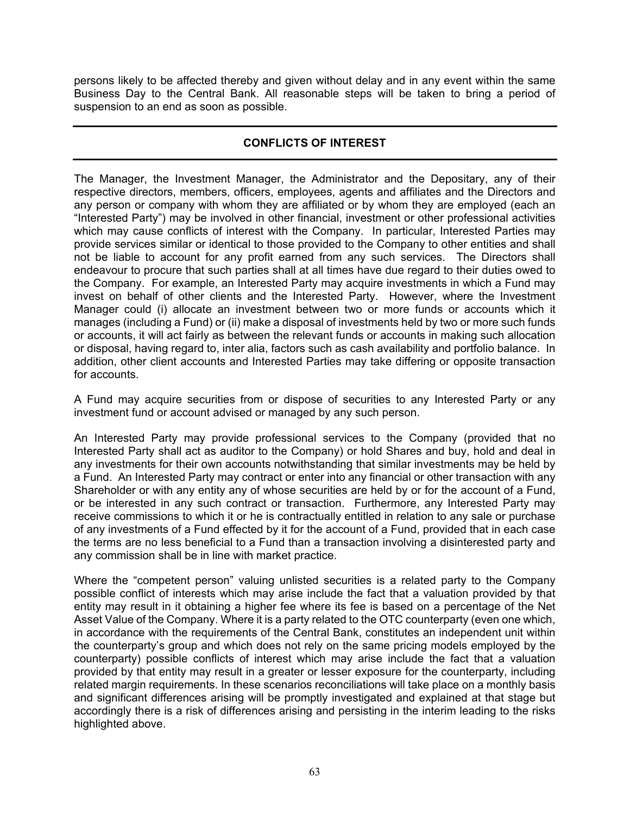persons likely to be affected thereby and given without delay and in any event within the same Business Day to the Central Bank. All reasonable steps will be taken to bring a period of suspension to an end as soon as possible.

# **CONFLICTS OF INTEREST**

The Manager, the Investment Manager, the Administrator and the Depositary, any of their respective directors, members, officers, employees, agents and affiliates and the Directors and any person or company with whom they are affiliated or by whom they are employed (each an "Interested Party") may be involved in other financial, investment or other professional activities which may cause conflicts of interest with the Company. In particular, Interested Parties may provide services similar or identical to those provided to the Company to other entities and shall not be liable to account for any profit earned from any such services. The Directors shall endeavour to procure that such parties shall at all times have due regard to their duties owed to the Company. For example, an Interested Party may acquire investments in which a Fund may invest on behalf of other clients and the Interested Party. However, where the Investment Manager could (i) allocate an investment between two or more funds or accounts which it manages (including a Fund) or (ii) make a disposal of investments held by two or more such funds or accounts, it will act fairly as between the relevant funds or accounts in making such allocation or disposal, having regard to, inter alia, factors such as cash availability and portfolio balance. In addition, other client accounts and Interested Parties may take differing or opposite transaction for accounts.

A Fund may acquire securities from or dispose of securities to any Interested Party or any investment fund or account advised or managed by any such person.

An Interested Party may provide professional services to the Company (provided that no Interested Party shall act as auditor to the Company) or hold Shares and buy, hold and deal in any investments for their own accounts notwithstanding that similar investments may be held by a Fund. An Interested Party may contract or enter into any financial or other transaction with any Shareholder or with any entity any of whose securities are held by or for the account of a Fund, or be interested in any such contract or transaction. Furthermore, any Interested Party may receive commissions to which it or he is contractually entitled in relation to any sale or purchase of any investments of a Fund effected by it for the account of a Fund, provided that in each case the terms are no less beneficial to a Fund than a transaction involving a disinterested party and any commission shall be in line with market practice.

Where the "competent person" valuing unlisted securities is a related party to the Company possible conflict of interests which may arise include the fact that a valuation provided by that entity may result in it obtaining a higher fee where its fee is based on a percentage of the Net Asset Value of the Company. Where it is a party related to the OTC counterparty (even one which, in accordance with the requirements of the Central Bank, constitutes an independent unit within the counterparty's group and which does not rely on the same pricing models employed by the counterparty) possible conflicts of interest which may arise include the fact that a valuation provided by that entity may result in a greater or lesser exposure for the counterparty, including related margin requirements. In these scenarios reconciliations will take place on a monthly basis and significant differences arising will be promptly investigated and explained at that stage but accordingly there is a risk of differences arising and persisting in the interim leading to the risks highlighted above.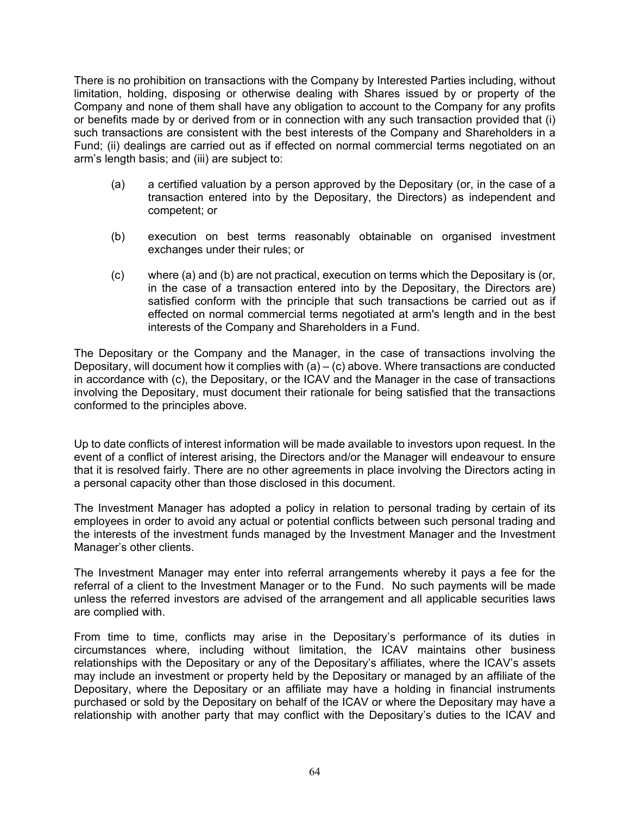There is no prohibition on transactions with the Company by Interested Parties including, without limitation, holding, disposing or otherwise dealing with Shares issued by or property of the Company and none of them shall have any obligation to account to the Company for any profits or benefits made by or derived from or in connection with any such transaction provided that (i) such transactions are consistent with the best interests of the Company and Shareholders in a Fund; (ii) dealings are carried out as if effected on normal commercial terms negotiated on an arm's length basis; and (iii) are subject to:

- (a) a certified valuation by a person approved by the Depositary (or, in the case of a transaction entered into by the Depositary, the Directors) as independent and competent; or
- (b) execution on best terms reasonably obtainable on organised investment exchanges under their rules; or
- (c) where (a) and (b) are not practical, execution on terms which the Depositary is (or, in the case of a transaction entered into by the Depositary, the Directors are) satisfied conform with the principle that such transactions be carried out as if effected on normal commercial terms negotiated at arm's length and in the best interests of the Company and Shareholders in a Fund.

The Depositary or the Company and the Manager, in the case of transactions involving the Depositary, will document how it complies with  $(a) - (c)$  above. Where transactions are conducted in accordance with (c), the Depositary, or the ICAV and the Manager in the case of transactions involving the Depositary, must document their rationale for being satisfied that the transactions conformed to the principles above.

Up to date conflicts of interest information will be made available to investors upon request. In the event of a conflict of interest arising, the Directors and/or the Manager will endeavour to ensure that it is resolved fairly. There are no other agreements in place involving the Directors acting in a personal capacity other than those disclosed in this document.

The Investment Manager has adopted a policy in relation to personal trading by certain of its employees in order to avoid any actual or potential conflicts between such personal trading and the interests of the investment funds managed by the Investment Manager and the Investment Manager's other clients.

The Investment Manager may enter into referral arrangements whereby it pays a fee for the referral of a client to the Investment Manager or to the Fund. No such payments will be made unless the referred investors are advised of the arrangement and all applicable securities laws are complied with.

From time to time, conflicts may arise in the Depositary's performance of its duties in circumstances where, including without limitation, the ICAV maintains other business relationships with the Depositary or any of the Depositary's affiliates, where the ICAV's assets may include an investment or property held by the Depositary or managed by an affiliate of the Depositary, where the Depositary or an affiliate may have a holding in financial instruments purchased or sold by the Depositary on behalf of the ICAV or where the Depositary may have a relationship with another party that may conflict with the Depositary's duties to the ICAV and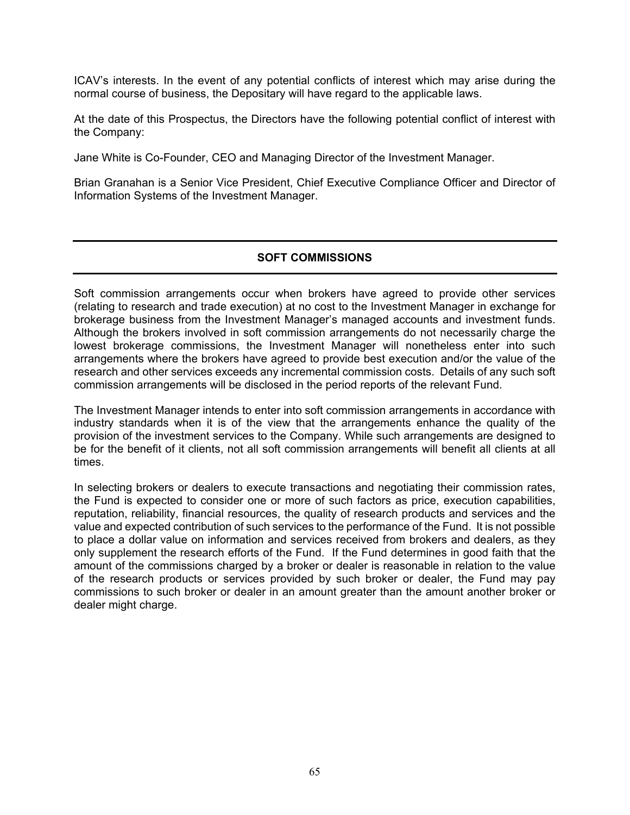ICAV's interests. In the event of any potential conflicts of interest which may arise during the normal course of business, the Depositary will have regard to the applicable laws.

At the date of this Prospectus, the Directors have the following potential conflict of interest with the Company:

Jane White is Co-Founder, CEO and Managing Director of the Investment Manager.

Brian Granahan is a Senior Vice President, Chief Executive Compliance Officer and Director of Information Systems of the Investment Manager.

### **SOFT COMMISSIONS**

Soft commission arrangements occur when brokers have agreed to provide other services (relating to research and trade execution) at no cost to the Investment Manager in exchange for brokerage business from the Investment Manager's managed accounts and investment funds. Although the brokers involved in soft commission arrangements do not necessarily charge the lowest brokerage commissions, the Investment Manager will nonetheless enter into such arrangements where the brokers have agreed to provide best execution and/or the value of the research and other services exceeds any incremental commission costs. Details of any such soft commission arrangements will be disclosed in the period reports of the relevant Fund.

The Investment Manager intends to enter into soft commission arrangements in accordance with industry standards when it is of the view that the arrangements enhance the quality of the provision of the investment services to the Company. While such arrangements are designed to be for the benefit of it clients, not all soft commission arrangements will benefit all clients at all times.

In selecting brokers or dealers to execute transactions and negotiating their commission rates, the Fund is expected to consider one or more of such factors as price, execution capabilities, reputation, reliability, financial resources, the quality of research products and services and the value and expected contribution of such services to the performance of the Fund. It is not possible to place a dollar value on information and services received from brokers and dealers, as they only supplement the research efforts of the Fund. If the Fund determines in good faith that the amount of the commissions charged by a broker or dealer is reasonable in relation to the value of the research products or services provided by such broker or dealer, the Fund may pay commissions to such broker or dealer in an amount greater than the amount another broker or dealer might charge.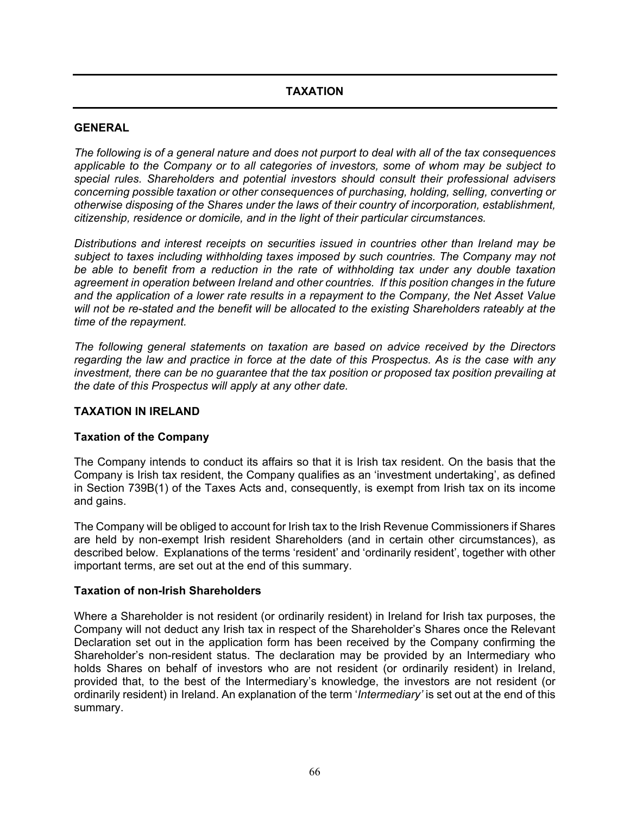# **TAXATION**

### **GENERAL**

*The following is of a general nature and does not purport to deal with all of the tax consequences applicable to the Company or to all categories of investors, some of whom may be subject to special rules. Shareholders and potential investors should consult their professional advisers concerning possible taxation or other consequences of purchasing, holding, selling, converting or otherwise disposing of the Shares under the laws of their country of incorporation, establishment, citizenship, residence or domicile, and in the light of their particular circumstances.* 

*Distributions and interest receipts on securities issued in countries other than Ireland may be subject to taxes including withholding taxes imposed by such countries. The Company may not be able to benefit from a reduction in the rate of withholding tax under any double taxation agreement in operation between Ireland and other countries. If this position changes in the future and the application of a lower rate results in a repayment to the Company, the Net Asset Value will not be re-stated and the benefit will be allocated to the existing Shareholders rateably at the time of the repayment.*

*The following general statements on taxation are based on advice received by the Directors regarding the law and practice in force at the date of this Prospectus. As is the case with any investment, there can be no guarantee that the tax position or proposed tax position prevailing at the date of this Prospectus will apply at any other date.* 

#### **TAXATION IN IRELAND**

# **Taxation of the Company**

The Company intends to conduct its affairs so that it is Irish tax resident. On the basis that the Company is Irish tax resident, the Company qualifies as an 'investment undertaking', as defined in Section 739B(1) of the Taxes Acts and, consequently, is exempt from Irish tax on its income and gains.

The Company will be obliged to account for Irish tax to the Irish Revenue Commissioners if Shares are held by non-exempt Irish resident Shareholders (and in certain other circumstances), as described below. Explanations of the terms 'resident' and 'ordinarily resident', together with other important terms, are set out at the end of this summary.

#### **Taxation of non-Irish Shareholders**

Where a Shareholder is not resident (or ordinarily resident) in Ireland for Irish tax purposes, the Company will not deduct any Irish tax in respect of the Shareholder's Shares once the Relevant Declaration set out in the application form has been received by the Company confirming the Shareholder's non-resident status. The declaration may be provided by an Intermediary who holds Shares on behalf of investors who are not resident (or ordinarily resident) in Ireland, provided that, to the best of the Intermediary's knowledge, the investors are not resident (or ordinarily resident) in Ireland. An explanation of the term '*Intermediary'* is set out at the end of this summary.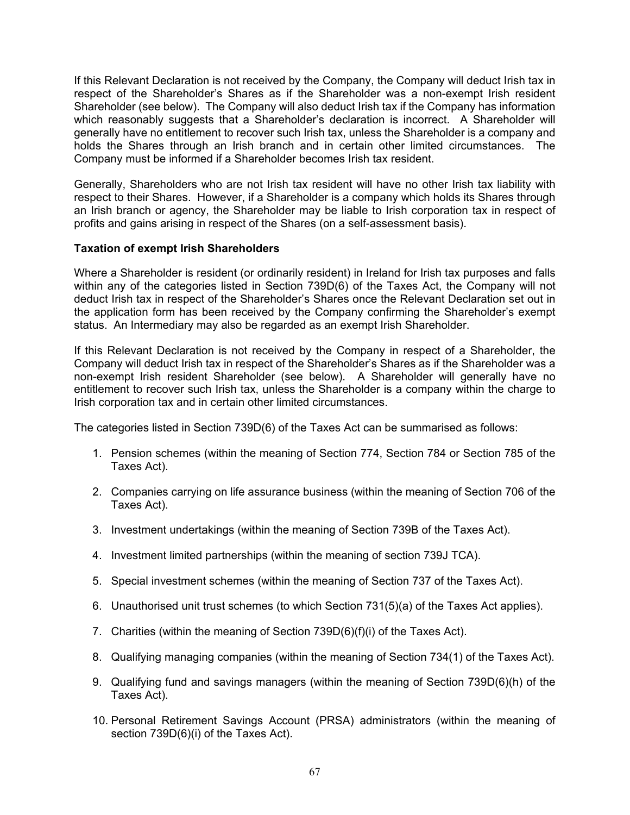If this Relevant Declaration is not received by the Company, the Company will deduct Irish tax in respect of the Shareholder's Shares as if the Shareholder was a non-exempt Irish resident Shareholder (see below). The Company will also deduct Irish tax if the Company has information which reasonably suggests that a Shareholder's declaration is incorrect. A Shareholder will generally have no entitlement to recover such Irish tax, unless the Shareholder is a company and holds the Shares through an Irish branch and in certain other limited circumstances. The Company must be informed if a Shareholder becomes Irish tax resident.

Generally, Shareholders who are not Irish tax resident will have no other Irish tax liability with respect to their Shares. However, if a Shareholder is a company which holds its Shares through an Irish branch or agency, the Shareholder may be liable to Irish corporation tax in respect of profits and gains arising in respect of the Shares (on a self-assessment basis).

# **Taxation of exempt Irish Shareholders**

Where a Shareholder is resident (or ordinarily resident) in Ireland for Irish tax purposes and falls within any of the categories listed in Section 739D(6) of the Taxes Act, the Company will not deduct Irish tax in respect of the Shareholder's Shares once the Relevant Declaration set out in the application form has been received by the Company confirming the Shareholder's exempt status. An Intermediary may also be regarded as an exempt Irish Shareholder.

If this Relevant Declaration is not received by the Company in respect of a Shareholder, the Company will deduct Irish tax in respect of the Shareholder's Shares as if the Shareholder was a non-exempt Irish resident Shareholder (see below). A Shareholder will generally have no entitlement to recover such Irish tax, unless the Shareholder is a company within the charge to Irish corporation tax and in certain other limited circumstances.

The categories listed in Section 739D(6) of the Taxes Act can be summarised as follows:

- 1. Pension schemes (within the meaning of Section 774, Section 784 or Section 785 of the Taxes Act).
- 2. Companies carrying on life assurance business (within the meaning of Section 706 of the Taxes Act).
- 3. Investment undertakings (within the meaning of Section 739B of the Taxes Act).
- 4. Investment limited partnerships (within the meaning of section 739J TCA).
- 5. Special investment schemes (within the meaning of Section 737 of the Taxes Act).
- 6. Unauthorised unit trust schemes (to which Section 731(5)(a) of the Taxes Act applies).
- 7. Charities (within the meaning of Section 739D(6)(f)(i) of the Taxes Act).
- 8. Qualifying managing companies (within the meaning of Section 734(1) of the Taxes Act).
- 9. Qualifying fund and savings managers (within the meaning of Section 739D(6)(h) of the Taxes Act).
- 10. Personal Retirement Savings Account (PRSA) administrators (within the meaning of section 739D(6)(i) of the Taxes Act).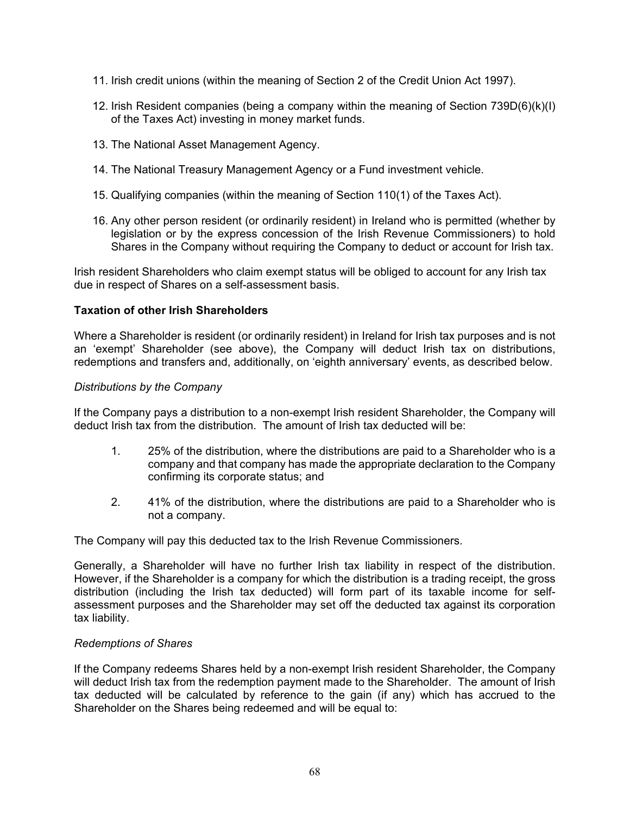- 11. Irish credit unions (within the meaning of Section 2 of the Credit Union Act 1997).
- 12. Irish Resident companies (being a company within the meaning of Section 739D(6)(k)(I) of the Taxes Act) investing in money market funds.
- 13. The National Asset Management Agency.
- 14. The National Treasury Management Agency or a Fund investment vehicle.
- 15. Qualifying companies (within the meaning of Section 110(1) of the Taxes Act).
- 16. Any other person resident (or ordinarily resident) in Ireland who is permitted (whether by legislation or by the express concession of the Irish Revenue Commissioners) to hold Shares in the Company without requiring the Company to deduct or account for Irish tax.

Irish resident Shareholders who claim exempt status will be obliged to account for any Irish tax due in respect of Shares on a self-assessment basis.

## **Taxation of other Irish Shareholders**

Where a Shareholder is resident (or ordinarily resident) in Ireland for Irish tax purposes and is not an 'exempt' Shareholder (see above), the Company will deduct Irish tax on distributions, redemptions and transfers and, additionally, on 'eighth anniversary' events, as described below.

### *Distributions by the Company*

If the Company pays a distribution to a non-exempt Irish resident Shareholder, the Company will deduct Irish tax from the distribution. The amount of Irish tax deducted will be:

- 1. 25% of the distribution, where the distributions are paid to a Shareholder who is a company and that company has made the appropriate declaration to the Company confirming its corporate status; and
- 2. 41% of the distribution, where the distributions are paid to a Shareholder who is not a company.

The Company will pay this deducted tax to the Irish Revenue Commissioners.

Generally, a Shareholder will have no further Irish tax liability in respect of the distribution. However, if the Shareholder is a company for which the distribution is a trading receipt, the gross distribution (including the Irish tax deducted) will form part of its taxable income for selfassessment purposes and the Shareholder may set off the deducted tax against its corporation tax liability.

### *Redemptions of Shares*

If the Company redeems Shares held by a non-exempt Irish resident Shareholder, the Company will deduct Irish tax from the redemption payment made to the Shareholder. The amount of Irish tax deducted will be calculated by reference to the gain (if any) which has accrued to the Shareholder on the Shares being redeemed and will be equal to: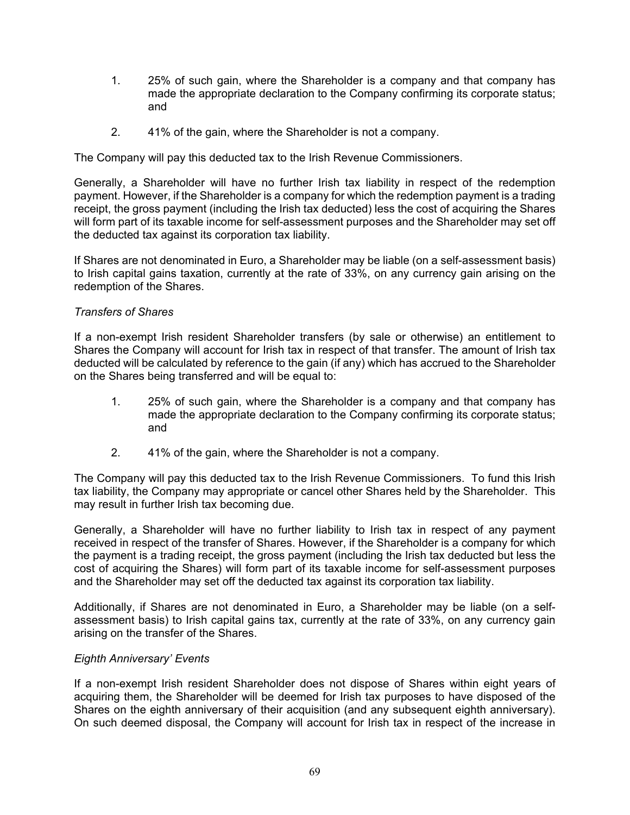- 1. 25% of such gain, where the Shareholder is a company and that company has made the appropriate declaration to the Company confirming its corporate status; and
- 2. 41% of the gain, where the Shareholder is not a company.

The Company will pay this deducted tax to the Irish Revenue Commissioners.

Generally, a Shareholder will have no further Irish tax liability in respect of the redemption payment. However, if the Shareholder is a company for which the redemption payment is a trading receipt, the gross payment (including the Irish tax deducted) less the cost of acquiring the Shares will form part of its taxable income for self-assessment purposes and the Shareholder may set off the deducted tax against its corporation tax liability.

If Shares are not denominated in Euro, a Shareholder may be liable (on a self-assessment basis) to Irish capital gains taxation, currently at the rate of 33%, on any currency gain arising on the redemption of the Shares.

### *Transfers of Shares*

If a non-exempt Irish resident Shareholder transfers (by sale or otherwise) an entitlement to Shares the Company will account for Irish tax in respect of that transfer. The amount of Irish tax deducted will be calculated by reference to the gain (if any) which has accrued to the Shareholder on the Shares being transferred and will be equal to:

- 1. 25% of such gain, where the Shareholder is a company and that company has made the appropriate declaration to the Company confirming its corporate status; and
- 2. 41% of the gain, where the Shareholder is not a company.

The Company will pay this deducted tax to the Irish Revenue Commissioners. To fund this Irish tax liability, the Company may appropriate or cancel other Shares held by the Shareholder. This may result in further Irish tax becoming due.

Generally, a Shareholder will have no further liability to Irish tax in respect of any payment received in respect of the transfer of Shares. However, if the Shareholder is a company for which the payment is a trading receipt, the gross payment (including the Irish tax deducted but less the cost of acquiring the Shares) will form part of its taxable income for self-assessment purposes and the Shareholder may set off the deducted tax against its corporation tax liability.

Additionally, if Shares are not denominated in Euro, a Shareholder may be liable (on a selfassessment basis) to Irish capital gains tax, currently at the rate of 33%, on any currency gain arising on the transfer of the Shares.

### *Eighth Anniversary' Events*

If a non-exempt Irish resident Shareholder does not dispose of Shares within eight years of acquiring them, the Shareholder will be deemed for Irish tax purposes to have disposed of the Shares on the eighth anniversary of their acquisition (and any subsequent eighth anniversary). On such deemed disposal, the Company will account for Irish tax in respect of the increase in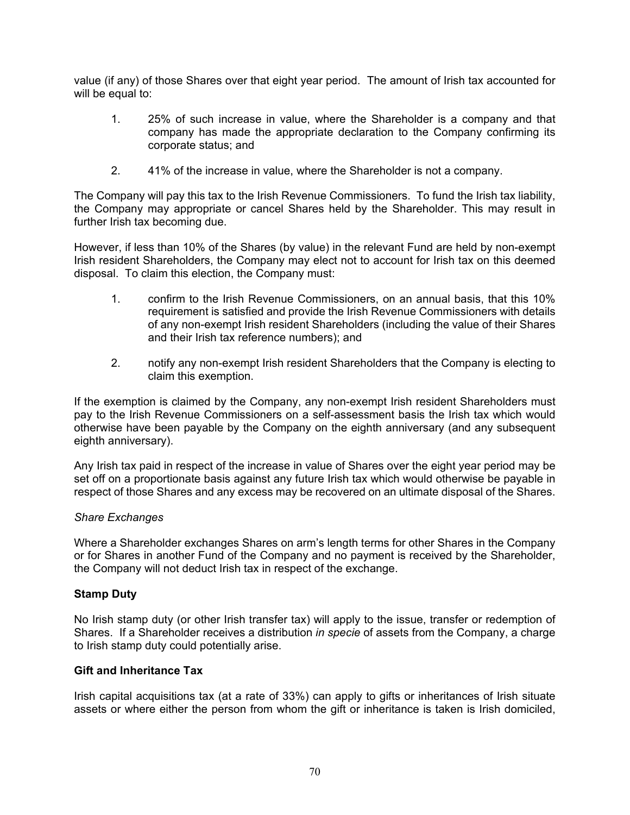value (if any) of those Shares over that eight year period. The amount of Irish tax accounted for will be equal to:

- 1. 25% of such increase in value, where the Shareholder is a company and that company has made the appropriate declaration to the Company confirming its corporate status; and
- 2. 41% of the increase in value, where the Shareholder is not a company.

The Company will pay this tax to the Irish Revenue Commissioners. To fund the Irish tax liability, the Company may appropriate or cancel Shares held by the Shareholder. This may result in further Irish tax becoming due.

However, if less than 10% of the Shares (by value) in the relevant Fund are held by non-exempt Irish resident Shareholders, the Company may elect not to account for Irish tax on this deemed disposal. To claim this election, the Company must:

- 1. confirm to the Irish Revenue Commissioners, on an annual basis, that this 10% requirement is satisfied and provide the Irish Revenue Commissioners with details of any non-exempt Irish resident Shareholders (including the value of their Shares and their Irish tax reference numbers); and
- 2. notify any non-exempt Irish resident Shareholders that the Company is electing to claim this exemption.

If the exemption is claimed by the Company, any non-exempt Irish resident Shareholders must pay to the Irish Revenue Commissioners on a self-assessment basis the Irish tax which would otherwise have been payable by the Company on the eighth anniversary (and any subsequent eighth anniversary).

Any Irish tax paid in respect of the increase in value of Shares over the eight year period may be set off on a proportionate basis against any future Irish tax which would otherwise be payable in respect of those Shares and any excess may be recovered on an ultimate disposal of the Shares.

#### *Share Exchanges*

Where a Shareholder exchanges Shares on arm's length terms for other Shares in the Company or for Shares in another Fund of the Company and no payment is received by the Shareholder, the Company will not deduct Irish tax in respect of the exchange.

### **Stamp Duty**

No Irish stamp duty (or other Irish transfer tax) will apply to the issue, transfer or redemption of Shares. If a Shareholder receives a distribution *in specie* of assets from the Company, a charge to Irish stamp duty could potentially arise.

#### **Gift and Inheritance Tax**

Irish capital acquisitions tax (at a rate of 33%) can apply to gifts or inheritances of Irish situate assets or where either the person from whom the gift or inheritance is taken is Irish domiciled,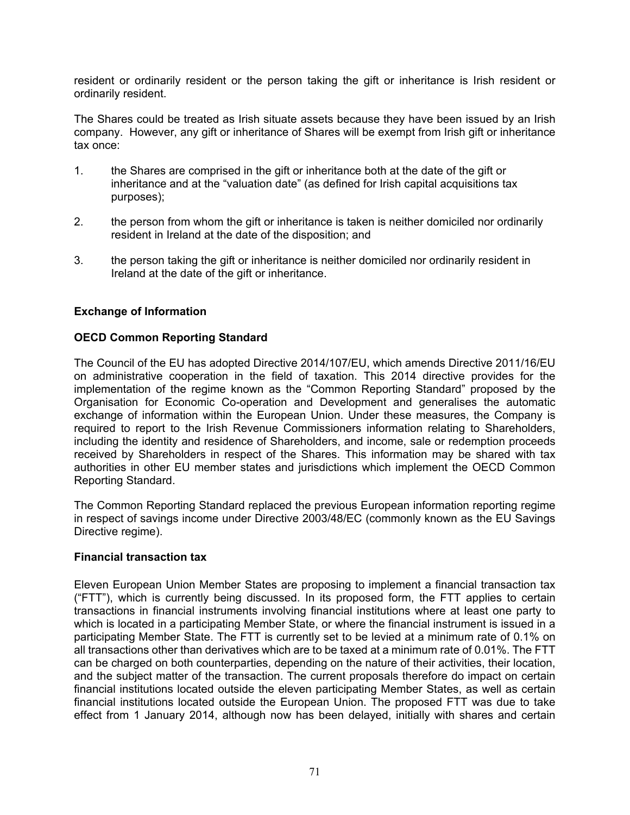resident or ordinarily resident or the person taking the gift or inheritance is Irish resident or ordinarily resident.

The Shares could be treated as Irish situate assets because they have been issued by an Irish company. However, any gift or inheritance of Shares will be exempt from Irish gift or inheritance tax once:

- 1. the Shares are comprised in the gift or inheritance both at the date of the gift or inheritance and at the "valuation date" (as defined for Irish capital acquisitions tax purposes);
- 2. the person from whom the gift or inheritance is taken is neither domiciled nor ordinarily resident in Ireland at the date of the disposition; and
- 3. the person taking the gift or inheritance is neither domiciled nor ordinarily resident in Ireland at the date of the gift or inheritance.

### **Exchange of Information**

### **OECD Common Reporting Standard**

The Council of the EU has adopted Directive 2014/107/EU, which amends Directive 2011/16/EU on administrative cooperation in the field of taxation. This 2014 directive provides for the implementation of the regime known as the "Common Reporting Standard" proposed by the Organisation for Economic Co-operation and Development and generalises the automatic exchange of information within the European Union. Under these measures, the Company is required to report to the Irish Revenue Commissioners information relating to Shareholders, including the identity and residence of Shareholders, and income, sale or redemption proceeds received by Shareholders in respect of the Shares. This information may be shared with tax authorities in other EU member states and jurisdictions which implement the OECD Common Reporting Standard.

The Common Reporting Standard replaced the previous European information reporting regime in respect of savings income under Directive 2003/48/EC (commonly known as the EU Savings Directive regime).

#### **Financial transaction tax**

Eleven European Union Member States are proposing to implement a financial transaction tax ("FTT"), which is currently being discussed. In its proposed form, the FTT applies to certain transactions in financial instruments involving financial institutions where at least one party to which is located in a participating Member State, or where the financial instrument is issued in a participating Member State. The FTT is currently set to be levied at a minimum rate of 0.1% on all transactions other than derivatives which are to be taxed at a minimum rate of 0.01%. The FTT can be charged on both counterparties, depending on the nature of their activities, their location, and the subject matter of the transaction. The current proposals therefore do impact on certain financial institutions located outside the eleven participating Member States, as well as certain financial institutions located outside the European Union. The proposed FTT was due to take effect from 1 January 2014, although now has been delayed, initially with shares and certain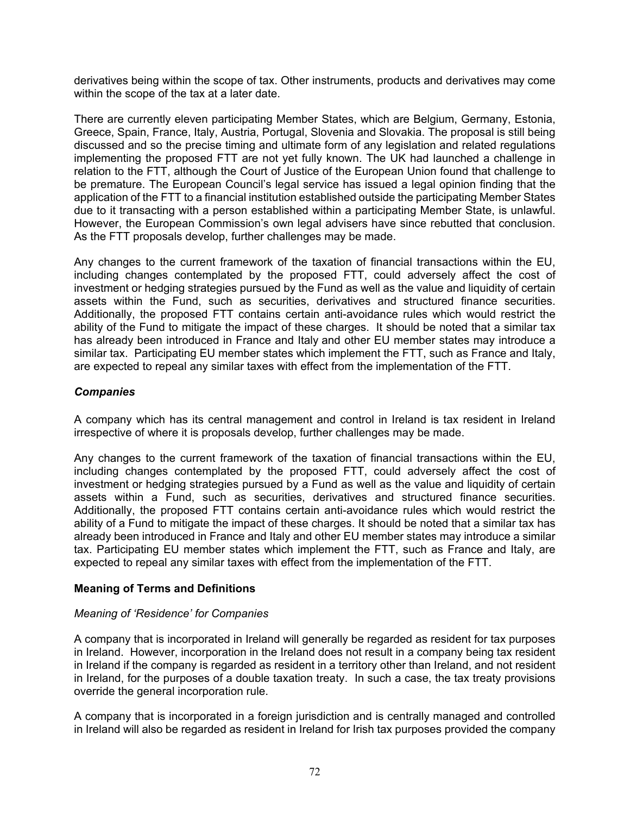derivatives being within the scope of tax. Other instruments, products and derivatives may come within the scope of the tax at a later date.

There are currently eleven participating Member States, which are Belgium, Germany, Estonia, Greece, Spain, France, Italy, Austria, Portugal, Slovenia and Slovakia. The proposal is still being discussed and so the precise timing and ultimate form of any legislation and related regulations implementing the proposed FTT are not yet fully known. The UK had launched a challenge in relation to the FTT, although the Court of Justice of the European Union found that challenge to be premature. The European Council's legal service has issued a legal opinion finding that the application of the FTT to a financial institution established outside the participating Member States due to it transacting with a person established within a participating Member State, is unlawful. However, the European Commission's own legal advisers have since rebutted that conclusion. As the FTT proposals develop, further challenges may be made.

Any changes to the current framework of the taxation of financial transactions within the EU, including changes contemplated by the proposed FTT, could adversely affect the cost of investment or hedging strategies pursued by the Fund as well as the value and liquidity of certain assets within the Fund, such as securities, derivatives and structured finance securities. Additionally, the proposed FTT contains certain anti-avoidance rules which would restrict the ability of the Fund to mitigate the impact of these charges. It should be noted that a similar tax has already been introduced in France and Italy and other EU member states may introduce a similar tax. Participating EU member states which implement the FTT, such as France and Italy, are expected to repeal any similar taxes with effect from the implementation of the FTT.

## *Companies*

A company which has its central management and control in Ireland is tax resident in Ireland irrespective of where it is proposals develop, further challenges may be made.

Any changes to the current framework of the taxation of financial transactions within the EU, including changes contemplated by the proposed FTT, could adversely affect the cost of investment or hedging strategies pursued by a Fund as well as the value and liquidity of certain assets within a Fund, such as securities, derivatives and structured finance securities. Additionally, the proposed FTT contains certain anti-avoidance rules which would restrict the ability of a Fund to mitigate the impact of these charges. It should be noted that a similar tax has already been introduced in France and Italy and other EU member states may introduce a similar tax. Participating EU member states which implement the FTT, such as France and Italy, are expected to repeal any similar taxes with effect from the implementation of the FTT.

# **Meaning of Terms and Definitions**

### *Meaning of 'Residence' for Companies*

A company that is incorporated in Ireland will generally be regarded as resident for tax purposes in Ireland. However, incorporation in the Ireland does not result in a company being tax resident in Ireland if the company is regarded as resident in a territory other than Ireland, and not resident in Ireland, for the purposes of a double taxation treaty. In such a case, the tax treaty provisions override the general incorporation rule.

A company that is incorporated in a foreign jurisdiction and is centrally managed and controlled in Ireland will also be regarded as resident in Ireland for Irish tax purposes provided the company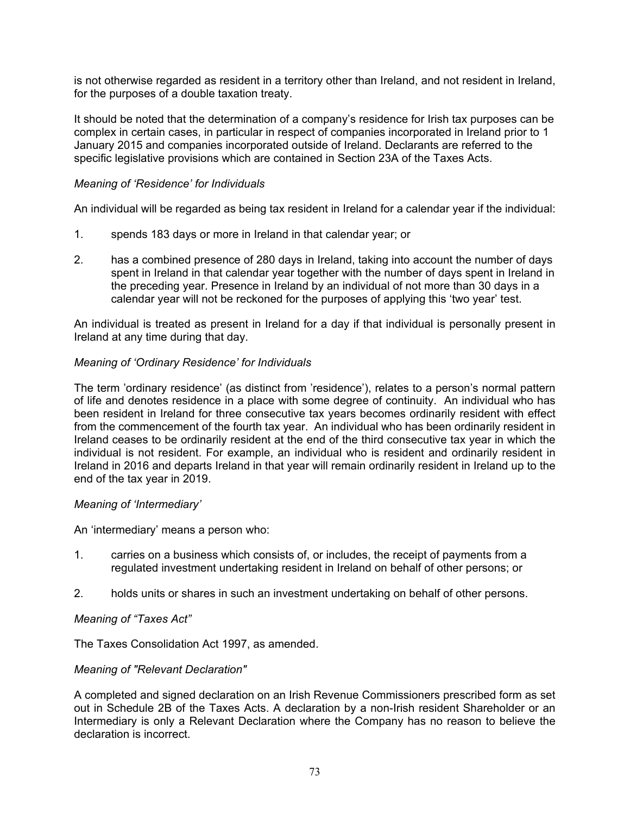is not otherwise regarded as resident in a territory other than Ireland, and not resident in Ireland, for the purposes of a double taxation treaty.

It should be noted that the determination of a company's residence for Irish tax purposes can be complex in certain cases, in particular in respect of companies incorporated in Ireland prior to 1 January 2015 and companies incorporated outside of Ireland. Declarants are referred to the specific legislative provisions which are contained in Section 23A of the Taxes Acts.

### *Meaning of 'Residence' for Individuals*

An individual will be regarded as being tax resident in Ireland for a calendar year if the individual:

- 1. spends 183 days or more in Ireland in that calendar year; or
- 2. has a combined presence of 280 days in Ireland, taking into account the number of days spent in Ireland in that calendar year together with the number of days spent in Ireland in the preceding year. Presence in Ireland by an individual of not more than 30 days in a calendar year will not be reckoned for the purposes of applying this 'two year' test.

An individual is treated as present in Ireland for a day if that individual is personally present in Ireland at any time during that day.

### *Meaning of 'Ordinary Residence' for Individuals*

The term 'ordinary residence' (as distinct from 'residence'), relates to a person's normal pattern of life and denotes residence in a place with some degree of continuity. An individual who has been resident in Ireland for three consecutive tax years becomes ordinarily resident with effect from the commencement of the fourth tax year. An individual who has been ordinarily resident in Ireland ceases to be ordinarily resident at the end of the third consecutive tax year in which the individual is not resident. For example, an individual who is resident and ordinarily resident in Ireland in 2016 and departs Ireland in that year will remain ordinarily resident in Ireland up to the end of the tax year in 2019.

#### *Meaning of 'Intermediary'*

An 'intermediary' means a person who:

- 1. carries on a business which consists of, or includes, the receipt of payments from a regulated investment undertaking resident in Ireland on behalf of other persons; or
- 2. holds units or shares in such an investment undertaking on behalf of other persons.

#### *Meaning of "Taxes Act"*

The Taxes Consolidation Act 1997, as amended.

#### *Meaning of "Relevant Declaration"*

A completed and signed declaration on an Irish Revenue Commissioners prescribed form as set out in Schedule 2B of the Taxes Acts. A declaration by a non-Irish resident Shareholder or an Intermediary is only a Relevant Declaration where the Company has no reason to believe the declaration is incorrect.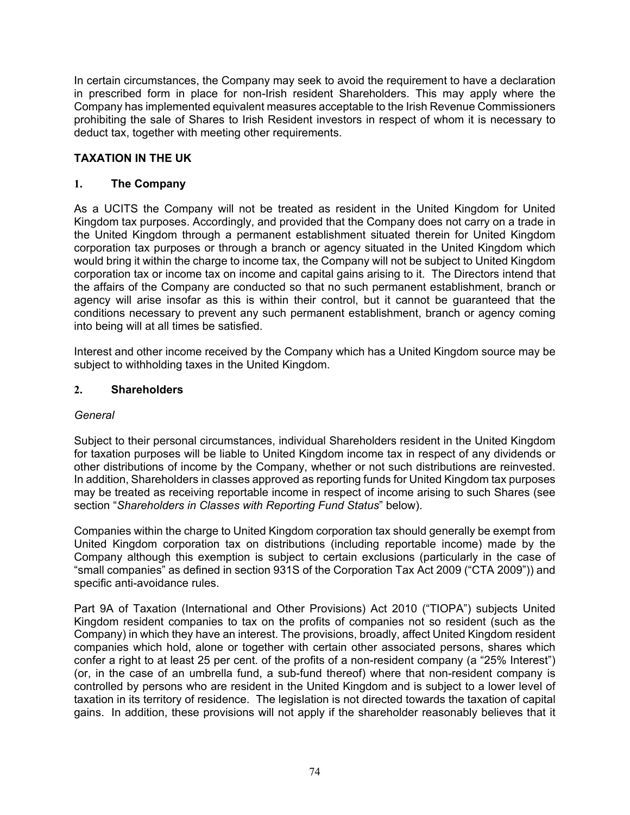In certain circumstances, the Company may seek to avoid the requirement to have a declaration in prescribed form in place for non-Irish resident Shareholders. This may apply where the Company has implemented equivalent measures acceptable to the Irish Revenue Commissioners prohibiting the sale of Shares to Irish Resident investors in respect of whom it is necessary to deduct tax, together with meeting other requirements.

# **TAXATION IN THE UK**

## **1. The Company**

As a UCITS the Company will not be treated as resident in the United Kingdom for United Kingdom tax purposes. Accordingly, and provided that the Company does not carry on a trade in the United Kingdom through a permanent establishment situated therein for United Kingdom corporation tax purposes or through a branch or agency situated in the United Kingdom which would bring it within the charge to income tax, the Company will not be subject to United Kingdom corporation tax or income tax on income and capital gains arising to it. The Directors intend that the affairs of the Company are conducted so that no such permanent establishment, branch or agency will arise insofar as this is within their control, but it cannot be guaranteed that the conditions necessary to prevent any such permanent establishment, branch or agency coming into being will at all times be satisfied.

Interest and other income received by the Company which has a United Kingdom source may be subject to withholding taxes in the United Kingdom.

## **2. Shareholders**

### *General*

Subject to their personal circumstances, individual Shareholders resident in the United Kingdom for taxation purposes will be liable to United Kingdom income tax in respect of any dividends or other distributions of income by the Company, whether or not such distributions are reinvested. In addition, Shareholders in classes approved as reporting funds for United Kingdom tax purposes may be treated as receiving reportable income in respect of income arising to such Shares (see section "*Shareholders in Classes with Reporting Fund Status*" below).

Companies within the charge to United Kingdom corporation tax should generally be exempt from United Kingdom corporation tax on distributions (including reportable income) made by the Company although this exemption is subject to certain exclusions (particularly in the case of "small companies" as defined in section 931S of the Corporation Tax Act 2009 ("CTA 2009")) and specific anti-avoidance rules.

Part 9A of Taxation (International and Other Provisions) Act 2010 ("TIOPA") subjects United Kingdom resident companies to tax on the profits of companies not so resident (such as the Company) in which they have an interest. The provisions, broadly, affect United Kingdom resident companies which hold, alone or together with certain other associated persons, shares which confer a right to at least 25 per cent. of the profits of a non-resident company (a "25% Interest") (or, in the case of an umbrella fund, a sub-fund thereof) where that non-resident company is controlled by persons who are resident in the United Kingdom and is subject to a lower level of taxation in its territory of residence. The legislation is not directed towards the taxation of capital gains. In addition, these provisions will not apply if the shareholder reasonably believes that it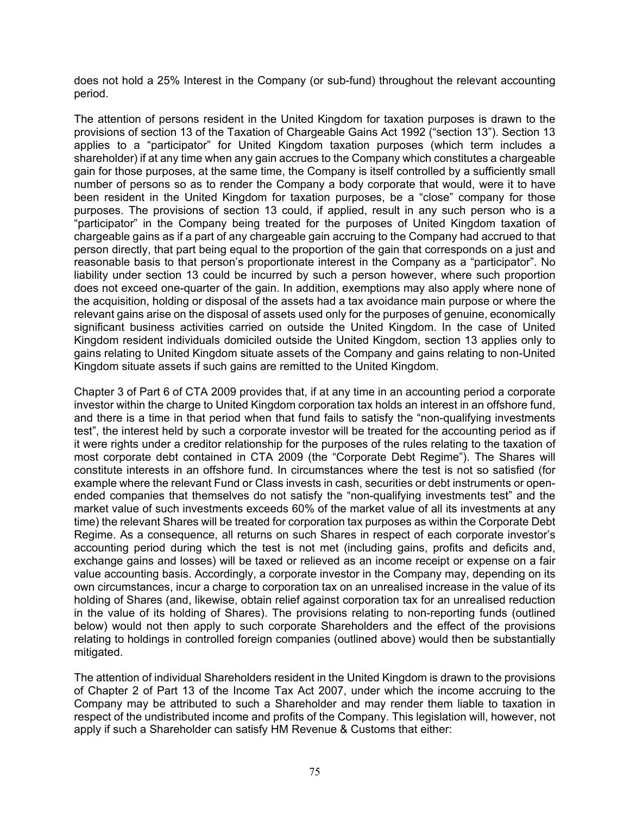does not hold a 25% Interest in the Company (or sub-fund) throughout the relevant accounting period.

The attention of persons resident in the United Kingdom for taxation purposes is drawn to the provisions of section 13 of the Taxation of Chargeable Gains Act 1992 ("section 13"). Section 13 applies to a "participator" for United Kingdom taxation purposes (which term includes a shareholder) if at any time when any gain accrues to the Company which constitutes a chargeable gain for those purposes, at the same time, the Company is itself controlled by a sufficiently small number of persons so as to render the Company a body corporate that would, were it to have been resident in the United Kingdom for taxation purposes, be a "close" company for those purposes. The provisions of section 13 could, if applied, result in any such person who is a "participator" in the Company being treated for the purposes of United Kingdom taxation of chargeable gains as if a part of any chargeable gain accruing to the Company had accrued to that person directly, that part being equal to the proportion of the gain that corresponds on a just and reasonable basis to that person's proportionate interest in the Company as a "participator". No liability under section 13 could be incurred by such a person however, where such proportion does not exceed one-quarter of the gain. In addition, exemptions may also apply where none of the acquisition, holding or disposal of the assets had a tax avoidance main purpose or where the relevant gains arise on the disposal of assets used only for the purposes of genuine, economically significant business activities carried on outside the United Kingdom. In the case of United Kingdom resident individuals domiciled outside the United Kingdom, section 13 applies only to gains relating to United Kingdom situate assets of the Company and gains relating to non-United Kingdom situate assets if such gains are remitted to the United Kingdom.

Chapter 3 of Part 6 of CTA 2009 provides that, if at any time in an accounting period a corporate investor within the charge to United Kingdom corporation tax holds an interest in an offshore fund, and there is a time in that period when that fund fails to satisfy the "non-qualifying investments test", the interest held by such a corporate investor will be treated for the accounting period as if it were rights under a creditor relationship for the purposes of the rules relating to the taxation of most corporate debt contained in CTA 2009 (the "Corporate Debt Regime"). The Shares will constitute interests in an offshore fund. In circumstances where the test is not so satisfied (for example where the relevant Fund or Class invests in cash, securities or debt instruments or openended companies that themselves do not satisfy the "non-qualifying investments test" and the market value of such investments exceeds 60% of the market value of all its investments at any time) the relevant Shares will be treated for corporation tax purposes as within the Corporate Debt Regime. As a consequence, all returns on such Shares in respect of each corporate investor's accounting period during which the test is not met (including gains, profits and deficits and, exchange gains and losses) will be taxed or relieved as an income receipt or expense on a fair value accounting basis. Accordingly, a corporate investor in the Company may, depending on its own circumstances, incur a charge to corporation tax on an unrealised increase in the value of its holding of Shares (and, likewise, obtain relief against corporation tax for an unrealised reduction in the value of its holding of Shares). The provisions relating to non-reporting funds (outlined below) would not then apply to such corporate Shareholders and the effect of the provisions relating to holdings in controlled foreign companies (outlined above) would then be substantially mitigated.

The attention of individual Shareholders resident in the United Kingdom is drawn to the provisions of Chapter 2 of Part 13 of the Income Tax Act 2007, under which the income accruing to the Company may be attributed to such a Shareholder and may render them liable to taxation in respect of the undistributed income and profits of the Company. This legislation will, however, not apply if such a Shareholder can satisfy HM Revenue & Customs that either: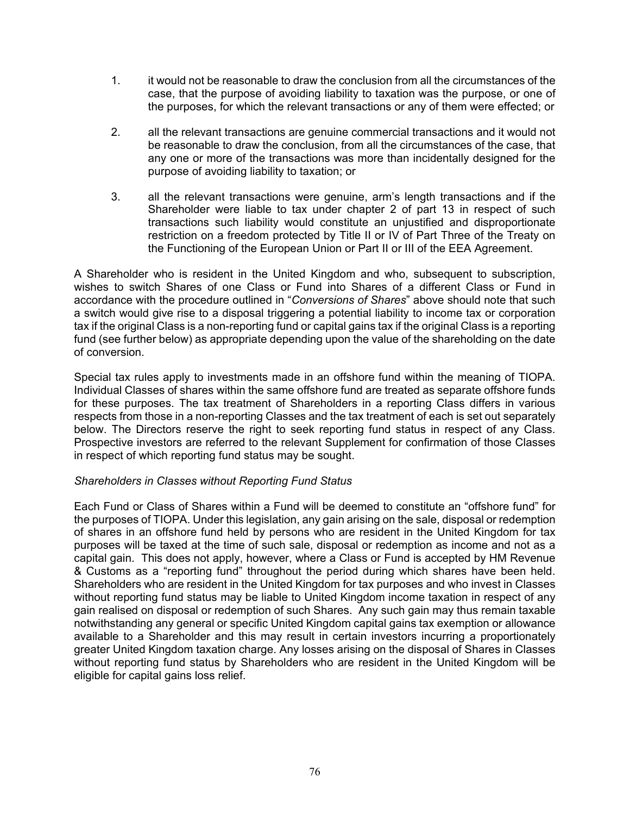- 1. it would not be reasonable to draw the conclusion from all the circumstances of the case, that the purpose of avoiding liability to taxation was the purpose, or one of the purposes, for which the relevant transactions or any of them were effected; or
- 2. all the relevant transactions are genuine commercial transactions and it would not be reasonable to draw the conclusion, from all the circumstances of the case, that any one or more of the transactions was more than incidentally designed for the purpose of avoiding liability to taxation; or
- 3. all the relevant transactions were genuine, arm's length transactions and if the Shareholder were liable to tax under chapter 2 of part 13 in respect of such transactions such liability would constitute an unjustified and disproportionate restriction on a freedom protected by Title II or IV of Part Three of the Treaty on the Functioning of the European Union or Part II or III of the EEA Agreement.

A Shareholder who is resident in the United Kingdom and who, subsequent to subscription, wishes to switch Shares of one Class or Fund into Shares of a different Class or Fund in accordance with the procedure outlined in "*Conversions of Shares*" above should note that such a switch would give rise to a disposal triggering a potential liability to income tax or corporation tax if the original Class is a non-reporting fund or capital gains tax if the original Class is a reporting fund (see further below) as appropriate depending upon the value of the shareholding on the date of conversion.

Special tax rules apply to investments made in an offshore fund within the meaning of TIOPA. Individual Classes of shares within the same offshore fund are treated as separate offshore funds for these purposes. The tax treatment of Shareholders in a reporting Class differs in various respects from those in a non-reporting Classes and the tax treatment of each is set out separately below. The Directors reserve the right to seek reporting fund status in respect of any Class. Prospective investors are referred to the relevant Supplement for confirmation of those Classes in respect of which reporting fund status may be sought.

### *Shareholders in Classes without Reporting Fund Status*

Each Fund or Class of Shares within a Fund will be deemed to constitute an "offshore fund" for the purposes of TIOPA. Under this legislation, any gain arising on the sale, disposal or redemption of shares in an offshore fund held by persons who are resident in the United Kingdom for tax purposes will be taxed at the time of such sale, disposal or redemption as income and not as a capital gain. This does not apply, however, where a Class or Fund is accepted by HM Revenue & Customs as a "reporting fund" throughout the period during which shares have been held. Shareholders who are resident in the United Kingdom for tax purposes and who invest in Classes without reporting fund status may be liable to United Kingdom income taxation in respect of any gain realised on disposal or redemption of such Shares. Any such gain may thus remain taxable notwithstanding any general or specific United Kingdom capital gains tax exemption or allowance available to a Shareholder and this may result in certain investors incurring a proportionately greater United Kingdom taxation charge. Any losses arising on the disposal of Shares in Classes without reporting fund status by Shareholders who are resident in the United Kingdom will be eligible for capital gains loss relief.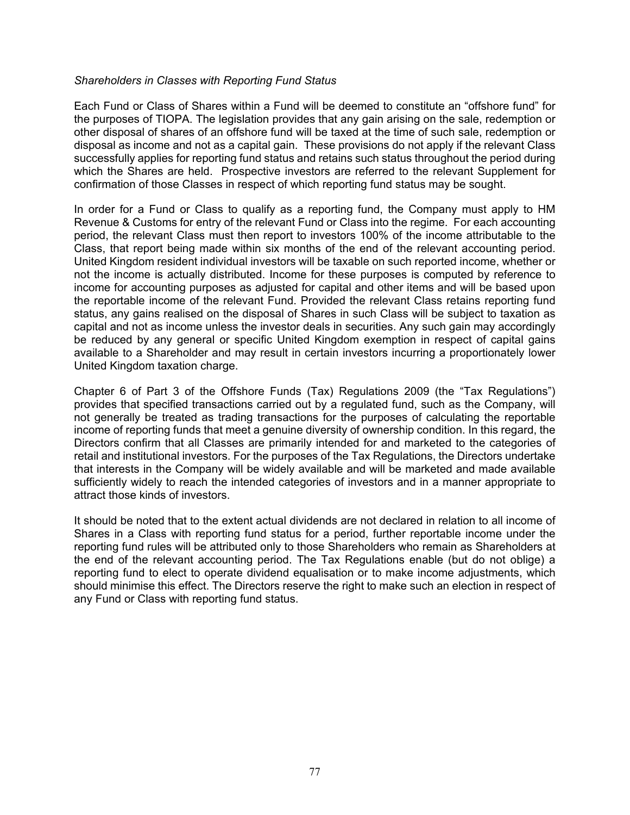#### *Shareholders in Classes with Reporting Fund Status*

Each Fund or Class of Shares within a Fund will be deemed to constitute an "offshore fund" for the purposes of TIOPA. The legislation provides that any gain arising on the sale, redemption or other disposal of shares of an offshore fund will be taxed at the time of such sale, redemption or disposal as income and not as a capital gain. These provisions do not apply if the relevant Class successfully applies for reporting fund status and retains such status throughout the period during which the Shares are held. Prospective investors are referred to the relevant Supplement for confirmation of those Classes in respect of which reporting fund status may be sought.

In order for a Fund or Class to qualify as a reporting fund, the Company must apply to HM Revenue & Customs for entry of the relevant Fund or Class into the regime. For each accounting period, the relevant Class must then report to investors 100% of the income attributable to the Class, that report being made within six months of the end of the relevant accounting period. United Kingdom resident individual investors will be taxable on such reported income, whether or not the income is actually distributed. Income for these purposes is computed by reference to income for accounting purposes as adjusted for capital and other items and will be based upon the reportable income of the relevant Fund. Provided the relevant Class retains reporting fund status, any gains realised on the disposal of Shares in such Class will be subject to taxation as capital and not as income unless the investor deals in securities. Any such gain may accordingly be reduced by any general or specific United Kingdom exemption in respect of capital gains available to a Shareholder and may result in certain investors incurring a proportionately lower United Kingdom taxation charge.

Chapter 6 of Part 3 of the Offshore Funds (Tax) Regulations 2009 (the "Tax Regulations") provides that specified transactions carried out by a regulated fund, such as the Company, will not generally be treated as trading transactions for the purposes of calculating the reportable income of reporting funds that meet a genuine diversity of ownership condition. In this regard, the Directors confirm that all Classes are primarily intended for and marketed to the categories of retail and institutional investors. For the purposes of the Tax Regulations, the Directors undertake that interests in the Company will be widely available and will be marketed and made available sufficiently widely to reach the intended categories of investors and in a manner appropriate to attract those kinds of investors.

It should be noted that to the extent actual dividends are not declared in relation to all income of Shares in a Class with reporting fund status for a period, further reportable income under the reporting fund rules will be attributed only to those Shareholders who remain as Shareholders at the end of the relevant accounting period. The Tax Regulations enable (but do not oblige) a reporting fund to elect to operate dividend equalisation or to make income adjustments, which should minimise this effect. The Directors reserve the right to make such an election in respect of any Fund or Class with reporting fund status.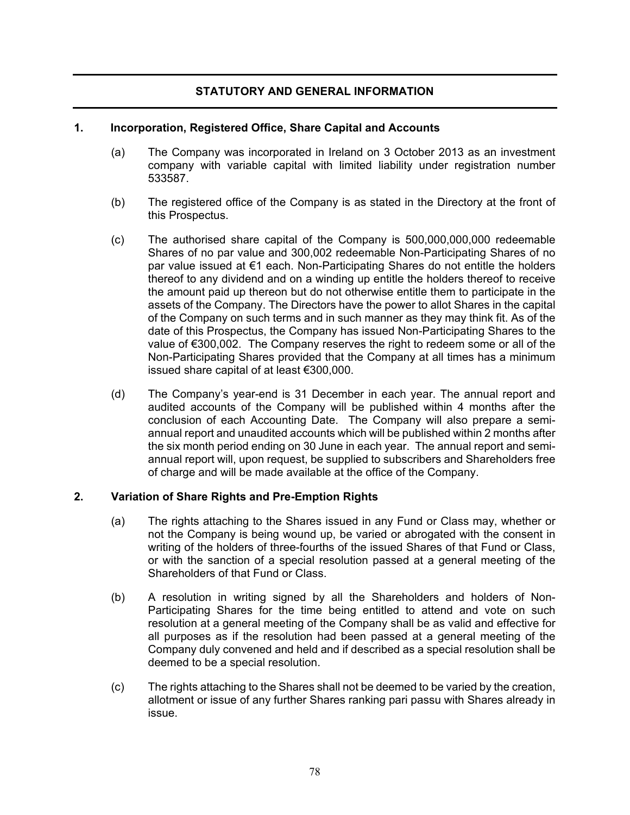## **STATUTORY AND GENERAL INFORMATION**

#### **1. Incorporation, Registered Office, Share Capital and Accounts**

- (a) The Company was incorporated in Ireland on 3 October 2013 as an investment company with variable capital with limited liability under registration number 533587.
- (b) The registered office of the Company is as stated in the Directory at the front of this Prospectus.
- (c) The authorised share capital of the Company is 500,000,000,000 redeemable Shares of no par value and 300,002 redeemable Non-Participating Shares of no par value issued at €1 each. Non-Participating Shares do not entitle the holders thereof to any dividend and on a winding up entitle the holders thereof to receive the amount paid up thereon but do not otherwise entitle them to participate in the assets of the Company. The Directors have the power to allot Shares in the capital of the Company on such terms and in such manner as they may think fit. As of the date of this Prospectus, the Company has issued Non-Participating Shares to the value of €300,002. The Company reserves the right to redeem some or all of the Non-Participating Shares provided that the Company at all times has a minimum issued share capital of at least €300,000.
- (d) The Company's year-end is 31 December in each year. The annual report and audited accounts of the Company will be published within 4 months after the conclusion of each Accounting Date. The Company will also prepare a semiannual report and unaudited accounts which will be published within 2 months after the six month period ending on 30 June in each year. The annual report and semiannual report will, upon request, be supplied to subscribers and Shareholders free of charge and will be made available at the office of the Company.

### **2. Variation of Share Rights and Pre-Emption Rights**

- (a) The rights attaching to the Shares issued in any Fund or Class may, whether or not the Company is being wound up, be varied or abrogated with the consent in writing of the holders of three-fourths of the issued Shares of that Fund or Class, or with the sanction of a special resolution passed at a general meeting of the Shareholders of that Fund or Class.
- (b) A resolution in writing signed by all the Shareholders and holders of Non-Participating Shares for the time being entitled to attend and vote on such resolution at a general meeting of the Company shall be as valid and effective for all purposes as if the resolution had been passed at a general meeting of the Company duly convened and held and if described as a special resolution shall be deemed to be a special resolution.
- (c) The rights attaching to the Shares shall not be deemed to be varied by the creation, allotment or issue of any further Shares ranking pari passu with Shares already in issue.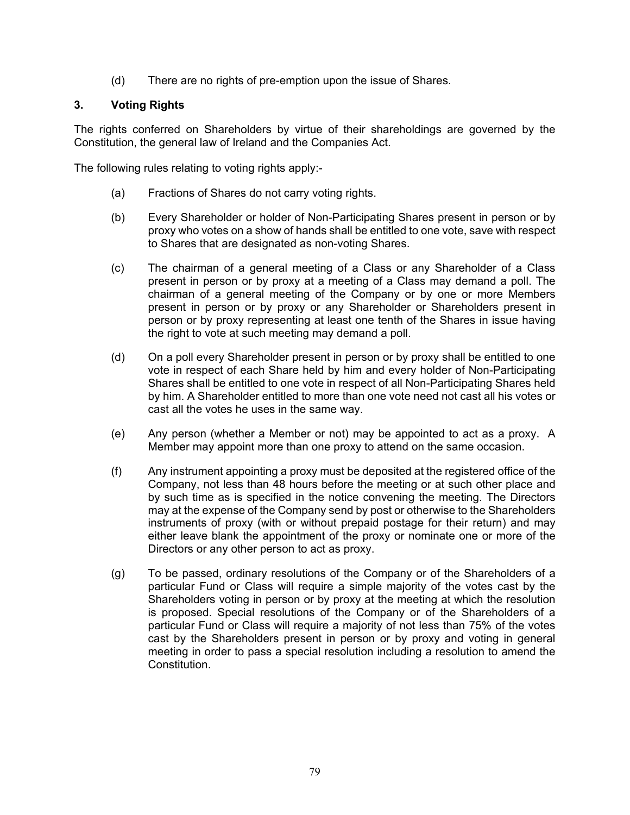(d) There are no rights of pre-emption upon the issue of Shares.

## **3. Voting Rights**

The rights conferred on Shareholders by virtue of their shareholdings are governed by the Constitution, the general law of Ireland and the Companies Act.

The following rules relating to voting rights apply:-

- (a) Fractions of Shares do not carry voting rights.
- (b) Every Shareholder or holder of Non-Participating Shares present in person or by proxy who votes on a show of hands shall be entitled to one vote, save with respect to Shares that are designated as non-voting Shares.
- (c) The chairman of a general meeting of a Class or any Shareholder of a Class present in person or by proxy at a meeting of a Class may demand a poll. The chairman of a general meeting of the Company or by one or more Members present in person or by proxy or any Shareholder or Shareholders present in person or by proxy representing at least one tenth of the Shares in issue having the right to vote at such meeting may demand a poll.
- (d) On a poll every Shareholder present in person or by proxy shall be entitled to one vote in respect of each Share held by him and every holder of Non-Participating Shares shall be entitled to one vote in respect of all Non-Participating Shares held by him. A Shareholder entitled to more than one vote need not cast all his votes or cast all the votes he uses in the same way.
- (e) Any person (whether a Member or not) may be appointed to act as a proxy. A Member may appoint more than one proxy to attend on the same occasion.
- (f) Any instrument appointing a proxy must be deposited at the registered office of the Company, not less than 48 hours before the meeting or at such other place and by such time as is specified in the notice convening the meeting. The Directors may at the expense of the Company send by post or otherwise to the Shareholders instruments of proxy (with or without prepaid postage for their return) and may either leave blank the appointment of the proxy or nominate one or more of the Directors or any other person to act as proxy.
- (g) To be passed, ordinary resolutions of the Company or of the Shareholders of a particular Fund or Class will require a simple majority of the votes cast by the Shareholders voting in person or by proxy at the meeting at which the resolution is proposed. Special resolutions of the Company or of the Shareholders of a particular Fund or Class will require a majority of not less than 75% of the votes cast by the Shareholders present in person or by proxy and voting in general meeting in order to pass a special resolution including a resolution to amend the Constitution.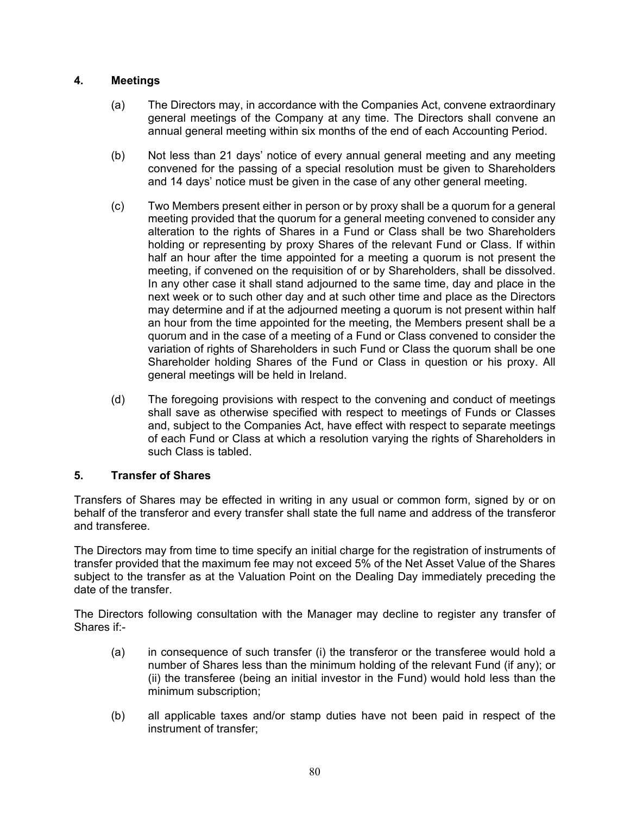# **4. Meetings**

- (a) The Directors may, in accordance with the Companies Act, convene extraordinary general meetings of the Company at any time. The Directors shall convene an annual general meeting within six months of the end of each Accounting Period.
- (b) Not less than 21 days' notice of every annual general meeting and any meeting convened for the passing of a special resolution must be given to Shareholders and 14 days' notice must be given in the case of any other general meeting.
- (c) Two Members present either in person or by proxy shall be a quorum for a general meeting provided that the quorum for a general meeting convened to consider any alteration to the rights of Shares in a Fund or Class shall be two Shareholders holding or representing by proxy Shares of the relevant Fund or Class. If within half an hour after the time appointed for a meeting a quorum is not present the meeting, if convened on the requisition of or by Shareholders, shall be dissolved. In any other case it shall stand adjourned to the same time, day and place in the next week or to such other day and at such other time and place as the Directors may determine and if at the adjourned meeting a quorum is not present within half an hour from the time appointed for the meeting, the Members present shall be a quorum and in the case of a meeting of a Fund or Class convened to consider the variation of rights of Shareholders in such Fund or Class the quorum shall be one Shareholder holding Shares of the Fund or Class in question or his proxy. All general meetings will be held in Ireland.
- (d) The foregoing provisions with respect to the convening and conduct of meetings shall save as otherwise specified with respect to meetings of Funds or Classes and, subject to the Companies Act, have effect with respect to separate meetings of each Fund or Class at which a resolution varying the rights of Shareholders in such Class is tabled.

# **5. Transfer of Shares**

Transfers of Shares may be effected in writing in any usual or common form, signed by or on behalf of the transferor and every transfer shall state the full name and address of the transferor and transferee.

The Directors may from time to time specify an initial charge for the registration of instruments of transfer provided that the maximum fee may not exceed 5% of the Net Asset Value of the Shares subject to the transfer as at the Valuation Point on the Dealing Day immediately preceding the date of the transfer.

The Directors following consultation with the Manager may decline to register any transfer of Shares if:-

- (a) in consequence of such transfer (i) the transferor or the transferee would hold a number of Shares less than the minimum holding of the relevant Fund (if any); or (ii) the transferee (being an initial investor in the Fund) would hold less than the minimum subscription;
- (b) all applicable taxes and/or stamp duties have not been paid in respect of the instrument of transfer;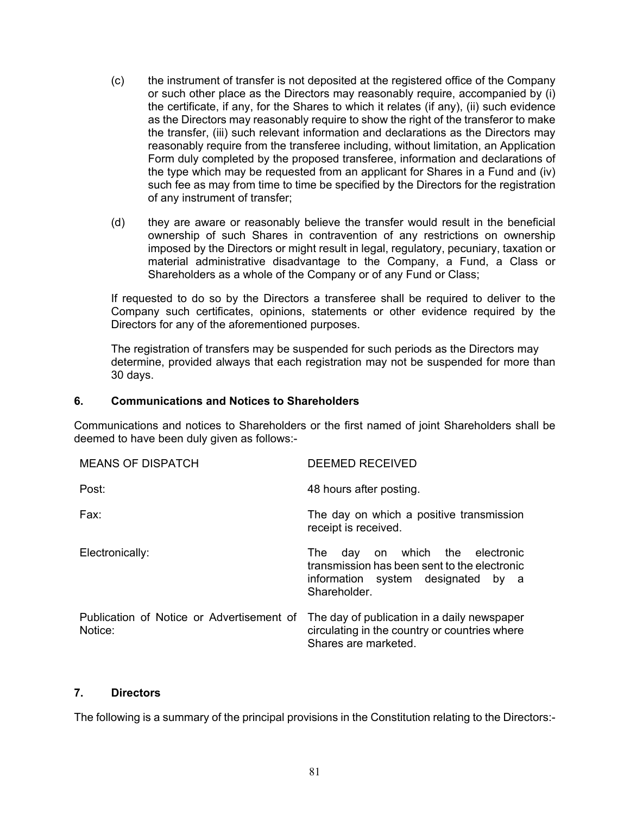- (c) the instrument of transfer is not deposited at the registered office of the Company or such other place as the Directors may reasonably require, accompanied by (i) the certificate, if any, for the Shares to which it relates (if any), (ii) such evidence as the Directors may reasonably require to show the right of the transferor to make the transfer, (iii) such relevant information and declarations as the Directors may reasonably require from the transferee including, without limitation, an Application Form duly completed by the proposed transferee, information and declarations of the type which may be requested from an applicant for Shares in a Fund and (iv) such fee as may from time to time be specified by the Directors for the registration of any instrument of transfer;
- (d) they are aware or reasonably believe the transfer would result in the beneficial ownership of such Shares in contravention of any restrictions on ownership imposed by the Directors or might result in legal, regulatory, pecuniary, taxation or material administrative disadvantage to the Company, a Fund, a Class or Shareholders as a whole of the Company or of any Fund or Class;

If requested to do so by the Directors a transferee shall be required to deliver to the Company such certificates, opinions, statements or other evidence required by the Directors for any of the aforementioned purposes.

The registration of transfers may be suspended for such periods as the Directors may determine, provided always that each registration may not be suspended for more than 30 days.

#### **6. Communications and Notices to Shareholders**

Communications and notices to Shareholders or the first named of joint Shareholders shall be deemed to have been duly given as follows:-

| <b>MEANS OF DISPATCH</b>                             | <b>DEEMED RECEIVED</b>                                                                                                                        |
|------------------------------------------------------|-----------------------------------------------------------------------------------------------------------------------------------------------|
| Post:                                                | 48 hours after posting.                                                                                                                       |
| Fax:                                                 | The day on which a positive transmission<br>receipt is received.                                                                              |
| Electronically:                                      | on which the electronic<br>The T<br>dav<br>transmission has been sent to the electronic<br>information system designated by a<br>Shareholder. |
| Publication of Notice or Advertisement of<br>Notice: | The day of publication in a daily newspaper<br>circulating in the country or countries where<br>Shares are marketed.                          |

### **7. Directors**

The following is a summary of the principal provisions in the Constitution relating to the Directors:-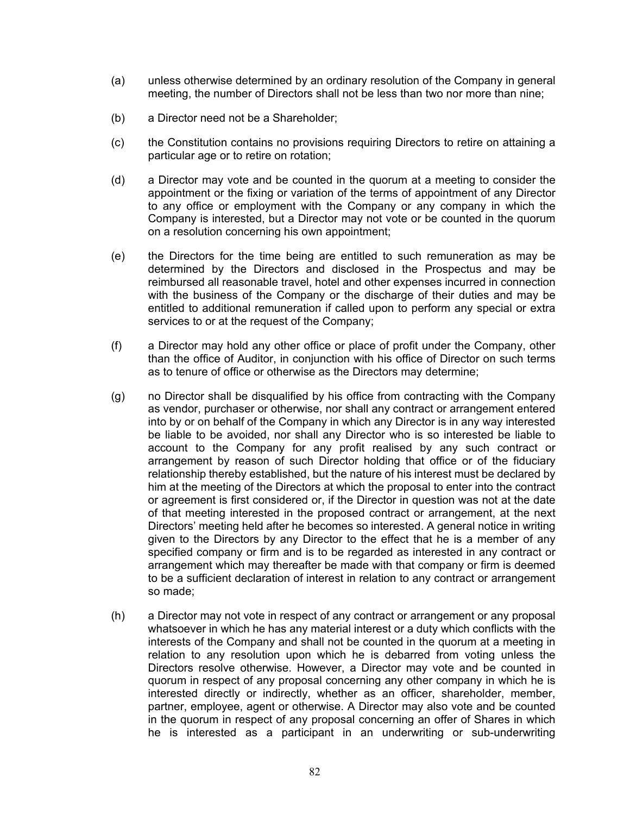- (a) unless otherwise determined by an ordinary resolution of the Company in general meeting, the number of Directors shall not be less than two nor more than nine;
- (b) a Director need not be a Shareholder;
- (c) the Constitution contains no provisions requiring Directors to retire on attaining a particular age or to retire on rotation;
- (d) a Director may vote and be counted in the quorum at a meeting to consider the appointment or the fixing or variation of the terms of appointment of any Director to any office or employment with the Company or any company in which the Company is interested, but a Director may not vote or be counted in the quorum on a resolution concerning his own appointment;
- (e) the Directors for the time being are entitled to such remuneration as may be determined by the Directors and disclosed in the Prospectus and may be reimbursed all reasonable travel, hotel and other expenses incurred in connection with the business of the Company or the discharge of their duties and may be entitled to additional remuneration if called upon to perform any special or extra services to or at the request of the Company;
- (f) a Director may hold any other office or place of profit under the Company, other than the office of Auditor, in conjunction with his office of Director on such terms as to tenure of office or otherwise as the Directors may determine;
- (g) no Director shall be disqualified by his office from contracting with the Company as vendor, purchaser or otherwise, nor shall any contract or arrangement entered into by or on behalf of the Company in which any Director is in any way interested be liable to be avoided, nor shall any Director who is so interested be liable to account to the Company for any profit realised by any such contract or arrangement by reason of such Director holding that office or of the fiduciary relationship thereby established, but the nature of his interest must be declared by him at the meeting of the Directors at which the proposal to enter into the contract or agreement is first considered or, if the Director in question was not at the date of that meeting interested in the proposed contract or arrangement, at the next Directors' meeting held after he becomes so interested. A general notice in writing given to the Directors by any Director to the effect that he is a member of any specified company or firm and is to be regarded as interested in any contract or arrangement which may thereafter be made with that company or firm is deemed to be a sufficient declaration of interest in relation to any contract or arrangement so made;
- (h) a Director may not vote in respect of any contract or arrangement or any proposal whatsoever in which he has any material interest or a duty which conflicts with the interests of the Company and shall not be counted in the quorum at a meeting in relation to any resolution upon which he is debarred from voting unless the Directors resolve otherwise. However, a Director may vote and be counted in quorum in respect of any proposal concerning any other company in which he is interested directly or indirectly, whether as an officer, shareholder, member, partner, employee, agent or otherwise. A Director may also vote and be counted in the quorum in respect of any proposal concerning an offer of Shares in which he is interested as a participant in an underwriting or sub-underwriting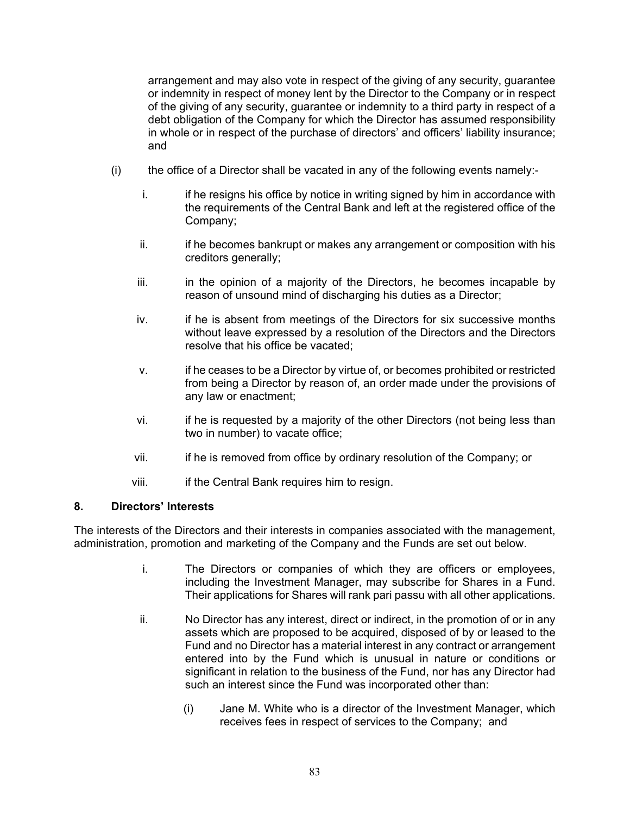arrangement and may also vote in respect of the giving of any security, guarantee or indemnity in respect of money lent by the Director to the Company or in respect of the giving of any security, guarantee or indemnity to a third party in respect of a debt obligation of the Company for which the Director has assumed responsibility in whole or in respect of the purchase of directors' and officers' liability insurance; and

- (i) the office of a Director shall be vacated in any of the following events namely:
	- i. if he resigns his office by notice in writing signed by him in accordance with the requirements of the Central Bank and left at the registered office of the Company;
	- ii. if he becomes bankrupt or makes any arrangement or composition with his creditors generally;
	- iii. in the opinion of a majority of the Directors, he becomes incapable by reason of unsound mind of discharging his duties as a Director;
	- iv. if he is absent from meetings of the Directors for six successive months without leave expressed by a resolution of the Directors and the Directors resolve that his office be vacated;
	- v. if he ceases to be a Director by virtue of, or becomes prohibited or restricted from being a Director by reason of, an order made under the provisions of any law or enactment;
	- vi. if he is requested by a majority of the other Directors (not being less than two in number) to vacate office;
	- vii. if he is removed from office by ordinary resolution of the Company; or
	- viii. if the Central Bank requires him to resign.

### **8. Directors' Interests**

The interests of the Directors and their interests in companies associated with the management, administration, promotion and marketing of the Company and the Funds are set out below.

- i. The Directors or companies of which they are officers or employees, including the Investment Manager, may subscribe for Shares in a Fund. Their applications for Shares will rank pari passu with all other applications.
- ii. No Director has any interest, direct or indirect, in the promotion of or in any assets which are proposed to be acquired, disposed of by or leased to the Fund and no Director has a material interest in any contract or arrangement entered into by the Fund which is unusual in nature or conditions or significant in relation to the business of the Fund, nor has any Director had such an interest since the Fund was incorporated other than:
	- (i) Jane M. White who is a director of the Investment Manager, which receives fees in respect of services to the Company; and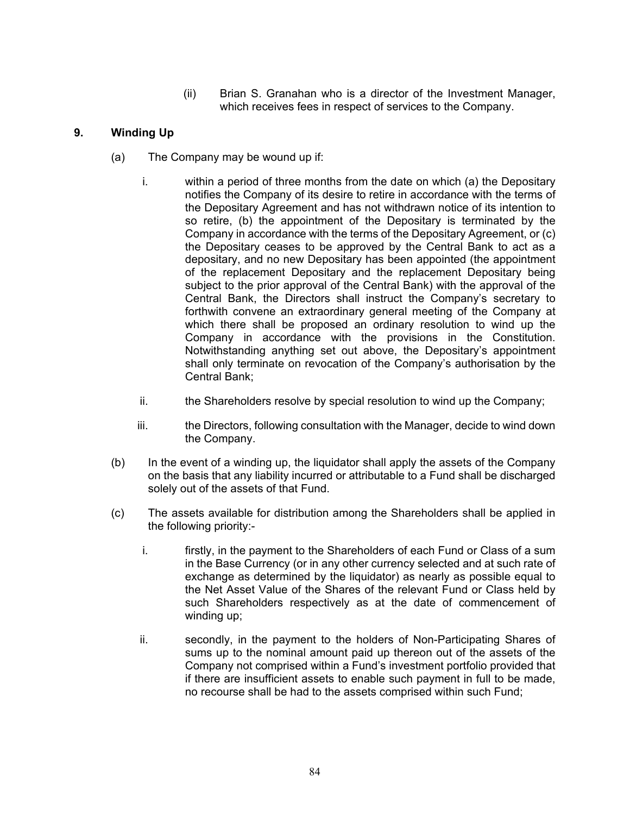(ii) Brian S. Granahan who is a director of the Investment Manager, which receives fees in respect of services to the Company.

## **9. Winding Up**

- (a) The Company may be wound up if:
	- i. within a period of three months from the date on which (a) the Depositary notifies the Company of its desire to retire in accordance with the terms of the Depositary Agreement and has not withdrawn notice of its intention to so retire, (b) the appointment of the Depositary is terminated by the Company in accordance with the terms of the Depositary Agreement, or (c) the Depositary ceases to be approved by the Central Bank to act as a depositary, and no new Depositary has been appointed (the appointment of the replacement Depositary and the replacement Depositary being subject to the prior approval of the Central Bank) with the approval of the Central Bank, the Directors shall instruct the Company's secretary to forthwith convene an extraordinary general meeting of the Company at which there shall be proposed an ordinary resolution to wind up the Company in accordance with the provisions in the Constitution. Notwithstanding anything set out above, the Depositary's appointment shall only terminate on revocation of the Company's authorisation by the Central Bank;
	- ii. the Shareholders resolve by special resolution to wind up the Company;
	- iii. the Directors, following consultation with the Manager, decide to wind down the Company.
- (b) In the event of a winding up, the liquidator shall apply the assets of the Company on the basis that any liability incurred or attributable to a Fund shall be discharged solely out of the assets of that Fund.
- (c) The assets available for distribution among the Shareholders shall be applied in the following priority:
	- i. firstly, in the payment to the Shareholders of each Fund or Class of a sum in the Base Currency (or in any other currency selected and at such rate of exchange as determined by the liquidator) as nearly as possible equal to the Net Asset Value of the Shares of the relevant Fund or Class held by such Shareholders respectively as at the date of commencement of winding up;
	- ii. secondly, in the payment to the holders of Non-Participating Shares of sums up to the nominal amount paid up thereon out of the assets of the Company not comprised within a Fund's investment portfolio provided that if there are insufficient assets to enable such payment in full to be made, no recourse shall be had to the assets comprised within such Fund;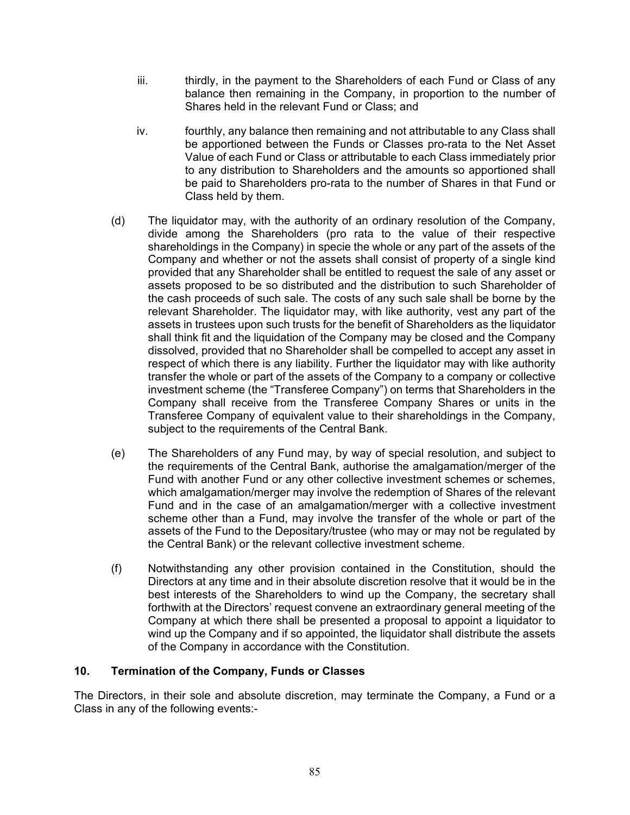- iii. thirdly, in the payment to the Shareholders of each Fund or Class of any balance then remaining in the Company, in proportion to the number of Shares held in the relevant Fund or Class; and
- iv. fourthly, any balance then remaining and not attributable to any Class shall be apportioned between the Funds or Classes pro-rata to the Net Asset Value of each Fund or Class or attributable to each Class immediately prior to any distribution to Shareholders and the amounts so apportioned shall be paid to Shareholders pro-rata to the number of Shares in that Fund or Class held by them.
- (d) The liquidator may, with the authority of an ordinary resolution of the Company, divide among the Shareholders (pro rata to the value of their respective shareholdings in the Company) in specie the whole or any part of the assets of the Company and whether or not the assets shall consist of property of a single kind provided that any Shareholder shall be entitled to request the sale of any asset or assets proposed to be so distributed and the distribution to such Shareholder of the cash proceeds of such sale. The costs of any such sale shall be borne by the relevant Shareholder. The liquidator may, with like authority, vest any part of the assets in trustees upon such trusts for the benefit of Shareholders as the liquidator shall think fit and the liquidation of the Company may be closed and the Company dissolved, provided that no Shareholder shall be compelled to accept any asset in respect of which there is any liability. Further the liquidator may with like authority transfer the whole or part of the assets of the Company to a company or collective investment scheme (the "Transferee Company") on terms that Shareholders in the Company shall receive from the Transferee Company Shares or units in the Transferee Company of equivalent value to their shareholdings in the Company, subject to the requirements of the Central Bank.
- (e) The Shareholders of any Fund may, by way of special resolution, and subject to the requirements of the Central Bank, authorise the amalgamation/merger of the Fund with another Fund or any other collective investment schemes or schemes, which amalgamation/merger may involve the redemption of Shares of the relevant Fund and in the case of an amalgamation/merger with a collective investment scheme other than a Fund, may involve the transfer of the whole or part of the assets of the Fund to the Depositary/trustee (who may or may not be regulated by the Central Bank) or the relevant collective investment scheme.
- (f) Notwithstanding any other provision contained in the Constitution, should the Directors at any time and in their absolute discretion resolve that it would be in the best interests of the Shareholders to wind up the Company, the secretary shall forthwith at the Directors' request convene an extraordinary general meeting of the Company at which there shall be presented a proposal to appoint a liquidator to wind up the Company and if so appointed, the liquidator shall distribute the assets of the Company in accordance with the Constitution.

### **10. Termination of the Company, Funds or Classes**

The Directors, in their sole and absolute discretion, may terminate the Company, a Fund or a Class in any of the following events:-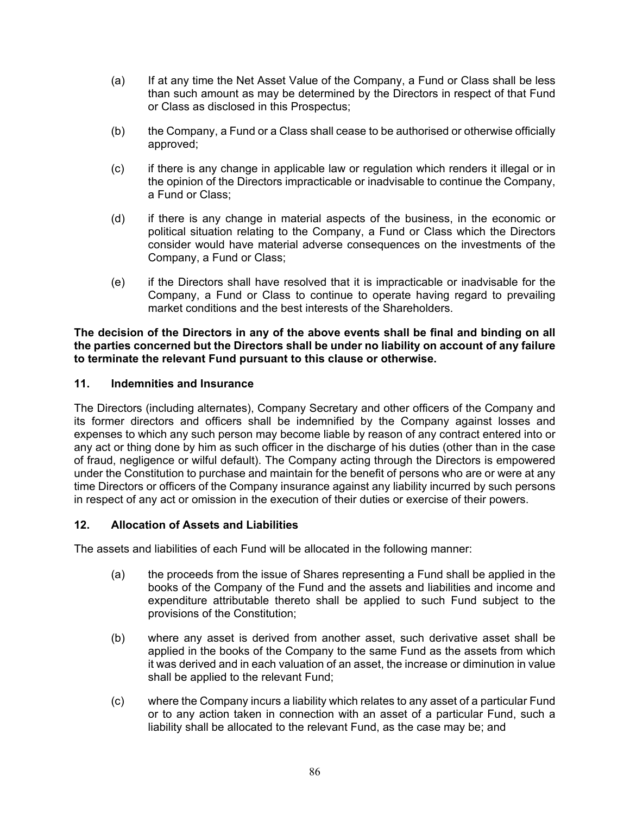- (a) If at any time the Net Asset Value of the Company, a Fund or Class shall be less than such amount as may be determined by the Directors in respect of that Fund or Class as disclosed in this Prospectus;
- (b) the Company, a Fund or a Class shall cease to be authorised or otherwise officially approved;
- (c) if there is any change in applicable law or regulation which renders it illegal or in the opinion of the Directors impracticable or inadvisable to continue the Company, a Fund or Class;
- (d) if there is any change in material aspects of the business, in the economic or political situation relating to the Company, a Fund or Class which the Directors consider would have material adverse consequences on the investments of the Company, a Fund or Class;
- (e) if the Directors shall have resolved that it is impracticable or inadvisable for the Company, a Fund or Class to continue to operate having regard to prevailing market conditions and the best interests of the Shareholders.

**The decision of the Directors in any of the above events shall be final and binding on all the parties concerned but the Directors shall be under no liability on account of any failure to terminate the relevant Fund pursuant to this clause or otherwise.** 

### **11. Indemnities and Insurance**

The Directors (including alternates), Company Secretary and other officers of the Company and its former directors and officers shall be indemnified by the Company against losses and expenses to which any such person may become liable by reason of any contract entered into or any act or thing done by him as such officer in the discharge of his duties (other than in the case of fraud, negligence or wilful default). The Company acting through the Directors is empowered under the Constitution to purchase and maintain for the benefit of persons who are or were at any time Directors or officers of the Company insurance against any liability incurred by such persons in respect of any act or omission in the execution of their duties or exercise of their powers.

### **12. Allocation of Assets and Liabilities**

The assets and liabilities of each Fund will be allocated in the following manner:

- (a) the proceeds from the issue of Shares representing a Fund shall be applied in the books of the Company of the Fund and the assets and liabilities and income and expenditure attributable thereto shall be applied to such Fund subject to the provisions of the Constitution;
- (b) where any asset is derived from another asset, such derivative asset shall be applied in the books of the Company to the same Fund as the assets from which it was derived and in each valuation of an asset, the increase or diminution in value shall be applied to the relevant Fund;
- (c) where the Company incurs a liability which relates to any asset of a particular Fund or to any action taken in connection with an asset of a particular Fund, such a liability shall be allocated to the relevant Fund, as the case may be; and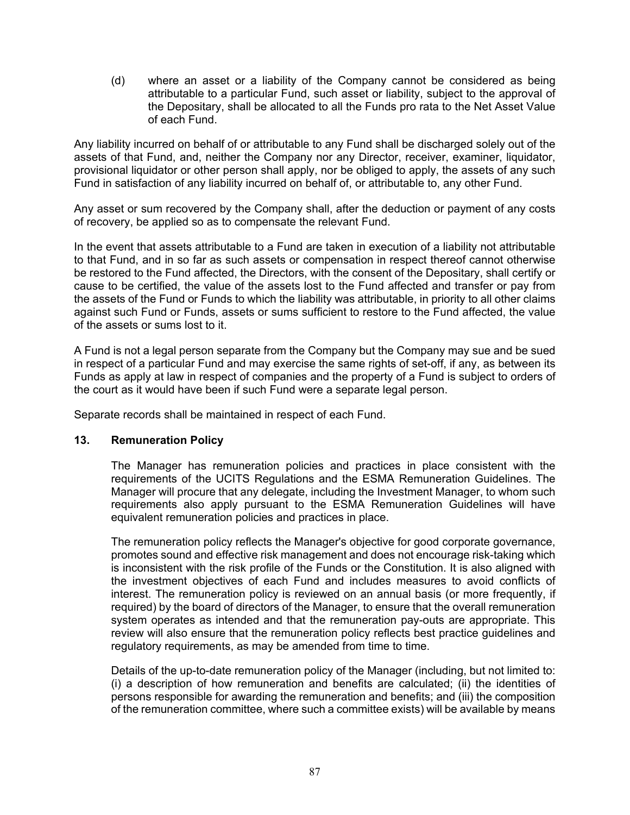(d) where an asset or a liability of the Company cannot be considered as being attributable to a particular Fund, such asset or liability, subject to the approval of the Depositary, shall be allocated to all the Funds pro rata to the Net Asset Value of each Fund.

Any liability incurred on behalf of or attributable to any Fund shall be discharged solely out of the assets of that Fund, and, neither the Company nor any Director, receiver, examiner, liquidator, provisional liquidator or other person shall apply, nor be obliged to apply, the assets of any such Fund in satisfaction of any liability incurred on behalf of, or attributable to, any other Fund.

Any asset or sum recovered by the Company shall, after the deduction or payment of any costs of recovery, be applied so as to compensate the relevant Fund.

In the event that assets attributable to a Fund are taken in execution of a liability not attributable to that Fund, and in so far as such assets or compensation in respect thereof cannot otherwise be restored to the Fund affected, the Directors, with the consent of the Depositary, shall certify or cause to be certified, the value of the assets lost to the Fund affected and transfer or pay from the assets of the Fund or Funds to which the liability was attributable, in priority to all other claims against such Fund or Funds, assets or sums sufficient to restore to the Fund affected, the value of the assets or sums lost to it.

A Fund is not a legal person separate from the Company but the Company may sue and be sued in respect of a particular Fund and may exercise the same rights of set-off, if any, as between its Funds as apply at law in respect of companies and the property of a Fund is subject to orders of the court as it would have been if such Fund were a separate legal person.

Separate records shall be maintained in respect of each Fund.

### **13. Remuneration Policy**

The Manager has remuneration policies and practices in place consistent with the requirements of the UCITS Regulations and the ESMA Remuneration Guidelines. The Manager will procure that any delegate, including the Investment Manager, to whom such requirements also apply pursuant to the ESMA Remuneration Guidelines will have equivalent remuneration policies and practices in place.

The remuneration policy reflects the Manager's objective for good corporate governance, promotes sound and effective risk management and does not encourage risk-taking which is inconsistent with the risk profile of the Funds or the Constitution. It is also aligned with the investment objectives of each Fund and includes measures to avoid conflicts of interest. The remuneration policy is reviewed on an annual basis (or more frequently, if required) by the board of directors of the Manager, to ensure that the overall remuneration system operates as intended and that the remuneration pay-outs are appropriate. This review will also ensure that the remuneration policy reflects best practice guidelines and regulatory requirements, as may be amended from time to time.

Details of the up-to-date remuneration policy of the Manager (including, but not limited to: (i) a description of how remuneration and benefits are calculated; (ii) the identities of persons responsible for awarding the remuneration and benefits; and (iii) the composition of the remuneration committee, where such a committee exists) will be available by means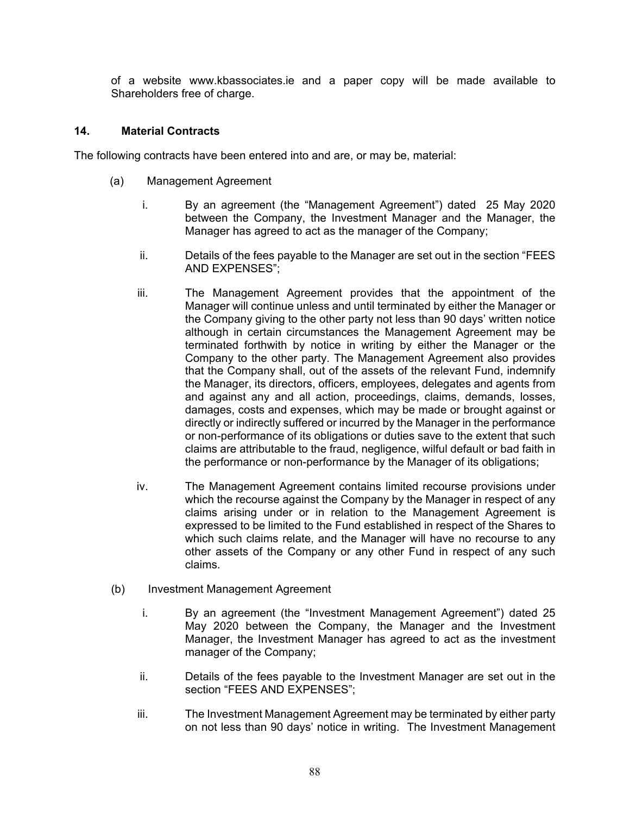of a website www.kbassociates.ie and a paper copy will be made available to Shareholders free of charge.

### **14. Material Contracts**

The following contracts have been entered into and are, or may be, material:

- (a) Management Agreement
	- i. By an agreement (the "Management Agreement") dated 25 May 2020 between the Company, the Investment Manager and the Manager, the Manager has agreed to act as the manager of the Company;
	- ii. Details of the fees payable to the Manager are set out in the section "FEES AND EXPENSES";
	- iii. The Management Agreement provides that the appointment of the Manager will continue unless and until terminated by either the Manager or the Company giving to the other party not less than 90 days' written notice although in certain circumstances the Management Agreement may be terminated forthwith by notice in writing by either the Manager or the Company to the other party. The Management Agreement also provides that the Company shall, out of the assets of the relevant Fund, indemnify the Manager, its directors, officers, employees, delegates and agents from and against any and all action, proceedings, claims, demands, losses, damages, costs and expenses, which may be made or brought against or directly or indirectly suffered or incurred by the Manager in the performance or non-performance of its obligations or duties save to the extent that such claims are attributable to the fraud, negligence, wilful default or bad faith in the performance or non-performance by the Manager of its obligations;
	- iv. The Management Agreement contains limited recourse provisions under which the recourse against the Company by the Manager in respect of any claims arising under or in relation to the Management Agreement is expressed to be limited to the Fund established in respect of the Shares to which such claims relate, and the Manager will have no recourse to any other assets of the Company or any other Fund in respect of any such claims.
- (b) Investment Management Agreement
	- i. By an agreement (the "Investment Management Agreement") dated 25 May 2020 between the Company, the Manager and the Investment Manager, the Investment Manager has agreed to act as the investment manager of the Company;
	- ii. Details of the fees payable to the Investment Manager are set out in the section "FEES AND EXPENSES";
	- iii. The Investment Management Agreement may be terminated by either party on not less than 90 days' notice in writing. The Investment Management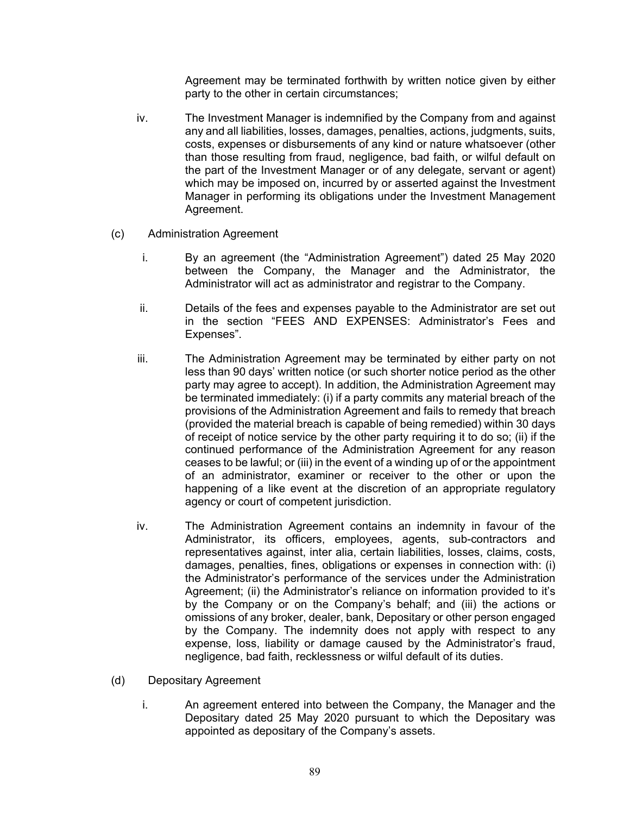Agreement may be terminated forthwith by written notice given by either party to the other in certain circumstances;

- iv. The Investment Manager is indemnified by the Company from and against any and all liabilities, losses, damages, penalties, actions, judgments, suits, costs, expenses or disbursements of any kind or nature whatsoever (other than those resulting from fraud, negligence, bad faith, or wilful default on the part of the Investment Manager or of any delegate, servant or agent) which may be imposed on, incurred by or asserted against the Investment Manager in performing its obligations under the Investment Management Agreement.
- (c) Administration Agreement
	- i. By an agreement (the "Administration Agreement") dated 25 May 2020 between the Company, the Manager and the Administrator, the Administrator will act as administrator and registrar to the Company.
	- ii. Details of the fees and expenses payable to the Administrator are set out in the section "FEES AND EXPENSES: Administrator's Fees and Expenses".
	- iii. The Administration Agreement may be terminated by either party on not less than 90 days' written notice (or such shorter notice period as the other party may agree to accept). In addition, the Administration Agreement may be terminated immediately: (i) if a party commits any material breach of the provisions of the Administration Agreement and fails to remedy that breach (provided the material breach is capable of being remedied) within 30 days of receipt of notice service by the other party requiring it to do so; (ii) if the continued performance of the Administration Agreement for any reason ceases to be lawful; or (iii) in the event of a winding up of or the appointment of an administrator, examiner or receiver to the other or upon the happening of a like event at the discretion of an appropriate regulatory agency or court of competent jurisdiction.
	- iv. The Administration Agreement contains an indemnity in favour of the Administrator, its officers, employees, agents, sub-contractors and representatives against, inter alia, certain liabilities, losses, claims, costs, damages, penalties, fines, obligations or expenses in connection with: (i) the Administrator's performance of the services under the Administration Agreement; (ii) the Administrator's reliance on information provided to it's by the Company or on the Company's behalf; and (iii) the actions or omissions of any broker, dealer, bank, Depositary or other person engaged by the Company. The indemnity does not apply with respect to any expense, loss, liability or damage caused by the Administrator's fraud, negligence, bad faith, recklessness or wilful default of its duties.
- (d) Depositary Agreement
	- i. An agreement entered into between the Company, the Manager and the Depositary dated 25 May 2020 pursuant to which the Depositary was appointed as depositary of the Company's assets.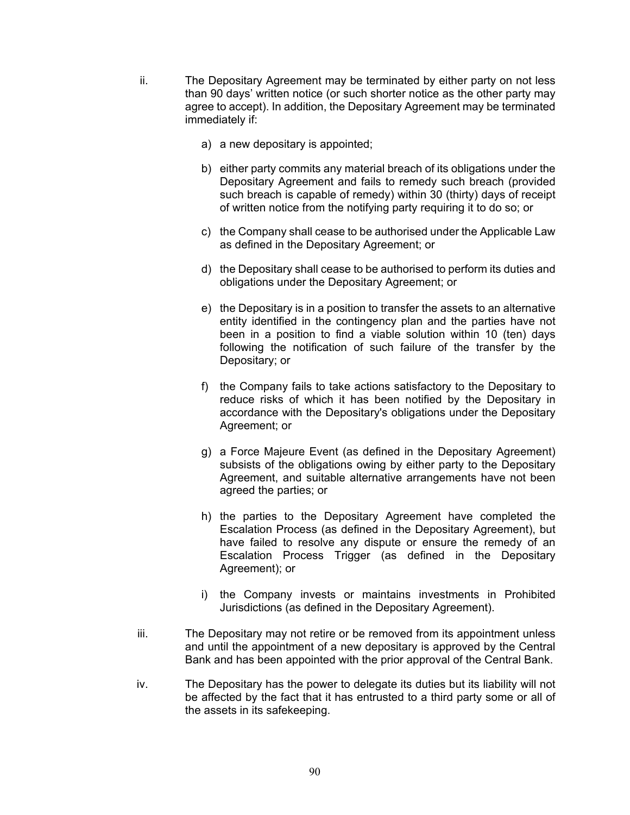- ii. The Depositary Agreement may be terminated by either party on not less than 90 days' written notice (or such shorter notice as the other party may agree to accept). In addition, the Depositary Agreement may be terminated immediately if:
	- a) a new depositary is appointed;
	- b) either party commits any material breach of its obligations under the Depositary Agreement and fails to remedy such breach (provided such breach is capable of remedy) within 30 (thirty) days of receipt of written notice from the notifying party requiring it to do so; or
	- c) the Company shall cease to be authorised under the Applicable Law as defined in the Depositary Agreement; or
	- d) the Depositary shall cease to be authorised to perform its duties and obligations under the Depositary Agreement; or
	- e) the Depositary is in a position to transfer the assets to an alternative entity identified in the contingency plan and the parties have not been in a position to find a viable solution within 10 (ten) days following the notification of such failure of the transfer by the Depositary; or
	- f) the Company fails to take actions satisfactory to the Depositary to reduce risks of which it has been notified by the Depositary in accordance with the Depositary's obligations under the Depositary Agreement; or
	- g) a Force Majeure Event (as defined in the Depositary Agreement) subsists of the obligations owing by either party to the Depositary Agreement, and suitable alternative arrangements have not been agreed the parties; or
	- h) the parties to the Depositary Agreement have completed the Escalation Process (as defined in the Depositary Agreement), but have failed to resolve any dispute or ensure the remedy of an Escalation Process Trigger (as defined in the Depositary Agreement); or
	- i) the Company invests or maintains investments in Prohibited Jurisdictions (as defined in the Depositary Agreement).
- iii. The Depositary may not retire or be removed from its appointment unless and until the appointment of a new depositary is approved by the Central Bank and has been appointed with the prior approval of the Central Bank.
- iv. The Depositary has the power to delegate its duties but its liability will not be affected by the fact that it has entrusted to a third party some or all of the assets in its safekeeping.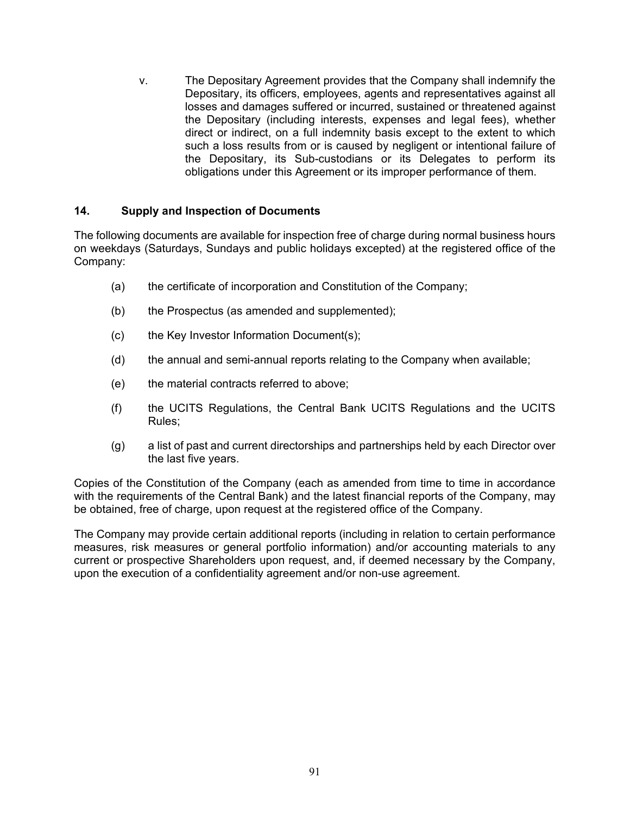v. The Depositary Agreement provides that the Company shall indemnify the Depositary, its officers, employees, agents and representatives against all losses and damages suffered or incurred, sustained or threatened against the Depositary (including interests, expenses and legal fees), whether direct or indirect, on a full indemnity basis except to the extent to which such a loss results from or is caused by negligent or intentional failure of the Depositary, its Sub-custodians or its Delegates to perform its obligations under this Agreement or its improper performance of them.

## **14. Supply and Inspection of Documents**

The following documents are available for inspection free of charge during normal business hours on weekdays (Saturdays, Sundays and public holidays excepted) at the registered office of the Company:

- (a) the certificate of incorporation and Constitution of the Company;
- (b) the Prospectus (as amended and supplemented);
- (c) the Key Investor Information Document(s);
- (d) the annual and semi-annual reports relating to the Company when available;
- (e) the material contracts referred to above;
- (f) the UCITS Regulations, the Central Bank UCITS Regulations and the UCITS Rules;
- (g) a list of past and current directorships and partnerships held by each Director over the last five years.

Copies of the Constitution of the Company (each as amended from time to time in accordance with the requirements of the Central Bank) and the latest financial reports of the Company, may be obtained, free of charge, upon request at the registered office of the Company.

The Company may provide certain additional reports (including in relation to certain performance measures, risk measures or general portfolio information) and/or accounting materials to any current or prospective Shareholders upon request, and, if deemed necessary by the Company, upon the execution of a confidentiality agreement and/or non-use agreement.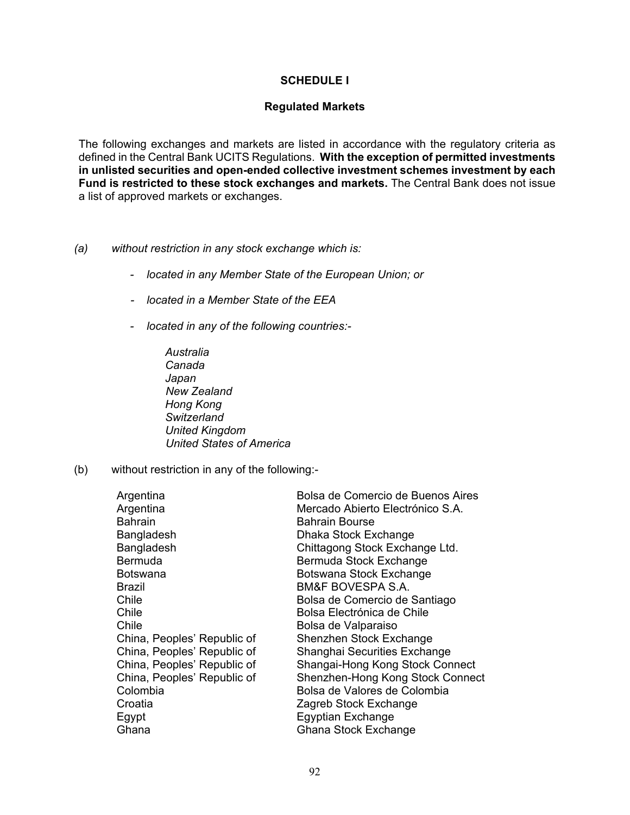#### **SCHEDULE I**

#### **Regulated Markets**

The following exchanges and markets are listed in accordance with the regulatory criteria as defined in the Central Bank UCITS Regulations. **With the exception of permitted investments in unlisted securities and open-ended collective investment schemes investment by each Fund is restricted to these stock exchanges and markets.** The Central Bank does not issue a list of approved markets or exchanges.

- *(a) without restriction in any stock exchange which is:* 
	- *located in any Member State of the European Union; or*
	- *located in a Member State of the EEA*
	- *located in any of the following countries:-* 
		- *Australia Canada Japan New Zealand Hong Kong Switzerland United Kingdom United States of America*
- (b) without restriction in any of the following:-

| Argentina                   | Bolsa de Comercio de Buenos Aires |
|-----------------------------|-----------------------------------|
| Argentina                   | Mercado Abierto Electrónico S.A.  |
| <b>Bahrain</b>              | Bahrain Bourse                    |
| Bangladesh                  | Dhaka Stock Exchange              |
| Bangladesh                  | Chittagong Stock Exchange Ltd.    |
| Bermuda                     | Bermuda Stock Exchange            |
| Botswana                    | Botswana Stock Exchange           |
| Brazil                      | <b>BM&amp;F BOVESPA S.A.</b>      |
| Chile                       | Bolsa de Comercio de Santiago     |
| Chile                       | Bolsa Electrónica de Chile        |
| Chile                       | Bolsa de Valparaiso               |
| China, Peoples' Republic of | Shenzhen Stock Exchange           |
| China, Peoples' Republic of | Shanghai Securities Exchange      |
| China, Peoples' Republic of | Shangai-Hong Kong Stock Connect   |
| China, Peoples' Republic of | Shenzhen-Hong Kong Stock Connect  |
| Colombia                    | Bolsa de Valores de Colombia      |
| Croatia                     | Zagreb Stock Exchange             |
| Egypt                       | <b>Egyptian Exchange</b>          |
| Ghana                       | Ghana Stock Exchange              |
|                             |                                   |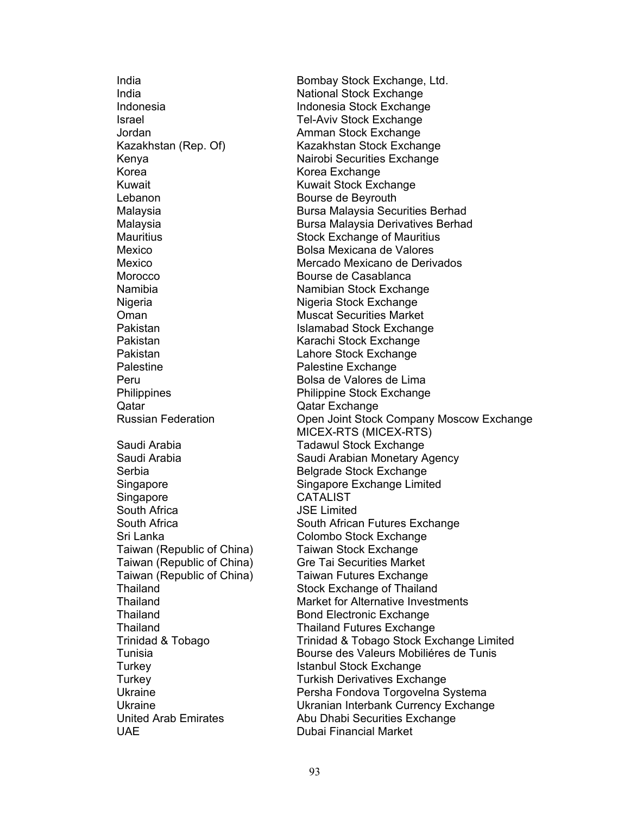India **National Stock Exchange** Israel Tel-Aviv Stock Exchange Jordan **Amman Stock Exchange** Korea **Korea Exchange** Kuwait **Kuwait Stock Exchange** Lebanon **Bourse** de Beyrouth Morocco Bourse de Casablanca Nigeria Nigeria Stock Exchange Pakistan **Karachi Stock Exchange** Pakistan **Lahore Stock Exchange** Palestine **Palestine Exchange** Qatar Qatar Exchange Singapore CATALIST South Africa **Contact Contact South Africa** JSE Limited Taiwan (Republic of China) Taiwan Stock Exchange Turkey **Istanbul Stock Exchange** UAE Dubai Financial Market

India Bombay Stock Exchange, Ltd. Indonesia **Indonesia Stock Exchange** Kazakhstan (Rep. Of) Kazakhstan Stock Exchange Kenya **Nairobi** Securities Exchange Malaysia Bursa Malaysia Securities Berhad Malaysia Bursa Malaysia Derivatives Berhad Mauritius **Mauritius** Stock Exchange of Mauritius Mexico Bolsa Mexicana de Valores Mexico Mercado Mexicano de Derivados Namibia Namibian Stock Exchange **Oman** Muscat Securities Market Pakistan **Islamabad Stock Exchange** Peru Bolsa de Valores de Lima Philippines Philippine Stock Exchange Russian Federation Open Joint Stock Company Moscow Exchange MICEX-RTS (MICEX-RTS) Saudi Arabia Tadawul Stock Exchange Saudi Arabia Saudi Arabian Monetary Agency Serbia Belgrade Stock Exchange Singapore Singapore Exchange Limited South Africa **South African Futures Exchange** Sri Lanka Colombo Stock Exchange Taiwan (Republic of China) Gre Tai Securities Market Taiwan (Republic of China) Taiwan Futures Exchange Thailand Stock Exchange of Thailand Thailand **Market for Alternative Investments** Thailand **Bond Electronic Exchange** Thailand Thailand Futures Exchange Trinidad & Tobago Trinidad & Tobago Stock Exchange Limited Tunisia Bourse des Valeurs Mobiliéres de Tunis Turkey Turkish Derivatives Exchange Ukraine **Persha Fondova Torgovelna Systema** Ukraine Ukranian Interbank Currency Exchange United Arab Emirates **Abu Dhabi Securities Exchange**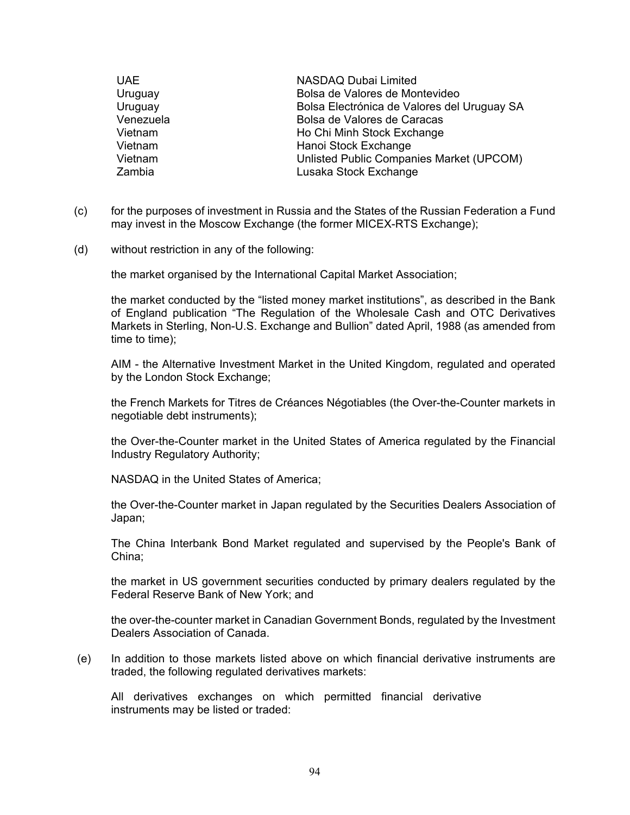| <b>UAE</b> | NASDAQ Dubai Limited                        |
|------------|---------------------------------------------|
| Uruguay    | Bolsa de Valores de Montevideo              |
| Uruguay    | Bolsa Electrónica de Valores del Uruguay SA |
| Venezuela  | Bolsa de Valores de Caracas                 |
| Vietnam    | Ho Chi Minh Stock Exchange                  |
| Vietnam    | Hanoi Stock Exchange                        |
| Vietnam    | Unlisted Public Companies Market (UPCOM)    |
| Zambia     | Lusaka Stock Exchange                       |
|            |                                             |

- (c) for the purposes of investment in Russia and the States of the Russian Federation a Fund may invest in the Moscow Exchange (the former MICEX-RTS Exchange);
- (d) without restriction in any of the following:

the market organised by the International Capital Market Association;

the market conducted by the "listed money market institutions", as described in the Bank of England publication "The Regulation of the Wholesale Cash and OTC Derivatives Markets in Sterling, Non-U.S. Exchange and Bullion" dated April, 1988 (as amended from time to time);

AIM - the Alternative Investment Market in the United Kingdom, regulated and operated by the London Stock Exchange;

the French Markets for Titres de Créances Négotiables (the Over-the-Counter markets in negotiable debt instruments);

the Over-the-Counter market in the United States of America regulated by the Financial Industry Regulatory Authority;

NASDAQ in the United States of America;

the Over-the-Counter market in Japan regulated by the Securities Dealers Association of Japan;

The China Interbank Bond Market regulated and supervised by the People's Bank of China;

the market in US government securities conducted by primary dealers regulated by the Federal Reserve Bank of New York; and

the over-the-counter market in Canadian Government Bonds, regulated by the Investment Dealers Association of Canada.

 (e) In addition to those markets listed above on which financial derivative instruments are traded, the following regulated derivatives markets:

All derivatives exchanges on which permitted financial derivative instruments may be listed or traded: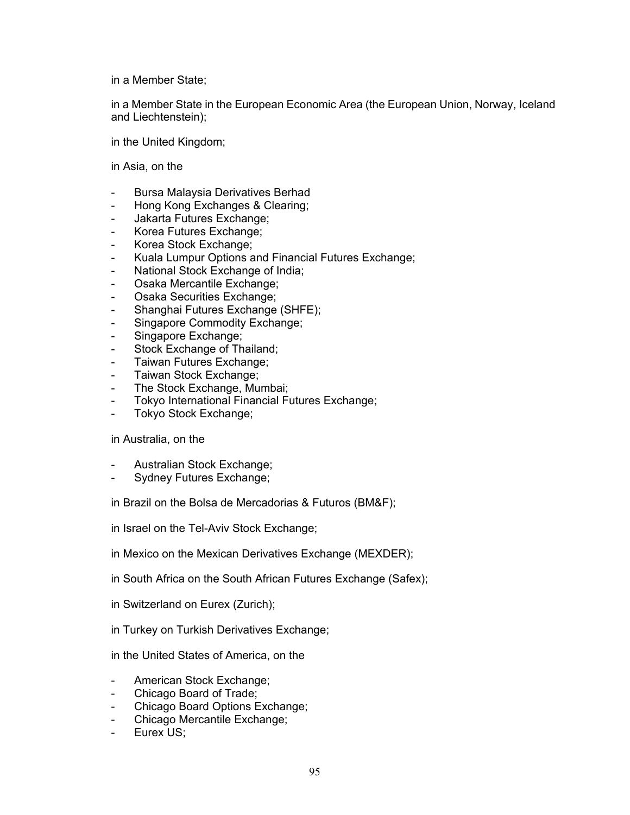#### in a Member State;

in a Member State in the European Economic Area (the European Union, Norway, Iceland and Liechtenstein);

in the United Kingdom;

in Asia, on the

- Bursa Malaysia Derivatives Berhad
- Hong Kong Exchanges & Clearing;
- Jakarta Futures Exchange;
- Korea Futures Exchange;
- Korea Stock Exchange;
- Kuala Lumpur Options and Financial Futures Exchange;
- National Stock Exchange of India;
- Osaka Mercantile Exchange;
- Osaka Securities Exchange;
- Shanghai Futures Exchange (SHFE);
- Singapore Commodity Exchange;
- Singapore Exchange;
- Stock Exchange of Thailand;
- Taiwan Futures Exchange;
- Taiwan Stock Exchange;
- The Stock Exchange, Mumbai;
- Tokyo International Financial Futures Exchange;
- Tokyo Stock Exchange;

#### in Australia, on the

- Australian Stock Exchange;
- Sydney Futures Exchange;

in Brazil on the Bolsa de Mercadorias & Futuros (BM&F);

in Israel on the Tel-Aviv Stock Exchange;

in Mexico on the Mexican Derivatives Exchange (MEXDER);

- in South Africa on the South African Futures Exchange (Safex);
- in Switzerland on Eurex (Zurich);
- in Turkey on Turkish Derivatives Exchange;

in the United States of America, on the

- American Stock Exchange;
- Chicago Board of Trade;
- Chicago Board Options Exchange;
- Chicago Mercantile Exchange;
- Eurex US: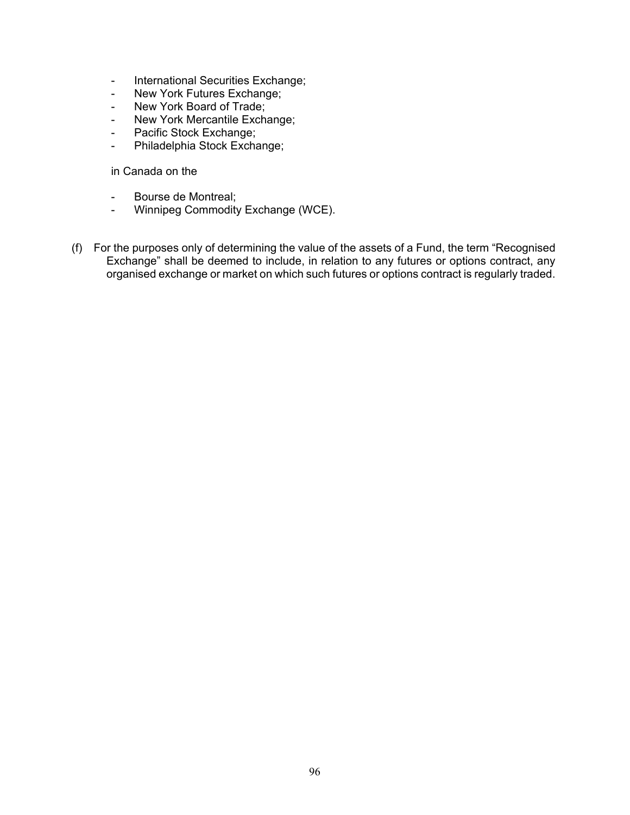- International Securities Exchange;
- New York Futures Exchange;
- New York Board of Trade;
- New York Mercantile Exchange;
- Pacific Stock Exchange;
- Philadelphia Stock Exchange;

in Canada on the

- Bourse de Montreal;
- Winnipeg Commodity Exchange (WCE).
- (f) For the purposes only of determining the value of the assets of a Fund, the term "Recognised Exchange" shall be deemed to include, in relation to any futures or options contract, any organised exchange or market on which such futures or options contract is regularly traded.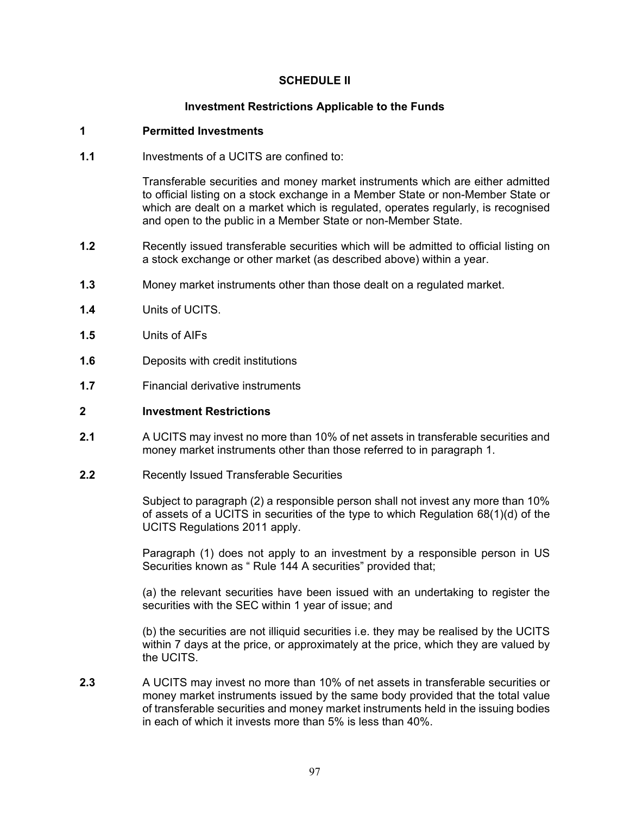### **SCHEDULE II**

#### **Investment Restrictions Applicable to the Funds**

#### **1 Permitted Investments**

**1.1** Investments of a UCITS are confined to:

Transferable securities and money market instruments which are either admitted to official listing on a stock exchange in a Member State or non-Member State or which are dealt on a market which is regulated, operates regularly, is recognised and open to the public in a Member State or non-Member State.

- **1.2** Recently issued transferable securities which will be admitted to official listing on a stock exchange or other market (as described above) within a year.
- **1.3** Money market instruments other than those dealt on a regulated market.
- **1.4** Units of UCITS.
- **1.5** Units of AIFs
- **1.6** Deposits with credit institutions
- **1.7** Financial derivative instruments

#### **2 Investment Restrictions**

- **2.1** A UCITS may invest no more than 10% of net assets in transferable securities and money market instruments other than those referred to in paragraph 1.
- **2.2** Recently Issued Transferable Securities

Subject to paragraph (2) a responsible person shall not invest any more than 10% of assets of a UCITS in securities of the type to which Regulation 68(1)(d) of the UCITS Regulations 2011 apply.

Paragraph (1) does not apply to an investment by a responsible person in US Securities known as " Rule 144 A securities" provided that;

(a) the relevant securities have been issued with an undertaking to register the securities with the SEC within 1 year of issue; and

(b) the securities are not illiquid securities i.e. they may be realised by the UCITS within 7 days at the price, or approximately at the price, which they are valued by the UCITS.

**2.3** A UCITS may invest no more than 10% of net assets in transferable securities or money market instruments issued by the same body provided that the total value of transferable securities and money market instruments held in the issuing bodies in each of which it invests more than 5% is less than 40%.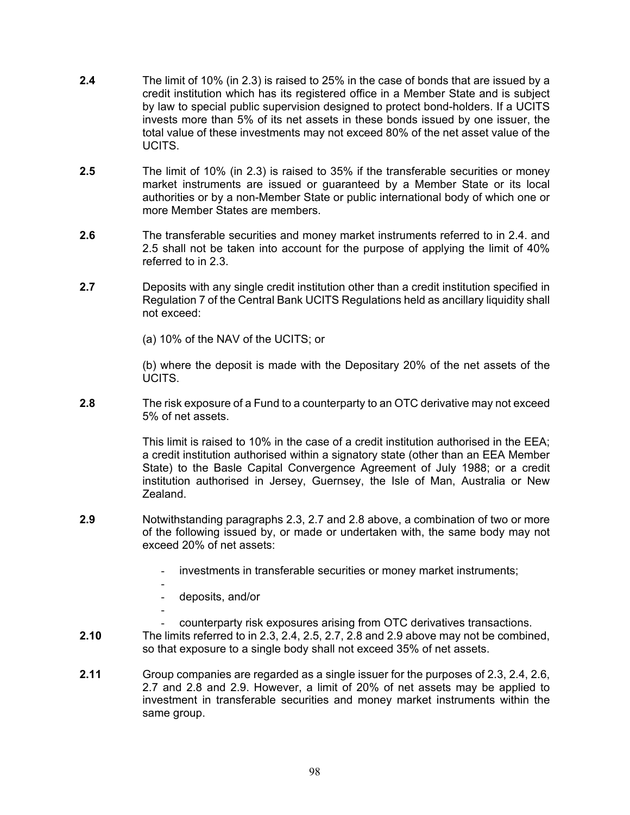- **2.4** The limit of 10% (in 2.3) is raised to 25% in the case of bonds that are issued by a credit institution which has its registered office in a Member State and is subject by law to special public supervision designed to protect bond-holders. If a UCITS invests more than 5% of its net assets in these bonds issued by one issuer, the total value of these investments may not exceed 80% of the net asset value of the UCITS.
- **2.5** The limit of 10% (in 2.3) is raised to 35% if the transferable securities or money market instruments are issued or guaranteed by a Member State or its local authorities or by a non-Member State or public international body of which one or more Member States are members.
- **2.6** The transferable securities and money market instruments referred to in 2.4. and 2.5 shall not be taken into account for the purpose of applying the limit of 40% referred to in 2.3.
- **2.7** Deposits with any single credit institution other than a credit institution specified in Regulation 7 of the Central Bank UCITS Regulations held as ancillary liquidity shall not exceed:
	- (a) 10% of the NAV of the UCITS; or

(b) where the deposit is made with the Depositary 20% of the net assets of the UCITS.

**2.8** The risk exposure of a Fund to a counterparty to an OTC derivative may not exceed 5% of net assets.

> This limit is raised to 10% in the case of a credit institution authorised in the EEA; a credit institution authorised within a signatory state (other than an EEA Member State) to the Basle Capital Convergence Agreement of July 1988; or a credit institution authorised in Jersey, Guernsey, the Isle of Man, Australia or New Zealand.

- **2.9** Notwithstanding paragraphs 2.3, 2.7 and 2.8 above, a combination of two or more of the following issued by, or made or undertaken with, the same body may not exceed 20% of net assets:
	- investments in transferable securities or money market instruments; -
	- deposits, and/or

-

- counterparty risk exposures arising from OTC derivatives transactions.
- **2.10** The limits referred to in 2.3, 2.4, 2.5, 2.7, 2.8 and 2.9 above may not be combined, so that exposure to a single body shall not exceed 35% of net assets.
- **2.11** Group companies are regarded as a single issuer for the purposes of 2.3, 2.4, 2.6, 2.7 and 2.8 and 2.9. However, a limit of 20% of net assets may be applied to investment in transferable securities and money market instruments within the same group.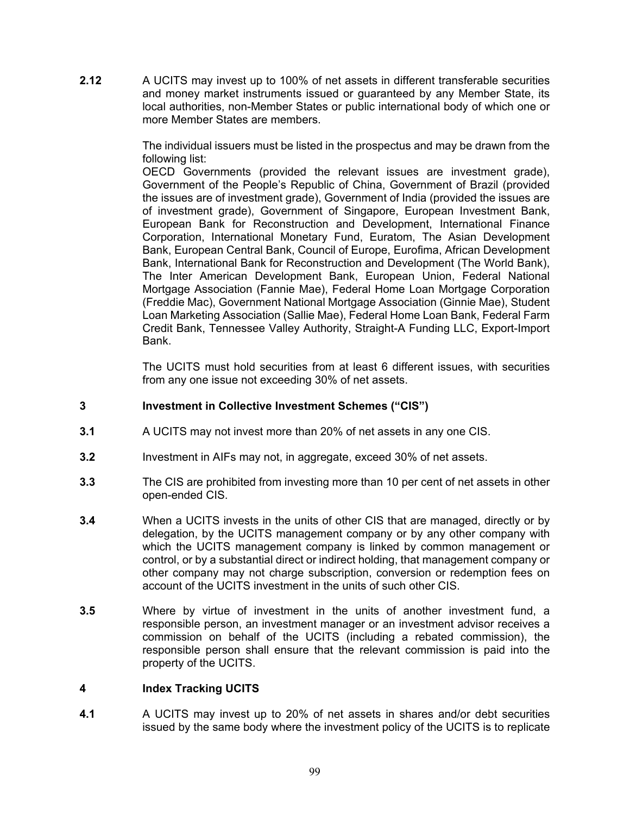**2.12** A UCITS may invest up to 100% of net assets in different transferable securities and money market instruments issued or guaranteed by any Member State, its local authorities, non-Member States or public international body of which one or more Member States are members.

> The individual issuers must be listed in the prospectus and may be drawn from the following list:

> OECD Governments (provided the relevant issues are investment grade), Government of the People's Republic of China, Government of Brazil (provided the issues are of investment grade), Government of India (provided the issues are of investment grade), Government of Singapore, European Investment Bank, European Bank for Reconstruction and Development, International Finance Corporation, International Monetary Fund, Euratom, The Asian Development Bank, European Central Bank, Council of Europe, Eurofima, African Development Bank, International Bank for Reconstruction and Development (The World Bank), The Inter American Development Bank, European Union, Federal National Mortgage Association (Fannie Mae), Federal Home Loan Mortgage Corporation (Freddie Mac), Government National Mortgage Association (Ginnie Mae), Student Loan Marketing Association (Sallie Mae), Federal Home Loan Bank, Federal Farm Credit Bank, Tennessee Valley Authority, Straight-A Funding LLC, Export-Import Bank.

> The UCITS must hold securities from at least 6 different issues, with securities from any one issue not exceeding 30% of net assets.

#### **3 Investment in Collective Investment Schemes ("CIS")**

- **3.1** A UCITS may not invest more than 20% of net assets in any one CIS.
- **3.2** Investment in AIFs may not, in aggregate, exceed 30% of net assets.
- **3.3** The CIS are prohibited from investing more than 10 per cent of net assets in other open-ended CIS.
- **3.4** When a UCITS invests in the units of other CIS that are managed, directly or by delegation, by the UCITS management company or by any other company with which the UCITS management company is linked by common management or control, or by a substantial direct or indirect holding, that management company or other company may not charge subscription, conversion or redemption fees on account of the UCITS investment in the units of such other CIS.
- **3.5** Where by virtue of investment in the units of another investment fund, a responsible person, an investment manager or an investment advisor receives a commission on behalf of the UCITS (including a rebated commission), the responsible person shall ensure that the relevant commission is paid into the property of the UCITS.

#### **4 Index Tracking UCITS**

**4.1** A UCITS may invest up to 20% of net assets in shares and/or debt securities issued by the same body where the investment policy of the UCITS is to replicate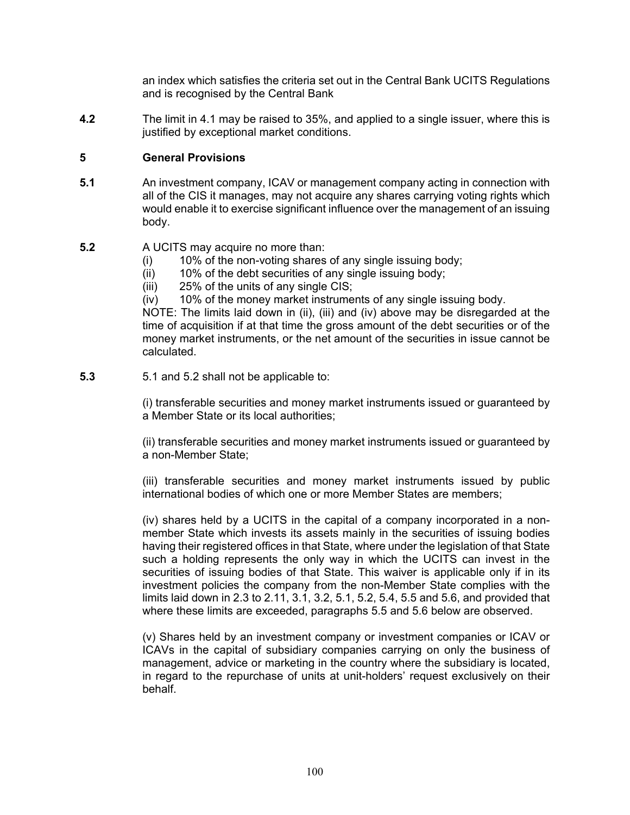an index which satisfies the criteria set out in the Central Bank UCITS Regulations and is recognised by the Central Bank

**4.2** The limit in 4.1 may be raised to 35%, and applied to a single issuer, where this is justified by exceptional market conditions.

#### **5 General Provisions**

**5.1** An investment company, ICAV or management company acting in connection with all of the CIS it manages, may not acquire any shares carrying voting rights which would enable it to exercise significant influence over the management of an issuing body.

#### **5.2** A UCITS may acquire no more than:

- (i) 10% of the non-voting shares of any single issuing body;
- (ii) 10% of the debt securities of any single issuing body;
- (iii) 25% of the units of any single CIS;
- (iv) 10% of the money market instruments of any single issuing body.

NOTE: The limits laid down in (ii), (iii) and (iv) above may be disregarded at the time of acquisition if at that time the gross amount of the debt securities or of the money market instruments, or the net amount of the securities in issue cannot be calculated.

**5.3** 5.1 and 5.2 shall not be applicable to:

(i) transferable securities and money market instruments issued or guaranteed by a Member State or its local authorities;

(ii) transferable securities and money market instruments issued or guaranteed by a non-Member State;

(iii) transferable securities and money market instruments issued by public international bodies of which one or more Member States are members;

(iv) shares held by a UCITS in the capital of a company incorporated in a nonmember State which invests its assets mainly in the securities of issuing bodies having their registered offices in that State, where under the legislation of that State such a holding represents the only way in which the UCITS can invest in the securities of issuing bodies of that State. This waiver is applicable only if in its investment policies the company from the non-Member State complies with the limits laid down in 2.3 to 2.11, 3.1, 3.2, 5.1, 5.2, 5.4, 5.5 and 5.6, and provided that where these limits are exceeded, paragraphs 5.5 and 5.6 below are observed.

(v) Shares held by an investment company or investment companies or ICAV or ICAVs in the capital of subsidiary companies carrying on only the business of management, advice or marketing in the country where the subsidiary is located, in regard to the repurchase of units at unit-holders' request exclusively on their behalf.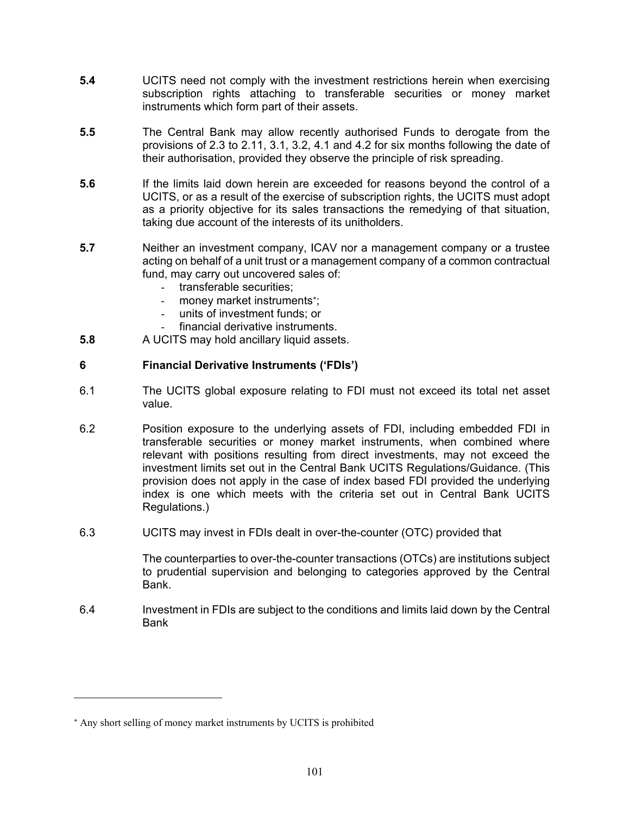- **5.4** UCITS need not comply with the investment restrictions herein when exercising subscription rights attaching to transferable securities or money market instruments which form part of their assets.
- **5.5** The Central Bank may allow recently authorised Funds to derogate from the provisions of 2.3 to 2.11, 3.1, 3.2, 4.1 and 4.2 for six months following the date of their authorisation, provided they observe the principle of risk spreading.
- **5.6** If the limits laid down herein are exceeded for reasons beyond the control of a UCITS, or as a result of the exercise of subscription rights, the UCITS must adopt as a priority objective for its sales transactions the remedying of that situation, taking due account of the interests of its unitholders.
- **5.7** Neither an investment company, ICAV nor a management company or a trustee acting on behalf of a unit trust or a management company of a common contractual fund, may carry out uncovered sales of:
	- transferable securities;
	- money market instruments<sup>\*</sup>:
	- units of investment funds; or
	- financial derivative instruments.
- **5.8** A UCITS may hold ancillary liquid assets.

## **6 Financial Derivative Instruments ('FDIs')**

- 6.1 The UCITS global exposure relating to FDI must not exceed its total net asset value.
- 6.2 Position exposure to the underlying assets of FDI, including embedded FDI in transferable securities or money market instruments, when combined where relevant with positions resulting from direct investments, may not exceed the investment limits set out in the Central Bank UCITS Regulations/Guidance. (This provision does not apply in the case of index based FDI provided the underlying index is one which meets with the criteria set out in Central Bank UCITS Regulations.)
- 6.3 UCITS may invest in FDIs dealt in over-the-counter (OTC) provided that

The counterparties to over-the-counter transactions (OTCs) are institutions subject to prudential supervision and belonging to categories approved by the Central Bank.

6.4 Investment in FDIs are subject to the conditions and limits laid down by the Central Bank

 Any short selling of money market instruments by UCITS is prohibited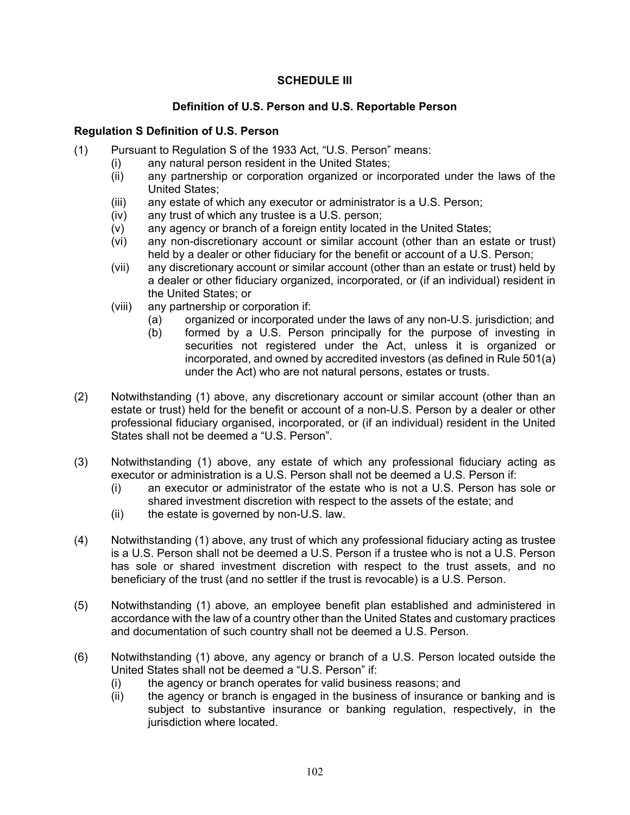## **SCHEDULE III**

### **Definition of U.S. Person and U.S. Reportable Person**

## **Regulation S Definition of U.S. Person**

- (1) Pursuant to Regulation S of the 1933 Act, "U.S. Person" means:
	- (i) any natural person resident in the United States;
	- (ii) any partnership or corporation organized or incorporated under the laws of the United States;
	- (iii) any estate of which any executor or administrator is a U.S. Person;
	- (iv) any trust of which any trustee is a U.S. person;
	- (v) any agency or branch of a foreign entity located in the United States;
	- (vi) any non-discretionary account or similar account (other than an estate or trust) held by a dealer or other fiduciary for the benefit or account of a U.S. Person;
	- (vii) any discretionary account or similar account (other than an estate or trust) held by a dealer or other fiduciary organized, incorporated, or (if an individual) resident in the United States; or
	- (viii) any partnership or corporation if:
		- (a) organized or incorporated under the laws of any non-U.S. jurisdiction; and
		- (b) formed by a U.S. Person principally for the purpose of investing in securities not registered under the Act, unless it is organized or incorporated, and owned by accredited investors (as defined in Rule 501(a) under the Act) who are not natural persons, estates or trusts.
- (2) Notwithstanding (1) above, any discretionary account or similar account (other than an estate or trust) held for the benefit or account of a non-U.S. Person by a dealer or other professional fiduciary organised, incorporated, or (if an individual) resident in the United States shall not be deemed a "U.S. Person".
- (3) Notwithstanding (1) above, any estate of which any professional fiduciary acting as executor or administration is a U.S. Person shall not be deemed a U.S. Person if:
	- (i) an executor or administrator of the estate who is not a U.S. Person has sole or shared investment discretion with respect to the assets of the estate; and
	- (ii) the estate is governed by non-U.S. law.
- (4) Notwithstanding (1) above, any trust of which any professional fiduciary acting as trustee is a U.S. Person shall not be deemed a U.S. Person if a trustee who is not a U.S. Person has sole or shared investment discretion with respect to the trust assets, and no beneficiary of the trust (and no settler if the trust is revocable) is a U.S. Person.
- (5) Notwithstanding (1) above, an employee benefit plan established and administered in accordance with the law of a country other than the United States and customary practices and documentation of such country shall not be deemed a U.S. Person.
- (6) Notwithstanding (1) above, any agency or branch of a U.S. Person located outside the United States shall not be deemed a "U.S. Person" if:
	- (i) the agency or branch operates for valid business reasons; and
	- (ii) the agency or branch is engaged in the business of insurance or banking and is subject to substantive insurance or banking regulation, respectively, in the jurisdiction where located.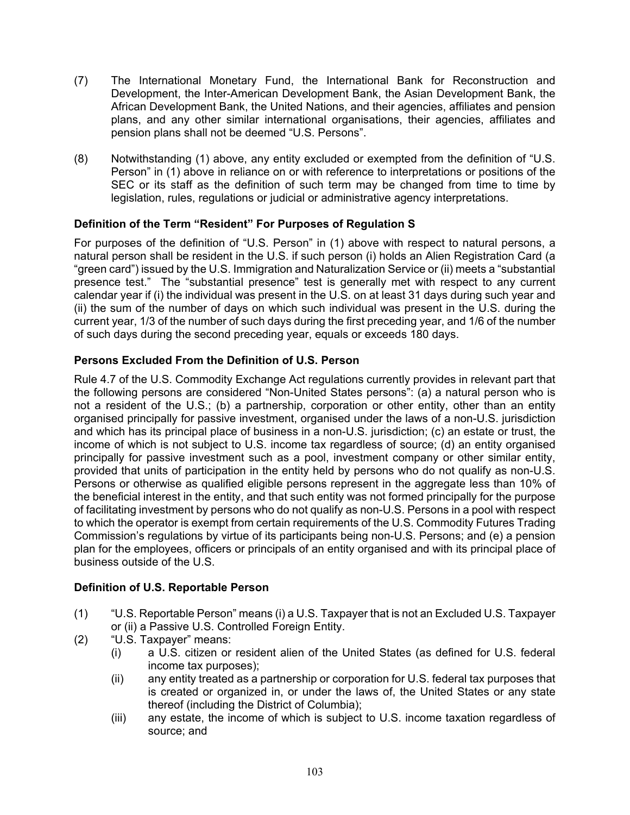- (7) The International Monetary Fund, the International Bank for Reconstruction and Development, the Inter-American Development Bank, the Asian Development Bank, the African Development Bank, the United Nations, and their agencies, affiliates and pension plans, and any other similar international organisations, their agencies, affiliates and pension plans shall not be deemed "U.S. Persons".
- (8) Notwithstanding (1) above, any entity excluded or exempted from the definition of "U.S. Person" in (1) above in reliance on or with reference to interpretations or positions of the SEC or its staff as the definition of such term may be changed from time to time by legislation, rules, regulations or judicial or administrative agency interpretations.

## **Definition of the Term "Resident" For Purposes of Regulation S**

For purposes of the definition of "U.S. Person" in (1) above with respect to natural persons, a natural person shall be resident in the U.S. if such person (i) holds an Alien Registration Card (a "green card") issued by the U.S. Immigration and Naturalization Service or (ii) meets a "substantial presence test." The "substantial presence" test is generally met with respect to any current calendar year if (i) the individual was present in the U.S. on at least 31 days during such year and (ii) the sum of the number of days on which such individual was present in the U.S. during the current year, 1/3 of the number of such days during the first preceding year, and 1/6 of the number of such days during the second preceding year, equals or exceeds 180 days.

## **Persons Excluded From the Definition of U.S. Person**

Rule 4.7 of the U.S. Commodity Exchange Act regulations currently provides in relevant part that the following persons are considered "Non-United States persons": (a) a natural person who is not a resident of the U.S.; (b) a partnership, corporation or other entity, other than an entity organised principally for passive investment, organised under the laws of a non-U.S. jurisdiction and which has its principal place of business in a non-U.S. jurisdiction; (c) an estate or trust, the income of which is not subject to U.S. income tax regardless of source; (d) an entity organised principally for passive investment such as a pool, investment company or other similar entity, provided that units of participation in the entity held by persons who do not qualify as non-U.S. Persons or otherwise as qualified eligible persons represent in the aggregate less than 10% of the beneficial interest in the entity, and that such entity was not formed principally for the purpose of facilitating investment by persons who do not qualify as non-U.S. Persons in a pool with respect to which the operator is exempt from certain requirements of the U.S. Commodity Futures Trading Commission's regulations by virtue of its participants being non-U.S. Persons; and (e) a pension plan for the employees, officers or principals of an entity organised and with its principal place of business outside of the U.S.

### **Definition of U.S. Reportable Person**

- (1) "U.S. Reportable Person" means (i) a U.S. Taxpayer that is not an Excluded U.S. Taxpayer or (ii) a Passive U.S. Controlled Foreign Entity.
- (2) "U.S. Taxpayer" means:
	- (i) a U.S. citizen or resident alien of the United States (as defined for U.S. federal income tax purposes);
	- (ii) any entity treated as a partnership or corporation for U.S. federal tax purposes that is created or organized in, or under the laws of, the United States or any state thereof (including the District of Columbia);
	- (iii) any estate, the income of which is subject to U.S. income taxation regardless of source; and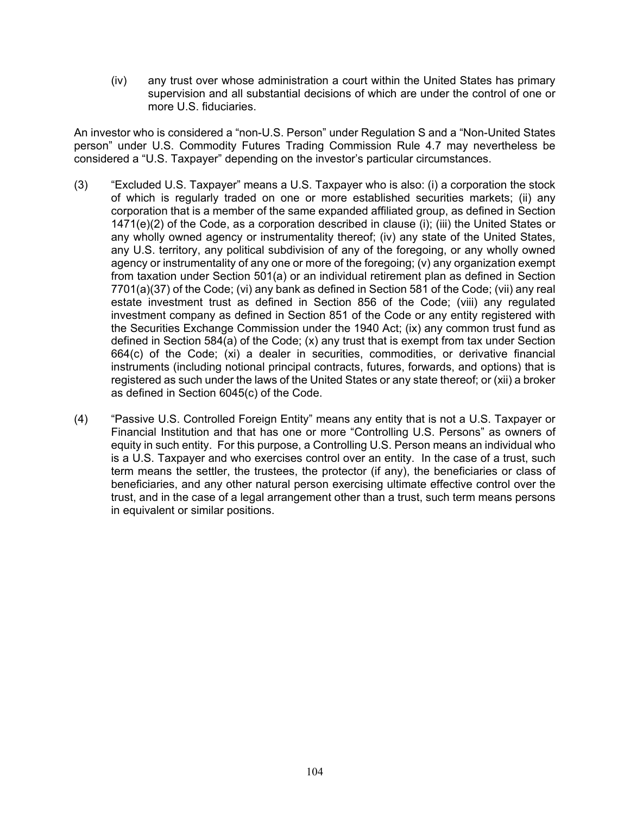(iv) any trust over whose administration a court within the United States has primary supervision and all substantial decisions of which are under the control of one or more U.S. fiduciaries.

An investor who is considered a "non-U.S. Person" under Regulation S and a "Non-United States person" under U.S. Commodity Futures Trading Commission Rule 4.7 may nevertheless be considered a "U.S. Taxpayer" depending on the investor's particular circumstances.

- (3) "Excluded U.S. Taxpayer" means a U.S. Taxpayer who is also: (i) a corporation the stock of which is regularly traded on one or more established securities markets; (ii) any corporation that is a member of the same expanded affiliated group, as defined in Section 1471(e)(2) of the Code, as a corporation described in clause (i); (iii) the United States or any wholly owned agency or instrumentality thereof; (iv) any state of the United States, any U.S. territory, any political subdivision of any of the foregoing, or any wholly owned agency or instrumentality of any one or more of the foregoing; (v) any organization exempt from taxation under Section 501(a) or an individual retirement plan as defined in Section 7701(a)(37) of the Code; (vi) any bank as defined in Section 581 of the Code; (vii) any real estate investment trust as defined in Section 856 of the Code; (viii) any regulated investment company as defined in Section 851 of the Code or any entity registered with the Securities Exchange Commission under the 1940 Act; (ix) any common trust fund as defined in Section 584(a) of the Code; (x) any trust that is exempt from tax under Section 664(c) of the Code; (xi) a dealer in securities, commodities, or derivative financial instruments (including notional principal contracts, futures, forwards, and options) that is registered as such under the laws of the United States or any state thereof; or (xii) a broker as defined in Section 6045(c) of the Code.
- (4) "Passive U.S. Controlled Foreign Entity" means any entity that is not a U.S. Taxpayer or Financial Institution and that has one or more "Controlling U.S. Persons" as owners of equity in such entity. For this purpose, a Controlling U.S. Person means an individual who is a U.S. Taxpayer and who exercises control over an entity. In the case of a trust, such term means the settler, the trustees, the protector (if any), the beneficiaries or class of beneficiaries, and any other natural person exercising ultimate effective control over the trust, and in the case of a legal arrangement other than a trust, such term means persons in equivalent or similar positions.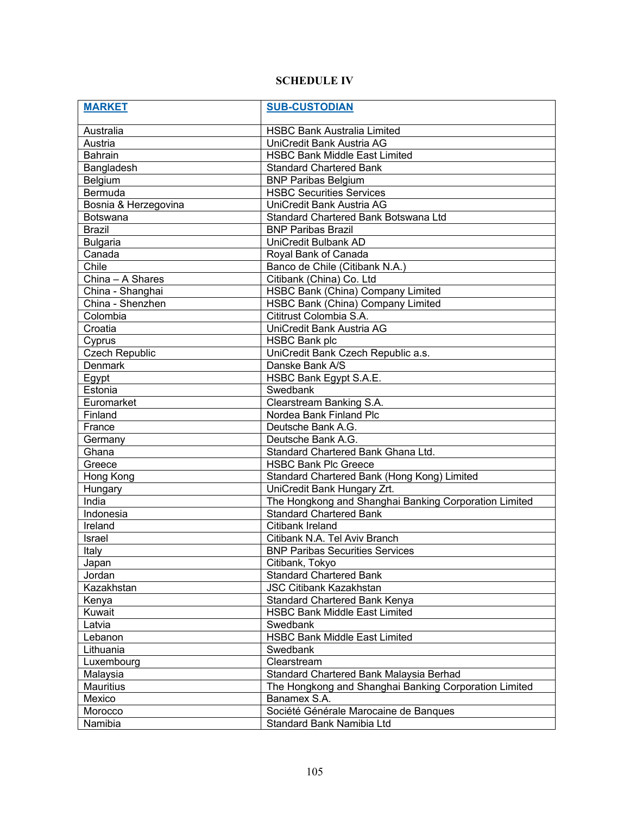## **SCHEDULE IV**

| <b>SUB-CUSTODIAN</b><br><b>MARKET</b>                                     |  |
|---------------------------------------------------------------------------|--|
|                                                                           |  |
| Australia<br><b>HSBC Bank Australia Limited</b>                           |  |
| Austria<br>UniCredit Bank Austria AG                                      |  |
| <b>Bahrain</b><br><b>HSBC Bank Middle East Limited</b>                    |  |
| Bangladesh<br><b>Standard Chartered Bank</b>                              |  |
| <b>BNP Paribas Belgium</b><br>Belgium                                     |  |
| Bermuda<br><b>HSBC Securities Services</b>                                |  |
| Bosnia & Herzegovina<br>UniCredit Bank Austria AG                         |  |
| <b>Botswana</b><br>Standard Chartered Bank Botswana Ltd                   |  |
| <b>Brazil</b><br><b>BNP Paribas Brazil</b>                                |  |
| UniCredit Bulbank AD<br><b>Bulgaria</b>                                   |  |
| Canada<br>Royal Bank of Canada                                            |  |
| Chile<br>Banco de Chile (Citibank N.A.)                                   |  |
| Citibank (China) Co. Ltd<br>China - A Shares                              |  |
| HSBC Bank (China) Company Limited<br>China - Shanghai                     |  |
| China - Shenzhen<br>HSBC Bank (China) Company Limited                     |  |
| Colombia<br>Cititrust Colombia S.A.                                       |  |
| Croatia<br>UniCredit Bank Austria AG                                      |  |
| Cyprus<br><b>HSBC Bank plc</b>                                            |  |
| <b>Czech Republic</b><br>UniCredit Bank Czech Republic a.s.               |  |
| Denmark<br>Danske Bank A/S                                                |  |
| HSBC Bank Egypt S.A.E.<br>Egypt                                           |  |
| Estonia<br>Swedbank                                                       |  |
| Euromarket<br>Clearstream Banking S.A.                                    |  |
| Nordea Bank Finland Plc<br>Finland                                        |  |
| France<br>Deutsche Bank A.G.                                              |  |
| Germany<br>Deutsche Bank A.G.                                             |  |
| Ghana<br>Standard Chartered Bank Ghana Ltd.                               |  |
| Greece<br><b>HSBC Bank Plc Greece</b>                                     |  |
| Standard Chartered Bank (Hong Kong) Limited<br>Hong Kong                  |  |
| Hungary<br>UniCredit Bank Hungary Zrt.                                    |  |
| The Hongkong and Shanghai Banking Corporation Limited<br>India            |  |
| <b>Standard Chartered Bank</b><br>Indonesia                               |  |
| Ireland<br>Citibank Ireland                                               |  |
| Israel<br>Citibank N.A. Tel Aviv Branch                                   |  |
| <b>BNP Paribas Securities Services</b><br>Italy                           |  |
| Citibank, Tokyo<br>Japan                                                  |  |
| <b>Standard Chartered Bank</b><br>Jordan                                  |  |
| Kazakhstan<br><b>JSC Citibank Kazakhstan</b>                              |  |
| Standard Chartered Bank Kenya<br>Kenya                                    |  |
| Kuwait<br><b>HSBC Bank Middle East Limited</b>                            |  |
| Swedbank<br>Latvia                                                        |  |
| <b>HSBC Bank Middle East Limited</b><br>Lebanon                           |  |
| Swedbank<br>Lithuania                                                     |  |
| Clearstream<br>Luxembourg                                                 |  |
| Standard Chartered Bank Malaysia Berhad<br>Malaysia                       |  |
| The Hongkong and Shanghai Banking Corporation Limited<br><b>Mauritius</b> |  |
| Mexico<br>Banamex S.A.                                                    |  |
| Morocco<br>Société Générale Marocaine de Banques                          |  |
| Namibia<br>Standard Bank Namibia Ltd                                      |  |